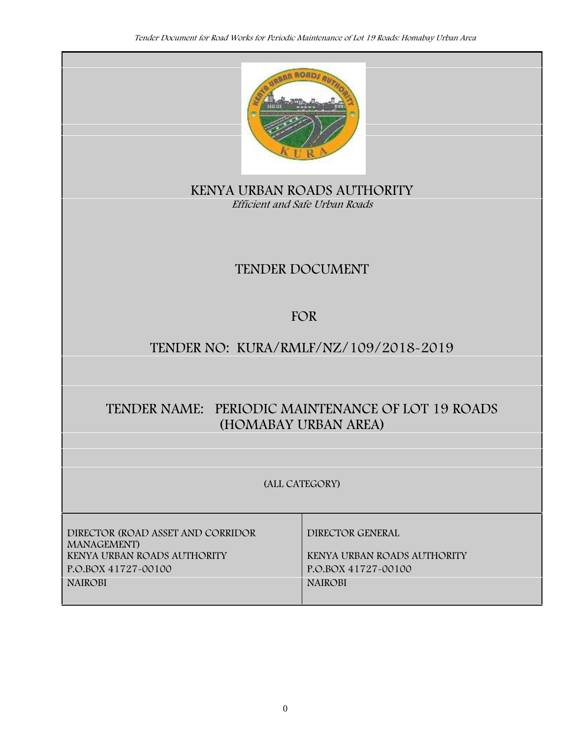

**KENYA URBAN ROADS AUTHORITY** *Efficient and Safe Urban Roads*

# **TENDER DOCUMENT**

# **FOR**

# **TENDER NO: KURA/RMLF/NZ/109/2018-2019**

# **TENDER NAME: PERIODIC MAINTENANCE OF LOT 19 ROADS (HOMABAY URBAN AREA)**

**(ALL CATEGORY)**

**DIRECTOR (ROAD ASSET AND CORRIDOR MANAGEMENT) KENYA URBAN ROADS AUTHORITY KENYA URBAN ROADS AUTHORITY P.O.BOX 41727-00100 P.O.BOX 41727-00100 NAIROBI NAIROBI**

**DIRECTOR GENERAL**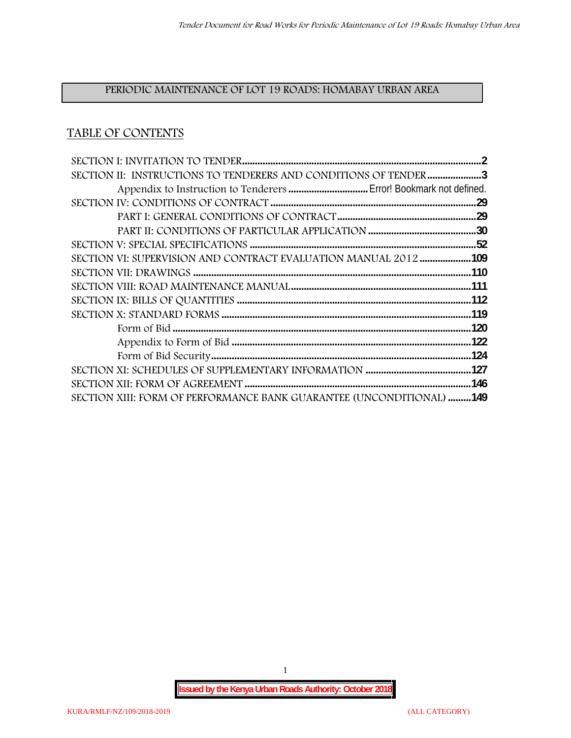# **PERIODIC MAINTENANCE OF LOT 19 ROADS: HOMABAY URBAN AREA**

# **TABLE OF CONTENTS**

| SECTION II: INSTRUCTIONS TO TENDERERS AND CONDITIONS OF TENDER 3     |  |
|----------------------------------------------------------------------|--|
|                                                                      |  |
|                                                                      |  |
|                                                                      |  |
|                                                                      |  |
|                                                                      |  |
| SECTION VI: SUPERVISION AND CONTRACT EVALUATION MANUAL 2012109       |  |
|                                                                      |  |
|                                                                      |  |
|                                                                      |  |
|                                                                      |  |
|                                                                      |  |
|                                                                      |  |
|                                                                      |  |
|                                                                      |  |
|                                                                      |  |
| SECTION XIII: FORM OF PERFORMANCE BANK GUARANTEE (UNCONDITIONAL) 149 |  |

1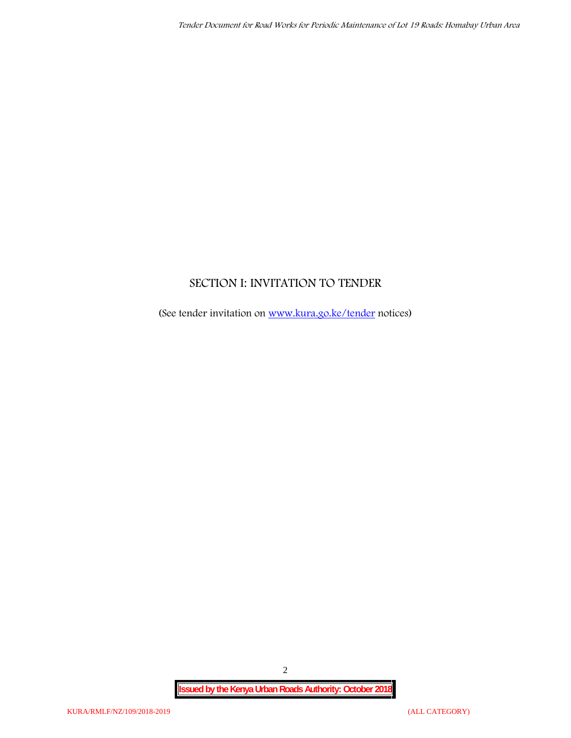# **SECTION I: INVITATION TO TENDER**

(See tender invitation on www.kura.go.ke/tender notices)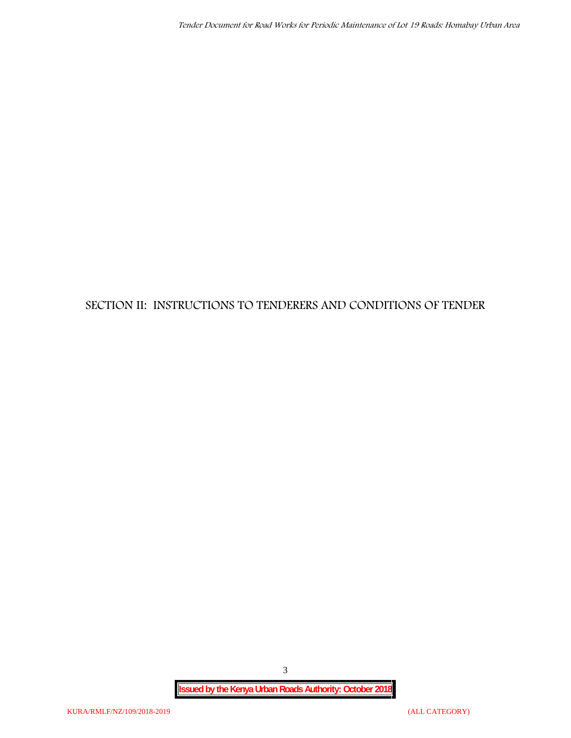# **SECTION II: INSTRUCTIONS TO TENDERERS AND CONDITIONS OF TENDER**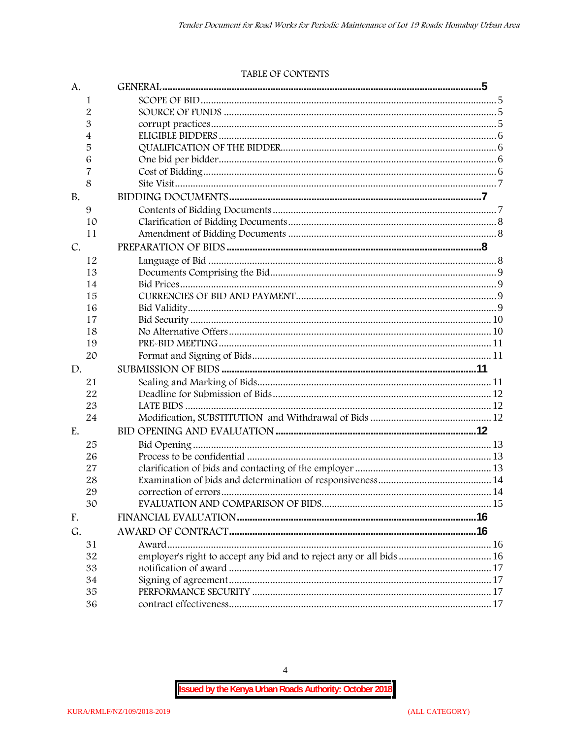#### TABLE OF CONTENTS

| A.        |                                                                      |  |
|-----------|----------------------------------------------------------------------|--|
| 1         |                                                                      |  |
| 2         |                                                                      |  |
| 3         |                                                                      |  |
| 4         |                                                                      |  |
| 5         |                                                                      |  |
| 6         |                                                                      |  |
| 7         |                                                                      |  |
| 8         |                                                                      |  |
| <b>B.</b> |                                                                      |  |
| 9         |                                                                      |  |
| 10        |                                                                      |  |
| 11        |                                                                      |  |
| C.        |                                                                      |  |
| 12        |                                                                      |  |
| 13        |                                                                      |  |
| 14        |                                                                      |  |
| 15        |                                                                      |  |
| 16        |                                                                      |  |
| 17        |                                                                      |  |
| 18        |                                                                      |  |
| 19        |                                                                      |  |
| 20        |                                                                      |  |
| D.        |                                                                      |  |
| 21        |                                                                      |  |
| 22        |                                                                      |  |
| 23        |                                                                      |  |
| 24        |                                                                      |  |
| E.        |                                                                      |  |
| 25        |                                                                      |  |
| 26        |                                                                      |  |
| 27        |                                                                      |  |
| 28        |                                                                      |  |
| 29        |                                                                      |  |
| 30        |                                                                      |  |
| F.        |                                                                      |  |
| G.        |                                                                      |  |
| 31        |                                                                      |  |
| 32        | employer's right to accept any bid and to reject any or all bids  16 |  |
| 33        |                                                                      |  |
| 34        |                                                                      |  |
| 35        |                                                                      |  |
| 36        |                                                                      |  |

 $\overline{4}$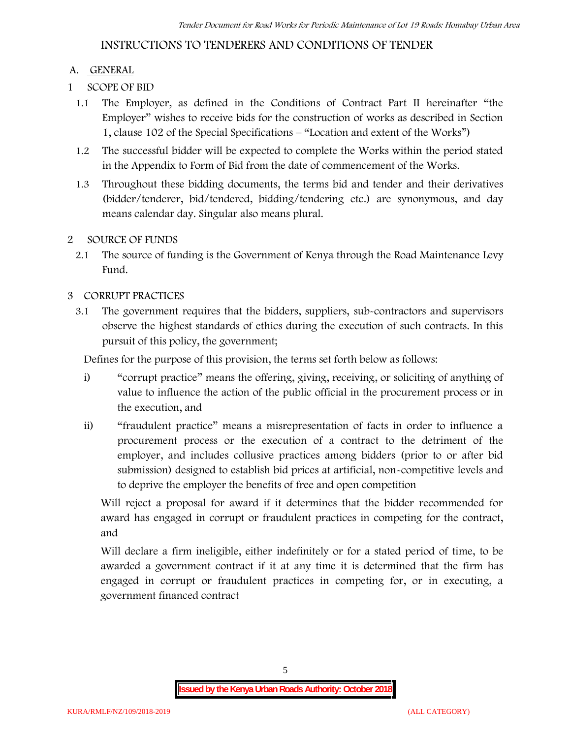# **INSTRUCTIONS TO TENDERERS AND CONDITIONS OF TENDER**

# **A. GENERAL**

- **1 SCOPE OF BID**
	- 1.1 The Employer, as defined in the Conditions of Contract Part II hereinafter "the Employer" wishes to receive bids for the construction of works as described in Section 1, clause 102 of the Special Specifications – "Location and extent of the Works")
	- 1.2 The successful bidder will be expected to complete the Works within the period stated in the Appendix to Form of Bid from the date of commencement of the Works.
	- 1.3 Throughout these bidding documents, the terms bid and tender and their derivatives (bidder/tenderer, bid/tendered, bidding/tendering etc.) are synonymous, and day means calendar day. Singular also means plural.

# **2 SOURCE OF FUNDS**

2.1 The source of funding is the Government of Kenya through the Road Maintenance Levy Fund.

# **3 CORRUPT PRACTICES**

3.1 The government requires that the bidders, suppliers, sub-contractors and supervisors observe the highest standards of ethics during the execution of such contracts. In this pursuit of this policy, the government;

Defines for the purpose of this provision, the terms set forth below as follows:

- i) "corrupt practice" means the offering, giving, receiving, or soliciting of anything of value to influence the action of the public official in the procurement process or in the execution, and
- ii) "fraudulent practice" means a misrepresentation of facts in order to influence a procurement process or the execution of a contract to the detriment of the employer, and includes collusive practices among bidders (prior to or after bid submission) designed to establish bid prices at artificial, non-competitive levels and to deprive the employer the benefits of free and open competition

Will reject a proposal for award if it determines that the bidder recommended for award has engaged in corrupt or fraudulent practices in competing for the contract, and

Will declare a firm ineligible, either indefinitely or for a stated period of time, to be awarded a government contract if it at any time it is determined that the firm has engaged in corrupt or fraudulent practices in competing for, or in executing, a government financed contract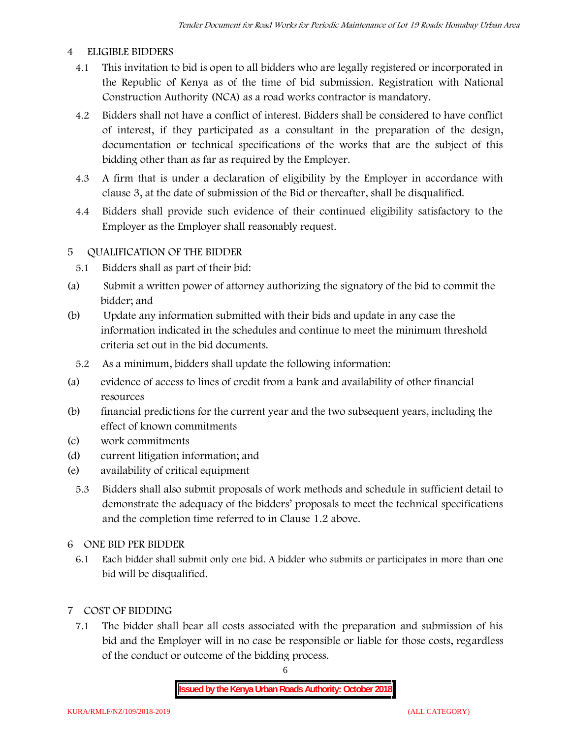## **4 ELIGIBLE BIDDERS**

- 4.1 This invitation to bid is open to all bidders who are legally registered or incorporated in the Republic of Kenya as of the time of bid submission. Registration with National Construction Authority (NCA) as a road works contractor is mandatory.
- 4.2 Bidders shall not have a conflict of interest. Bidders shall be considered to have conflict of interest, if they participated as a consultant in the preparation of the design, documentation or technical specifications of the works that are the subject of this bidding other than as far as required by the Employer.
- 4.3 A firm that is under a declaration of eligibility by the Employer in accordance with clause 3, at the date of submission of the Bid or thereafter, shall be disqualified.
- 4.4 Bidders shall provide such evidence of their continued eligibility satisfactory to the Employer as the Employer shall reasonably request.

## **5 QUALIFICATION OF THE BIDDER**

- 5.1 Bidders shall as part of their bid:
- (a) Submit a written power of attorney authorizing the signatory of the bid to commit the bidder; and
- (b) Update any information submitted with their bids and update in any case the information indicated in the schedules and continue to meet the minimum threshold criteria set out in the bid documents.
	- 5.2 As a minimum, bidders shall update the following information:
- (a) evidence of access to lines of credit from a bank and availability of other financial resources
- (b) financial predictions for the current year and the two subsequent years, including the effect of known commitments
- (c) work commitments
- (d) current litigation information; and
- (e) availability of critical equipment
	- 5.3 Bidders shall also submit proposals of work methods and schedule in sufficient detail to demonstrate the adequacy of the bidders' proposals to meet the technical specifications and the completion time referred to in Clause 1.2 above.
- **6 ONE BID PER BIDDER**
	- 6.1 Each bidder shall submit only one bid. A bidder who submits or participates in more than one bid will be disqualified.
- **7 COST OF BIDDING**
	- 7.1 The bidder shall bear all costs associated with the preparation and submission of his bid and the Employer will in no case be responsible or liable for those costs, regardless of the conduct or outcome of the bidding process.

6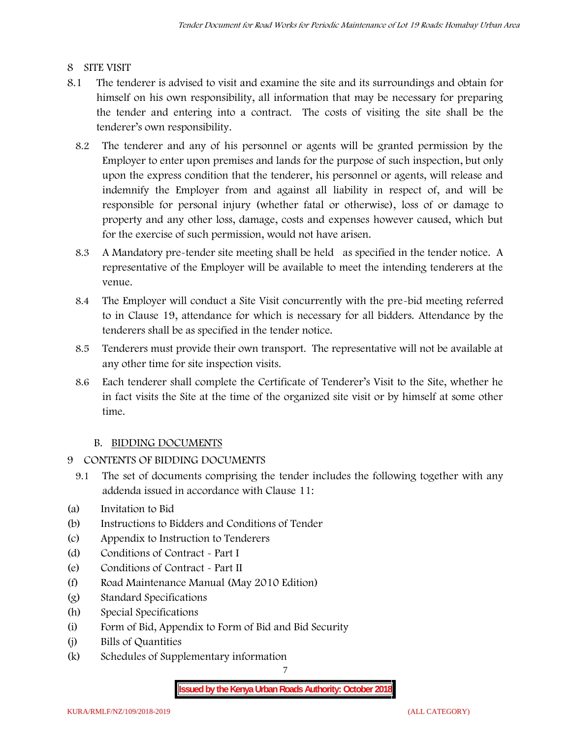# **8 SITE VISIT**

- 8.1 The tenderer is advised to visit and examine the site and its surroundings and obtain for himself on his own responsibility, all information that may be necessary for preparing the tender and entering into a contract. The costs of visiting the site shall be the tenderer's own responsibility.
	- 8.2 The tenderer and any of his personnel or agents will be granted permission by the Employer to enter upon premises and lands for the purpose of such inspection, but only upon the express condition that the tenderer, his personnel or agents, will release and indemnify the Employer from and against all liability in respect of, and will be responsible for personal injury (whether fatal or otherwise), loss of or damage to property and any other loss, damage, costs and expenses however caused, which but for the exercise of such permission, would not have arisen.
	- 8.3 A Mandatory pre-tender site meeting shall be held as specified in the tender notice. A representative of the Employer will be available to meet the intending tenderers at the venue.
	- 8.4 The Employer will conduct a Site Visit concurrently with the pre-bid meeting referred to in Clause 19, attendance for which is necessary for all bidders. Attendance by the tenderers shall be as specified in the tender notice.
	- 8.5 Tenderers must provide their own transport. The representative will not be available at any other time for site inspection visits.
	- 8.6 Each tenderer shall complete the Certificate of Tenderer's Visit to the Site, whether he in fact visits the Site at the time of the organized site visit or by himself at some other time.

# **B. BIDDING DOCUMENTS**

- **9 CONTENTS OF BIDDING DOCUMENTS**
	- 9.1 The set of documents comprising the tender includes the following together with any addenda issued in accordance with Clause 11:
- (a) Invitation to Bid
- (b) Instructions to Bidders and Conditions of Tender
- (c) Appendix to Instruction to Tenderers
- (d) Conditions of Contract Part I
- (e) Conditions of Contract Part II
- (f) Road Maintenance Manual (May 2010 Edition)
- (g) Standard Specifications
- (h) Special Specifications
- (i) Form of Bid, Appendix to Form of Bid and Bid Security
- (j) Bills of Quantities
- (k) Schedules of Supplementary information

7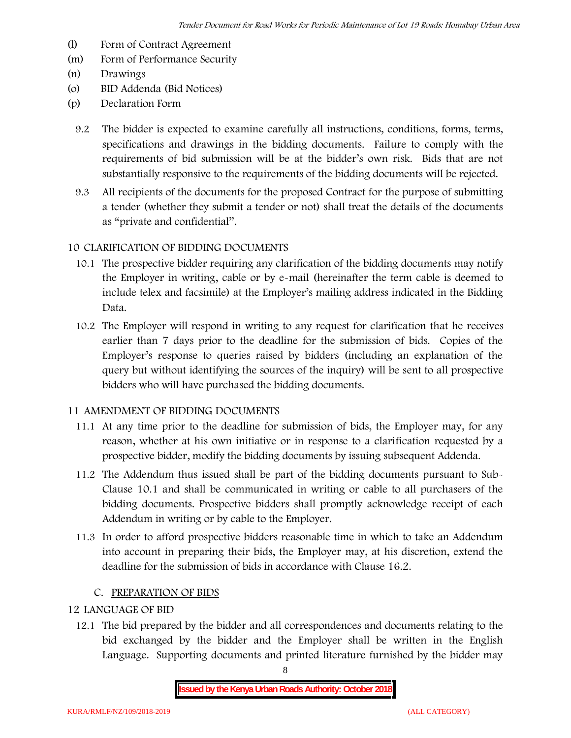- (l) Form of Contract Agreement
- (m) Form of Performance Security
- (n) Drawings
- (o) BID Addenda (Bid Notices)
- (p) Declaration Form
	- 9.2 The bidder is expected to examine carefully all instructions, conditions, forms, terms, specifications and drawings in the bidding documents. Failure to comply with the requirements of bid submission will be at the bidder's own risk. Bids that are not substantially responsive to the requirements of the bidding documents will be rejected.
	- 9.3 All recipients of the documents for the proposed Contract for the purpose of submitting a tender (whether they submit a tender or not) shall treat the details of the documents as "private and confidential".

## **10 CLARIFICATION OF BIDDING DOCUMENTS**

- 10.1 The prospective bidder requiring any clarification of the bidding documents may notify the Employer in writing, cable or by e-mail (hereinafter the term cable is deemed to include telex and facsimile) at the Employer's mailing address indicated in the Bidding Data.
- 10.2 The Employer will respond in writing to any request for clarification that he receives earlier than 7 days prior to the deadline for the submission of bids. Copies of the Employer's response to queries raised by bidders (including an explanation of the query but without identifying the sources of the inquiry) will be sent to all prospective bidders who will have purchased the bidding documents.

## **11 AMENDMENT OF BIDDING DOCUMENTS**

- 11.1 At any time prior to the deadline for submission of bids, the Employer may, for any reason, whether at his own initiative or in response to a clarification requested by a prospective bidder, modify the bidding documents by issuing subsequent Addenda.
- 11.2 The Addendum thus issued shall be part of the bidding documents pursuant to Sub- Clause 10.1 and shall be communicated in writing or cable to all purchasers of the bidding documents. Prospective bidders shall promptly acknowledge receipt of each Addendum in writing or by cable to the Employer.
- 11.3 In order to afford prospective bidders reasonable time in which to take an Addendum into account in preparing their bids, the Employer may, at his discretion, extend the deadline for the submission of bids in accordance with Clause 16.2.

## **C. PREPARATION OF BIDS**

## **12 LANGUAGE OF BID**

12.1 The bid prepared by the bidder and all correspondences and documents relating to the bid exchanged by the bidder and the Employer shall be written in the English Language. Supporting documents and printed literature furnished by the bidder may

8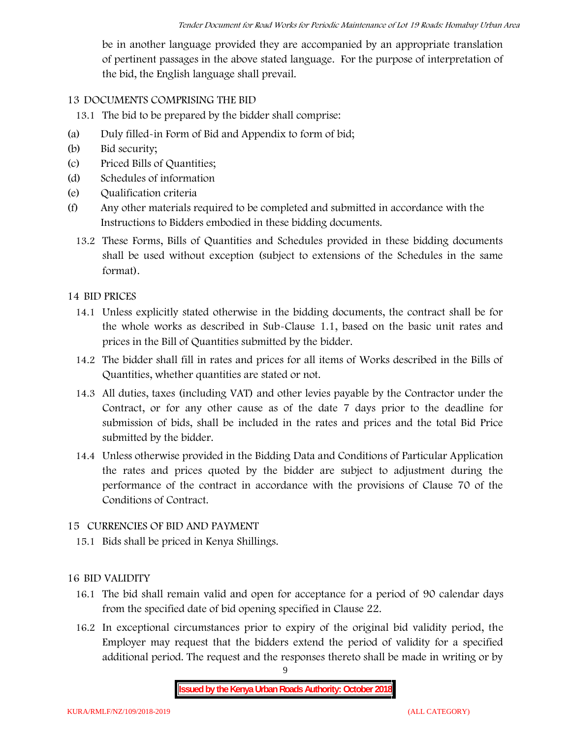be in another language provided they are accompanied by an appropriate translation of pertinent passages in the above stated language. For the purpose of interpretation of the bid, the English language shall prevail.

# **13 DOCUMENTS COMPRISING THE BID**

13.1 The bid to be prepared by the bidder shall comprise:

- (a) Duly filled-in Form of Bid and Appendix to form of bid;
- (b) Bid security;
- (c) Priced Bills of Quantities;
- (d) Schedules of information
- (e) Qualification criteria
- (f) Any other materials required to be completed and submitted in accordance with the Instructions to Bidders embodied in these bidding documents.
	- 13.2 These Forms, Bills of Quantities and Schedules provided in these bidding documents shall be used without exception (subject to extensions of the Schedules in the same format).

## **14 BID PRICES**

- 14.1 Unless explicitly stated otherwise in the bidding documents, the contract shall be for the whole works as described in Sub-Clause 1.1, based on the basic unit rates and prices in the Bill of Quantities submitted by the bidder.
- 14.2 The bidder shall fill in rates and prices for all items of Works described in the Bills of Quantities, whether quantities are stated or not.
- 14.3 All duties, taxes (including VAT) and other levies payable by the Contractor under the Contract, or for any other cause as of the date 7 days prior to the deadline for submission of bids, shall be included in the rates and prices and the total Bid Price submitted by the bidder.
- 14.4 Unless otherwise provided in the Bidding Data and Conditions of Particular Application the rates and prices quoted by the bidder are subject to adjustment during the performance of the contract in accordance with the provisions of Clause 70 of the Conditions of Contract.

## **15 CURRENCIES OF BID AND PAYMENT**

15.1 Bids shall be priced in Kenya Shillings.

# **16 BID VALIDITY**

- 16.1 The bid shall remain valid and open for acceptance for a period of 90 calendar days from the specified date of bid opening specified in Clause 22.
- 16.2 In exceptional circumstances prior to expiry of the original bid validity period, the Employer may request that the bidders extend the period of validity for a specified additional period. The request and the responses thereto shall be made in writing or by

9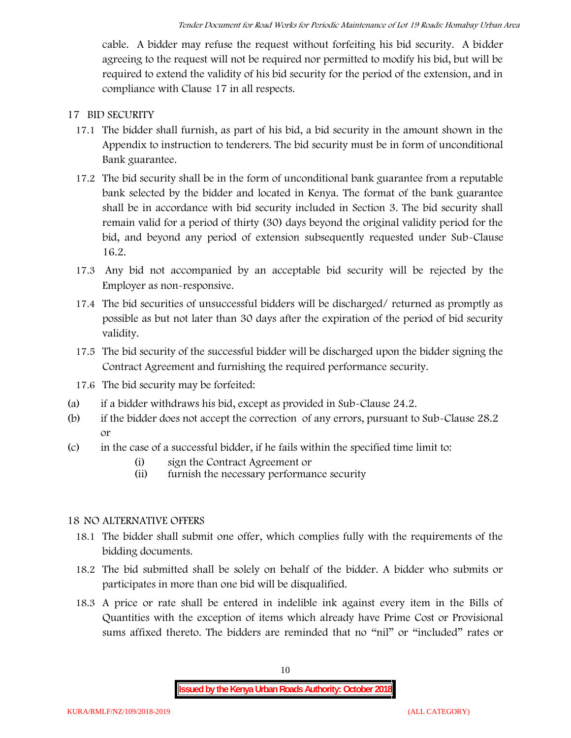cable. A bidder may refuse the request without forfeiting his bid security. A bidder agreeing to the request will not be required nor permitted to modify his bid, but will be required to extend the validity of his bid security for the period of the extension, and in compliance with Clause 17 in all respects.

## **17 BID SECURITY**

- **17.1** The bidder shall furnish, as part of his bid, a bid security in the amount shown in the Appendix to instruction to tenderers. **The bid security must be in form of unconditional Bank guarantee.**
- 17.2 The bid security shall be in the form of unconditional bank guarantee from a reputable bank selected by the bidder and located in Kenya. The format of the bank guarantee shall be in accordance with bid security included in Section 3. The bid security shall remain valid for a period of thirty (30) days beyond the original validity period for the bid, and beyond any period of extension subsequently requested under Sub-Clause 16.2.
- 17.3 Any bid not accompanied by an acceptable bid security will be rejected by the Employer as non-responsive.
- 17.4 The bid securities of unsuccessful bidders will be discharged/ returned as promptly as possible as but not later than 30 days after the expiration of the period of bid security validity.
- 17.5 The bid security of the successful bidder will be discharged upon the bidder signing the Contract Agreement and furnishing the required performance security.
- 17.6 The bid security may be forfeited:
- (a) if a bidder withdraws his bid, except as provided in Sub-Clause 24.2.
- (b) if the bidder does not accept the correction of any errors, pursuant to Sub-Clause 28.2 or
- (c) in the case of a successful bidder, if he fails within the specified time limit to:
	- (i) sign the Contract Agreement or
	- (ii) furnish the necessary performance security

# **18 NO ALTERNATIVE OFFERS**

- 18.1 The bidder shall submit one offer, which complies fully with the requirements of the bidding documents.
- 18.2 The bid submitted shall be solely on behalf of the bidder. A bidder who submits or participates in more than one bid will be disqualified.
- 18.3 A price or rate shall be entered in indelible ink against every item in the Bills of Quantities with the exception of items which already have Prime Cost or Provisional sums affixed thereto. The bidders are reminded that no "nil" or "included" rates or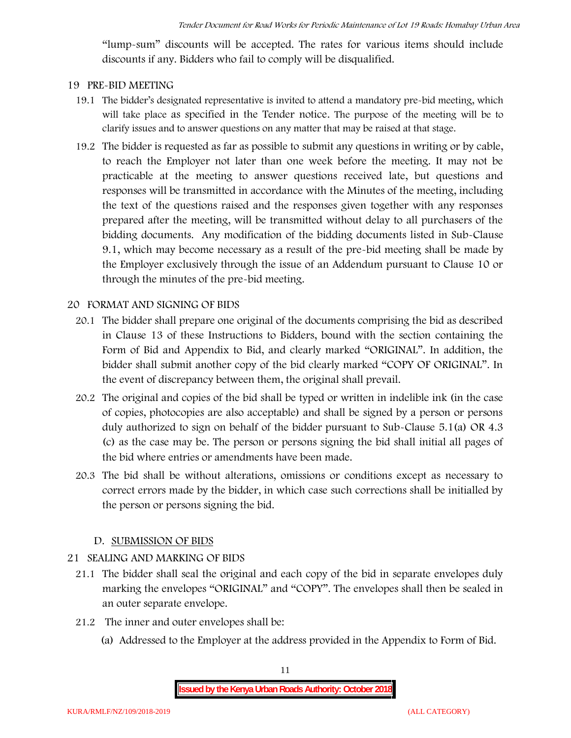"lump-sum" discounts will be accepted. The rates for various items should include discounts if any. Bidders who fail to comply will be disqualified.

## **19 PRE-BID MEETING**

- 19.1 The bidder's designated representative is invited to attend a mandatory pre-bid meeting, which will take place as specified in the Tender notice. The purpose of the meeting will be to clarify issues and to answer questions on any matter that may be raised at that stage.
- 19.2 The bidder is requested as far as possible to submit any questions in writing or by cable, to reach the Employer not later than one week before the meeting. It may not be practicable at the meeting to answer questions received late, but questions and responses will be transmitted in accordance with the Minutes of the meeting, including the text of the questions raised and the responses given together with any responses prepared after the meeting, will be transmitted without delay to all purchasers of the bidding documents. Any modification of the bidding documents listed in Sub-Clause 9.1, which may become necessary as a result of the pre-bid meeting shall be made by the Employer exclusively through the issue of an Addendum pursuant to Clause 10 or through the minutes of the pre-bid meeting.

## **20 FORMAT AND SIGNING OF BIDS**

- 20.1 The bidder shall prepare one original of the documents comprising the bid as described in Clause 13 of these Instructions to Bidders, bound with the section containing the Form of Bid and Appendix to Bid, and clearly marked "ORIGINAL". In addition, the bidder shall submit another copy of the bid clearly marked "COPY OF ORIGINAL". In the event of discrepancy between them, the original shall prevail.
- 20.2 The original and copies of the bid shall be typed or written in indelible ink (in the case of copies, photocopies are also acceptable) and shall be signed by a person or persons duly authorized to sign on behalf of the bidder pursuant to Sub-Clause 5.1(a) OR 4.3 (c) as the case may be. The person or persons signing the bid shall initial all pages of the bid where entries or amendments have been made.
- 20.3 The bid shall be without alterations, omissions or conditions except as necessary to correct errors made by the bidder, in which case such corrections shall be initialled by the person or persons signing the bid.

## **D. SUBMISSION OF BIDS**

## **21 SEALING AND MARKING OF BIDS**

- 21.1 The bidder shall seal the original and each copy of the bid in separate envelopes duly marking the envelopes "ORIGINAL" and "COPY". The envelopes shall then be sealed in an outer separate envelope.
- 21.2 The inner and outer envelopes shall be:
	- (a) Addressed to the Employer at the address provided in the Appendix to Form of Bid.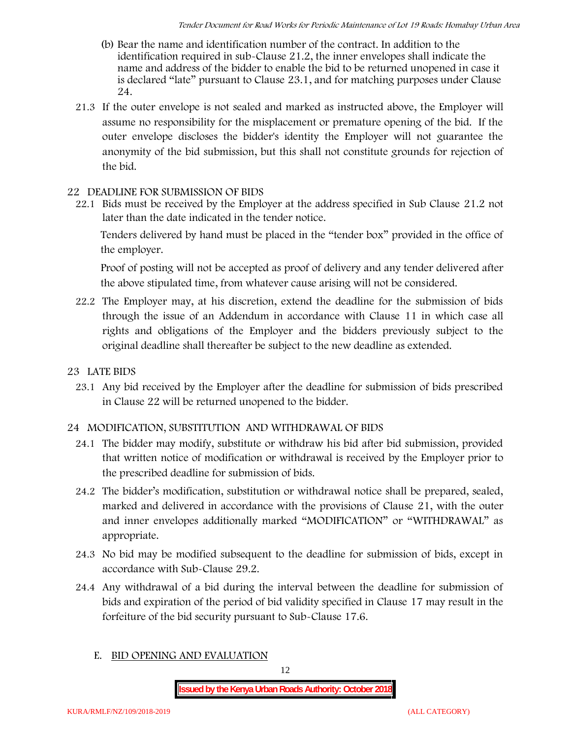- (b) Bear the name and identification number of the contract. In addition to the identification required in sub-Clause 21.2, the inner envelopes shall indicate the name and address of the bidder to enable the bid to be returned unopened in case it is declared "late" pursuant to Clause 23.1, and for matching purposes under Clause 24.
- 21.3 If the outer envelope is not sealed and marked as instructed above, the Employer will assume no responsibility for the misplacement or premature opening of the bid. If the outer envelope discloses the bidder's identity the Employer will not guarantee the anonymity of the bid submission, but this shall not constitute grounds for rejection of the bid.

## **22 DEADLINE FOR SUBMISSION OF BIDS**

22.1 Bids must be received by the Employer at the address specified in Sub Clause 21.2 not later than **the date indicated in the tender notice.**

Tenders delivered by hand must be placed in the "tender box" provided in the office of the employer.

Proof of posting will not be accepted as proof of delivery and any tender delivered after the above stipulated time, from whatever cause arising will not be considered.

- 22.2 The Employer may, at his discretion, extend the deadline for the submission of bids through the issue of an Addendum in accordance with Clause 11 in which case all rights and obligations of the Employer and the bidders previously subject to the original deadline shall thereafter be subject to the new deadline as extended.
- **23 LATE BIDS**
	- 23.1 Any bid received by the Employer after the deadline for submission of bids prescribed in Clause 22 will be returned unopened to the bidder.

# **24 MODIFICATION, SUBSTITUTION AND WITHDRAWAL OF BIDS**

- 24.1 The bidder may modify, substitute or withdraw his bid after bid submission, provided that written notice of modification or withdrawal is received by the Employer prior to the prescribed deadline for submission of bids.
- 24.2 The bidder's modification, substitution or withdrawal notice shall be prepared, sealed, marked and delivered in accordance with the provisions of Clause 21, with the outer and inner envelopes additionally marked "MODIFICATION" or "WITHDRAWAL" as appropriate.
- 24.3 No bid may be modified subsequent to the deadline for submission of bids, except in accordance with Sub-Clause 29.2.
- 24.4 Any withdrawal of a bid during the interval between the deadline for submission of bids and expiration of the period of bid validity specified in Clause 17 may result in the forfeiture of the bid security pursuant to Sub-Clause 17.6.
	- **E. BID OPENING AND EVALUATION**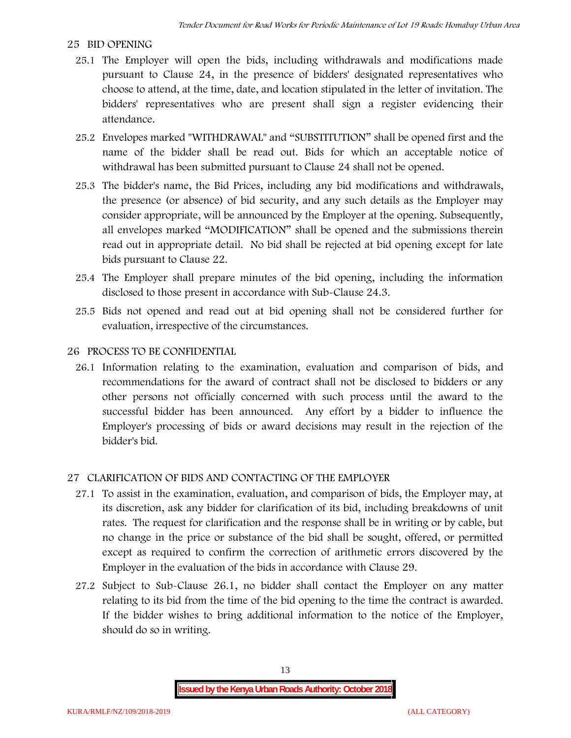## **25 BID OPENING**

- 25.1 The Employer will open the bids, including withdrawals and modifications made pursuant to Clause 24, in the presence of bidders' designated representatives who choose to attend, at the time, date, and location stipulated in the letter of invitation. The bidders' representatives who are present shall sign a register evidencing their attendance.
- 25.2 Envelopes marked "WITHDRAWAL" and "SUBSTITUTION" shall be opened first and the name of the bidder shall be read out. Bids for which an acceptable notice of withdrawal has been submitted pursuant to Clause 24 shall not be opened.
- 25.3 The bidder's name, the Bid Prices, including any bid modifications and withdrawals, the presence (or absence) of bid security, and any such details as the Employer may consider appropriate, will be announced by the Employer at the opening. Subsequently, all envelopes marked "MODIFICATION" shall be opened and the submissions therein read out in appropriate detail. No bid shall be rejected at bid opening except for late bids pursuant to Clause 22.
- 25.4 The Employer shall prepare minutes of the bid opening, including the information disclosed to those present in accordance with Sub-Clause 24.3.
- 25.5 Bids not opened and read out at bid opening shall not be considered further for evaluation, irrespective of the circumstances.

## **26 PROCESS TO BE CONFIDENTIAL**

26.1 Information relating to the examination, evaluation and comparison of bids, and recommendations for the award of contract shall not be disclosed to bidders or any other persons not officially concerned with such process until the award to the successful bidder has been announced. Any effort by a bidder to influence the Employer's processing of bids or award decisions may result in the rejection of the bidder's bid.

# **27 CLARIFICATION OF BIDS AND CONTACTING OF THE EMPLOYER**

- 27.1 To assist in the examination, evaluation, and comparison of bids, the Employer may, at its discretion, ask any bidder for clarification of its bid, including breakdowns of unit rates. The request for clarification and the response shall be in writing or by cable, but no change in the price or substance of the bid shall be sought, offered, or permitted except as required to confirm the correction of arithmetic errors discovered by the Employer in the evaluation of the bids in accordance with Clause 29.
- 27.2 Subject to Sub-Clause 26.1, no bidder shall contact the Employer on any matter relating to its bid from the time of the bid opening to the time the contract is awarded. If the bidder wishes to bring additional information to the notice of the Employer, should do so in writing.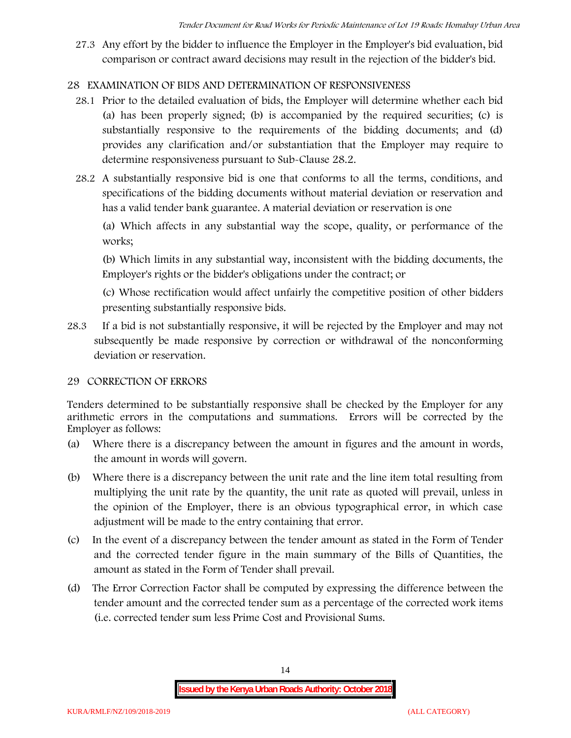27.3 Any effort by the bidder to influence the Employer in the Employer's bid evaluation, bid comparison or contract award decisions may result in the rejection of the bidder's bid.

# **28 EXAMINATION OF BIDS AND DETERMINATION OF RESPONSIVENESS**

- 28.1 Prior to the detailed evaluation of bids, the Employer will determine whether each bid (a) has been properly signed; (b) is accompanied by the required securities; (c) is substantially responsive to the requirements of the bidding documents; and (d) provides any clarification and/or substantiation that the Employer may require to determine responsiveness pursuant to Sub-Clause 28.2.
- 28.2 A substantially responsive bid is one that conforms to all the terms, conditions, and specifications of the bidding documents without material deviation or reservation and has a valid tender bank guarantee. A material deviation or reservation is one

(a) Which affects in any substantial way the scope, quality, or performance of the works;

(b) Which limits in any substantial way, inconsistent with the bidding documents, the Employer's rights or the bidder's obligations under the contract; or

(c) Whose rectification would affect unfairly the competitive position of other bidders presenting substantially responsive bids.

28.3 If a bid is not substantially responsive, it will be rejected by the Employer and may not subsequently be made responsive by correction or withdrawal of the nonconforming deviation or reservation.

## **29 CORRECTION OF ERRORS**

Tenders determined to be substantially responsive shall be checked by the Employer for any arithmetic errors in the computations and summations. Errors will be corrected by the Employer as follows:

- (a) Where there is a discrepancy between the amount in figures and the amount in words, the amount in words will govern.
- (b) Where there is a discrepancy between the unit rate and the line item total resulting from multiplying the unit rate by the quantity, the unit rate as quoted will prevail, unless in the opinion of the Employer, there is an obvious typographical error, in which case adjustment will be made to the entry containing that error.
- (c) In the event of a discrepancy between the tender amount as stated in the Form of Tender and the corrected tender figure in the main summary of the Bills of Quantities, the amount as stated in the Form of Tender shall prevail.
- (d) The Error Correction Factor shall be computed by expressing the difference between the tender amount and the corrected tender sum as a percentage of the corrected work items (i.e. corrected tender sum less Prime Cost and Provisional Sums.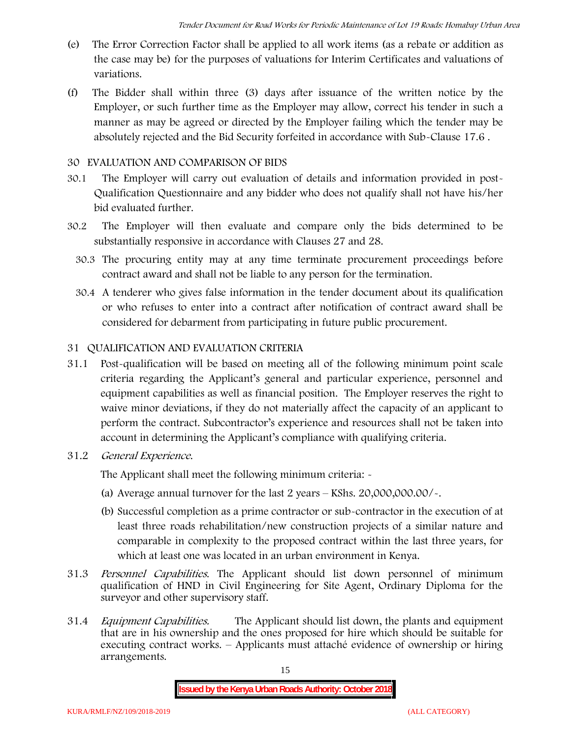- (e) The Error Correction Factor shall be applied to all work items (as a rebate or addition as the case may be) for the purposes of valuations for Interim Certificates and valuations of variations.
- (f) The Bidder shall within three (3) days after issuance of the written notice by the Employer, or such further time as the Employer may allow, correct his tender in such a manner as may be agreed or directed by the Employer failing which the tender may be absolutely rejected and the Bid Security forfeited in accordance with Sub-Clause 17.6 .

## **30 EVALUATION AND COMPARISON OF BIDS**

- 30.1 The Employer will carry out evaluation of details and information provided in post- Qualification Questionnaire and any bidder who does not qualify shall not have his/her bid evaluated further.
- 30.2 The Employer will then evaluate and compare only the bids determined to be substantially responsive in accordance with Clauses 27 and 28.
	- 30.3 The procuring entity may at any time terminate procurement proceedings before contract award and shall not be liable to any person for the termination.
	- 30.4 A tenderer who gives false information in the tender document about its qualification or who refuses to enter into a contract after notification of contract award shall be considered for debarment from participating in future public procurement.

# **31 QUALIFICATION AND EVALUATION CRITERIA**

- 31.1 Post-qualification will be based on meeting all of the following minimum point scale criteria regarding the Applicant's general and particular experience, personnel and equipment capabilities as well as financial position. The Employer reserves the right to waive minor deviations, if they do not materially affect the capacity of an applicant to perform the contract. Subcontractor's experience and resources shall not be taken into account in determining the Applicant's compliance with qualifying criteria.
- **31.2** *General Experience***.**

The Applicant shall meet the following minimum criteria: -

- (a) Average annual turnover for the last 2 years **KShs. 20,000,000.00/-.**
- (b) Successful completion as a prime contractor or sub-contractor in the execution of at least three roads rehabilitation/new construction projects of a similar nature and comparable in complexity to the proposed contract within the last three years, for which at least one was located in an urban environment in Kenya.
- 31.3 *Personnel Capabilities***.** The Applicant should list down personnel of minimum qualification of HND in Civil Engineering for Site Agent, Ordinary Diploma for the surveyor and other supervisory staff.
- 31.4 *Equipment Capabilities.* The Applicant should list down, the plants and equipment that are in his ownership and the ones proposed for hire which should be suitable for executing contract works. – Applicants must attaché evidence of ownership or hiring arrangements.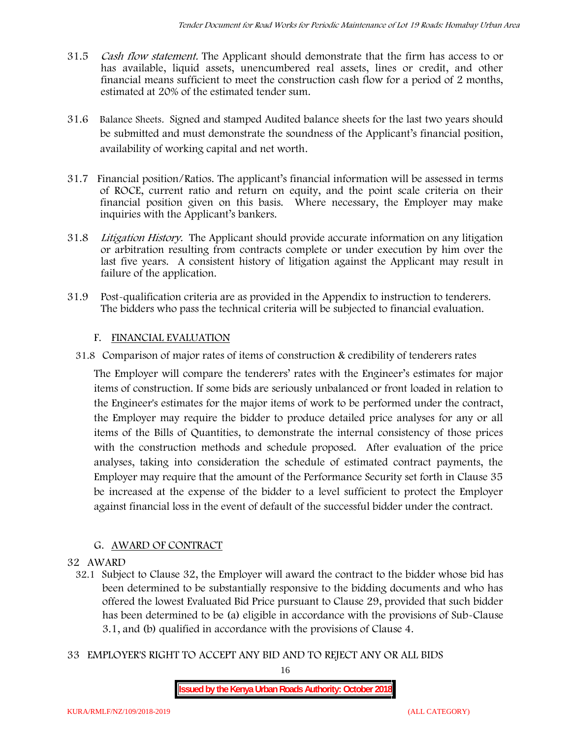- 31.5 *Cash flow statement.* The Applicant should demonstrate that the firm has access to or has available, liquid assets, unencumbered real assets, lines or credit, and other financial means sufficient to meet the construction cash flow for a period of 2 months, estimated at 20% of the estimated tender sum.
- 31.6 **Balance Sheets***.* Signed and stamped Audited balance sheets for the last two years should be submitted and must demonstrate the soundness of the Applicant's financial position, availability of working capital and net worth.
- 31.7 **Financial position/Ratios.** The applicant's financial information will be assessed in terms of ROCE, current ratio and return on equity, and the point scale criteria on their financial position given on this basis. Where necessary, the Employer may make inquiries with the Applicant's bankers.
- 31.8 *Litigation History.* The Applicant should provide accurate information on any litigation or arbitration resulting from contracts complete or under execution by him over the last five years. A consistent history of litigation against the Applicant may result in failure of the application.
- 31.9 Post-qualification criteria are as provided in the Appendix to instruction to tenderers. The bidders who pass the technical criteria will be subjected to financial evaluation.

## **F. FINANCIAL EVALUATION**

31.8 Comparison of major rates of items of construction & credibility of tenderers rates

The Employer will compare the tenderers' rates with the Engineer's estimates for major items of construction. If some bids are seriously unbalanced or front loaded in relation to the Engineer's estimates for the major items of work to be performed under the contract, the Employer may require the bidder to produce detailed price analyses for any or all items of the Bills of Quantities, to demonstrate the internal consistency of those prices with the construction methods and schedule proposed. After evaluation of the price analyses, taking into consideration the schedule of estimated contract payments, the Employer may require that the amount of the Performance Security set forth in Clause 35 be increased at the expense of the bidder to a level sufficient to protect the Employer against financial loss in the event of default of the successful bidder under the contract.

# **G. AWARD OF CONTRACT**

## **32 AWARD**

- 32.1 Subject to Clause 32, the Employer will award the contract to the bidder whose bid has been determined to be substantially responsive to the bidding documents and who has offered the lowest Evaluated Bid Price pursuant to Clause 29, provided that such bidder has been determined to be (a) eligible in accordance with the provisions of Sub-Clause 3.1, and (b) qualified in accordance with the provisions of Clause 4.
- **33 EMPLOYER'S RIGHT TO ACCEPT ANY BID AND TO REJECT ANY OR ALL BIDS**

16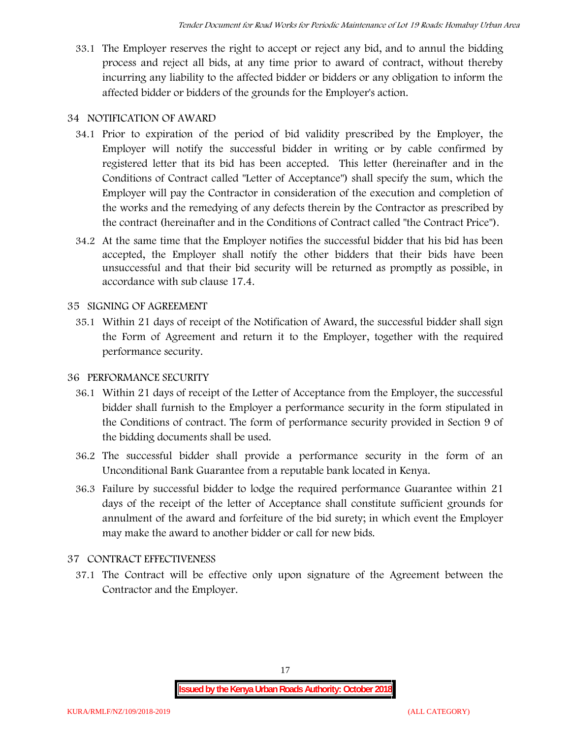33.1 The Employer reserves the right to accept or reject any bid, and to annul the bidding process and reject all bids, at any time prior to award of contract, without thereby incurring any liability to the affected bidder or bidders or any obligation to inform the affected bidder or bidders of the grounds for the Employer's action.

# **34 NOTIFICATION OF AWARD**

- 34.1 Prior to expiration of the period of bid validity prescribed by the Employer, the Employer will notify the successful bidder in writing or by cable confirmed by registered letter that its bid has been accepted. This letter (hereinafter and in the Conditions of Contract called "Letter of Acceptance") shall specify the sum, which the Employer will pay the Contractor in consideration of the execution and completion of the works and the remedying of any defects therein by the Contractor as prescribed by the contract (hereinafter and in the Conditions of Contract called "the Contract Price").
- 34.2 At the same time that the Employer notifies the successful bidder that his bid has been accepted, the Employer shall notify the other bidders that their bids have been unsuccessful and that their bid security will be returned as promptly as possible, in accordance with sub clause 17.4.

# **35 SIGNING OF AGREEMENT**

35.1 Within 21 days of receipt of the Notification of Award, the successful bidder shall sign the Form of Agreement and return it to the Employer, together with the required performance security.

# **36 PERFORMANCE SECURITY**

- 36.1 Within 21 days of receipt of the Letter of Acceptance from the Employer, the successful bidder shall furnish to the Employer a performance security in the form stipulated in the Conditions of contract. The form of performance security provided in Section 9 of the bidding documents shall be used.
- 36.2 The successful bidder shall provide a performance security in the form of an Unconditional Bank Guarantee from a reputable bank located in Kenya.
- 36.3 Failure by successful bidder to lodge the required performance Guarantee within 21 days of the receipt of the letter of Acceptance shall constitute sufficient grounds for annulment of the award and forfeiture of the bid surety; in which event the Employer may make the award to another bidder or call for new bids.

# **37 CONTRACT EFFECTIVENESS**

37.1 The Contract will be effective only upon signature of the Agreement between the Contractor and the Employer.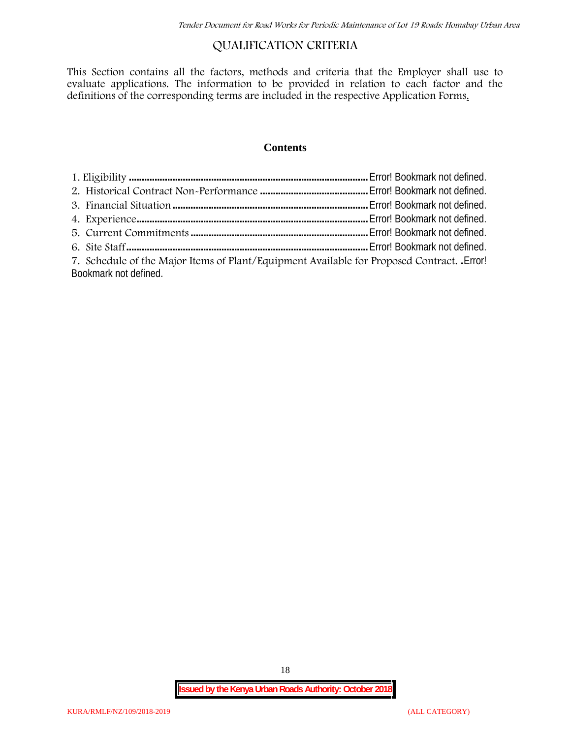# **QUALIFICATION CRITERIA**

This Section contains all the factors, methods and criteria that the Employer shall use to evaluate applications. The information to be provided in relation to each factor and the definitions of the corresponding terms are included in the respective Application Forms.

### **Contents**

| 7. Schedule of the Major Items of Plant/Equipment Available for Proposed Contract. Error! |  |
|-------------------------------------------------------------------------------------------|--|
| Bookmark not defined.                                                                     |  |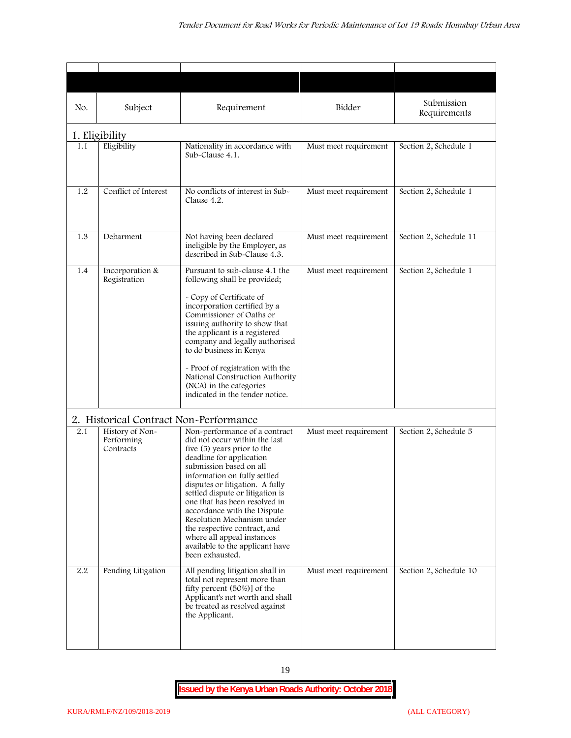| No. | Subject                                    | Requirement                                                                                                                                                                                                                                                                                                                                                                                                                                                                   | Bidder                | Submission<br>Requirements |
|-----|--------------------------------------------|-------------------------------------------------------------------------------------------------------------------------------------------------------------------------------------------------------------------------------------------------------------------------------------------------------------------------------------------------------------------------------------------------------------------------------------------------------------------------------|-----------------------|----------------------------|
| 1.1 | 1. Eligibility<br>Eligibility              | Nationality in accordance with<br>Sub-Clause 4.1.                                                                                                                                                                                                                                                                                                                                                                                                                             | Must meet requirement | Section 2, Schedule 1      |
| 1.2 | Conflict of Interest                       | No conflicts of interest in Sub-<br>Clause 4.2.                                                                                                                                                                                                                                                                                                                                                                                                                               | Must meet requirement | Section 2, Schedule 1      |
| 1.3 | Debarment                                  | Not having been declared<br>ineligible by the Employer, as<br>described in Sub-Clause 4.3.                                                                                                                                                                                                                                                                                                                                                                                    | Must meet requirement | Section 2, Schedule 11     |
| 1.4 | Incorporation &<br>Registration            | Pursuant to sub-clause 4.1 the<br>following shall be provided;<br>- Copy of Certificate of<br>incorporation certified by a<br>Commissioner of Oaths or<br>issuing authority to show that<br>the applicant is a registered<br>company and legally authorised<br>to do business in Kenya                                                                                                                                                                                        | Must meet requirement | Section 2, Schedule 1      |
|     |                                            | - Proof of registration with the<br>National Construction Authority<br>(NCA) in the categories<br>indicated in the tender notice.                                                                                                                                                                                                                                                                                                                                             |                       |                            |
|     | 2. Historical Contract Non-Performance     |                                                                                                                                                                                                                                                                                                                                                                                                                                                                               |                       |                            |
| 2.1 | History of Non-<br>Performing<br>Contracts | Non-performance of a contract<br>did not occur within the last<br>five (5) years prior to the<br>deadline for application<br>submission based on all<br>information on fully settled<br>disputes or litigation. A fully<br>settled dispute or litigation is<br>one that has been resolved in<br>accordance with the Dispute<br>Resolution Mechanism under<br>the respective contract, and<br>where all appeal instances<br>available to the applicant have<br>been exhausted. | Must meet requirement | Section 2, Schedule 5      |
| 2.2 | Pending Litigation                         | All pending litigation shall in<br>total not represent more than<br>fifty percent (50%)] of the<br>Applicant's net worth and shall<br>be treated as resolved against<br>the Applicant.                                                                                                                                                                                                                                                                                        | Must meet requirement | Section 2, Schedule 10     |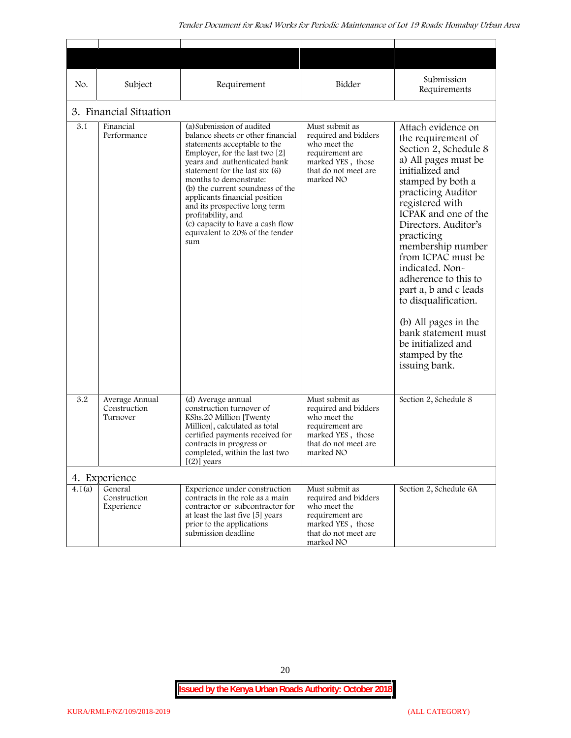| No.    | Subject                                    | Requirement                                                                                                                                                                                                                                                                                                                                                                                                                            | Bidder                                                                                                                              | Submission<br>Requirements                                                                                                                                                                                                                                                                                                                                                                                                                                                              |
|--------|--------------------------------------------|----------------------------------------------------------------------------------------------------------------------------------------------------------------------------------------------------------------------------------------------------------------------------------------------------------------------------------------------------------------------------------------------------------------------------------------|-------------------------------------------------------------------------------------------------------------------------------------|-----------------------------------------------------------------------------------------------------------------------------------------------------------------------------------------------------------------------------------------------------------------------------------------------------------------------------------------------------------------------------------------------------------------------------------------------------------------------------------------|
|        | 3. Financial Situation                     |                                                                                                                                                                                                                                                                                                                                                                                                                                        |                                                                                                                                     |                                                                                                                                                                                                                                                                                                                                                                                                                                                                                         |
| 3.1    | Financial<br>Performance                   | (a) Submission of audited<br>balance sheets or other financial<br>statements acceptable to the<br>Employer, for the last two [2]<br>years and authenticated bank<br>statement for the last six (6)<br>months to demonstrate:<br>(b) the current soundness of the<br>applicants financial position<br>and its prospective long term<br>profitability, and<br>(c) capacity to have a cash flow<br>equivalent to 20% of the tender<br>sum | Must submit as<br>required and bidders<br>who meet the<br>requirement are<br>marked YES, those<br>that do not meet are<br>marked NO | Attach evidence on<br>the requirement of<br>Section 2, Schedule 8<br>a) All pages must be<br>initialized and<br>stamped by both a<br>practicing Auditor<br>registered with<br>ICPAK and one of the<br>Directors. Auditor's<br>practicing<br>membership number<br>from ICPAC must be<br>indicated. Non-<br>adherence to this to<br>part a, b and c leads<br>to disqualification.<br>(b) All pages in the<br>bank statement must<br>be initialized and<br>stamped by the<br>issuing bank. |
| 3.2    | Average Annual<br>Construction<br>Turnover | (d) Average annual<br>construction turnover of<br>KShs.20 Million [Twenty<br>Million], calculated as total<br>certified payments received for<br>contracts in progress or<br>completed, within the last two<br>$[ (2) ]$ years                                                                                                                                                                                                         | Must submit as<br>required and bidders<br>who meet the<br>requirement are<br>marked YES, those<br>that do not meet are<br>marked NO | Section 2, Schedule 8                                                                                                                                                                                                                                                                                                                                                                                                                                                                   |
|        | 4. Experience                              |                                                                                                                                                                                                                                                                                                                                                                                                                                        |                                                                                                                                     |                                                                                                                                                                                                                                                                                                                                                                                                                                                                                         |
| 4.1(a) | General<br>Construction<br>Experience      | Experience under construction<br>contracts in the role as a main<br>contractor or subcontractor for<br>at least the last five [5] years<br>prior to the applications<br>submission deadline                                                                                                                                                                                                                                            | Must submit as<br>required and bidders<br>who meet the<br>requirement are<br>marked YES, those<br>that do not meet are<br>marked NO | Section 2, Schedule 6A                                                                                                                                                                                                                                                                                                                                                                                                                                                                  |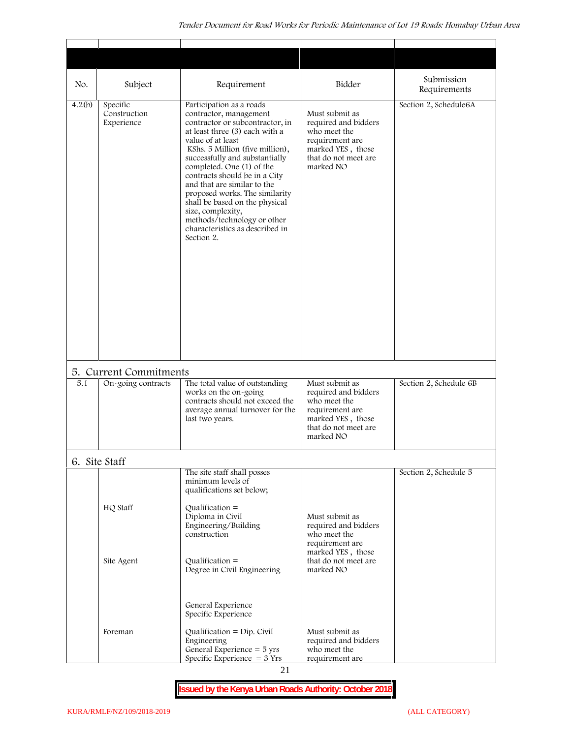| No.<br>4.2(b) | Subject<br>Specific<br>Construction<br>Experience | Requirement<br>Participation as a roads<br>contractor, management<br>contractor or subcontractor, in<br>at least three (3) each with a<br>value of at least<br>KShs. 5 Million (five million),                                                                                                       | Bidder<br>Must submit as<br>required and bidders<br>who meet the<br>requirement are<br>marked YES, those                            | Submission<br>Requirements<br>Section 2, Schedule6A |
|---------------|---------------------------------------------------|------------------------------------------------------------------------------------------------------------------------------------------------------------------------------------------------------------------------------------------------------------------------------------------------------|-------------------------------------------------------------------------------------------------------------------------------------|-----------------------------------------------------|
|               |                                                   | successfully and substantially<br>completed. One (1) of the<br>contracts should be in a City<br>and that are similar to the<br>proposed works. The similarity<br>shall be based on the physical<br>size, complexity,<br>methods/technology or other<br>characteristics as described in<br>Section 2. | that do not meet are<br>marked NO                                                                                                   |                                                     |
|               | 5. Current Commitments                            |                                                                                                                                                                                                                                                                                                      |                                                                                                                                     |                                                     |
| 5.1           | On-going contracts                                | The total value of outstanding<br>works on the on-going<br>contracts should not exceed the<br>average annual turnover for the<br>last two years.                                                                                                                                                     | Must submit as<br>required and bidders<br>who meet the<br>requirement are<br>marked YES, those<br>that do not meet are<br>marked NO | Section 2, Schedule 6B                              |
|               | 6. Site Staff                                     |                                                                                                                                                                                                                                                                                                      |                                                                                                                                     |                                                     |
|               |                                                   | The site staff shall posses<br>minimum levels of<br>qualifications set below;                                                                                                                                                                                                                        |                                                                                                                                     | Section 2, Schedule 5                               |
|               | HQ Staff                                          | Qualification $=$<br>Diploma in Civil<br>Engineering/Building<br>construction                                                                                                                                                                                                                        | Must submit as<br>required and bidders<br>who meet the<br>requirement are                                                           |                                                     |
|               | Site Agent                                        | $Qualification =$<br>Degree in Civil Engineering                                                                                                                                                                                                                                                     | marked YES, those<br>that do not meet are<br>marked NO                                                                              |                                                     |
|               |                                                   | General Experience<br>Specific Experience                                                                                                                                                                                                                                                            |                                                                                                                                     |                                                     |
|               | Foreman                                           | Qualification = $Dip$ . Civil<br>Engineering<br>General Experience $=$ 5 yrs<br>Specific Experience $=$ 3 Yrs                                                                                                                                                                                        | Must submit as<br>required and bidders<br>who meet the<br>requirement are                                                           |                                                     |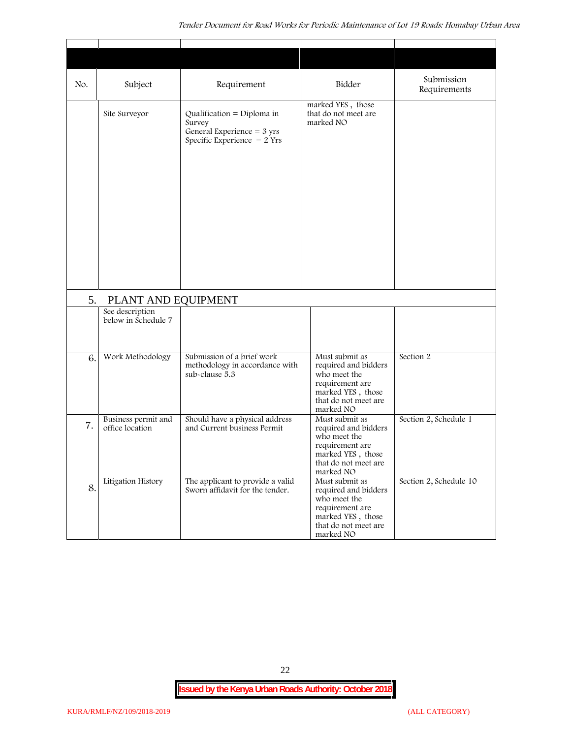| No. | Subject                                | Requirement                                                                                                   | Bidder                                                                                                                              | Submission<br>Requirements |
|-----|----------------------------------------|---------------------------------------------------------------------------------------------------------------|-------------------------------------------------------------------------------------------------------------------------------------|----------------------------|
|     | Site Surveyor                          | Qualification = Diploma in<br>Survey<br>General Experience = $3 \text{ yrs}$<br>Specific Experience $= 2$ Yrs | marked YES, those<br>that do not meet are<br>marked NO                                                                              |                            |
| 5.  | PLANT AND EQUIPMENT                    |                                                                                                               |                                                                                                                                     |                            |
|     | See description<br>below in Schedule 7 |                                                                                                               |                                                                                                                                     |                            |
| 6.  | Work Methodology                       | Submission of a brief work<br>methodology in accordance with<br>sub-clause 5.3                                | Must submit as<br>required and bidders<br>who meet the<br>requirement are<br>marked YES, those<br>that do not meet are<br>marked NO | Section 2                  |
| 7.  | Business permit and<br>office location | Should have a physical address<br>and Current business Permit                                                 | Must submit as<br>required and bidders<br>who meet the<br>requirement are<br>marked YES, those<br>that do not meet are<br>marked NO | Section 2, Schedule 1      |
| 8.  | Litigation History                     | The applicant to provide a valid<br>Sworn affidavit for the tender.                                           | Must submit as<br>required and bidders<br>who meet the<br>requirement are<br>marked YES, those<br>that do not meet are<br>marked NO | Section 2, Schedule 10     |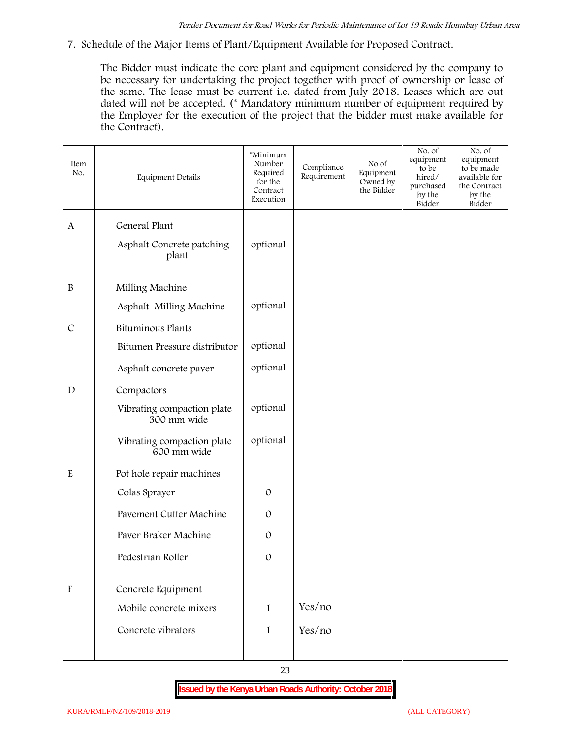**7. Schedule of the Major Items of Plant/Equipment Available for Proposed Contract.**

The Bidder must indicate the core plant and equipment considered by the company to be necessary for undertaking the project together with proof of ownership or lease of the same. The lease must be current i.e. dated from July 2018. Leases which are out dated will not be accepted. (\* Mandatory minimum number of equipment required by the Employer for the execution of the project that the bidder must make available for the Contract).

| Item<br>No.               | Equipment Details                         | *Minimum<br>Number<br>Required<br>for the<br>Contract<br>Execution | Compliance<br>Requirement | No of<br>Equipment<br>Owned by<br>the Bidder | No. of<br>equipment<br>to be<br>hired/<br>purchased<br>by the<br>Bidder | No. of<br>equipment<br>to be made<br>available for<br>the Contract<br>by the<br>Bidder |
|---------------------------|-------------------------------------------|--------------------------------------------------------------------|---------------------------|----------------------------------------------|-------------------------------------------------------------------------|----------------------------------------------------------------------------------------|
| $\mathbf{A}$              | General Plant                             |                                                                    |                           |                                              |                                                                         |                                                                                        |
|                           | Asphalt Concrete patching<br>plant        | optional                                                           |                           |                                              |                                                                         |                                                                                        |
| $\, {\bf B}$              | Milling Machine                           |                                                                    |                           |                                              |                                                                         |                                                                                        |
|                           | Asphalt Milling Machine                   | optional                                                           |                           |                                              |                                                                         |                                                                                        |
| $\mathcal{C}$             | Bituminous Plants                         |                                                                    |                           |                                              |                                                                         |                                                                                        |
|                           | Bitumen Pressure distributor              | optional                                                           |                           |                                              |                                                                         |                                                                                        |
|                           | Asphalt concrete paver                    | optional                                                           |                           |                                              |                                                                         |                                                                                        |
| $\mathbf D$               | Compactors                                |                                                                    |                           |                                              |                                                                         |                                                                                        |
|                           | Vibrating compaction plate<br>300 mm wide | optional                                                           |                           |                                              |                                                                         |                                                                                        |
|                           | Vibrating compaction plate<br>600 mm wide | optional                                                           |                           |                                              |                                                                         |                                                                                        |
| ${\bf E}$                 | Pot hole repair machines                  |                                                                    |                           |                                              |                                                                         |                                                                                        |
|                           | Colas Sprayer                             | $\mathcal{O}$                                                      |                           |                                              |                                                                         |                                                                                        |
|                           | Pavement Cutter Machine                   | $\mathcal{O}$                                                      |                           |                                              |                                                                         |                                                                                        |
|                           | Paver Braker Machine                      | $\mathcal{O}$                                                      |                           |                                              |                                                                         |                                                                                        |
|                           | Pedestrian Roller                         | $\mathcal{O}$                                                      |                           |                                              |                                                                         |                                                                                        |
|                           |                                           |                                                                    |                           |                                              |                                                                         |                                                                                        |
| $\boldsymbol{\mathrm{F}}$ | Concrete Equipment                        |                                                                    |                           |                                              |                                                                         |                                                                                        |
|                           | Mobile concrete mixers                    | $\mathbf{1}$                                                       | Yes/no                    |                                              |                                                                         |                                                                                        |
|                           | Concrete vibrators                        | $\mathbf{1}$                                                       | Yes/no                    |                                              |                                                                         |                                                                                        |
|                           |                                           |                                                                    |                           |                                              |                                                                         |                                                                                        |

23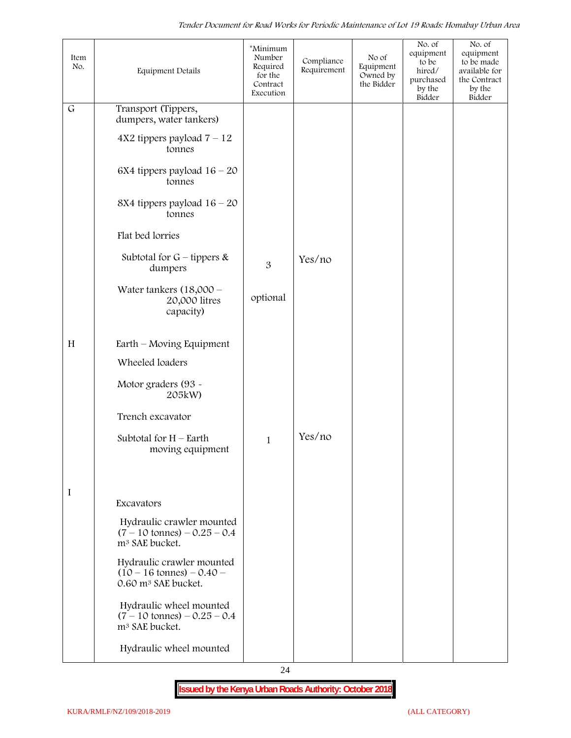| Item<br>No. | <b>Equipment Details</b>                                                                          | *Minimum<br>Number<br>Required<br>for the<br>Contract<br>Execution | Compliance<br>Requirement | No of<br>Equipment<br>Owned by<br>the Bidder | No. of<br>equipment<br>to be<br>hired/<br>purchased<br>by the<br>Bidder | No. of<br>equipment<br>to be made<br>available for<br>the Contract<br>by the<br>Bidder |
|-------------|---------------------------------------------------------------------------------------------------|--------------------------------------------------------------------|---------------------------|----------------------------------------------|-------------------------------------------------------------------------|----------------------------------------------------------------------------------------|
| $\mathsf G$ | Transport (Tippers,<br>dumpers, water tankers)                                                    |                                                                    |                           |                                              |                                                                         |                                                                                        |
|             | $4X2$ tippers payload $7 - 12$<br>tonnes                                                          |                                                                    |                           |                                              |                                                                         |                                                                                        |
|             | 6X4 tippers payload $16 - 20$<br>tonnes                                                           |                                                                    |                           |                                              |                                                                         |                                                                                        |
|             | 8X4 tippers payload $16 - 20$<br>tonnes                                                           |                                                                    |                           |                                              |                                                                         |                                                                                        |
|             | Flat bed lorries                                                                                  |                                                                    |                           |                                              |                                                                         |                                                                                        |
|             | Subtotal for $G$ – tippers &<br>dumpers                                                           | 3                                                                  | Yes/no                    |                                              |                                                                         |                                                                                        |
|             | Water tankers $(18,000 -$<br>20,000 litres<br>capacity)                                           | optional                                                           |                           |                                              |                                                                         |                                                                                        |
| H           | Earth – Moving Equipment                                                                          |                                                                    |                           |                                              |                                                                         |                                                                                        |
|             | Wheeled loaders                                                                                   |                                                                    |                           |                                              |                                                                         |                                                                                        |
|             | Motor graders (93 -<br>205kW)                                                                     |                                                                    |                           |                                              |                                                                         |                                                                                        |
|             | Trench excavator                                                                                  |                                                                    |                           |                                              |                                                                         |                                                                                        |
|             | Subtotal for $H$ – Earth<br>moving equipment                                                      | $\mathbf{1}$                                                       | Yes/no                    |                                              |                                                                         |                                                                                        |
|             |                                                                                                   |                                                                    |                           |                                              |                                                                         |                                                                                        |
| I           | Excavators                                                                                        |                                                                    |                           |                                              |                                                                         |                                                                                        |
|             | Hydraulic crawler mounted<br>$(7 - 10 \text{ tonnes}) - 0.25 - 0.4$<br>m <sup>3</sup> SAE bucket. |                                                                    |                           |                                              |                                                                         |                                                                                        |
|             | Hydraulic crawler mounted<br>$(10 - 16 \text{ tonnes}) - 0.40$<br>0.60 m <sup>3</sup> SAE bucket. |                                                                    |                           |                                              |                                                                         |                                                                                        |
|             | Hydraulic wheel mounted<br>$(7 - 10 \text{ tonnes}) - 0.25 - 0.4$<br>m <sup>3</sup> SAE bucket.   |                                                                    |                           |                                              |                                                                         |                                                                                        |
|             | Hydraulic wheel mounted                                                                           |                                                                    |                           |                                              |                                                                         |                                                                                        |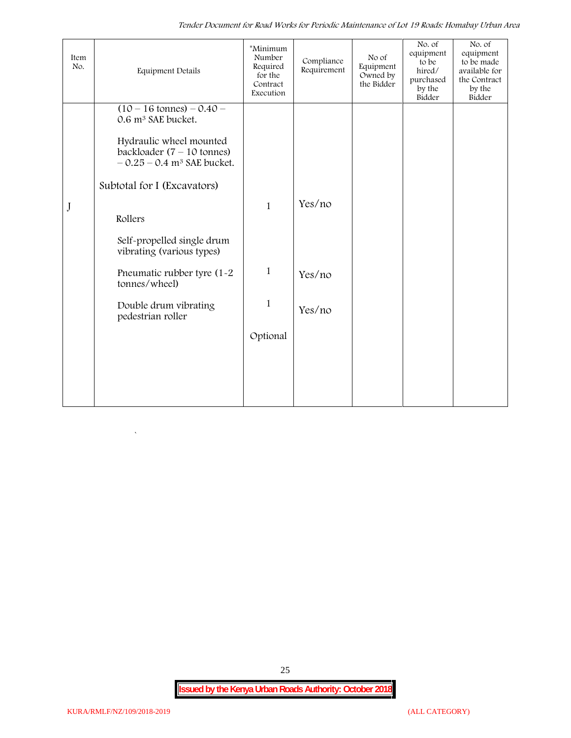*Tender Document for Road Works for Periodic Maintenance of Lot 19 Roads: Homabay Urban Area*

| Item<br>No. | <b>Equipment Details</b>                                                                                                                                                     | *Minimum<br>Number<br>Required<br>for the<br>Contract<br>Execution | Compliance<br>Requirement | No of<br>Equipment<br>Owned by<br>the Bidder | No. of<br>equipment<br>to be<br>hired/<br>purchased<br>by the<br>Bidder | No. of<br>equipment<br>to be made<br>available for<br>the Contract<br>by the<br>Bidder |
|-------------|------------------------------------------------------------------------------------------------------------------------------------------------------------------------------|--------------------------------------------------------------------|---------------------------|----------------------------------------------|-------------------------------------------------------------------------|----------------------------------------------------------------------------------------|
|             | $(10 - 16 \text{ tonnes}) - 0.40 -$<br>0.6 m <sup>3</sup> SAE bucket.<br>Hydraulic wheel mounted<br>backloader $(7 - 10$ tonnes)<br>$-0.25 - 0.4$ m <sup>3</sup> SAE bucket. |                                                                    |                           |                                              |                                                                         |                                                                                        |
|             | Subtotal for I (Excavators)                                                                                                                                                  |                                                                    |                           |                                              |                                                                         |                                                                                        |
| J           | Rollers                                                                                                                                                                      | $\mathbf{1}$                                                       | Yes/no                    |                                              |                                                                         |                                                                                        |
|             | Self-propelled single drum<br>vibrating (various types)                                                                                                                      |                                                                    |                           |                                              |                                                                         |                                                                                        |
|             | Pneumatic rubber tyre (1-2<br>tonnes/wheel)                                                                                                                                  | $\mathbf{1}$                                                       | Yes/no                    |                                              |                                                                         |                                                                                        |
|             | Double drum vibrating<br>pedestrian roller                                                                                                                                   | 1                                                                  | Yes/no                    |                                              |                                                                         |                                                                                        |
|             |                                                                                                                                                                              | Optional                                                           |                           |                                              |                                                                         |                                                                                        |
|             |                                                                                                                                                                              |                                                                    |                           |                                              |                                                                         |                                                                                        |
|             |                                                                                                                                                                              |                                                                    |                           |                                              |                                                                         |                                                                                        |

25

 $\overline{\phantom{a}}$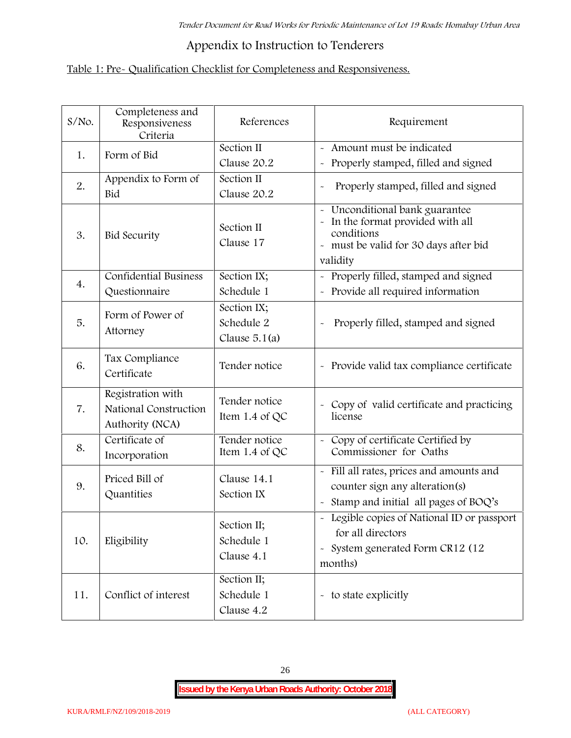# **Appendix to Instruction to Tenderers**

# **Table 1: Pre- Qualification Checklist for Completeness and Responsiveness.**

| $S/NO$ . | Completeness and<br>Responsiveness<br>Criteria                | References                                   | Requirement                                                                                                                        |
|----------|---------------------------------------------------------------|----------------------------------------------|------------------------------------------------------------------------------------------------------------------------------------|
| 1.       | Form of Bid                                                   | Section II<br>Clause 20.2                    | - Amount must be indicated<br>Properly stamped, filled and signed<br>$\tilde{\phantom{a}}$                                         |
| 2.       | Appendix to Form of<br>Bid                                    | Section II<br>Clause 20.2                    | Properly stamped, filled and signed                                                                                                |
| 3.       | <b>Bid Security</b>                                           | Section II<br>Clause 17                      | Unconditional bank guarantee<br>In the format provided with all<br>conditions<br>- must be valid for 30 days after bid<br>validity |
| 4.       | <b>Confidential Business</b><br>Questionnaire                 | Section IX;<br>Schedule 1                    | Properly filled, stamped and signed<br>Provide all required information                                                            |
| 5.       | Form of Power of<br>Attorney                                  | Section IX;<br>Schedule 2<br>Clause $5.1(a)$ | Properly filled, stamped and signed<br>$\tilde{}$                                                                                  |
| 6.       | Tax Compliance<br>Certificate                                 | Tender notice                                | - Provide valid tax compliance certificate                                                                                         |
| 7.       | Registration with<br>National Construction<br>Authority (NCA) | Tender notice<br>Item 1.4 of QC              | - Copy of valid certificate and practicing<br>license                                                                              |
| 8.       | Certificate of<br>Incorporation                               | Tender notice<br>Item 1.4 of $QC$            | Copy of certificate Certified by<br>$\widetilde{\phantom{m}}$<br>Commissioner for Oaths                                            |
| 9.       | Priced Bill of<br>Quantities                                  | Clause 14.1<br>Section IX                    | - Fill all rates, prices and amounts and<br>counter sign any alteration(s)<br>Stamp and initial all pages of BOQ's                 |
| 10.      | Eligibility                                                   | Section II;<br>Schedule 1<br>Clause 4.1      | - Legible copies of National ID or passport<br>for all directors<br>- System generated Form CR12 (12<br>months)                    |
| 11.      | Conflict of interest                                          | Section II;<br>Schedule 1<br>Clause 4.2      | - to state explicitly                                                                                                              |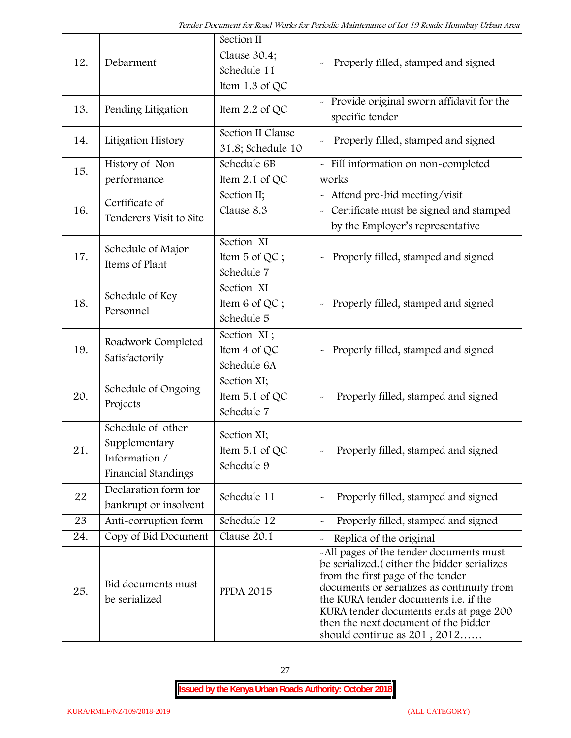| 12. | Debarment                                                                  | Section II<br>Clause 30.4;<br>Schedule 11<br>Item 1.3 of QC | Properly filled, stamped and signed                                                                                                                                                                                                                                                                                                            |
|-----|----------------------------------------------------------------------------|-------------------------------------------------------------|------------------------------------------------------------------------------------------------------------------------------------------------------------------------------------------------------------------------------------------------------------------------------------------------------------------------------------------------|
| 13. | Pending Litigation                                                         | Item $2.2$ of QC                                            | Provide original sworn affidavit for the<br>specific tender                                                                                                                                                                                                                                                                                    |
| 14. | Litigation History                                                         | Section II Clause<br>31.8; Schedule 10                      | Properly filled, stamped and signed                                                                                                                                                                                                                                                                                                            |
| 15. | History of Non<br>performance                                              | Schedule 6B<br>Item $2.1$ of QC                             | - Fill information on non-completed<br>works                                                                                                                                                                                                                                                                                                   |
| 16. | Certificate of<br>Tenderers Visit to Site                                  | Section II;<br>Clause 8.3                                   | - Attend pre-bid meeting/visit<br>- Certificate must be signed and stamped<br>by the Employer's representative                                                                                                                                                                                                                                 |
| 17. | Schedule of Major<br>Items of Plant                                        | Section XI<br>Item 5 of QC;<br>Schedule 7                   | Properly filled, stamped and signed                                                                                                                                                                                                                                                                                                            |
| 18. | Schedule of Key<br>Personnel                                               | Section XI<br>Item 6 of QC;<br>Schedule 5                   | Properly filled, stamped and signed                                                                                                                                                                                                                                                                                                            |
| 19. | Roadwork Completed<br>Satisfactorily                                       | Section XI;<br>Item 4 of QC<br>Schedule 6A                  | Properly filled, stamped and signed<br>$\tilde{\phantom{a}}$                                                                                                                                                                                                                                                                                   |
| 20. | Schedule of Ongoing<br>Projects                                            | Section XI;<br>Item 5.1 of QC<br>Schedule 7                 | Properly filled, stamped and signed                                                                                                                                                                                                                                                                                                            |
| 21  | Schedule of other<br>Supplementary<br>Information /<br>Financial Standings | Section XI;<br>Item $5.1$ of QC<br>Schedule 9               | Properly filled, stamped and signed                                                                                                                                                                                                                                                                                                            |
| 22  | Declaration form for<br>bankrupt or insolvent                              | Schedule 11                                                 | Properly filled, stamped and signed                                                                                                                                                                                                                                                                                                            |
| 23  | Anti-corruption form                                                       | Schedule 12                                                 | Properly filled, stamped and signed                                                                                                                                                                                                                                                                                                            |
| 24. | Copy of Bid Document                                                       | Clause 20.1                                                 | Replica of the original                                                                                                                                                                                                                                                                                                                        |
| 25. | Bid documents must<br>be serialized                                        | <b>PPDA 2015</b>                                            | -All pages of the tender documents must<br>be serialized. (either the bidder serializes<br>from the first page of the tender<br>documents or serializes as continuity from<br>the KURA tender documents <i>i.e.</i> if the<br>KURA tender documents ends at page 200<br>then the next document of the bidder<br>should continue as $201, 2012$ |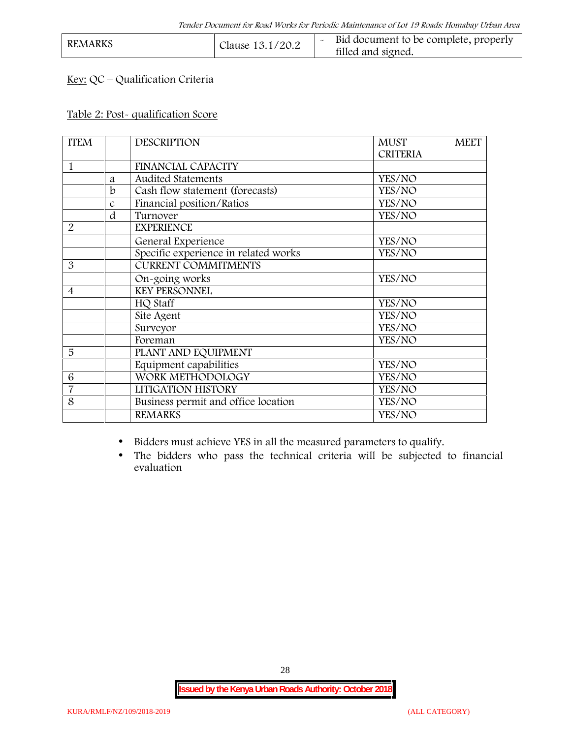| <b>REMARKS</b> | Clause 13.1/20.2 | Bid document to be complete, properly<br>filled and signed. |  |
|----------------|------------------|-------------------------------------------------------------|--|
|----------------|------------------|-------------------------------------------------------------|--|

# **Key:** QC – Qualification Criteria

#### **Table 2: Post- qualification Score**

| <b>ITEM</b>    |               | <b>DESCRIPTION</b>                   | <b>MUST</b>     | <b>MEET</b> |
|----------------|---------------|--------------------------------------|-----------------|-------------|
|                |               |                                      | <b>CRITERIA</b> |             |
| 1              |               | <b>FINANCIAL CAPACITY</b>            |                 |             |
|                | a             | <b>Audited Statements</b>            | YES/NO          |             |
|                | b             | Cash flow statement (forecasts)      | YES/NO          |             |
|                | $\mathcal{C}$ | Financial position/Ratios            | YES/NO          |             |
|                | d             | Turnover                             | YES/NO          |             |
| $\overline{2}$ |               | <b>EXPERIENCE</b>                    |                 |             |
|                |               | General Experience                   | YES/NO          |             |
|                |               | Specific experience in related works | YES/NO          |             |
| 3              |               | <b>CURRENT COMMITMENTS</b>           |                 |             |
|                |               | On-going works                       | YES/NO          |             |
| $\overline{4}$ |               | <b>KEY PERSONNEL</b>                 |                 |             |
|                |               | HQ Staff                             | YES/NO          |             |
|                |               | Site Agent                           | YES/NO          |             |
|                |               | Surveyor                             | YES/NO          |             |
|                |               | Foreman                              | YES/NO          |             |
| 5              |               | PLANT AND EQUIPMENT                  |                 |             |
|                |               | Equipment capabilities               | YES/NO          |             |
| 6              |               | WORK METHODOLOGY                     | YES/NO          |             |
| $\overline{7}$ |               | <b>LITIGATION HISTORY</b>            | YES/NO          |             |
| 8              |               | Business permit and office location  | YES/NO          |             |
|                |               | <b>REMARKS</b>                       | YES/NO          |             |
|                |               |                                      |                 |             |

Bidders must achieve YES in all the measured parameters to qualify.

 The bidders who pass the technical criteria will be subjected to financial evaluation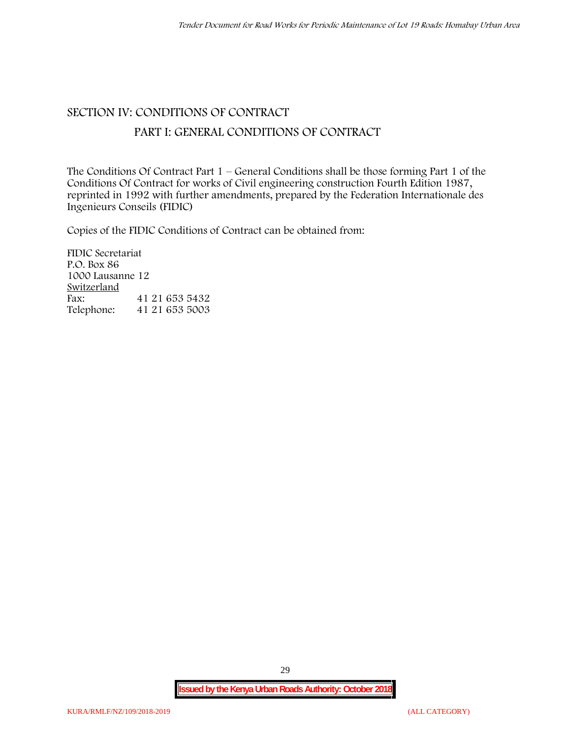# **SECTION IV: CONDITIONS OF CONTRACT**

# **PART I: GENERAL CONDITIONS OF CONTRACT**

The Conditions Of Contract Part 1 – General Conditions shall be those forming Part 1 of the Conditions Of Contract for works of Civil engineering construction Fourth Edition 1987, reprinted in 1992 with further amendments, prepared by the Federation Internationale des Ingenieurs Conseils (FIDIC)

Copies of the FIDIC Conditions of Contract can be obtained from:

FIDIC Secretariat P.O. Box 86 1000 Lausanne 12 **Switzerland** Fax: 41 21 653 5432 Telephone: 41 21 653 5003

29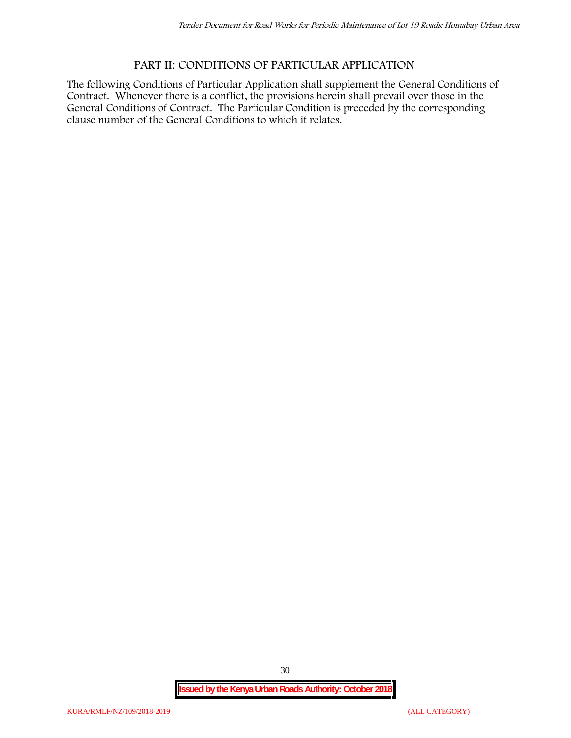# **PART II: CONDITIONS OF PARTICULAR APPLICATION**

The following Conditions of Particular Application shall supplement the General Conditions of Contract. Whenever there is a conflict, the provisions herein shall prevail over those in the General Conditions of Contract. The Particular Condition is preceded by the corresponding clause number of the General Conditions to which it relates.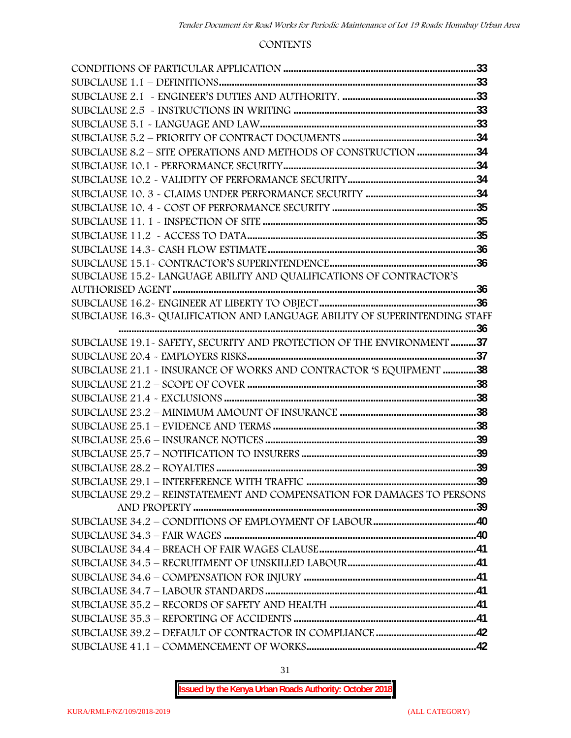#### **CONTENTS**

| SUBCLAUSE 15.2-LANGUAGE ABILITY AND QUALIFICATIONS OF CONTRACTOR'S         |  |
|----------------------------------------------------------------------------|--|
|                                                                            |  |
|                                                                            |  |
| SUBCLAUSE 16.3- QUALIFICATION AND LANGUAGE ABILITY OF SUPERINTENDING STAFF |  |
|                                                                            |  |
| SUBCLAUSE 19.1 - SAFETY, SECURITY AND PROTECTION OF THE ENVIRONMENT 37     |  |
|                                                                            |  |
| SUBCLAUSE 21.1 - INSURANCE OF WORKS AND CONTRACTOR 'S EQUIPMENT 38         |  |
|                                                                            |  |
|                                                                            |  |
|                                                                            |  |
|                                                                            |  |
|                                                                            |  |
|                                                                            |  |
|                                                                            |  |
|                                                                            |  |
| SUBCLAUSE 29.2 - REINSTATEMENT AND COMPENSATION FOR DAMAGES TO PERSONS     |  |
|                                                                            |  |
|                                                                            |  |
|                                                                            |  |
|                                                                            |  |
|                                                                            |  |
|                                                                            |  |
|                                                                            |  |
|                                                                            |  |
|                                                                            |  |
|                                                                            |  |
|                                                                            |  |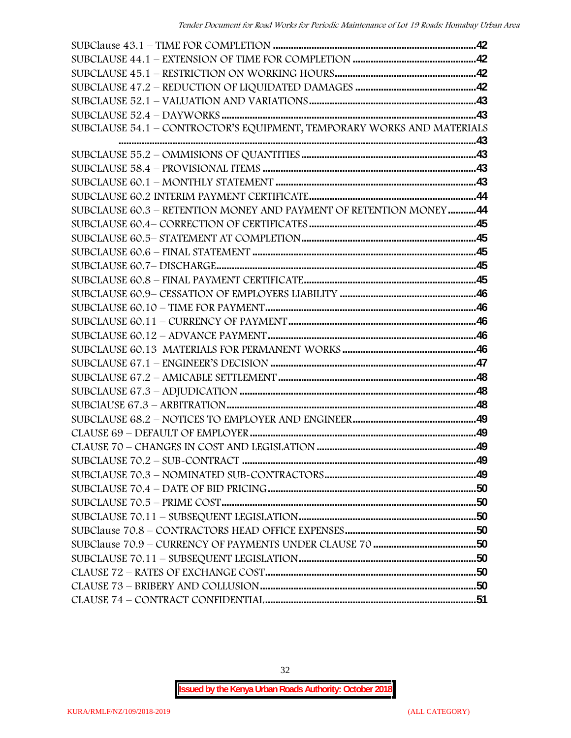| SUBCLAUSE 54.1 - CONTROCTOR'S EQUIPMENT, TEMPORARY WORKS AND MATERIALS |  |
|------------------------------------------------------------------------|--|
|                                                                        |  |
|                                                                        |  |
|                                                                        |  |
|                                                                        |  |
|                                                                        |  |
| SUBCLAUSE 60.3 - RETENTION MONEY AND PAYMENT OF RETENTION MONEY44      |  |
|                                                                        |  |
|                                                                        |  |
|                                                                        |  |
|                                                                        |  |
|                                                                        |  |
|                                                                        |  |
|                                                                        |  |
|                                                                        |  |
|                                                                        |  |
|                                                                        |  |
|                                                                        |  |
|                                                                        |  |
|                                                                        |  |
|                                                                        |  |
|                                                                        |  |
|                                                                        |  |
|                                                                        |  |
|                                                                        |  |
|                                                                        |  |
|                                                                        |  |
|                                                                        |  |
|                                                                        |  |
|                                                                        |  |
|                                                                        |  |
|                                                                        |  |
|                                                                        |  |
|                                                                        |  |
|                                                                        |  |
|                                                                        |  |

32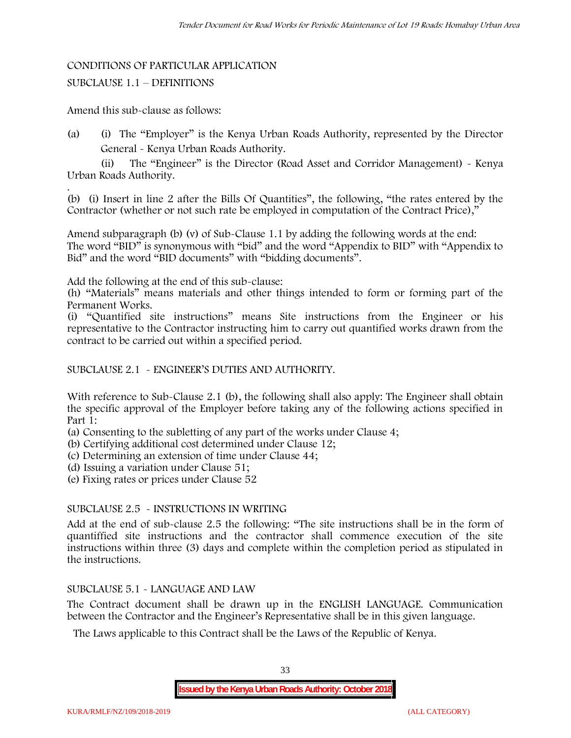#### CONDITIONS OF PARTICULAR APPLICATION

### SUBCLAUSE 1.1 – DEFINITIONS

Amend this sub-clause as follows:

(a) (i) The "Employer" is the Kenya Urban Roads Authority, represented by the Director General - Kenya Urban Roads Authority.

(ii) The "Engineer" is the Director (Road Asset and Corridor Management) - Kenya Urban Roads Authority.

.(b) (i) Insert in line 2 after the Bills Of Quantities", the following, "the rates entered by the Contractor (whether or not such rate be employed in computation of the Contract Price),"

Amend subparagraph (b) (v) of Sub-Clause 1.1 by adding the following words at the end: The word "BID" is synonymous with "bid" and the word "Appendix to BID" with "Appendix to Bid" and the word "BID documents" with "bidding documents".

Add the following at the end of this sub-clause:

(h) "Materials" means materials and other things intended to form or forming part of the Permanent Works.

(i) "Quantified site instructions" means Site instructions from the Engineer or his representative to the Contractor instructing him to carry out quantified works drawn from the contract to be carried out within a specified period.

#### SUBCLAUSE 2.1 - ENGINEER'S DUTIES AND AUTHORITY.

With reference to Sub-Clause 2.1 (b), the following shall also apply: The Engineer shall obtain the specific approval of the Employer before taking any of the following actions specified in Part 1:

(a) Consenting to the subletting of any part of the works under Clause 4;

- (b) Certifying additional cost determined under Clause 12;
- (c) Determining an extension of time under Clause 44;

(d) Issuing a variation under Clause 51;

(e) Fixing rates or prices under Clause 52

#### SUBCLAUSE 2.5 - INSTRUCTIONS IN WRITING

Add at the end of sub-clause 2.5 the following: "The site instructions shall be in the form of quantiffied site instructions and the contractor shall commence execution of the site instructions within three (3) days and complete within the completion period as stipulated in the instructions.

## SUBCLAUSE 5.1 - LANGUAGE AND LAW

The Contract document shall be drawn up in the ENGLISH LANGUAGE. Communication between the Contractor and the Engineer's Representative shall be in this given language.

The Laws applicable to this Contract shall be the Laws of the Republic of Kenya.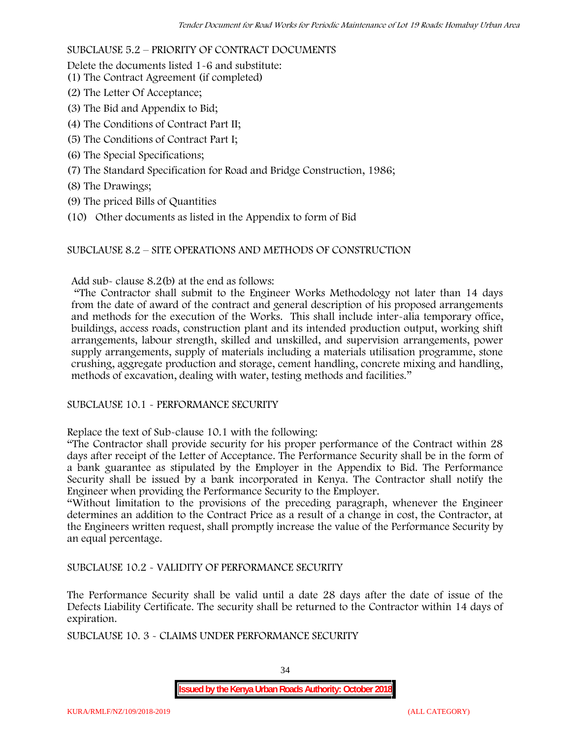#### SUBCLAUSE 5.2 – PRIORITY OF CONTRACT DOCUMENTS

Delete the documents listed 1-6 and substitute:

- (1) The Contract Agreement (if completed)
- (2) The Letter Of Acceptance;
- (3) The Bid and Appendix to Bid;
- (4) The Conditions of Contract Part II;
- (5) The Conditions of Contract Part I;
- (6) The Special Specifications;
- (7) The Standard Specification for Road and Bridge Construction, 1986;
- (8) The Drawings;
- (9) The priced Bills of Quantities
- (10) Other documents as listed in the Appendix to form of Bid

## SUBCLAUSE 8.2 – SITE OPERATIONS AND METHODS OF CONSTRUCTION

Add sub- clause 8.2(b) at the end as follows:

"The Contractor shall submit to the Engineer Works Methodology not later than 14 days from the date of award of the contract and general description of his proposed arrangements and methods for the execution of the Works. This shall include inter-alia temporary office, buildings, access roads, construction plant and its intended production output, working shift arrangements, labour strength, skilled and unskilled, and supervision arrangements, power supply arrangements, supply of materials including a materials utilisation programme, stone crushing, aggregate production and storage, cement handling, concrete mixing and handling, methods of excavation, dealing with water, testing methods and facilities."

## SUBCLAUSE 10.1 - PERFORMANCE SECURITY

Replace the text of Sub-clause 10.1 with the following:

"The Contractor shall provide security for his proper performance of the Contract within 28 days after receipt of the Letter of Acceptance. The Performance Security shall be in the form of a bank guarantee as stipulated by the Employer in the Appendix to Bid. The Performance Security shall be issued by a bank incorporated in Kenya. The Contractor shall notify the Engineer when providing the Performance Security to the Employer.

"Without limitation to the provisions of the preceding paragraph, whenever the Engineer determines an addition to the Contract Price as a result of a change in cost, the Contractor, at the Engineers written request, shall promptly increase the value of the Performance Security by an equal percentage.

SUBCLAUSE 10.2 - VALIDITY OF PERFORMANCE SECURITY

The Performance Security shall be valid until a date 28 days after the date of issue of the Defects Liability Certificate. The security shall be returned to the Contractor within 14 days of expiration.

SUBCLAUSE 10. 3 - CLAIMS UNDER PERFORMANCE SECURITY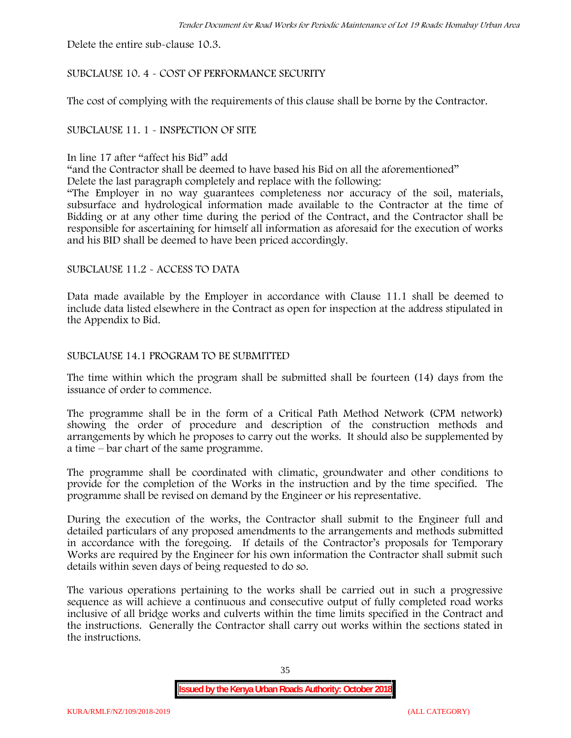Delete the entire sub-clause 10.3.

### SUBCLAUSE 10. 4 - COST OF PERFORMANCE SECURITY

The cost of complying with the requirements of this clause shall be borne by the Contractor.

#### SUBCLAUSE 11. 1 - INSPECTION OF SITE

#### In line 17 after "affect his Bid" add

"and the Contractor shall be deemed to have based his Bid on all the aforementioned"

Delete the last paragraph completely and replace with the following:

"The Employer in no way guarantees completeness nor accuracy of the soil, materials, subsurface and hydrological information made available to the Contractor at the time of Bidding or at any other time during the period of the Contract, and the Contractor shall be responsible for ascertaining for himself all information as aforesaid for the execution of works and his BID shall be deemed to have been priced accordingly.

#### SUBCLAUSE 11.2 - ACCESS TO DATA

Data made available by the Employer in accordance with Clause 11.1 shall be deemed to include data listed elsewhere in the Contract as open for inspection at the address stipulated in the Appendix to Bid.

#### SUBCLAUSE 14.1 PROGRAM TO BE SUBMITTED

The time within which the program shall be submitted shall be fourteen (14) days from the issuance of order to commence**.**

The programme shall be in the form of a Critical Path Method Network (CPM network) showing the order of procedure and description of the construction methods and arrangements by which he proposes to carry out the works. It should also be supplemented by a time – bar chart of the same programme.

The programme shall be coordinated with climatic, groundwater and other conditions to provide for the completion of the Works in the instruction and by the time specified. The programme shall be revised on demand by the Engineer or his representative.

During the execution of the works, the Contractor shall submit to the Engineer full and detailed particulars of any proposed amendments to the arrangements and methods submitted in accordance with the foregoing. If details of the Contractor's proposals for Temporary Works are required by the Engineer for his own information the Contractor shall submit such details within seven days of being requested to do so.

The various operations pertaining to the works shall be carried out in such a progressive sequence as will achieve a continuous and consecutive output of fully completed road works inclusive of all bridge works and culverts within the time limits specified in the Contract and the instructions. Generally the Contractor shall carry out works within the sections stated in the instructions.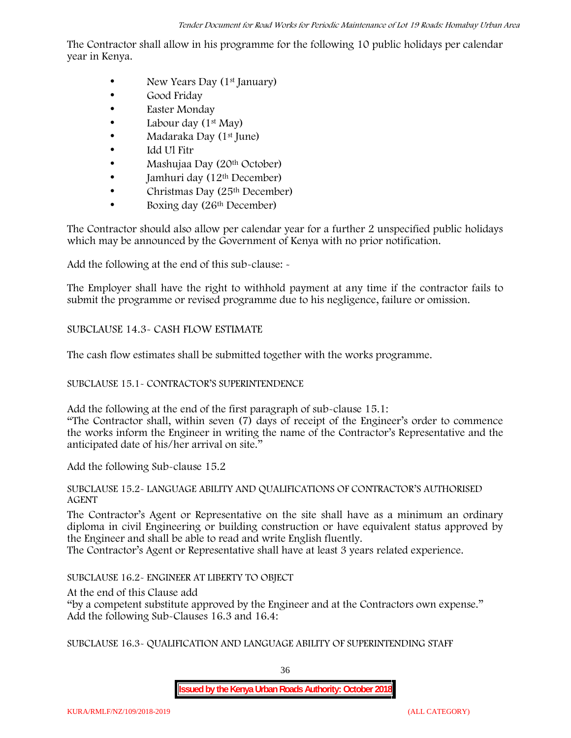The Contractor shall allow in his programme for the following 10 public holidays per calendar year in Kenya.

- New Years Day  $(1<sup>st</sup>$  January)
- Good Friday
- Easter Monday
- Labour day  $(1<sup>st</sup> May)$
- Madaraka Day (1<sup>st</sup> June)
- Idd Ul Fitr
- Mashujaa Day (20<sup>th</sup> October)
- Jamhuri day (12<sup>th</sup> December)
- $\bullet$  Christmas Day (25<sup>th</sup> December)
- Boxing day (26<sup>th</sup> December)

The Contractor should also allow per calendar year for a further 2 unspecified public holidays which may be announced by the Government of Kenya with no prior notification.

Add the following at the end of this sub-clause: -

The Employer shall have the right to withhold payment at any time if the contractor fails to submit the programme or revised programme due to his negligence, failure or omission.

# SUBCLAUSE 14.3- CASH FLOW ESTIMATE

The cash flow estimates shall be submitted together with the works programme.

# SUBCLAUSE 15.1- CONTRACTOR'S SUPERINTENDENCE

Add the following at the end of the first paragraph of sub-clause 15.1: "The Contractor shall, within seven (7) days of receipt of the Engineer's order to commence the works inform the Engineer in writing the name of the Contractor's Representative and the anticipated date of his/her arrival on site."

Add the following Sub-clause 15.2

# SUBCLAUSE 15.2- LANGUAGE ABILITY AND QUALIFICATIONS OF CONTRACTOR'S AUTHORISED AGENT

The Contractor's Agent or Representative on the site shall have as a minimum an ordinary diploma in civil Engineering or building construction or have equivalent status approved by the Engineer and shall be able to read and write English fluently.

The Contractor's Agent or Representative shall have at least 3 years related experience.

SUBCLAUSE 16.2- ENGINEER AT LIBERTY TO OBJECT

At the end of this Clause add

"by a competent substitute approved by the Engineer and at the Contractors own expense." Add the following Sub-Clauses 16.3 and 16.4:

SUBCLAUSE 16.3- QUALIFICATION AND LANGUAGE ABILITY OF SUPERINTENDING STAFF

36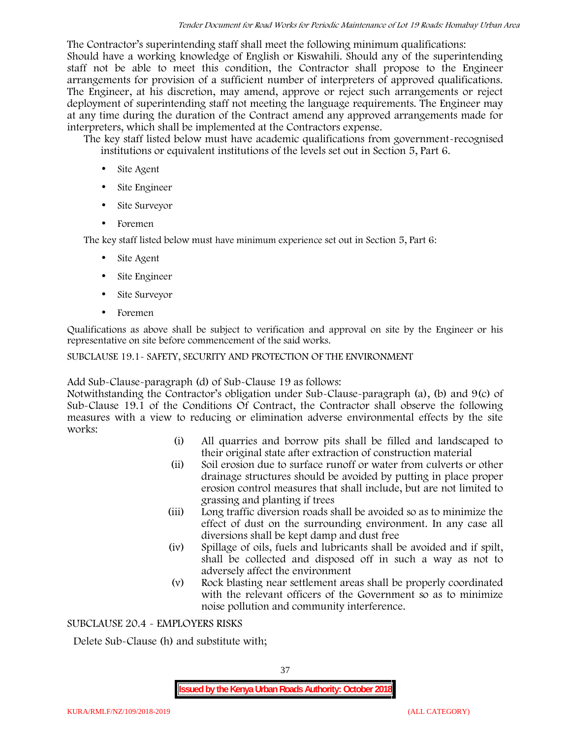The Contractor's superintending staff shall meet the following minimum qualifications: Should have a working knowledge of English or Kiswahili. Should any of the superintending staff not be able to meet this condition, the Contractor shall propose to the Engineer arrangements for provision of a sufficient number of interpreters of approved qualifications. The Engineer, at his discretion, may amend, approve or reject such arrangements or reject deployment of superintending staff not meeting the language requirements. The Engineer may at any time during the duration of the Contract amend any approved arrangements made for interpreters, which shall be implemented at the Contractors expense.

The key staff listed below must have academic qualifications from government-recognised institutions or equivalent institutions of the levels set out in Section 5, Part 6.

- Site Agent
- Site Engineer
- Site Surveyor
- Foremen

The key staff listed below must have minimum experience set out in Section 5, Part 6:

- Site Agent
- Site Engineer
- Site Surveyor
- Foremen

Qualifications as above shall be subject to verification and approval on site by the Engineer or his representative on site before commencement of the said works.

# SUBCLAUSE 19.1- SAFETY, SECURITY AND PROTECTION OF THE ENVIRONMENT

Add Sub-Clause-paragraph (d) of Sub-Clause 19 as follows:

Notwithstanding the Contractor's obligation under Sub-Clause-paragraph (a), (b) and 9(c) of Sub-Clause 19.1 of the Conditions Of Contract, the Contractor shall observe the following measures with a view to reducing or elimination adverse environmental effects by the site works:

- (i) All quarries and borrow pits shall be filled and landscaped to their original state after extraction of construction material
- (ii) Soil erosion due to surface runoff or water from culverts or other drainage structures should be avoided by putting in place proper erosion control measures that shall include, but are not limited to grassing and planting if trees
- (iii) Long traffic diversion roads shall be avoided so as to minimize the effect of dust on the surrounding environment. In any case all diversions shall be kept damp and dust free
- (iv) Spillage of oils, fuels and lubricants shall be avoided and if spilt, shall be collected and disposed off in such a way as not to adversely affect the environment
- (v) Rock blasting near settlement areas shall be properly coordinated with the relevant officers of the Government so as to minimize noise pollution and community interference.

# SUBCLAUSE 20.4 - EMPLOYERS RISKS

Delete Sub-Clause (h) and substitute with;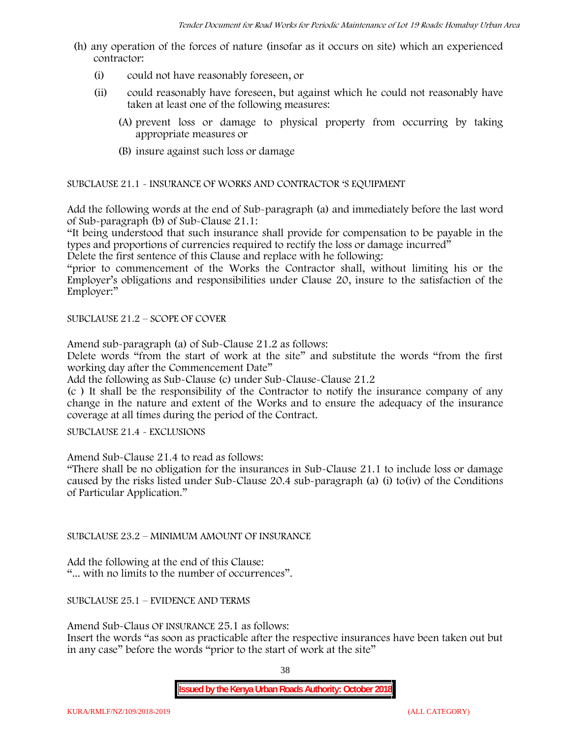- (h) any operation of the forces of nature (insofar as it occurs on site) which an experienced contractor:
	- (i) could not have reasonably foreseen, or
	- (ii) could reasonably have foreseen, but against which he could not reasonably have taken at least one of the following measures:
		- (A) prevent loss or damage to physical property from occurring by taking appropriate measures or
		- (B) insure against such loss or damage

SUBCLAUSE 21.1 - INSURANCE OF WORKS AND CONTRACTOR 'S EQUIPMENT

Add the following words at the end of Sub-paragraph (a) and immediately before the last word of Sub-paragraph (b) of Sub-Clause 21.1:

"It being understood that such insurance shall provide for compensation to be payable in the types and proportions of currencies required to rectify the loss or damage incurred"

Delete the first sentence of this Clause and replace with he following:

"prior to commencement of the Works the Contractor shall, without limiting his or the Employer's obligations and responsibilities under Clause 20, insure to the satisfaction of the Employer:"

SUBCLAUSE 21.2 – SCOPE OF COVER

Amend sub-paragraph (a) of Sub-Clause 21.2 as follows:

Delete words "from the start of work at the site" and substitute the words "from the first working day after the Commencement Date"

Add the following as Sub-Clause (c) under Sub-Clause-Clause 21.2

(c ) It shall be the responsibility of the Contractor to notify the insurance company of any change in the nature and extent of the Works and to ensure the adequacy of the insurance coverage at all times during the period of the Contract.

SUBCLAUSE 21.4 - EXCLUSIONS

Amend Sub-Clause 21.4 to read as follows:

"There shall be no obligation for the insurances in Sub-Clause 21.1 to include loss or damage caused by the risks listed under Sub-Clause 20.4 sub-paragraph (a) (i) to(iv) of the Conditions of Particular Application."

SUBCLAUSE 23.2 – MINIMUM AMOUNT OF INSURANCE

Add the following at the end of this Clause: "... with no limits to the number of occurrences".

SUBCLAUSE 25.1 – EVIDENCE AND TERMS

Amend Sub-Claus OF INSURANCE 25.1 as follows:

Insert the words "as soon as practicable after the respective insurances have been taken out but in any case" before the words "prior to the start of work at the site"

38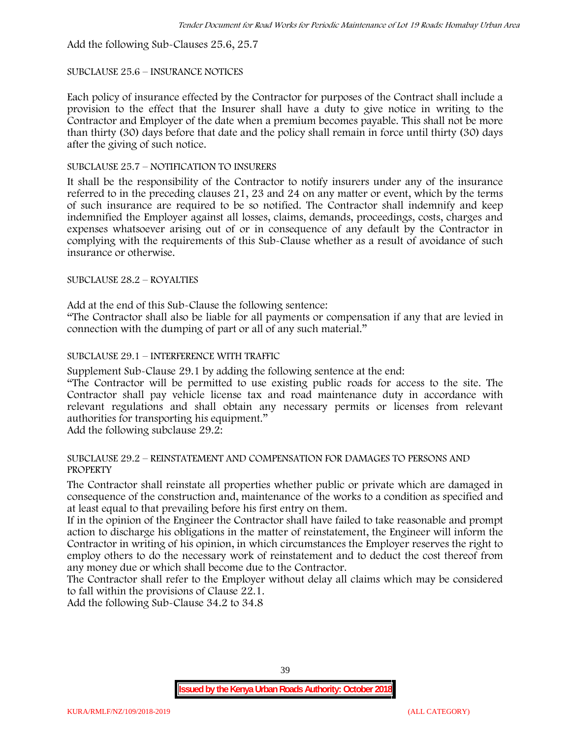Add the following Sub-Clauses 25.6, 25.7

# SUBCLAUSE 25.6 – INSURANCE NOTICES

Each policy of insurance effected by the Contractor for purposes of the Contract shall include a provision to the effect that the Insurer shall have a duty to give notice in writing to the Contractor and Employer of the date when a premium becomes payable. This shall not be more than thirty (30) days before that date and the policy shall remain in force until thirty (30) days after the giving of such notice.

# SUBCLAUSE 25.7 – NOTIFICATION TO INSURERS

It shall be the responsibility of the Contractor to notify insurers under any of the insurance referred to in the preceding clauses 21, 23 and 24 on any matter or event, which by the terms of such insurance are required to be so notified. The Contractor shall indemnify and keep indemnified the Employer against all losses, claims, demands, proceedings, costs, charges and expenses whatsoever arising out of or in consequence of any default by the Contractor in complying with the requirements of this Sub-Clause whether as a result of avoidance of such insurance or otherwise.

### SUBCLAUSE 28.2 – ROYALTIES

Add at the end of this Sub-Clause the following sentence:

"The Contractor shall also be liable for all payments or compensation if any that are levied in connection with the dumping of part or all of any such material."

# SUBCLAUSE 29.1 – INTERFERENCE WITH TRAFFIC

Supplement Sub-Clause 29.1 by adding the following sentence at the end:

"The Contractor will be permitted to use existing public roads for access to the site. The Contractor shall pay vehicle license tax and road maintenance duty in accordance with relevant regulations and shall obtain any necessary permits or licenses from relevant authorities for transporting his equipment."

Add the following subclause 29.2:

#### SUBCLAUSE 29.2 – REINSTATEMENT AND COMPENSATION FOR DAMAGES TO PERSONS AND PROPERTY

The Contractor shall reinstate all properties whether public or private which are damaged in consequence of the construction and, maintenance of the works to a condition as specified and at least equal to that prevailing before his first entry on them.

If in the opinion of the Engineer the Contractor shall have failed to take reasonable and prompt action to discharge his obligations in the matter of reinstatement, the Engineer will inform the Contractor in writing of his opinion, in which circumstances the Employer reserves the right to employ others to do the necessary work of reinstatement and to deduct the cost thereof from any money due or which shall become due to the Contractor.

The Contractor shall refer to the Employer without delay all claims which may be considered to fall within the provisions of Clause 22.1.

Add the following Sub-Clause 34.2 to 34.8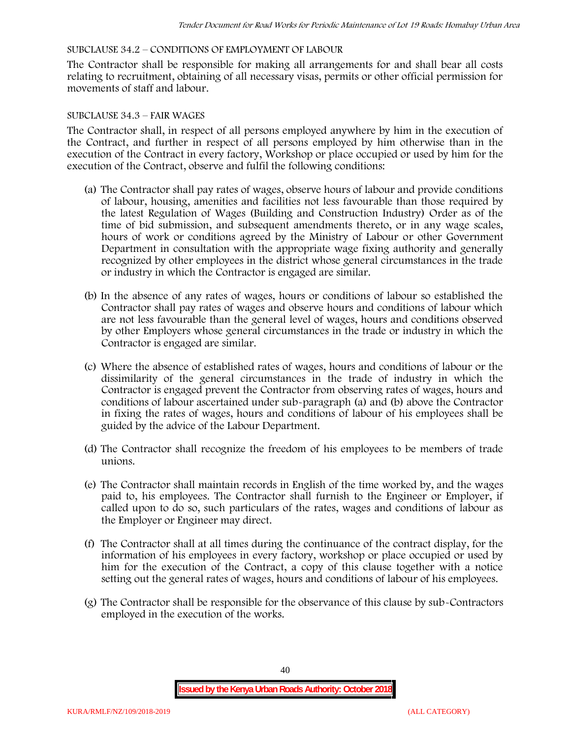# SUBCLAUSE 34.2 – CONDITIONS OF EMPLOYMENT OF LABOUR

The Contractor shall be responsible for making all arrangements for and shall bear all costs relating to recruitment, obtaining of all necessary visas, permits or other official permission for movements of staff and labour.

### SUBCLAUSE 34.3 – FAIR WAGES

The Contractor shall, in respect of all persons employed anywhere by him in the execution of the Contract, and further in respect of all persons employed by him otherwise than in the execution of the Contract in every factory, Workshop or place occupied or used by him for the execution of the Contract, observe and fulfil the following conditions:

- (a) The Contractor shall pay rates of wages, observe hours of labour and provide conditions of labour, housing, amenities and facilities not less favourable than those required by the latest Regulation of Wages (Building and Construction Industry) Order as of the time of bid submission, and subsequent amendments thereto, or in any wage scales, hours of work or conditions agreed by the Ministry of Labour or other Government Department in consultation with the appropriate wage fixing authority and generally recognized by other employees in the district whose general circumstances in the trade or industry in which the Contractor is engaged are similar.
- (b) In the absence of any rates of wages, hours or conditions of labour so established the Contractor shall pay rates of wages and observe hours and conditions of labour which are not less favourable than the general level of wages, hours and conditions observed by other Employers whose general circumstances in the trade or industry in which the Contractor is engaged are similar.
- (c) Where the absence of established rates of wages, hours and conditions of labour or the dissimilarity of the general circumstances in the trade of industry in which the Contractor is engaged prevent the Contractor from observing rates of wages, hours and conditions of labour ascertained under sub-paragraph (a) and (b) above the Contractor in fixing the rates of wages, hours and conditions of labour of his employees shall be guided by the advice of the Labour Department.
- (d) The Contractor shall recognize the freedom of his employees to be members of trade unions.
- (e) The Contractor shall maintain records in English of the time worked by, and the wages paid to, his employees. The Contractor shall furnish to the Engineer or Employer, if called upon to do so, such particulars of the rates, wages and conditions of labour as the Employer or Engineer may direct.
- (f) The Contractor shall at all times during the continuance of the contract display, for the information of his employees in every factory, workshop or place occupied or used by him for the execution of the Contract, a copy of this clause together with a notice setting out the general rates of wages, hours and conditions of labour of his employees.
- (g) The Contractor shall be responsible for the observance of this clause by sub-Contractors employed in the execution of the works.

40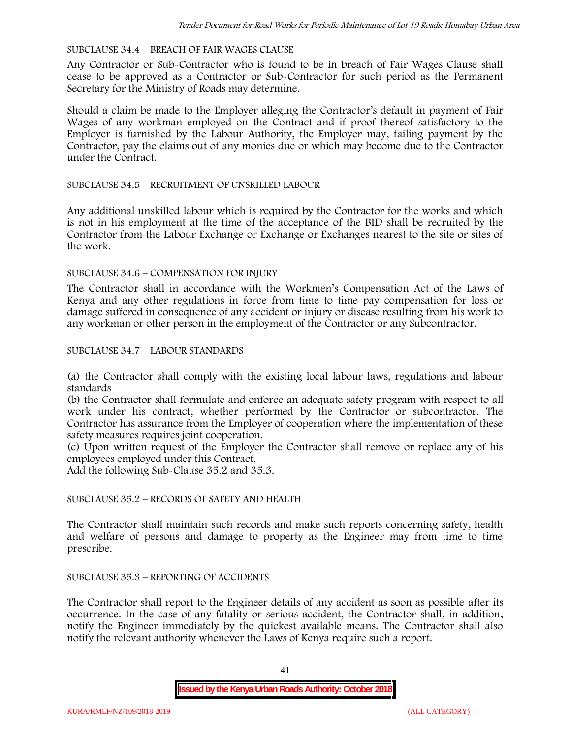### SUBCLAUSE 34.4 – BREACH OF FAIR WAGES CLAUSE

Any Contractor or Sub-Contractor who is found to be in breach of Fair Wages Clause shall cease to be approved as a Contractor or Sub-Contractor for such period as the Permanent Secretary for the Ministry of Roads may determine.

Should a claim be made to the Employer alleging the Contractor's default in payment of Fair Wages of any workman employed on the Contract and if proof thereof satisfactory to the Employer is furnished by the Labour Authority, the Employer may, failing payment by the Contractor, pay the claims out of any monies due or which may become due to the Contractor under the Contract.

# SUBCLAUSE 34.5 – RECRUITMENT OF UNSKILLED LABOUR

Any additional unskilled labour which is required by the Contractor for the works and which is not in his employment at the time of the acceptance of the BID shall be recruited by the Contractor from the Labour Exchange or Exchange or Exchanges nearest to the site or sites of the work.

### SUBCLAUSE 34.6 – COMPENSATION FOR INJURY

The Contractor shall in accordance with the Workmen's Compensation Act of the Laws of Kenya and any other regulations in force from time to time pay compensation for loss or damage suffered in consequence of any accident or injury or disease resulting from his work to any workman or other person in the employment of the Contractor or any Subcontractor.

## SUBCLAUSE 34.7 – LABOUR STANDARDS

(a) the Contractor shall comply with the existing local labour laws, regulations and labour standards

(b) the Contractor shall formulate and enforce an adequate safety program with respect to all work under his contract, whether performed by the Contractor or subcontractor. The Contractor has assurance from the Employer of cooperation where the implementation of these safety measures requires joint cooperation.

(c) Upon written request of the Employer the Contractor shall remove or replace any of his employees employed under this Contract.

Add the following Sub-Clause 35.2 and 35.3.

# SUBCLAUSE 35.2 – RECORDS OF SAFETY AND HEALTH

The Contractor shall maintain such records and make such reports concerning safety, health and welfare of persons and damage to property as the Engineer may from time to time prescribe.

# SUBCLAUSE 35.3 – REPORTING OF ACCIDENTS

The Contractor shall report to the Engineer details of any accident as soon as possible after its occurrence. In the case of any fatality or serious accident, the Contractor shall, in addition, notify the Engineer immediately by the quickest available means. The Contractor shall also notify the relevant authority whenever the Laws of Kenya require such a report.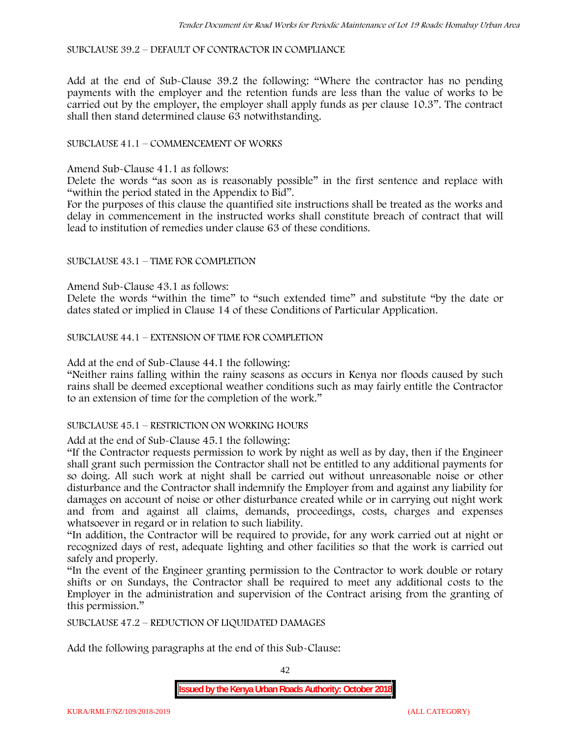SUBCLAUSE 39.2 – DEFAULT OF CONTRACTOR IN COMPLIANCE

Add at the end of Sub-Clause 39.2 the following: "Where the contractor has no pending payments with the employer and the retention funds are less than the value of works to be carried out by the employer, the employer shall apply funds as per clause 10.3". The contract shall then stand determined clause 63 notwithstanding.

# SUBCLAUSE 41.1 – COMMENCEMENT OF WORKS

Amend Sub-Clause 41.1 as follows:

Delete the words "as soon as is reasonably possible" in the first sentence and replace with "within the period stated in the Appendix to Bid".

For the purposes of this clause the quantified site instructions shall be treated as the works and delay in commencement in the instructed works shall constitute breach of contract that will lead to institution of remedies under clause 63 of these conditions.

# SUBCLAUSE 43.1 – TIME FOR COMPLETION

Amend Sub-Clause 43.1 as follows:

Delete the words "within the time" to "such extended time" and substitute "by the date or dates stated or implied in Clause 14 of these Conditions of Particular Application.

SUBCLAUSE 44.1 – EXTENSION OF TIME FOR COMPLETION

Add at the end of Sub-Clause 44.1 the following:

"Neither rains falling within the rainy seasons as occurs in Kenya nor floods caused by such rains shall be deemed exceptional weather conditions such as may fairly entitle the Contractor to an extension of time for the completion of the work."

### SUBCLAUSE 45.1 – RESTRICTION ON WORKING HOURS

Add at the end of Sub-Clause 45.1 the following:

"If the Contractor requests permission to work by night as well as by day, then if the Engineer shall grant such permission the Contractor shall not be entitled to any additional payments for so doing. All such work at night shall be carried out without unreasonable noise or other disturbance and the Contractor shall indemnify the Employer from and against any liability for damages on account of noise or other disturbance created while or in carrying out night work and from and against all claims, demands, proceedings, costs, charges and expenses whatsoever in regard or in relation to such liability.

"In addition, the Contractor will be required to provide, for any work carried out at night or recognized days of rest, adequate lighting and other facilities so that the work is carried out safely and properly.

"In the event of the Engineer granting permission to the Contractor to work double or rotary shifts or on Sundays, the Contractor shall be required to meet any additional costs to the Employer in the administration and supervision of the Contract arising from the granting of this permission."

SUBCLAUSE 47.2 – REDUCTION OF LIQUIDATED DAMAGES

Add the following paragraphs at the end of this Sub-Clause: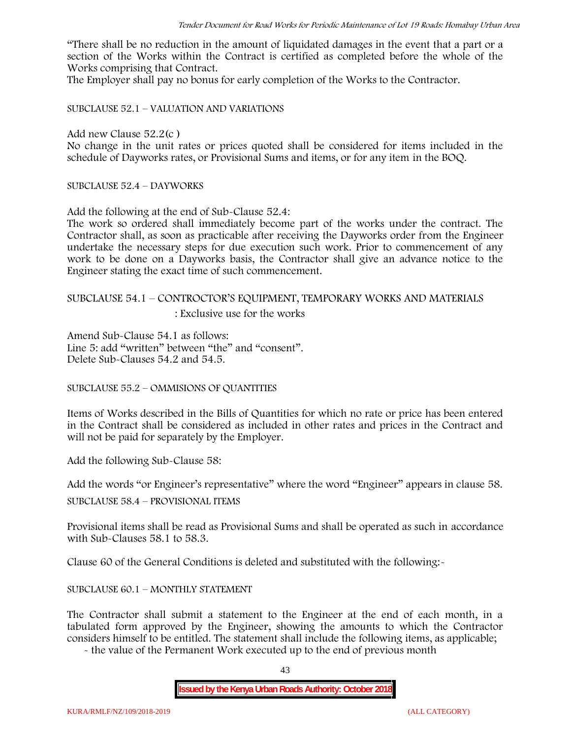"There shall be no reduction in the amount of liquidated damages in the event that a part or a section of the Works within the Contract is certified as completed before the whole of the Works comprising that Contract.

The Employer shall pay no bonus for early completion of the Works to the Contractor.

SUBCLAUSE 52.1 – VALUATION AND VARIATIONS

Add new Clause 52.2(c )

No change in the unit rates or prices quoted shall be considered for items included in the schedule of Dayworks rates, or Provisional Sums and items, or for any item in the BOQ.

SUBCLAUSE 52.4 – DAYWORKS

Add the following at the end of Sub-Clause 52.4:

The work so ordered shall immediately become part of the works under the contract. The Contractor shall, as soon as practicable after receiving the Dayworks order from the Engineer undertake the necessary steps for due execution such work. Prior to commencement of any work to be done on a Dayworks basis, the Contractor shall give an advance notice to the Engineer stating the exact time of such commencement.

# SUBCLAUSE 54.1 – CONTROCTOR'S EQUIPMENT, TEMPORARY WORKS AND MATERIALS

: Exclusive use for the works

Amend Sub-Clause 54.1 as follows: Line 5: add "written" between "the" and "consent". Delete Sub-Clauses 54.2 and 54.5.

SUBCLAUSE 55.2 – OMMISIONS OF QUANTITIES

Items of Works described in the Bills of Quantities for which no rate or price has been entered in the Contract shall be considered as included in other rates and prices in the Contract and will not be paid for separately by the Employer.

Add the following Sub-Clause 58:

Add the words "or Engineer's representative" where the word "Engineer" appears in clause 58.

SUBCLAUSE 58.4 – PROVISIONAL ITEMS

Provisional items shall be read as Provisional Sums and shall be operated as such in accordance with Sub-Clauses 58.1 to 58.3.

Clause 60 of the General Conditions is deleted and substituted with the following:-

# SUBCLAUSE 60.1 – MONTHLY STATEMENT

The Contractor shall submit a statement to the Engineer at the end of each month, in a tabulated form approved by the Engineer, showing the amounts to which the Contractor considers himself to be entitled. The statement shall include the following items, as applicable;

- the value of the Permanent Work executed up to the end of previous month

43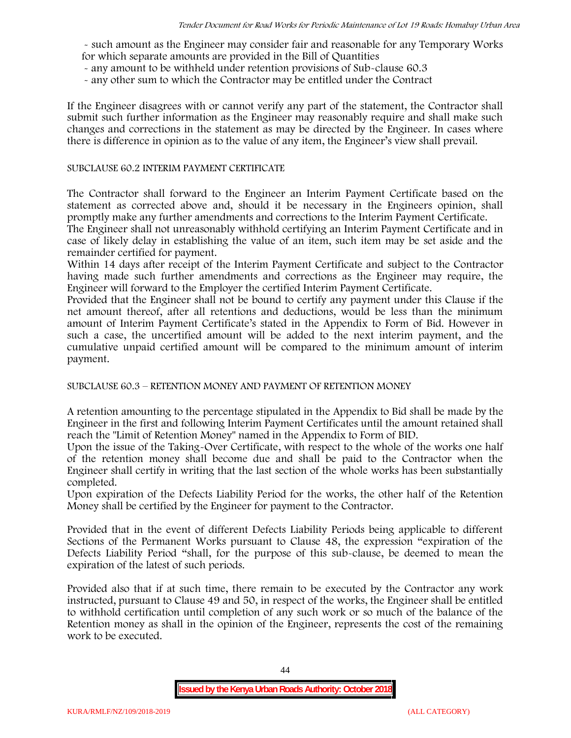- such amount as the Engineer may consider fair and reasonable for any Temporary Works for which separate amounts are provided in the Bill of Quantities

- any amount to be withheld under retention provisions of Sub-clause 60.3
- any other sum to which the Contractor may be entitled under the Contract

If the Engineer disagrees with or cannot verify any part of the statement, the Contractor shall submit such further information as the Engineer may reasonably require and shall make such changes and corrections in the statement as may be directed by the Engineer. In cases where there is difference in opinion as to the value of any item, the Engineer's view shall prevail.

### SUBCLAUSE 60.2 INTERIM PAYMENT CERTIFICATE

The Contractor shall forward to the Engineer an Interim Payment Certificate based on the statement as corrected above and, should it be necessary in the Engineers opinion, shall promptly make any further amendments and corrections to the Interim Payment Certificate.

The Engineer shall not unreasonably withhold certifying an Interim Payment Certificate and in case of likely delay in establishing the value of an item, such item may be set aside and the remainder certified for payment.

Within 14 days after receipt of the Interim Payment Certificate and subject to the Contractor having made such further amendments and corrections as the Engineer may require, the Engineer will forward to the Employer the certified Interim Payment Certificate.

Provided that the Engineer shall not be bound to certify any payment under this Clause if the net amount thereof, after all retentions and deductions, would be less than the minimum amount of Interim Payment Certificate's stated in the Appendix to Form of Bid. However in such a case, the uncertified amount will be added to the next interim payment, and the cumulative unpaid certified amount will be compared to the minimum amount of interim payment.

SUBCLAUSE 60.3 – RETENTION MONEY AND PAYMENT OF RETENTION MONEY

A retention amounting to the percentage stipulated in the Appendix to Bid shall be made by the Engineer in the first and following Interim Payment Certificates until the amount retained shall reach the "Limit of Retention Money" named in the Appendix to Form of BID.

Upon the issue of the Taking-Over Certificate, with respect to the whole of the works one half of the retention money shall become due and shall be paid to the Contractor when the Engineer shall certify in writing that the last section of the whole works has been substantially completed.

Upon expiration of the Defects Liability Period for the works, the other half of the Retention Money shall be certified by the Engineer for payment to the Contractor.

Provided that in the event of different Defects Liability Periods being applicable to different Sections of the Permanent Works pursuant to Clause 48, the expression "expiration of the Defects Liability Period "shall, for the purpose of this sub-clause, be deemed to mean the expiration of the latest of such periods.

Provided also that if at such time, there remain to be executed by the Contractor any work instructed, pursuant to Clause 49 and 50, in respect of the works, the Engineer shall be entitled to withhold certification until completion of any such work or so much of the balance of the Retention money as shall in the opinion of the Engineer, represents the cost of the remaining work to be executed.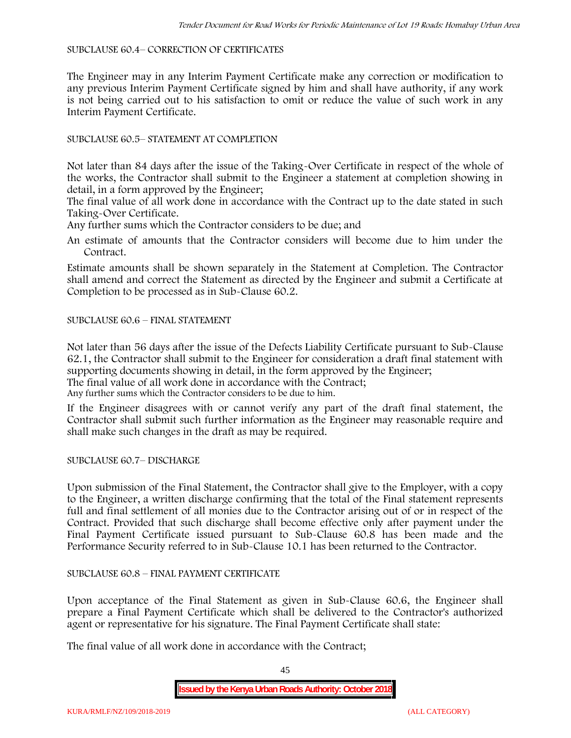### SUBCLAUSE 60.4– CORRECTION OF CERTIFICATES

The Engineer may in any Interim Payment Certificate make any correction or modification to any previous Interim Payment Certificate signed by him and shall have authority, if any work is not being carried out to his satisfaction to omit or reduce the value of such work in any Interim Payment Certificate.

# SUBCLAUSE 60.5– STATEMENT AT COMPLETION

Not later than 84 days after the issue of the Taking-Over Certificate in respect of the whole of the works, the Contractor shall submit to the Engineer a statement at completion showing in detail, in a form approved by the Engineer;

The final value of all work done in accordance with the Contract up to the date stated in such Taking-Over Certificate.

Any further sums which the Contractor considers to be due; and

An estimate of amounts that the Contractor considers will become due to him under the Contract.

Estimate amounts shall be shown separately in the Statement at Completion. The Contractor shall amend and correct the Statement as directed by the Engineer and submit a Certificate at Completion to be processed as in Sub-Clause 60.2.

# SUBCLAUSE 60.6 – FINAL STATEMENT

Not later than 56 days after the issue of the Defects Liability Certificate pursuant to Sub-Clause 62.1, the Contractor shall submit to the Engineer for consideration a draft final statement with supporting documents showing in detail, in the form approved by the Engineer; The final value of all work done in accordance with the Contract;

Any further sums which the Contractor considers to be due to him.

If the Engineer disagrees with or cannot verify any part of the draft final statement, the Contractor shall submit such further information as the Engineer may reasonable require and shall make such changes in the draft as may be required.

SUBCLAUSE 60.7– DISCHARGE

Upon submission of the Final Statement, the Contractor shall give to the Employer, with a copy to the Engineer, a written discharge confirming that the total of the Final statement represents full and final settlement of all monies due to the Contractor arising out of or in respect of the Contract. Provided that such discharge shall become effective only after payment under the Final Payment Certificate issued pursuant to Sub-Clause 60.8 has been made and the Performance Security referred to in Sub-Clause 10.1 has been returned to the Contractor.

# SUBCLAUSE 60.8 – FINAL PAYMENT CERTIFICATE

Upon acceptance of the Final Statement as given in Sub-Clause 60.6, the Engineer shall prepare a Final Payment Certificate which shall be delivered to the Contractor's authorized agent or representative for his signature. The Final Payment Certificate shall state:

The final value of all work done in accordance with the Contract;

45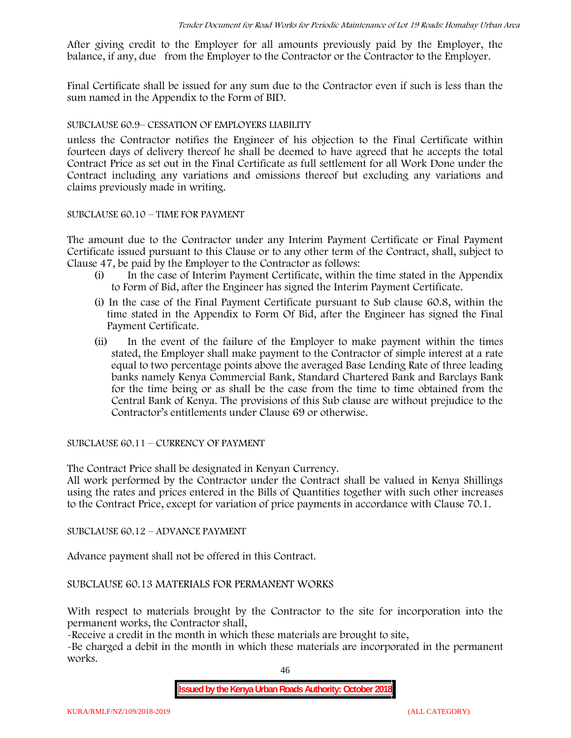After giving credit to the Employer for all amounts previously paid by the Employer, the balance, if any, due from the Employer to the Contractor or the Contractor to the Employer.

Final Certificate shall be issued for any sum due to the Contractor even if such is less than the sum named in the Appendix to the Form of BID.

# SUBCLAUSE 60.9– CESSATION OF EMPLOYERS LIABILITY

unless the Contractor notifies the Engineer of his objection to the Final Certificate within fourteen days of delivery thereof he shall be deemed to have agreed that he accepts the total Contract Price as set out in the Final Certificate as full settlement for all Work Done under the Contract including any variations and omissions thereof but excluding any variations and claims previously made in writing.

# SUBCLAUSE 60.10 – TIME FOR PAYMENT

The amount due to the Contractor under any Interim Payment Certificate or Final Payment Certificate issued pursuant to this Clause or to any other term of the Contract, shall, subject to Clause 47, be paid by the Employer to the Contractor as follows:

- (i) In the case of Interim Payment Certificate, within the time stated in the Appendix to Form of Bid, after the Engineer has signed the Interim Payment Certificate.
- (i) In the case of the Final Payment Certificate pursuant to Sub clause 60.8, within the time stated in the Appendix to Form Of Bid, after the Engineer has signed the Final Payment Certificate.
- (ii) In the event of the failure of the Employer to make payment within the times stated, the Employer shall make payment to the Contractor of simple interest at a rate equal to two percentage points above the averaged Base Lending Rate of three leading banks namely Kenya Commercial Bank, Standard Chartered Bank and Barclays Bank for the time being or as shall be the case from the time to time obtained from the Central Bank of Kenya. The provisions of this Sub clause are without prejudice to the Contractor's entitlements under Clause 69 or otherwise.

SUBCLAUSE 60.11 – CURRENCY OF PAYMENT

The Contract Price shall be designated in Kenyan Currency.

All work performed by the Contractor under the Contract shall be valued in Kenya Shillings using the rates and prices entered in the Bills of Quantities together with such other increases to the Contract Price, except for variation of price payments in accordance with Clause 70.1.

SUBCLAUSE 60.12 – ADVANCE PAYMENT

Advance payment shall not be offered in this Contract.

SUBCLAUSE 60.13 MATERIALS FOR PERMANENT WORKS

With respect to materials brought by the Contractor to the site for incorporation into the permanent works, the Contractor shall,

-Receive a credit in the month in which these materials are brought to site,

-Be charged a debit in the month in which these materials are incorporated in the permanent works.

46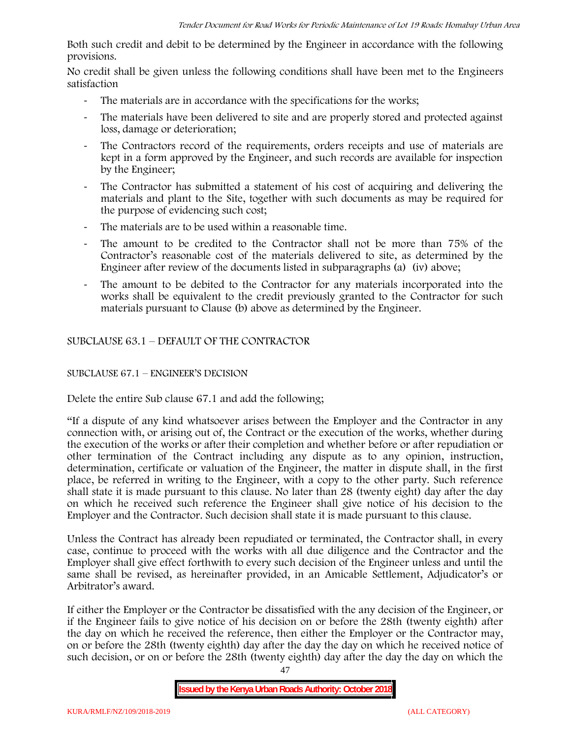Both such credit and debit to be determined by the Engineer in accordance with the following provisions.

No credit shall be given unless the following conditions shall have been met to the Engineers satisfaction

- The materials are in accordance with the specifications for the works;
- The materials have been delivered to site and are properly stored and protected against loss, damage or deterioration;
- The Contractors record of the requirements, orders receipts and use of materials are kept in a form approved by the Engineer, and such records are available for inspection by the Engineer;
- The Contractor has submitted a statement of his cost of acquiring and delivering the materials and plant to the Site, together with such documents as may be required for the purpose of evidencing such cost;
- The materials are to be used within a reasonable time.
- The amount to be credited to the Contractor shall not be more than 75% of the Contractor's reasonable cost of the materials delivered to site, as determined by the Engineer after review of the documents listed in subparagraphs (a) (iv) above;
- The amount to be debited to the Contractor for any materials incorporated into the works shall be equivalent to the credit previously granted to the Contractor for such materials pursuant to Clause (b) above as determined by the Engineer.

SUBCLAUSE 63.1 – DEFAULT OF THE CONTRACTOR

# SUBCLAUSE 67.1 – ENGINEER'S DECISION

Delete the entire Sub clause 67.1 and add the following;

"If a dispute of any kind whatsoever arises between the Employer and the Contractor in any connection with, or arising out of, the Contract or the execution of the works, whether during the execution of the works or after their completion and whether before or after repudiation or other termination of the Contract including any dispute as to any opinion, instruction, determination, certificate or valuation of the Engineer, the matter in dispute shall, in the first place, be referred in writing to the Engineer, with a copy to the other party. Such reference shall state it is made pursuant to this clause. No later than 28 (twenty eight) day after the day on which he received such reference the Engineer shall give notice of his decision to the Employer and the Contractor. Such decision shall state it is made pursuant to this clause.

Unless the Contract has already been repudiated or terminated, the Contractor shall, in every case, continue to proceed with the works with all due diligence and the Contractor and the Employer shall give effect forthwith to every such decision of the Engineer unless and until the same shall be revised, as hereinafter provided, in an Amicable Settlement, Adjudicator's or Arbitrator's award.

If either the Employer or the Contractor be dissatisfied with the any decision of the Engineer, or if the Engineer fails to give notice of his decision on or before the 28th (twenty eighth) after the day on which he received the reference, then either the Employer or the Contractor may, on or before the 28th (twenty eighth) day after the day the day on which he received notice of such decision, or on or before the 28th (twenty eighth) day after the day the day on which the

**Issued by the Kenya Urban Roads Authority: October 2018**

47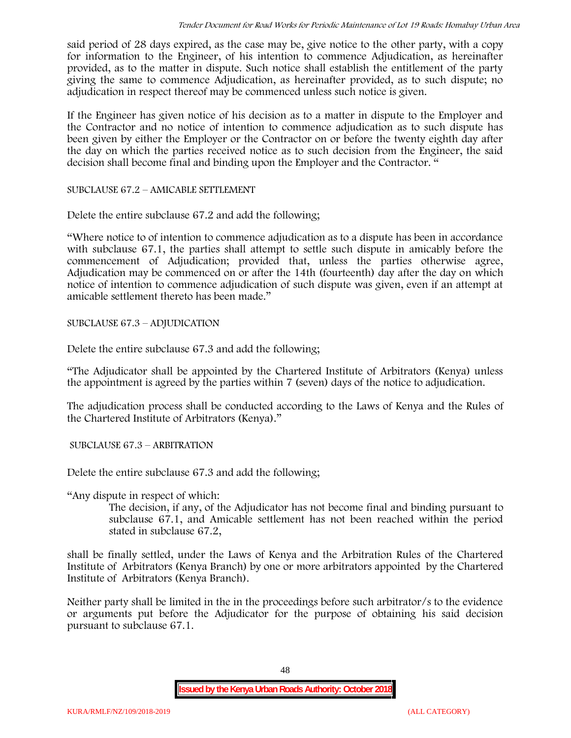said period of 28 days expired, as the case may be, give notice to the other party, with a copy for information to the Engineer, of his intention to commence Adjudication, as hereinafter provided, as to the matter in dispute. Such notice shall establish the entitlement of the party giving the same to commence Adjudication, as hereinafter provided, as to such dispute; no adjudication in respect thereof may be commenced unless such notice is given.

If the Engineer has given notice of his decision as to a matter in dispute to the Employer and the Contractor and no notice of intention to commence adjudication as to such dispute has been given by either the Employer or the Contractor on or before the twenty eighth day after the day on which the parties received notice as to such decision from the Engineer, the said decision shall become final and binding upon the Employer and the Contractor. "

SUBCLAUSE 67.2 – AMICABLE SETTLEMENT

Delete the entire subclause 67.2 and add the following;

"Where notice to of intention to commence adjudication as to a dispute has been in accordance with subclause 67.1, the parties shall attempt to settle such dispute in amicably before the commencement of Adjudication; provided that, unless the parties otherwise agree, Adjudication may be commenced on or after the 14th (fourteenth) day after the day on which notice of intention to commence adjudication of such dispute was given, even if an attempt at amicable settlement thereto has been made."

SUBCLAUSE 67.3 – ADJUDICATION

Delete the entire subclause 67.3 and add the following;

"The Adjudicator shall be appointed by the Chartered Institute of Arbitrators (Kenya) unless the appointment is agreed by the parties within 7 (seven) days of the notice to adjudication.

The adjudication process shall be conducted according to the Laws of Kenya and the Rules of the Chartered Institute of Arbitrators (Kenya)."

SUBCLAUSE 67.3 – ARBITRATION

Delete the entire subclause 67.3 and add the following;

"Any dispute in respect of which:

The decision, if any, of the Adjudicator has not become final and binding pursuant to subclause 67.1, and Amicable settlement has not been reached within the period stated in subclause 67.2,

shall be finally settled, under the Laws of Kenya and the Arbitration Rules of the Chartered Institute of Arbitrators (Kenya Branch) by one or more arbitrators appointed by the Chartered Institute of Arbitrators (Kenya Branch).

Neither party shall be limited in the in the proceedings before such arbitrator/s to the evidence or arguments put before the Adjudicator for the purpose of obtaining his said decision pursuant to subclause 67.1.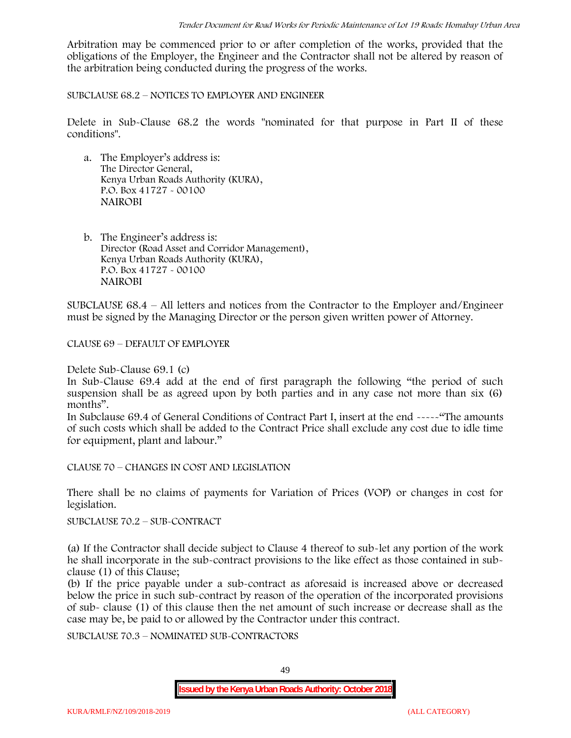Arbitration may be commenced prior to or after completion of the works, provided that the obligations of the Employer, the Engineer and the Contractor shall not be altered by reason of the arbitration being conducted during the progress of the works.

SUBCLAUSE 68.2 – NOTICES TO EMPLOYER AND ENGINEER

Delete in Sub-Clause 68.2 the words "nominated for that purpose in Part II of these conditions".

- a. The Employer's address is: The Director General, Kenya Urban Roads Authority (KURA), P.O. Box 41727 - 00100 **NAIROBI**
- b. The Engineer's address is: Director (Road Asset and Corridor Management), Kenya Urban Roads Authority (KURA), P.O. Box 41727 - 00100 **NAIROBI**

SUBCLAUSE 68.4 – All letters and notices from the Contractor to the Employer and/Engineer must be signed by the Managing Director or the person given written power of Attorney.

CLAUSE 69 – DEFAULT OF EMPLOYER

Delete Sub-Clause 69.1 (c)

In Sub-Clause 69.4 add at the end of first paragraph the following "the period of such suspension shall be as agreed upon by both parties and in any case not more than six (6) months".

In Subclause 69.4 of General Conditions of Contract Part I, insert at the end -----"The amounts of such costs which shall be added to the Contract Price shall exclude any cost due to idle time for equipment, plant and labour."

CLAUSE 70 – CHANGES IN COST AND LEGISLATION

There shall be no claims of payments for Variation of Prices (VOP) or changes in cost for legislation.

SUBCLAUSE 70.2 – SUB-CONTRACT

(a) If the Contractor shall decide subject to Clause 4 thereof to sub-let any portion of the work he shall incorporate in the sub-contract provisions to the like effect as those contained in sub clause (1) of this Clause;

(b) If the price payable under a sub-contract as aforesaid is increased above or decreased below the price in such sub-contract by reason of the operation of the incorporated provisions of sub- clause (1) of this clause then the net amount of such increase or decrease shall as the case may be, be paid to or allowed by the Contractor under this contract.

SUBCLAUSE 70.3 – NOMINATED SUB-CONTRACTORS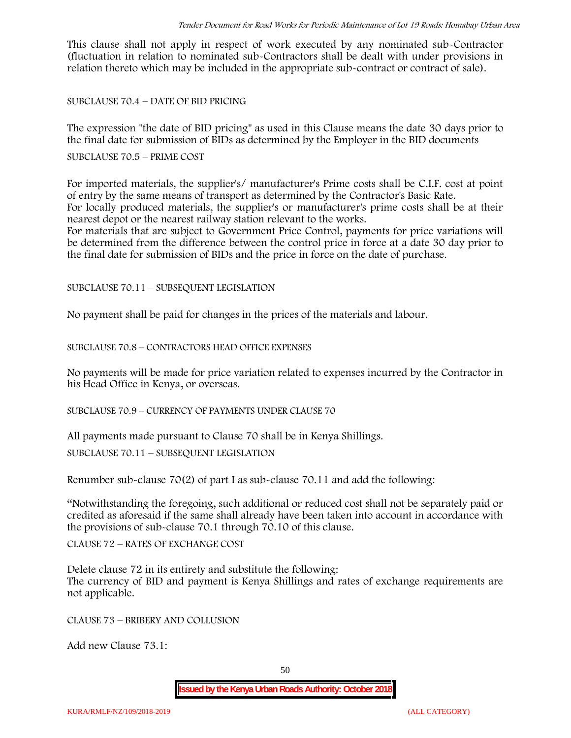This clause shall not apply in respect of work executed by any nominated sub-Contractor (fluctuation in relation to nominated sub-Contractors shall be dealt with under provisions in relation thereto which may be included in the appropriate sub-contract or contract of sale).

SUBCLAUSE 70.4 – DATE OF BID PRICING

The expression "the date of BID pricing" as used in this Clause means the date 30 days prior to the final date for submission of BIDs as determined by the Employer in the BID documents

SUBCLAUSE 70.5 – PRIME COST

For imported materials, the supplier's/ manufacturer's Prime costs shall be C.I.F. cost at point of entry by the same means of transport as determined by the Contractor's Basic Rate. For locally produced materials, the supplier's or manufacturer's prime costs shall be at their nearest depot or the nearest railway station relevant to the works.

For materials that are subject to Government Price Control, payments for price variations will be determined from the difference between the control price in force at a date 30 day prior to the final date for submission of BIDs and the price in force on the date of purchase.

SUBCLAUSE 70.11 – SUBSEQUENT LEGISLATION

No payment shall be paid for changes in the prices of the materials and labour.

SUBCLAUSE 70.8 – CONTRACTORS HEAD OFFICE EXPENSES

No payments will be made for price variation related to expenses incurred by the Contractor in his Head Office in Kenya, or overseas.

SUBCLAUSE 70.9 – CURRENCY OF PAYMENTS UNDER CLAUSE 70

All payments made pursuant to Clause 70 shall be in Kenya Shillings.

SUBCLAUSE 70.11 – SUBSEQUENT LEGISLATION

Renumber sub-clause 70(2) of part I as sub-clause 70.11 and add the following:

"Notwithstanding the foregoing, such additional or reduced cost shall not be separately paid or credited as aforesaid if the same shall already have been taken into account in accordance with the provisions of sub-clause 70.1 through 70.10 of this clause.

CLAUSE 72 – RATES OF EXCHANGE COST

Delete clause 72 in its entirety and substitute the following: The currency of BID and payment is Kenya Shillings and rates of exchange requirements are not applicable.

CLAUSE 73 – BRIBERY AND COLLUSION

Add new Clause 73.1: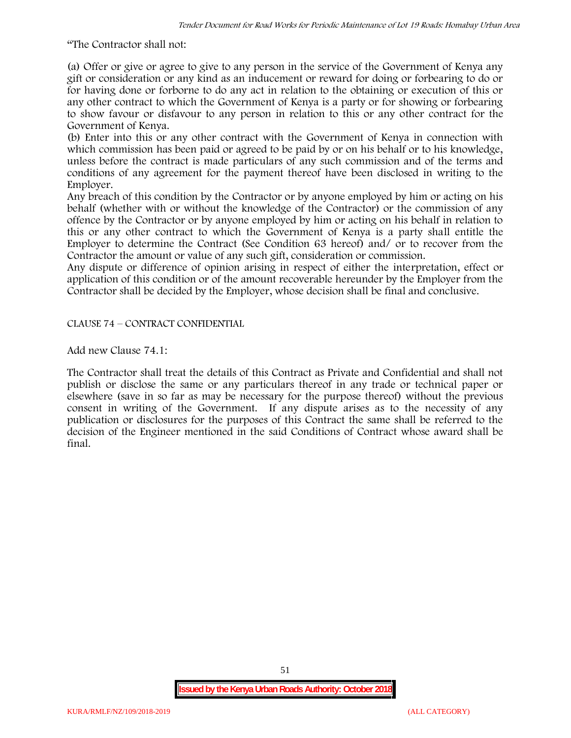"The Contractor shall not:

(a) Offer or give or agree to give to any person in the service of the Government of Kenya any gift or consideration or any kind as an inducement or reward for doing or forbearing to do or for having done or forborne to do any act in relation to the obtaining or execution of this or any other contract to which the Government of Kenya is a party or for showing or forbearing to show favour or disfavour to any person in relation to this or any other contract for the Government of Kenya.

(b) Enter into this or any other contract with the Government of Kenya in connection with which commission has been paid or agreed to be paid by or on his behalf or to his knowledge, unless before the contract is made particulars of any such commission and of the terms and conditions of any agreement for the payment thereof have been disclosed in writing to the Employer.

Any breach of this condition by the Contractor or by anyone employed by him or acting on his behalf (whether with or without the knowledge of the Contractor) or the commission of any offence by the Contractor or by anyone employed by him or acting on his behalf in relation to this or any other contract to which the Government of Kenya is a party shall entitle the Employer to determine the Contract (See Condition 63 hereof) and/ or to recover from the Contractor the amount or value of any such gift, consideration or commission.

Any dispute or difference of opinion arising in respect of either the interpretation, effect or application of this condition or of the amount recoverable hereunder by the Employer from the Contractor shall be decided by the Employer, whose decision shall be final and conclusive.

CLAUSE 74 – CONTRACT CONFIDENTIAL

Add new Clause 74.1:

The Contractor shall treat the details of this Contract as Private and Confidential and shall not publish or disclose the same or any particulars thereof in any trade or technical paper or elsewhere (save in so far as may be necessary for the purpose thereof) without the previous consent in writing of the Government. If any dispute arises as to the necessity of any publication or disclosures for the purposes of this Contract the same shall be referred to the decision of the Engineer mentioned in the said Conditions of Contract whose award shall be final.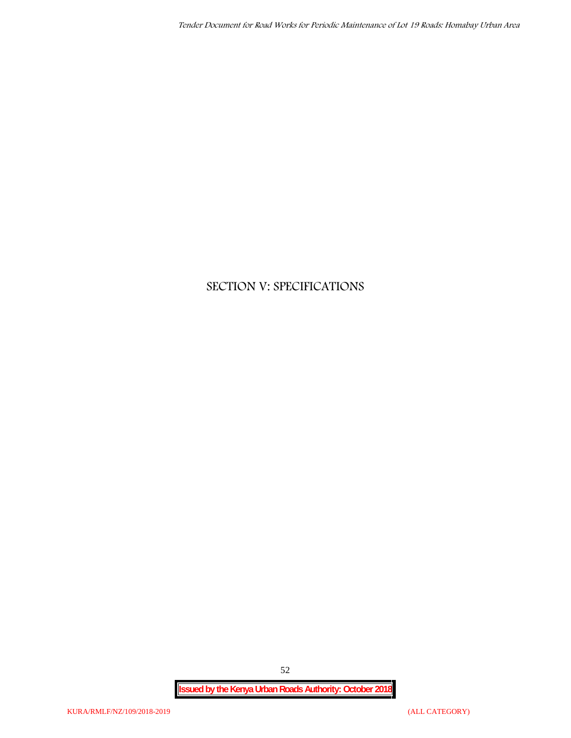# **SECTION V: SPECIFICATIONS**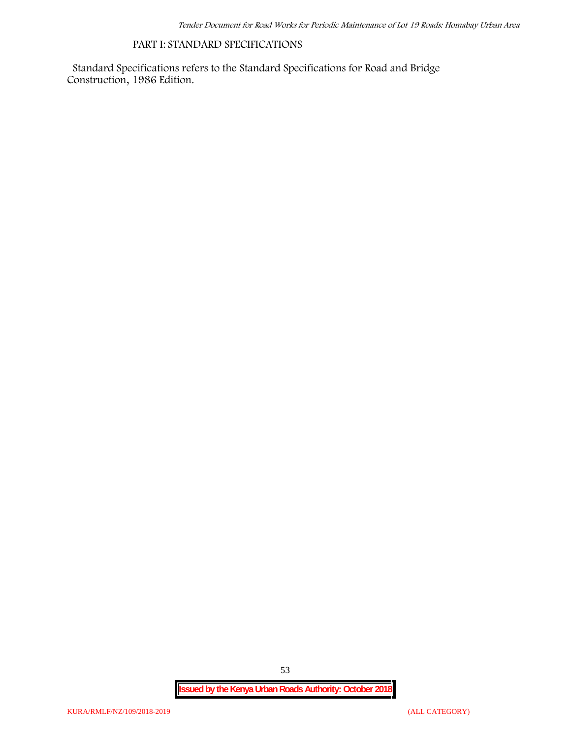**PART I: STANDARD SPECIFICATIONS**

Standard Specifications refers to the Standard Specifications for Road and Bridge Construction, 1986 Edition.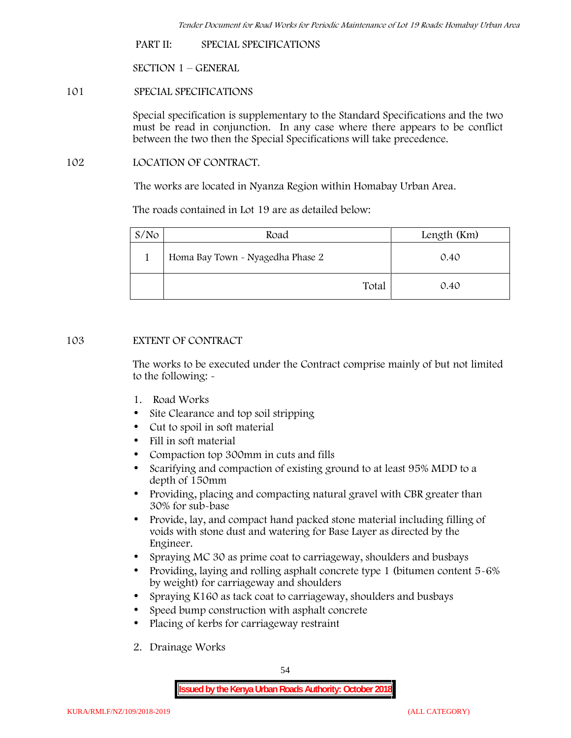**PART II: SPECIAL SPECIFICATIONS**

**SECTION 1 – GENERAL**

**101 SPECIAL SPECIFICATIONS**

Special specification is supplementary to the Standard Specifications and the two must be read in conjunction. In any case where there appears to be conflict between the two then the Special Specifications will take precedence.

**102 LOCATION OF CONTRACT.**

The works are located in Nyanza Region within Homabay Urban Area.

The roads contained in Lot 19 are as detailed below:

| S/N <sub>O</sub> | Road                             | Length (Km) |
|------------------|----------------------------------|-------------|
|                  | Homa Bay Town - Nyagedha Phase 2 | 0.40        |
|                  | Total                            | 0.40        |

# **103 EXTENT OF CONTRACT**

The works to be executed under the Contract comprise mainly of but not limited to the following: -

- **1. Road Works**
- Site Clearance and top soil stripping
- Cut to spoil in soft material
- Fill in soft material
- Compaction top 300mm in cuts and fills
- Scarifying and compaction of existing ground to at least 95% MDD to a depth of 150mm
- Providing, placing and compacting natural gravel with CBR greater than 30% for sub-base
- Provide, lay, and compact hand packed stone material including filling of voids with stone dust and watering for Base Layer as directed by the Engineer.
- Spraying MC 30 as prime coat to carriageway, shoulders and busbays
- Providing, laying and rolling asphalt concrete type 1 (bitumen content 5-6%) by weight) for carriageway and shoulders
- Spraying K160 as tack coat to carriageway, shoulders and busbays
- Speed bump construction with asphalt concrete
- Placing of kerbs for carriageway restraint
- **2. Drainage Works**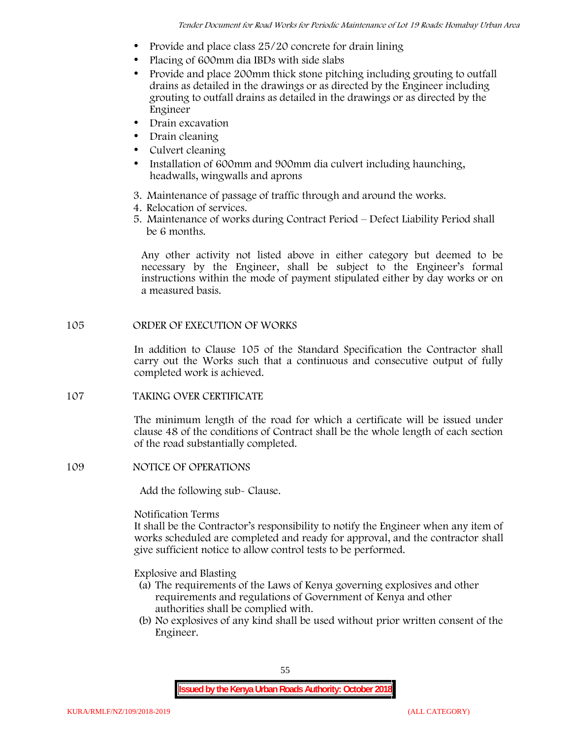- Provide and place class 25/20 concrete for drain lining
- Placing of 600mm dia IBDs with side slabs
- Provide and place 200mm thick stone pitching including grouting to outfall drains as detailed in the drawings or as directed by the Engineer including grouting to outfall drains as detailed in the drawings or as directed by the Engineer
- Drain excavation
- Drain cleaning
- Culvert cleaning
- Installation of 600mm and 900mm dia culvert including haunching, headwalls, wingwalls and aprons
- **3. Maintenance of passage of traffic through and around the works.**
- **4. Relocation of services.**
- **5. Maintenance of works during Contract Period – Defect Liability Period shall be 6 months.**

Any other activity not listed above in either category but deemed to be necessary by the Engineer, shall be subject to the Engineer's formal instructions within the mode of payment stipulated either by day works or on a measured basis.

**105 ORDER OF EXECUTION OF WORKS**

In addition to Clause 105 of the Standard Specification the Contractor shall carry out the Works such that a continuous and consecutive output of fully completed work is achieved.

**107 TAKING OVER CERTIFICATE**

The minimum length of the road for which a certificate will be issued under clause 48 of the conditions of Contract shall be the whole length of each section of the road substantially completed.

**109 NOTICE OF OPERATIONS**

Add the following sub- Clause.

# Notification Terms

It shall be the Contractor's responsibility to notify the Engineer when any item of works scheduled are completed and ready for approval, and the contractor shall give sufficient notice to allow control tests to be performed.

Explosive and Blasting

- (a) The requirements of the Laws of Kenya governing explosives and other requirements and regulations of Government of Kenya and other authorities shall be complied with.
- (b) No explosives of any kind shall be used without prior written consent of the Engineer.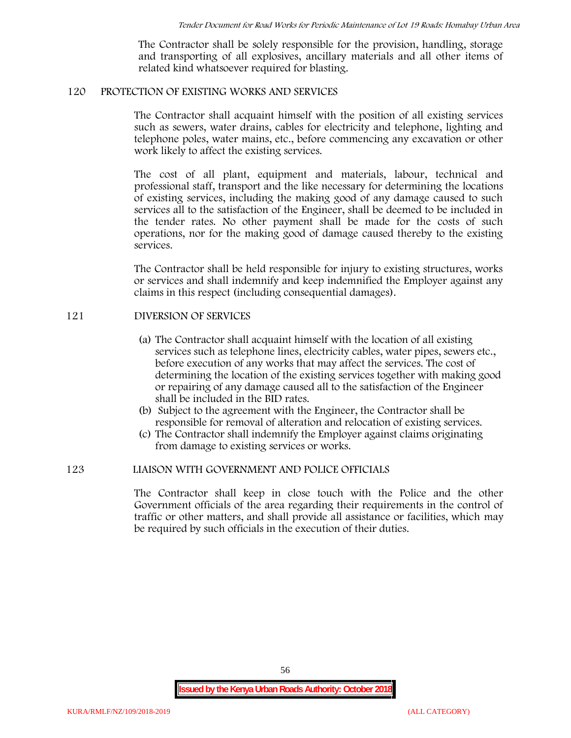The Contractor shall be solely responsible for the provision, handling, storage and transporting of all explosives, ancillary materials and all other items of related kind whatsoever required for blasting.

# **120 PROTECTION OF EXISTING WORKS AND SERVICES**

The Contractor shall acquaint himself with the position of all existing services such as sewers, water drains, cables for electricity and telephone, lighting and telephone poles, water mains, etc., before commencing any excavation or other work likely to affect the existing services.

The cost of all plant, equipment and materials, labour, technical and professional staff, transport and the like necessary for determining the locations of existing services, including the making good of any damage caused to such services all to the satisfaction of the Engineer, shall be deemed to be included in the tender rates. No other payment shall be made for the costs of such operations, nor for the making good of damage caused thereby to the existing services.

The Contractor shall be held responsible for injury to existing structures, works or services and shall indemnify and keep indemnified the Employer against any claims in this respect (including consequential damages).

### **121 DIVERSION OF SERVICES**

- (a) The Contractor shall acquaint himself with the location of all existing services such as telephone lines, electricity cables, water pipes, sewers etc., before execution of any works that may affect the services. The cost of determining the location of the existing services together with making good or repairing of any damage caused all to the satisfaction of the Engineer shall be included in the BID rates.
- (b) Subject to the agreement with the Engineer, the Contractor shall be responsible for removal of alteration and relocation of existing services.
- (c) The Contractor shall indemnify the Employer against claims originating from damage to existing services or works.

### **123 LIAISON WITH GOVERNMENT AND POLICE OFFICIALS**

The Contractor shall keep in close touch with the Police and the other Government officials of the area regarding their requirements in the control of traffic or other matters, and shall provide all assistance or facilities, which may be required by such officials in the execution of their duties.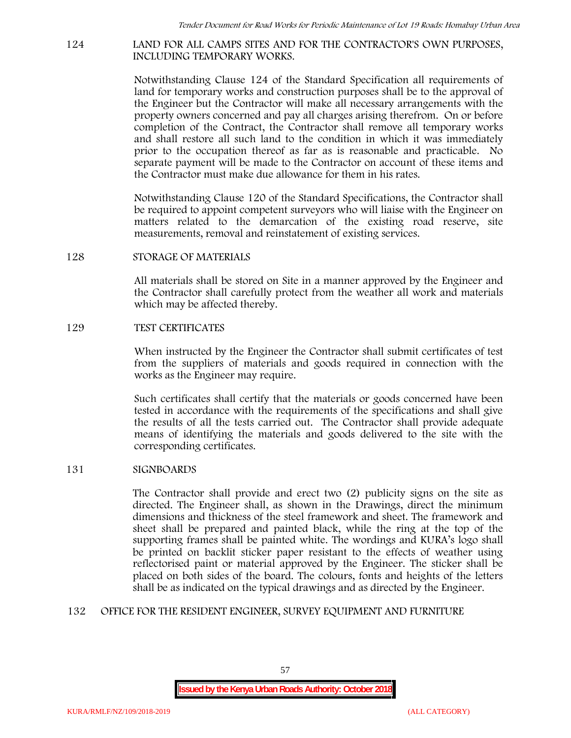### **124 LAND FOR ALL CAMPS SITES AND FOR THE CONTRACTOR'S OWN PURPOSES, INCLUDING TEMPORARY WORKS.**

Notwithstanding Clause 124 of the Standard Specification all requirements of land for temporary works and construction purposes shall be to the approval of the Engineer but the Contractor will make all necessary arrangements with the property owners concerned and pay all charges arising therefrom. On or before completion of the Contract, the Contractor shall remove all temporary works and shall restore all such land to the condition in which it was immediately prior to the occupation thereof as far as is reasonable and practicable. No separate payment will be made to the Contractor on account of these items and the Contractor must make due allowance for them in his rates.

Notwithstanding Clause 120 of the Standard Specifications, the Contractor shall be required to appoint competent surveyors who will liaise with the Engineer on matters related to the demarcation of the existing road reserve, site measurements, removal and reinstatement of existing services.

# **128 STORAGE OF MATERIALS**

All materials shall be stored on Site in a manner approved by the Engineer and the Contractor shall carefully protect from the weather all work and materials which may be affected thereby.

### **129 TEST CERTIFICATES**

When instructed by the Engineer the Contractor shall submit certificates of test from the suppliers of materials and goods required in connection with the works as the Engineer may require.

Such certificates shall certify that the materials or goods concerned have been tested in accordance with the requirements of the specifications and shall give the results of all the tests carried out. The Contractor shall provide adequate means of identifying the materials and goods delivered to the site with the corresponding certificates.

# **131 SIGNBOARDS**

The Contractor shall provide and erect two (2) publicity signs on the site as directed. The Engineer shall, as shown in the Drawings, direct the minimum dimensions and thickness of the steel framework and sheet. The framework and sheet shall be prepared and painted black, while the ring at the top of the supporting frames shall be painted white. The wordings and KURA's logo shall be printed on backlit sticker paper resistant to the effects of weather using reflectorised paint or material approved by the Engineer. The sticker shall be placed on both sides of the board. The colours, fonts and heights of the letters shall be as indicated on the typical drawings and as directed by the Engineer.

# **132 OFFICE FOR THE RESIDENT ENGINEER, SURVEY EQUIPMENT AND FURNITURE**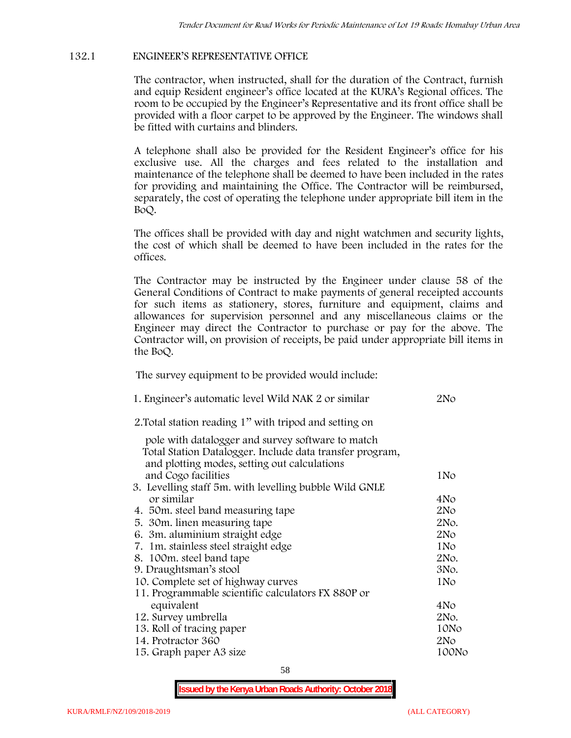# **132.1 ENGINEER'S REPRESENTATIVE OFFICE**

The contractor, when instructed, shall for the duration of the Contract, furnish and equip Resident engineer's office located at the KURA's Regional offices. The room to be occupied by the Engineer's Representative and its front office shall be provided with a floor carpet to be approved by the Engineer. The windows shall be fitted with curtains and blinders.

A telephone shall also be provided for the Resident Engineer's office for his exclusive use. All the charges and fees related to the installation and maintenance of the telephone shall be deemed to have been included in the rates for providing and maintaining the Office. The Contractor will be reimbursed, separately, the cost of operating the telephone under appropriate bill item in the BoQ.

The offices shall be provided with day and night watchmen and security lights, the cost of which shall be deemed to have been included in the rates for the offices.

The Contractor may be instructed by the Engineer under clause 58 of the General Conditions of Contract to make payments of general receipted accounts for such items as stationery, stores, furniture and equipment, claims and allowances for supervision personnel and any miscellaneous claims or the Engineer may direct the Contractor to purchase or pay for the above. The Contractor will, on provision of receipts, be paid under appropriate bill items in the BoQ.

**The survey equipment to be provided would include:**

| 1. Engineer's automatic level Wild NAK 2 or similar                 | 2N <sub>O</sub> |
|---------------------------------------------------------------------|-----------------|
| 2. Total station reading 1" with tripod and setting on              |                 |
| pole with datalogger and survey software to match                   |                 |
| Total Station Datalogger. Include data transfer program,            |                 |
| and plotting modes, setting out calculations<br>and Cogo facilities | 1No             |
| 3. Levelling staff 5m. with levelling bubble Wild GNLE              |                 |
| or similar                                                          | 4No             |
| 4. 50 m. steel band measuring tape                                  | 2N <sub>o</sub> |
| 5. 30 m. linen measuring tape                                       | 2No.            |
| 6. 3m. aluminium straight edge                                      | 2N <sub>O</sub> |
| 7. 1m. stainless steel straight edge                                | 1N <sub>o</sub> |
| 8. 100m. steel band tape                                            | 2No.            |
| 9. Draughtsman's stool                                              | 3No.            |
| 10. Complete set of highway curves                                  | 1No             |
| 11. Programmable scientific calculators FX 880P or                  |                 |
| equivalent                                                          | 4No             |
| 12. Survey umbrella                                                 | 2No.            |
| 13. Roll of tracing paper                                           | 10No            |
| 14. Protractor 360                                                  | 2N <sub>o</sub> |
| 15. Graph paper A3 size                                             | 100No           |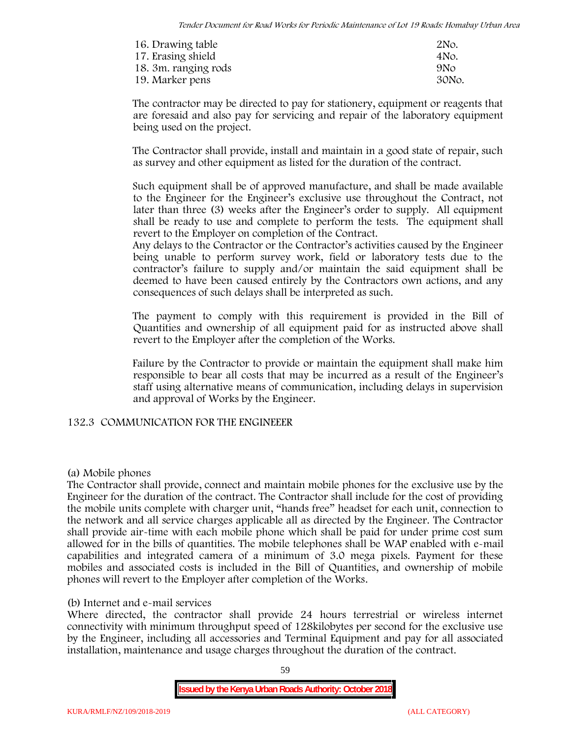| 16. Drawing table    | 2No.            |
|----------------------|-----------------|
| 17. Erasing shield   | 4No.            |
| 18. 3m. ranging rods | 9N <sub>O</sub> |
| 19. Marker pens      | 30No.           |

The contractor may be directed to pay for stationery, equipment or reagents that are foresaid and also pay for servicing and repair of the laboratory equipment being used on the project.

The Contractor shall provide, install and maintain in a good state of repair, such as survey and other equipment as listed for the duration of the contract.

Such equipment shall be of approved manufacture, and shall be made available to the Engineer for the Engineer's exclusive use throughout the Contract, not later than three (3) weeks after the Engineer's order to supply. All equipment shall be ready to use and complete to perform the tests. The equipment shall revert to the Employer on completion of the Contract.

Any delays to the Contractor or the Contractor's activities caused by the Engineer being unable to perform survey work, field or laboratory tests due to the contractor's failure to supply and/or maintain the said equipment shall be deemed to have been caused entirely by the Contractors own actions, and any consequences of such delays shall be interpreted as such.

The payment to comply with this requirement is provided in the Bill of Quantities and ownership of all equipment paid for as instructed above shall revert to the Employer after the completion of the Works.

Failure by the Contractor to provide or maintain the equipment shall make him responsible to bear all costs that may be incurred as a result of the Engineer's staff using alternative means of communication, including delays in supervision and approval of Works by the Engineer.

# **132.3 COMMUNICATION FOR THE ENGINEEER**

# **(a) Mobile phones**

The Contractor shall provide, connect and maintain mobile phones for the exclusive use by the Engineer for the duration of the contract. The Contractor shall include for the cost of providing the mobile units complete with charger unit, "hands free" headset for each unit, connection to the network and all service charges applicable all as directed by the Engineer. The Contractor shall provide air-time with each mobile phone which shall be paid for under prime cost sum allowed for in the bills of quantities. The mobile telephones shall be WAP enabled with e-mail capabilities and integrated camera of a minimum of 3.0 mega pixels. Payment for these mobiles and associated costs is included in the Bill of Quantities, and ownership of mobile phones will revert to the Employer after completion of the Works.

# **(b) Internet and e-mail services**

Where directed, the contractor shall provide 24 hours terrestrial or wireless internet connectivity with minimum throughput speed of 128kilobytes per second for the exclusive use by the Engineer, including all accessories and Terminal Equipment and pay for all associated installation, maintenance and usage charges throughout the duration of the contract.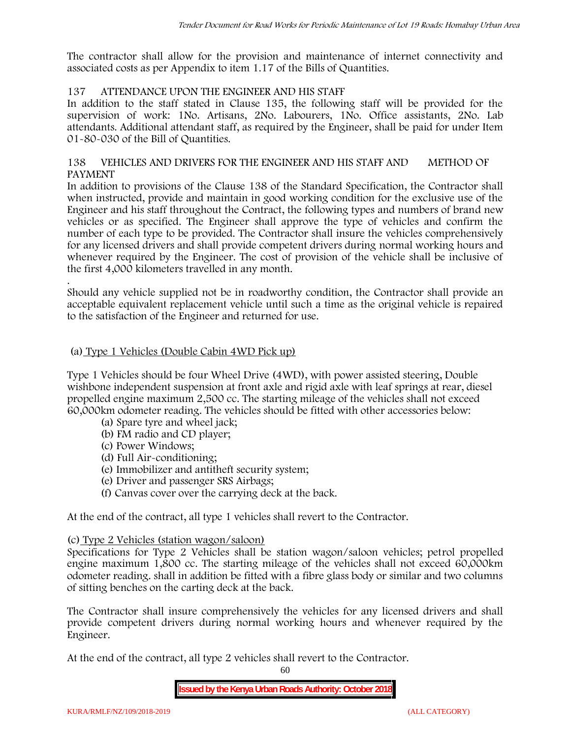The contractor shall allow for the provision and maintenance of internet connectivity and associated costs as per Appendix to item 1.17 of the Bills of Quantities.

# **137 ATTENDANCE UPON THE ENGINEER AND HIS STAFF**

In addition to the staff stated in Clause 135, the following staff will be provided for the supervision of work: 1No. Artisans, 2No. Labourers, 1No. Office assistants, 2No. Lab attendants. Additional attendant staff, as required by the Engineer, shall be paid for under Item 01-80-030 of the Bill of Quantities.

# **138 VEHICLES AND DRIVERS FOR THE ENGINEER AND HIS STAFF AND METHOD OF PAYMENT**

In addition to provisions of the Clause 138 of the Standard Specification, the Contractor shall when instructed, provide and maintain in good working condition for the exclusive use of the Engineer and his staff throughout the Contract, the following types and numbers of brand new vehicles or as specified. The Engineer shall approve the type of vehicles and confirm the number of each type to be provided. The Contractor shall insure the vehicles comprehensively for any licensed drivers and shall provide competent drivers during normal working hours and whenever required by the Engineer. The cost of provision of the vehicle shall be inclusive of the first 4,000 kilometers travelled in any month.

.Should any vehicle supplied not be in roadworthy condition, the Contractor shall provide an acceptable equivalent replacement vehicle until such a time as the original vehicle is repaired to the satisfaction of the Engineer and returned for use.

# **(a) Type 1 Vehicles (Double Cabin 4WD Pick up)**

Type 1 Vehicles should be four Wheel Drive (4WD), with power assisted steering, Double wishbone independent suspension at front axle and rigid axle with leaf springs at rear, diesel propelled engine maximum 2,500 cc. The starting mileage of the vehicles shall not exceed 60,000km odometer reading. The vehicles should be fitted with other accessories below:

- (a) Spare tyre and wheel jack;
- (b) FM radio and CD player;
- (c) Power Windows;
- (d) Full Air-conditioning;
- (e) Immobilizer and antitheft security system;
- (e) Driver and passenger SRS Airbags;
- (f) Canvas cover over the carrying deck at the back.

At the end of the contract, all type 1 vehicles shall revert to the Contractor.

# **(c) Type 2 Vehicles (station wagon/saloon)**

Specifications for Type 2 Vehicles shall be station wagon/saloon vehicles; petrol propelled engine maximum 1,800 cc. The starting mileage of the vehicles shall not exceed 60,000km odometer reading. shall in addition be fitted with a fibre glass body or similar and two columns of sitting benches on the carting deck at the back.

The Contractor shall insure comprehensively the vehicles for any licensed drivers and shall provide competent drivers during normal working hours and whenever required by the Engineer.

At the end of the contract, all type 2 vehicles shall revert to the Contractor.

60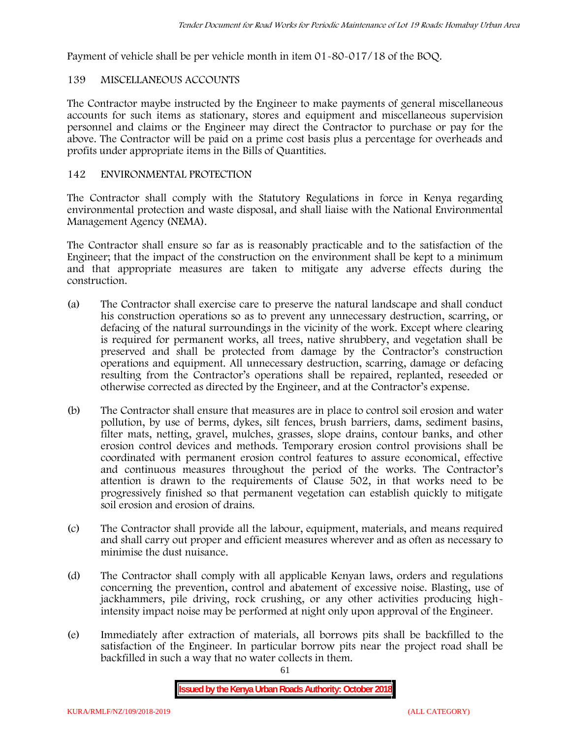Payment of vehicle shall be per vehicle month in item 01-80-017/18 of the BOQ.

# **139 MISCELLANEOUS ACCOUNTS**

The Contractor maybe instructed by the Engineer to make payments of general miscellaneous accounts for such items as stationary, stores and equipment and miscellaneous supervision personnel and claims or the Engineer may direct the Contractor to purchase or pay for the above. The Contractor will be paid on a prime cost basis plus a percentage for overheads and profits under appropriate items in the Bills of Quantities.

# **142 ENVIRONMENTAL PROTECTION**

The Contractor shall comply with the Statutory Regulations in force in Kenya regarding environmental protection and waste disposal, and shall liaise with the National Environmental Management Agency (NEMA).

The Contractor shall ensure so far as is reasonably practicable and to the satisfaction of the Engineer; that the impact of the construction on the environment shall be kept to a minimum and that appropriate measures are taken to mitigate any adverse effects during the construction.

- (a) The Contractor shall exercise care to preserve the natural landscape and shall conduct his construction operations so as to prevent any unnecessary destruction, scarring, or defacing of the natural surroundings in the vicinity of the work. Except where clearing is required for permanent works, all trees, native shrubbery, and vegetation shall be preserved and shall be protected from damage by the Contractor's construction operations and equipment. All unnecessary destruction, scarring, damage or defacing resulting from the Contractor's operations shall be repaired, replanted, reseeded or otherwise corrected as directed by the Engineer, and at the Contractor's expense.
- (b) The Contractor shall ensure that measures are in place to control soil erosion and water pollution, by use of berms, dykes, silt fences, brush barriers, dams, sediment basins, filter mats, netting, gravel, mulches, grasses, slope drains, contour banks, and other erosion control devices and methods. Temporary erosion control provisions shall be coordinated with permanent erosion control features to assure economical, effective and continuous measures throughout the period of the works. The Contractor's attention is drawn to the requirements of Clause 502, in that works need to be progressively finished so that permanent vegetation can establish quickly to mitigate soil erosion and erosion of drains.
- (c) The Contractor shall provide all the labour, equipment, materials, and means required and shall carry out proper and efficient measures wherever and as often as necessary to minimise the dust nuisance.
- (d) The Contractor shall comply with all applicable Kenyan laws, orders and regulations concerning the prevention, control and abatement of excessive noise. Blasting, use of jackhammers, pile driving, rock crushing, or any other activities producing highintensity impact noise may be performed at night only upon approval of the Engineer.
- (e) Immediately after extraction of materials, all borrows pits shall be backfilled to the satisfaction of the Engineer. In particular borrow pits near the project road shall be backfilled in such a way that no water collects in them.

61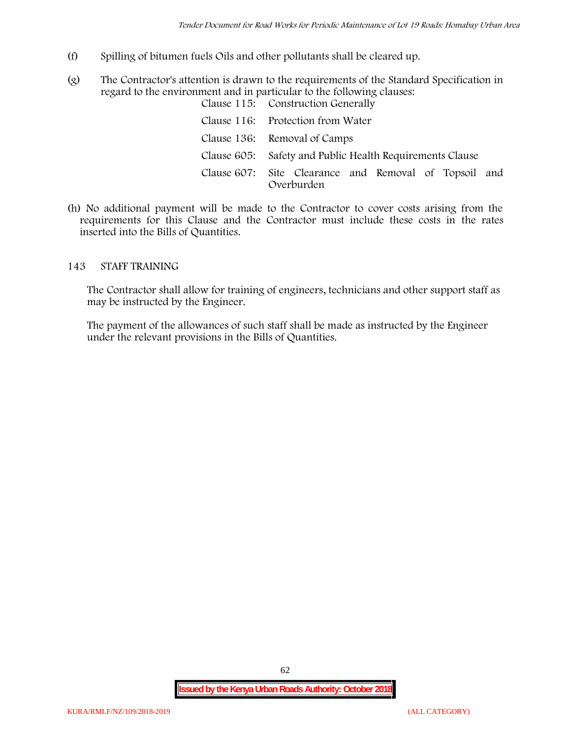- (f) Spilling of bitumen fuels Oils and other pollutants shall be cleared up.
- (g) The Contractor's attention is drawn to the requirements of the Standard Specification in regard to the environment and in particular to the following clauses: Clause 115: Construction Generally

| Clause 110. Construction denerally                                  |  |  |
|---------------------------------------------------------------------|--|--|
| Clause 116: Protection from Water                                   |  |  |
| Clause 136: Removal of Camps                                        |  |  |
| Clause 605: Safety and Public Health Requirements Clause            |  |  |
| Clause 607: Site Clearance and Removal of Topsoil and<br>Overburden |  |  |

(h) No additional payment will be made to the Contractor to cover costs arising from the requirements for this Clause and the Contractor must include these costs in the rates inserted into the Bills of Quantities.

# **143 STAFF TRAINING**

The Contractor shall allow for training of engineers, technicians and other support staff as may be instructed by the Engineer.

The payment of the allowances of such staff shall be made as instructed by the Engineer under the relevant provisions in the Bills of Quantities.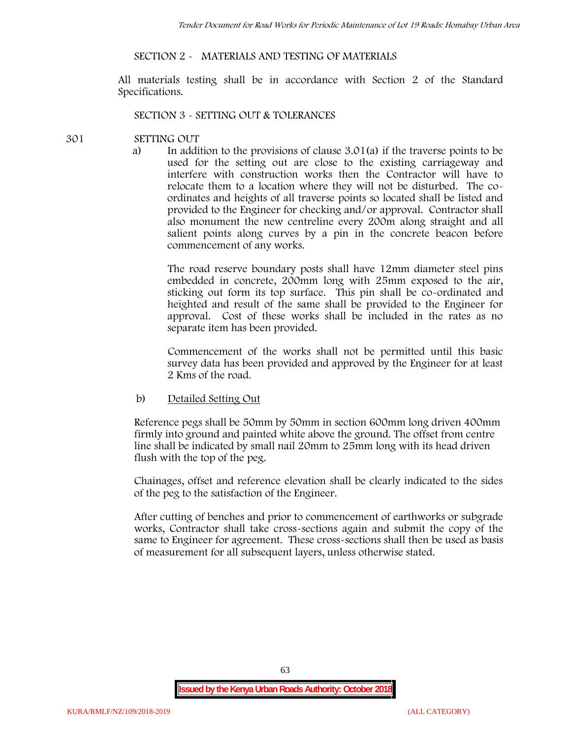# **SECTION 2 - MATERIALS AND TESTING OF MATERIALS**

All materials testing shall be in accordance with Section 2 of the Standard Specifications.

### **SECTION 3 - SETTING OUT & TOLERANCES**

### **301 SETTING OUT**

a) In addition to the provisions of clause 3.01(a) if the traverse points to be used for the setting out are close to the existing carriageway and interfere with construction works then the Contractor will have to relocate them to a location where they will not be disturbed. The co ordinates and heights of all traverse points so located shall be listed and provided to the Engineer for checking and/or approval. Contractor shall also monument the new centreline every 200m along straight and all salient points along curves by a pin in the concrete beacon before commencement of any works.

The road reserve boundary posts shall have 12mm diameter steel pins embedded in concrete, 200mm long with 25mm exposed to the air, sticking out form its top surface. This pin shall be co-ordinated and heighted and result of the same shall be provided to the Engineer for approval. Cost of these works shall be included in the rates as no separate item has been provided.

Commencement of the works shall not be permitted until this basic survey data has been provided and approved by the Engineer for at least 2 Kms of the road.

b) Detailed Setting Out

Reference pegs shall be 50mm by 50mm in section 600mm long driven 400mm firmly into ground and painted white above the ground. The offset from centre line shall be indicated by small nail 20mm to 25mm long with its head driven flush with the top of the peg.

Chainages, offset and reference elevation shall be clearly indicated to the sides of the peg to the satisfaction of the Engineer.

After cutting of benches and prior to commencement of earthworks or subgrade works, Contractor shall take cross-sections again and submit the copy of the same to Engineer for agreement. These cross-sections shall then be used as basis of measurement for all subsequent layers, unless otherwise stated.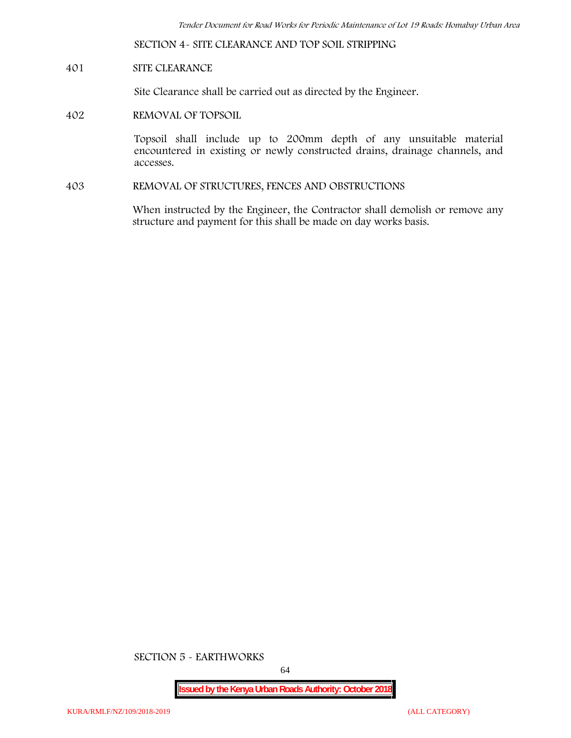**SECTION 4- SITE CLEARANCE AND TOP SOIL STRIPPING**

# **401 SITE CLEARANCE**

Site Clearance shall be carried out as directed by the Engineer.

**402 REMOVAL OF TOPSOIL**

Topsoil shall include up to 200mm depth of any unsuitable material encountered in existing or newly constructed drains, drainage channels, and accesses.

**403 REMOVAL OF STRUCTURES, FENCES AND OBSTRUCTIONS**

When instructed by the Engineer, the Contractor shall demolish or remove any structure and payment for this shall be made on day works basis.

**SECTION 5 - EARTHWORKS**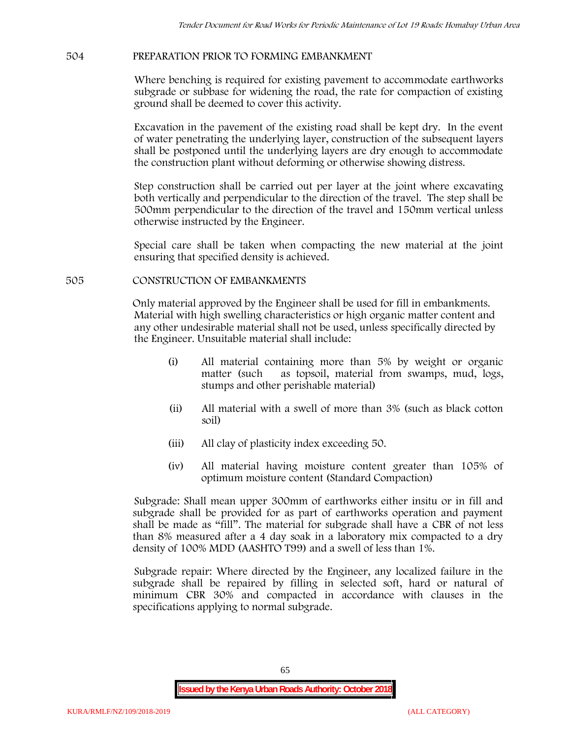# **504 PREPARATION PRIOR TO FORMING EMBANKMENT**

Where benching is required for existing pavement to accommodate earthworks subgrade or subbase for widening the road, the rate for compaction of existing ground shall be deemed to cover this activity.

Excavation in the pavement of the existing road shall be kept dry. In the event of water penetrating the underlying layer, construction of the subsequent layers shall be postponed until the underlying layers are dry enough to accommodate the construction plant without deforming or otherwise showing distress.

Step construction shall be carried out per layer at the joint where excavating both vertically and perpendicular to the direction of the travel. The step shall be 500mm perpendicular to the direction of the travel and 150mm vertical unless otherwise instructed by the Engineer.

Special care shall be taken when compacting the new material at the joint ensuring that specified density is achieved.

### **505 CONSTRUCTION OF EMBANKMENTS**

Only material approved by the Engineer shall be used for fill in embankments. Material with high swelling characteristics or high organic matter content and any other undesirable material shall not be used, unless specifically directed by the Engineer. Unsuitable material shall include:

- (i) All material containing more than 5% by weight or organic matter (such as topsoil, material from swamps, mud, logs, stumps and other perishable material)
- (ii) All material with a swell of more than 3% (such as black cotton soil)
- (iii) All clay of plasticity index exceeding 50.
- (iv) All material having moisture content greater than 105% of optimum moisture content (Standard Compaction)

Subgrade: Shall mean upper 300mm of earthworks either insitu or in fill and subgrade shall be provided for as part of earthworks operation and payment shall be made as "fill". The material for subgrade shall have a CBR of not less than 8% measured after a 4 day soak in a laboratory mix compacted to a dry density of 100% MDD (AASHTO T99) and a swell of less than 1%.

Subgrade repair: Where directed by the Engineer, any localized failure in the subgrade shall be repaired by filling in selected soft, hard or natural of minimum CBR 30% and compacted in accordance with clauses in the specifications applying to normal subgrade.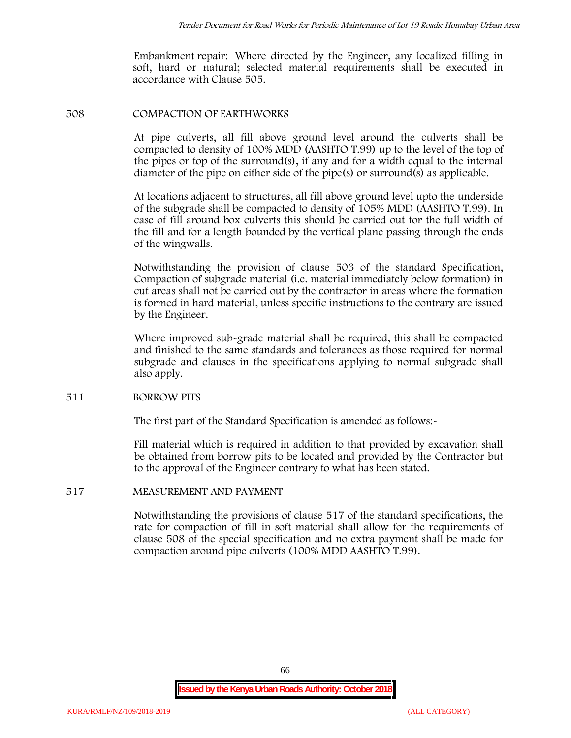Embankment repair: Where directed by the Engineer, any localized filling in soft, hard or natural; selected material requirements shall be executed in accordance with Clause 505.

# **508 COMPACTION OF EARTHWORKS**

At pipe culverts, all fill above ground level around the culverts shall be compacted to density of 100% MDD (AASHTO T.99) up to the level of the top of the pipes or top of the surround(s), if any and for a width equal to the internal diameter of the pipe on either side of the pipe(s) or surround(s) as applicable.

At locations adjacent to structures, all fill above ground level upto the underside of the subgrade shall be compacted to density of 105% MDD (AASHTO T.99). In case of fill around box culverts this should be carried out for the full width of the fill and for a length bounded by the vertical plane passing through the ends of the wingwalls.

Notwithstanding the provision of clause 503 of the standard Specification, Compaction of subgrade material (i.e. material immediately below formation) in cut areas shall not be carried out by the contractor in areas where the formation is formed in hard material, unless specific instructions to the contrary are issued by the Engineer.

Where improved sub-grade material shall be required, this shall be compacted and finished to the same standards and tolerances as those required for normal subgrade and clauses in the specifications applying to normal subgrade shall also apply.

# **511 BORROW PITS**

The first part of the Standard Specification is amended as follows:

Fill material which is required in addition to that provided by excavation shall be obtained from borrow pits to be located and provided by the Contractor but to the approval of the Engineer contrary to what has been stated.

# **517 MEASUREMENT AND PAYMENT**

Notwithstanding the provisions of clause 517 of the standard specifications, the rate for compaction of fill in soft material shall allow for the requirements of clause 508 of the special specification and no extra payment shall be made for compaction around pipe culverts (100% MDD AASHTO T.99).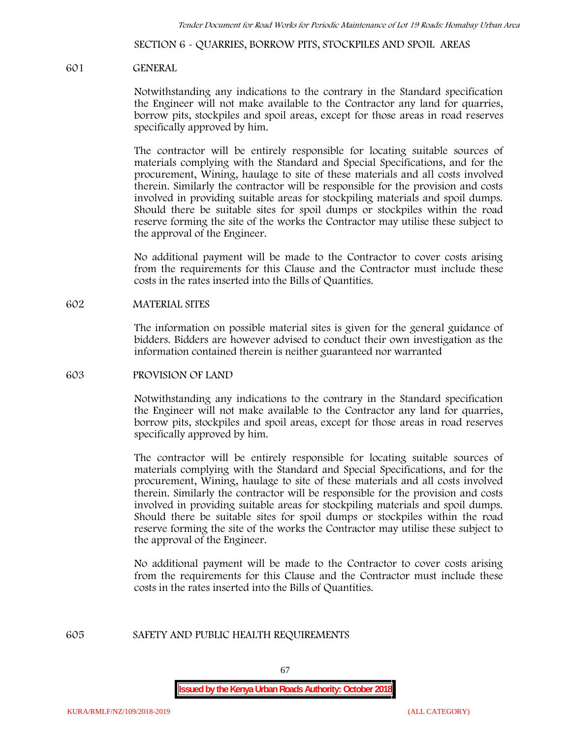**SECTION 6 - QUARRIES, BORROW PITS, STOCKPILES AND SPOIL AREAS**

#### **601 GENERAL**

Notwithstanding any indications to the contrary in the Standard specification the Engineer will not make available to the Contractor any land for quarries, borrow pits, stockpiles and spoil areas, except for those areas in road reserves specifically approved by him.

The contractor will be entirely responsible for locating suitable sources of materials complying with the Standard and Special Specifications, and for the procurement, Wining, haulage to site of these materials and all costs involved therein. Similarly the contractor will be responsible for the provision and costs involved in providing suitable areas for stockpiling materials and spoil dumps. Should there be suitable sites for spoil dumps or stockpiles within the road reserve forming the site of the works the Contractor may utilise these subject to the approval of the Engineer.

No additional payment will be made to the Contractor to cover costs arising from the requirements for this Clause and the Contractor must include these costs in the rates inserted into the Bills of Quantities.

### **602 MATERIAL SITES**

The information on possible material sites is given for the general guidance of bidders. Bidders are however advised to conduct their own investigation as the information contained therein is neither guaranteed nor warranted

#### **603 PROVISION OF LAND**

Notwithstanding any indications to the contrary in the Standard specification the Engineer will not make available to the Contractor any land for quarries, borrow pits, stockpiles and spoil areas, except for those areas in road reserves specifically approved by him.

The contractor will be entirely responsible for locating suitable sources of materials complying with the Standard and Special Specifications, and for the procurement, Wining, haulage to site of these materials and all costs involved therein. Similarly the contractor will be responsible for the provision and costs involved in providing suitable areas for stockpiling materials and spoil dumps. Should there be suitable sites for spoil dumps or stockpiles within the road reserve forming the site of the works the Contractor may utilise these subject to the approval of the Engineer.

No additional payment will be made to the Contractor to cover costs arising from the requirements for this Clause and the Contractor must include these costs in the rates inserted into the Bills of Quantities.

#### **605 SAFETY AND PUBLIC HEALTH REQUIREMENTS**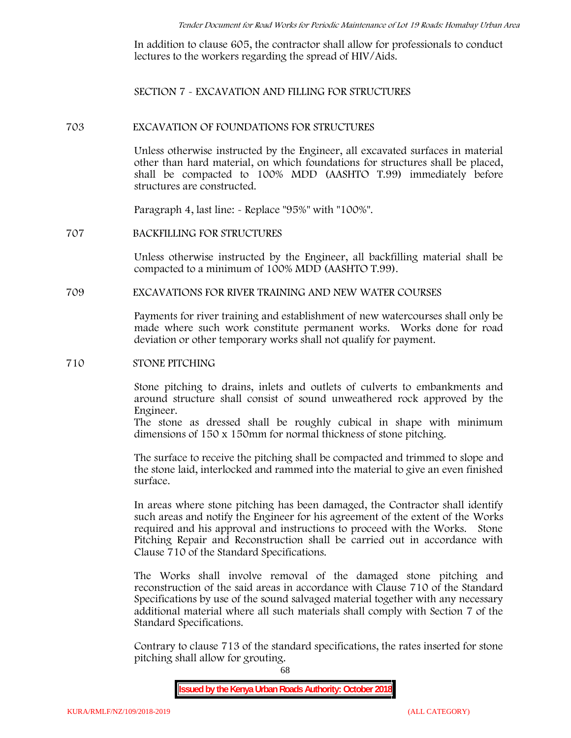In addition to clause 605, the contractor shall allow for professionals to conduct lectures to the workers regarding the spread of HIV/Aids.

**SECTION 7 - EXCAVATION AND FILLING FOR STRUCTURES**

#### **703 EXCAVATION OF FOUNDATIONS FOR STRUCTURES**

Unless otherwise instructed by the Engineer, all excavated surfaces in material other than hard material, on which foundations for structures shall be placed, shall be compacted to 100% MDD (AASHTO T.99) immediately before structures are constructed.

Paragraph 4, last line: - Replace "95%" with "100%".

### **707 BACKFILLING FOR STRUCTURES**

Unless otherwise instructed by the Engineer, all backfilling material shall be compacted to a minimum of 100% MDD (AASHTO T.99).

# **709 EXCAVATIONS FOR RIVER TRAINING AND NEW WATER COURSES**

Payments for river training and establishment of new watercourses shall only be made where such work constitute permanent works. Works done for road deviation or other temporary works shall not qualify for payment.

### **710 STONE PITCHING**

Stone pitching to drains, inlets and outlets of culverts to embankments and around structure shall consist of sound unweathered rock approved by the Engineer.

The stone as dressed shall be roughly cubical in shape with minimum dimensions of 150 x 150mm for normal thickness of stone pitching.

The surface to receive the pitching shall be compacted and trimmed to slope and the stone laid, interlocked and rammed into the material to give an even finished surface.

In areas where stone pitching has been damaged, the Contractor shall identify such areas and notify the Engineer for his agreement of the extent of the Works required and his approval and instructions to proceed with the Works. Stone Pitching Repair and Reconstruction shall be carried out in accordance with Clause 710 of the Standard Specifications.

The Works shall involve removal of the damaged stone pitching and reconstruction of the said areas in accordance with Clause 710 of the Standard Specifications by use of the sound salvaged material together with any necessary additional material where all such materials shall comply with Section 7 of the Standard Specifications.

Contrary to clause 713 of the standard specifications, the rates inserted for stone pitching shall allow for grouting.

68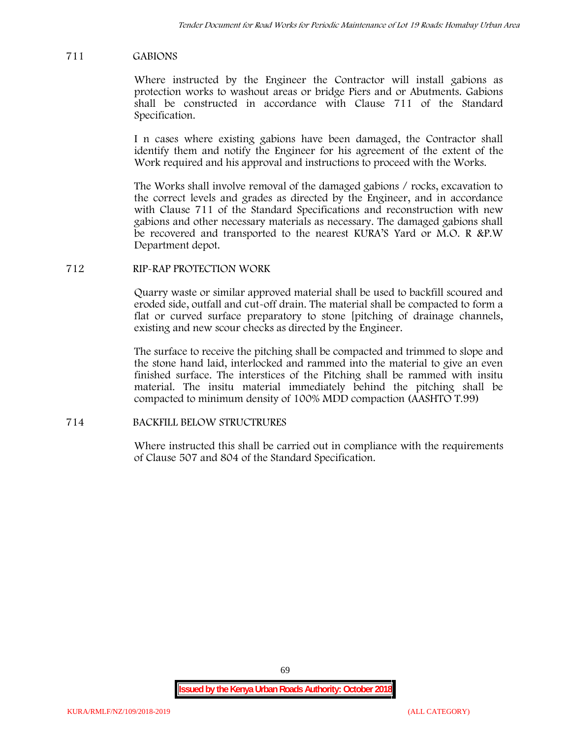# **711 GABIONS**

Where instructed by the Engineer the Contractor will install gabions as protection works to washout areas or bridge Piers and or Abutments. Gabions shall be constructed in accordance with Clause 711 of the Standard Specification.

I n cases where existing gabions have been damaged, the Contractor shall identify them and notify the Engineer for his agreement of the extent of the Work required and his approval and instructions to proceed with the Works.

The Works shall involve removal of the damaged gabions / rocks, excavation to the correct levels and grades as directed by the Engineer, and in accordance with Clause 711 of the Standard Specifications and reconstruction with new gabions and other necessary materials as necessary. The damaged gabions shall be recovered and transported to the nearest KURA'S Yard or M.O. R &P.W Department depot.

# **712 RIP-RAP PROTECTION WORK**

Quarry waste or similar approved material shall be used to backfill scoured and eroded side, outfall and cut-off drain. The material shall be compacted to form a flat or curved surface preparatory to stone [pitching of drainage channels, existing and new scour checks as directed by the Engineer.

The surface to receive the pitching shall be compacted and trimmed to slope and the stone hand laid, interlocked and rammed into the material to give an even finished surface. The interstices of the Pitching shall be rammed with insitu material. The insitu material immediately behind the pitching shall be compacted to minimum density of 100% MDD compaction (AASHTO T.99)

# **714 BACKFILL BELOW STRUCTRURES**

Where instructed this shall be carried out in compliance with the requirements of Clause 507 and 804 of the Standard Specification.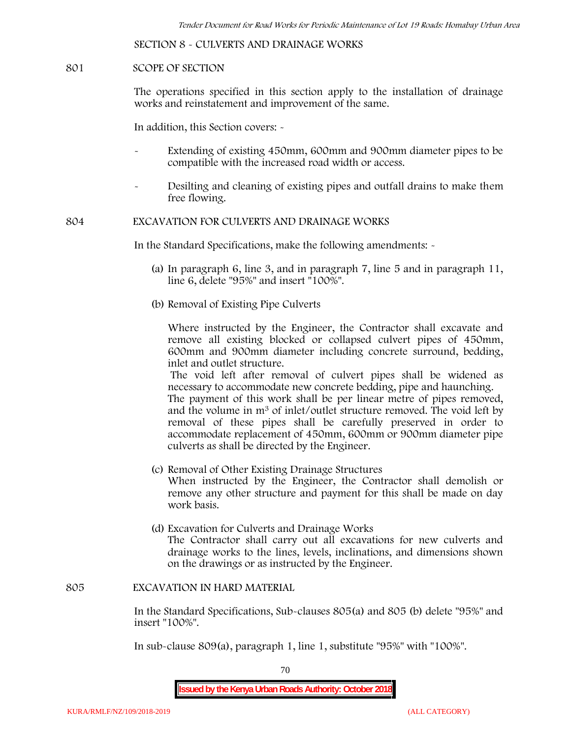**SECTION 8 - CULVERTS AND DRAINAGE WORKS**

### **801 SCOPE OF SECTION**

The operations specified in this section apply to the installation of drainage works and reinstatement and improvement of the same.

In addition, this Section covers: -

- Extending of existing 450mm, 600mm and 900mm diameter pipes to be compatible with the increased road width or access.
- Desilting and cleaning of existing pipes and outfall drains to make them free flowing.

**804 EXCAVATION FOR CULVERTS AND DRAINAGE WORKS**

In the Standard Specifications, make the following amendments: -

- (a) In paragraph 6, line 3, and in paragraph 7, line 5 and in paragraph 11, line 6, delete "95%" and insert "100%".
- (b) Removal of Existing Pipe Culverts

Where instructed by the Engineer, the Contractor shall excavate and remove all existing blocked or collapsed culvert pipes of 450mm, 600mm and 900mm diameter including concrete surround, bedding, inlet and outlet structure.

The void left after removal of culvert pipes shall be widened as necessary to accommodate new concrete bedding, pipe and haunching. The payment of this work shall be per linear metre of pipes removed, and the volume in m<sup>3</sup> of inlet/outlet structure removed. The void left by

removal of these pipes shall be carefully preserved in order to accommodate replacement of 450mm, 600mm or 900mm diameter pipe culverts as shall be directed by the Engineer.

- (c) Removal of Other Existing Drainage Structures When instructed by the Engineer, the Contractor shall demolish or remove any other structure and payment for this shall be made on day work basis.
- (d) Excavation for Culverts and Drainage Works The Contractor shall carry out all excavations for new culverts and drainage works to the lines, levels, inclinations, and dimensions shown on the drawings or as instructed by the Engineer.

#### **805 EXCAVATION IN HARD MATERIAL**

In the Standard Specifications, Sub-clauses 805(a) and 805 (b) delete "95%" and insert "100%".

In sub-clause 809(a), paragraph 1, line 1, substitute "95%" with "100%".

70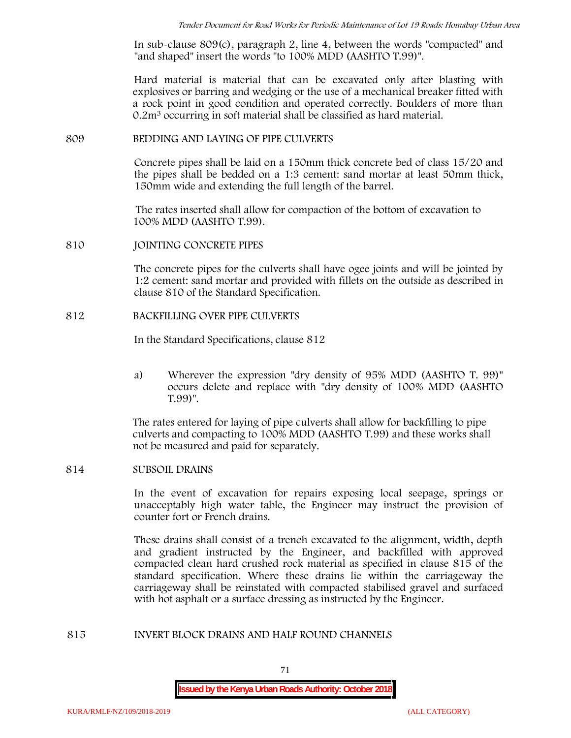In sub-clause 809(c), paragraph 2, line 4, between the words "compacted" and "and shaped" insert the words "to 100% MDD (AASHTO T.99)".

Hard material is material that can be excavated only after blasting with explosives or barring and wedging or the use of a mechanical breaker fitted with a rock point in good condition and operated correctly. Boulders of more than 0.2m<sup>3</sup> occurring in soft material shall be classified as hard material.

### **809 BEDDING AND LAYING OF PIPE CULVERTS**

Concrete pipes shall be laid on a 150mm thick concrete bed of class 15/20 and the pipes shall be bedded on a 1:3 cement: sand mortar at least 50mm thick, 150mm wide and extending the full length of the barrel.

The rates inserted shall allow for compaction of the bottom of excavation to 100% MDD (AASHTO T.99).

### **810 JOINTING CONCRETE PIPES**

The concrete pipes for the culverts shall have ogee joints and will be jointed by 1:2 cement: sand mortar and provided with fillets on the outside as described in clause 810 of the Standard Specification.

## **812 BACKFILLING OVER PIPE CULVERTS**

In the Standard Specifications, clause 812

a) Wherever the expression "dry density of 95% MDD (AASHTO T. 99)" occurs delete and replace with "dry density of 100% MDD (AASHTO T.99)".

The rates entered for laying of pipe culverts shall allow for backfilling to pipe culverts and compacting to 100% MDD (AASHTO T.99) and these works shall not be measured and paid for separately.

# **814 SUBSOIL DRAINS**

In the event of excavation for repairs exposing local seepage, springs or unacceptably high water table, the Engineer may instruct the provision of counter fort or French drains.

These drains shall consist of a trench excavated to the alignment, width, depth and gradient instructed by the Engineer, and backfilled with approved compacted clean hard crushed rock material as specified in clause 815 of the standard specification. Where these drains lie within the carriageway the carriageway shall be reinstated with compacted stabilised gravel and surfaced with hot asphalt or a surface dressing as instructed by the Engineer.

#### **815 INVERT BLOCK DRAINS AND HALF ROUND CHANNELS**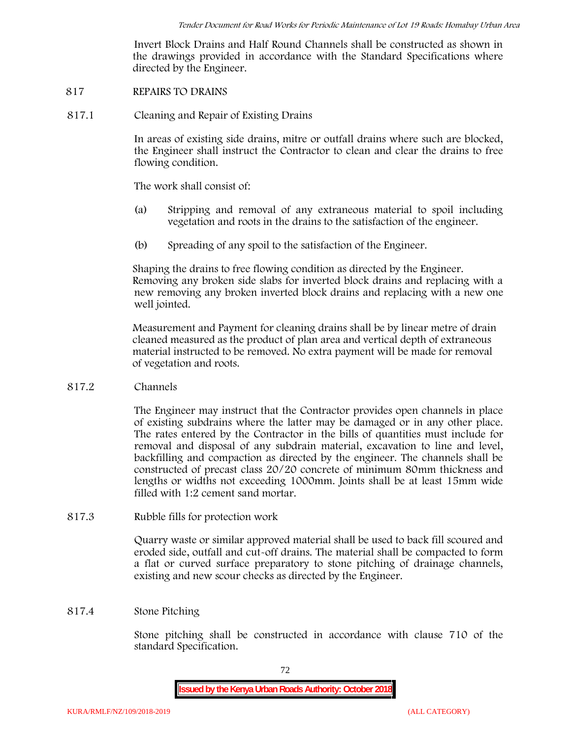Invert Block Drains and Half Round Channels shall be constructed as shown in the drawings provided in accordance with the Standard Specifications where directed by the Engineer.

#### **817 REPAIRS TO DRAINS**

**817.1 Cleaning and Repair of Existing Drains**

In areas of existing side drains, mitre or outfall drains where such are blocked, the Engineer shall instruct the Contractor to clean and clear the drains to free flowing condition.

The work shall consist of:

- (a) Stripping and removal of any extraneous material to spoil including vegetation and roots in the drains to the satisfaction of the engineer.
- (b) Spreading of any spoil to the satisfaction of the Engineer.

Shaping the drains to free flowing condition as directed by the Engineer. Removing any broken side slabs for inverted block drains and replacing with a new removing any broken inverted block drains and replacing with a new one well jointed.

Measurement and Payment for cleaning drains shall be by linear metre of drain cleaned measured as the product of plan area and vertical depth of extraneous material instructed to be removed. No extra payment will be made for removal of vegetation and roots.

**817.2 Channels**

The Engineer may instruct that the Contractor provides open channels in place of existing subdrains where the latter may be damaged or in any other place. The rates entered by the Contractor in the bills of quantities must include for removal and disposal of any subdrain material, excavation to line and level, backfilling and compaction as directed by the engineer. The channels shall be constructed of precast class 20/20 concrete of minimum 80mm thickness and lengths or widths not exceeding 1000mm. Joints shall be at least 15mm wide filled with 1:2 cement sand mortar.

**817.3 Rubble fills for protection work**

Quarry waste or similar approved material shall be used to back fill scoured and eroded side, outfall and cut-off drains. The material shall be compacted to form a flat or curved surface preparatory to stone pitching of drainage channels, existing and new scour checks as directed by the Engineer.

# **817.4 Stone Pitching**

Stone pitching shall be constructed in accordance with clause 710 of the standard Specification.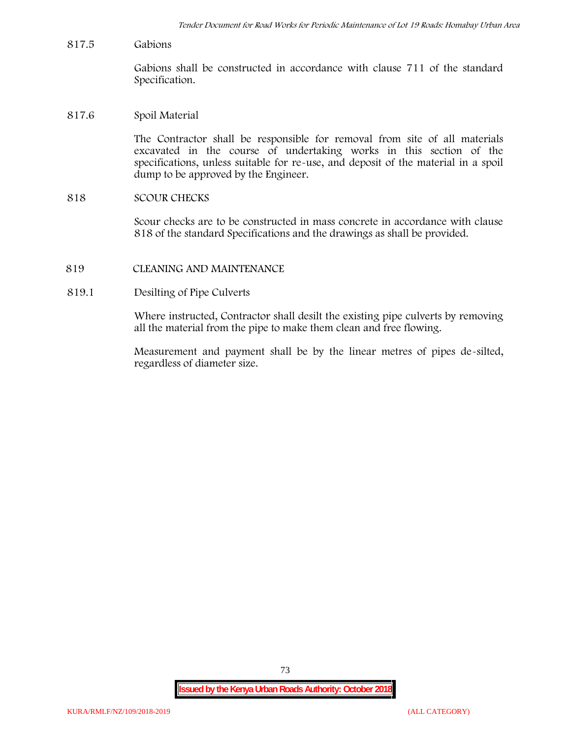**817.5 Gabions**

Gabions shall be constructed in accordance with clause 711 of the standard Specification.

**817.6 Spoil Material**

The Contractor shall be responsible for removal from site of all materials excavated in the course of undertaking works in this section of the specifications, unless suitable for re-use, and deposit of the material in a spoil dump to be approved by the Engineer.

**818 SCOUR CHECKS**

Scour checks are to be constructed in mass concrete in accordance with clause 818 of the standard Specifications and the drawings as shall be provided.

- **819 CLEANING AND MAINTENANCE**
- **819.1 Desilting of Pipe Culverts**

Where instructed, Contractor shall desilt the existing pipe culverts by removing all the material from the pipe to make them clean and free flowing.

Measurement and payment shall be by the linear metres of pipes de-silted, regardless of diameter size.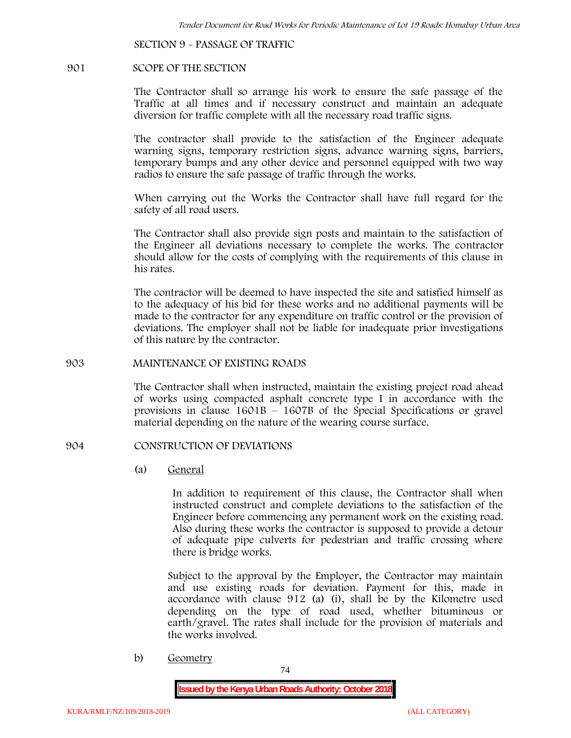**SECTION 9 - PASSAGE OF TRAFFIC**

#### **901 SCOPE OF THE SECTION**

The Contractor shall so arrange his work to ensure the safe passage of the Traffic at all times and if necessary construct and maintain an adequate diversion for traffic complete with all the necessary road traffic signs.

The contractor shall provide to the satisfaction of the Engineer adequate warning signs, temporary restriction signs, advance warning signs, barriers, temporary bumps and any other device and personnel equipped with two way radios to ensure the safe passage of traffic through the works.

When carrying out the Works the Contractor shall have full regard for the safety of all road users.

The Contractor shall also provide sign posts and maintain to the satisfaction of the Engineer all deviations necessary to complete the works. The contractor should allow for the costs of complying with the requirements of this clause in his rates.

The contractor will be deemed to have inspected the site and satisfied himself as to the adequacy of his bid for these works and no additional payments will be made to the contractor for any expenditure on traffic control or the provision of deviations. The employer shall not be liable for inadequate prior investigations of this nature by the contractor.

#### **903 MAINTENANCE OF EXISTING ROADS**

The Contractor shall when instructed, maintain the existing project road ahead of works using compacted asphalt concrete type I in accordance with the provisions in clause 1601B – 1607B of the Special Specifications or gravel material depending on the nature of the wearing course surface.

#### **904 CONSTRUCTION OF DEVIATIONS**

(a) **General**

In addition to requirement of this clause, the Contractor shall when instructed construct and complete deviations to the satisfaction of the Engineer before commencing any permanent work on the existing road. Also during these works the contractor is supposed to provide a detour of adequate pipe culverts for pedestrian and traffic crossing where there is bridge works.

Subject to the approval by the Employer, the Contractor may maintain and use existing roads for deviation. Payment for this, made in accordance with clause 912 (a) (i), shall be by the Kilometre used depending on the type of road used, whether bituminous or earth/gravel. The rates shall include for the provision of materials and the works involved.

b) **Geometry**

74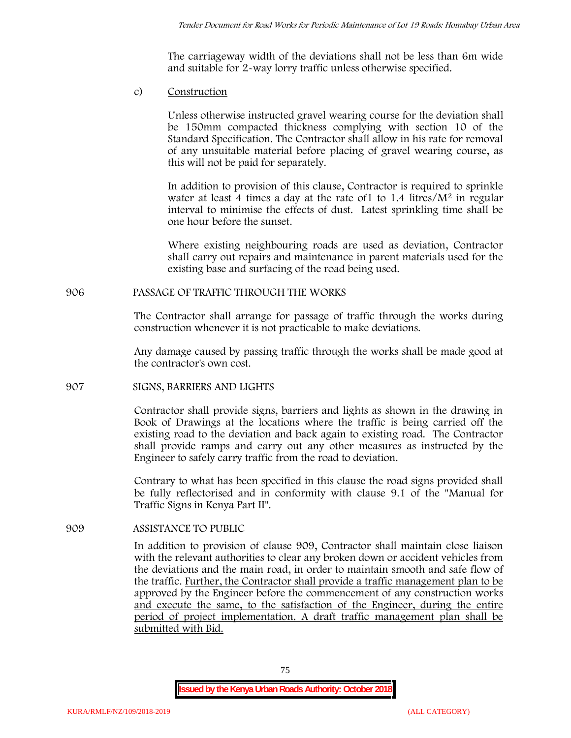The carriageway width of the deviations shall not be less than 6m wide and suitable for 2-way lorry traffic unless otherwise specified.

c) **Construction**

Unless otherwise instructed gravel wearing course for the deviation shall be 150mm compacted thickness complying with section 10 of the Standard Specification. The Contractor shall allow in his rate for removal of any unsuitable material before placing of gravel wearing course, as this will not be paid for separately.

In addition to provision of this clause, Contractor is required to sprinkle water at least 4 times a day at the rate of 1 to  $1.4$  litres/ $M<sup>2</sup>$  in regular interval to minimise the effects of dust. Latest sprinkling time shall be one hour before the sunset.

Where existing neighbouring roads are used as deviation, Contractor shall carry out repairs and maintenance in parent materials used for the existing base and surfacing of the road being used.

# **906 PASSAGE OF TRAFFIC THROUGH THE WORKS**

The Contractor shall arrange for passage of traffic through the works during construction whenever it is not practicable to make deviations.

Any damage caused by passing traffic through the works shall be made good at the contractor's own cost.

# **907 SIGNS, BARRIERS AND LIGHTS**

Contractor shall provide signs, barriers and lights as shown in the drawing in Book of Drawings at the locations where the traffic is being carried off the existing road to the deviation and back again to existing road. The Contractor shall provide ramps and carry out any other measures as instructed by the Engineer to safely carry traffic from the road to deviation.

Contrary to what has been specified in this clause the road signs provided shall be fully reflectorised and in conformity with clause 9.1 of the "Manual for Traffic Signs in Kenya Part II".

# **909 ASSISTANCE TO PUBLIC**

In addition to provision of clause 909, Contractor shall maintain close liaison with the relevant authorities to clear any broken down or accident vehicles from the deviations and the main road, in order to maintain smooth and safe flow of the traffic. Further, the Contractor shall provide a traffic management plan to be approved by the Engineer before the commencement of any construction works and execute the same, to the satisfaction of the Engineer, during the entire period of project implementation. A draft traffic management plan shall be submitted with Bid.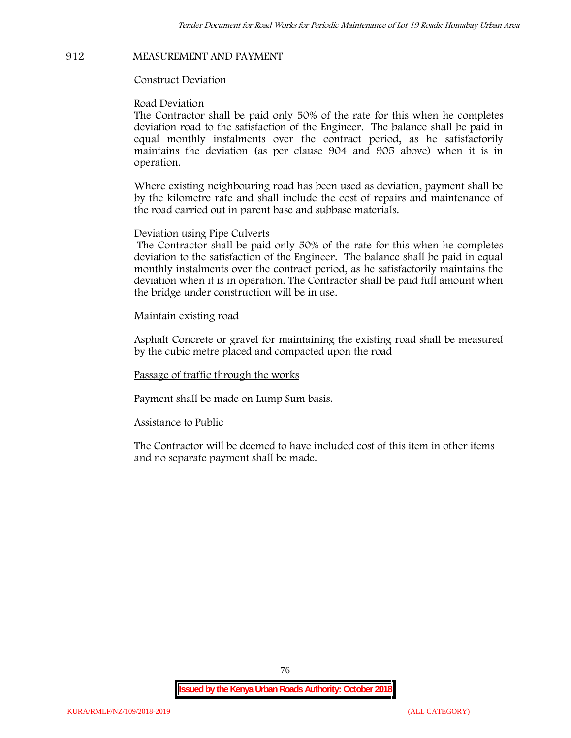# **912 MEASUREMENT AND PAYMENT**

# **Construct Deviation**

# **Road Deviation**

The Contractor shall be paid only 50% of the rate for this when he completes deviation road to the satisfaction of the Engineer. The balance shall be paid in equal monthly instalments over the contract period, as he satisfactorily maintains the deviation (as per clause 904 and 905 above) when it is in operation.

Where existing neighbouring road has been used as deviation, payment shall be by the kilometre rate and shall include the cost of repairs and maintenance of the road carried out in parent base and subbase materials.

# **Deviation using Pipe Culverts**

The Contractor shall be paid only 50% of the rate for this when he completes deviation to the satisfaction of the Engineer. The balance shall be paid in equal monthly instalments over the contract period, as he satisfactorily maintains the deviation when it is in operation. The Contractor shall be paid full amount when the bridge under construction will be in use.

# **Maintain existing road**

Asphalt Concrete or gravel for maintaining the existing road shall be measured by the cubic metre placed and compacted upon the road

**Passage of traffic through the works**

Payment shall be made on Lump Sum basis.

# **Assistance to Public**

The Contractor will be deemed to have included cost of this item in other items and no separate payment shall be made.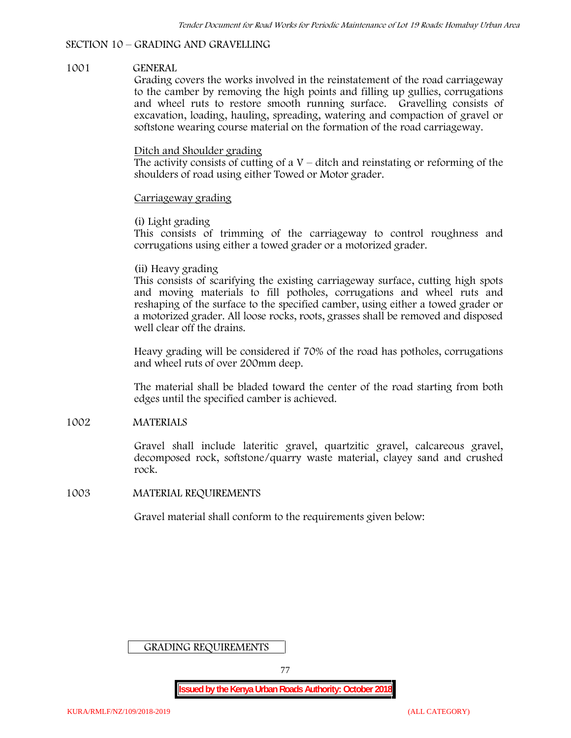#### **SECTION 10 – GRADING AND GRAVELLING**

# **1001 GENERAL**

Grading covers the works involved in the reinstatement of the road carriageway to the camber by removing the high points and filling up gullies, corrugations and wheel ruts to restore smooth running surface. Gravelling consists of excavation, loading, hauling, spreading, watering and compaction of gravel or softstone wearing course material on the formation of the road carriageway.

#### Ditch and Shoulder grading

The activity consists of cutting of a  $V$  – ditch and reinstating or reforming of the shoulders of road using either Towed or Motor grader.

#### Carriageway grading

#### **(i) Light grading**

This consists of trimming of the carriageway to control roughness and corrugations using either a towed grader or a motorized grader.

#### **(ii) Heavy grading**

This consists of scarifying the existing carriageway surface, cutting high spots and moving materials to fill potholes, corrugations and wheel ruts and reshaping of the surface to the specified camber, using either a towed grader or a motorized grader. All loose rocks, roots, grasses shall be removed and disposed well clear off the drains.

Heavy grading will be considered if 70% of the road has potholes, corrugations and wheel ruts of over 200mm deep.

The material shall be bladed toward the center of the road starting from both edges until the specified camber is achieved.

#### **1002 MATERIALS**

Gravel shall include lateritic gravel, quartzitic gravel, calcareous gravel, decomposed rock, softstone/quarry waste material, clayey sand and crushed rock.

#### **1003 MATERIAL REQUIREMENTS**

Gravel material shall conform to the requirements given below:

GRADING REQUIREMENTS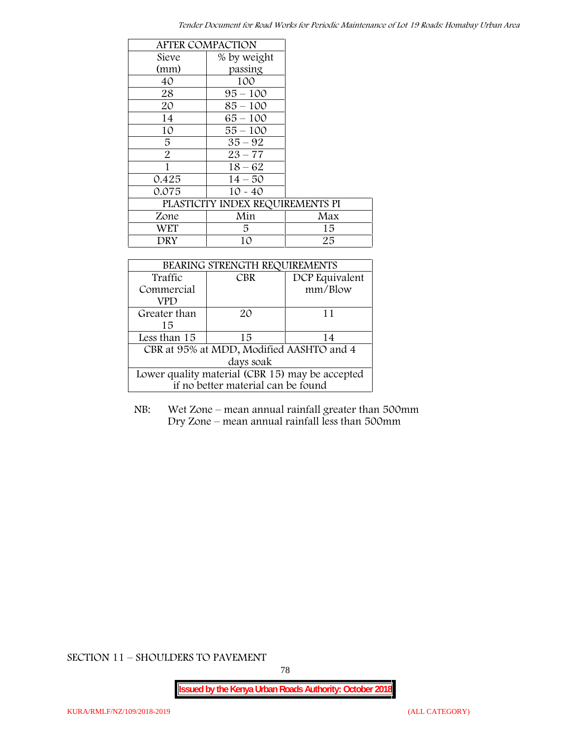|                | <b>AFTER COMPACTION</b>          |     |
|----------------|----------------------------------|-----|
| Sieve          | % by weight                      |     |
| (mm)           | passing                          |     |
| 40             | 100                              |     |
| 28             | $95 - 100$                       |     |
| 20             | $85 - 100$                       |     |
| 14             | $65 - 100$                       |     |
| 10             | $55 - 100$                       |     |
| 5              | $35 - 92$                        |     |
| $\overline{2}$ | $23 - 77$                        |     |
| 1              | $18 - 62$                        |     |
| 0.425          | $14 - 50$                        |     |
| 0.075          | $10 - 40$                        |     |
|                | PLASTICITY INDEX REQUIREMENTS PI |     |
| Zone           | Min                              | Max |
| <b>WET</b>     | 5.                               | 15  |
| DRY            | 10                               | 25  |

| BEARING STRENGTH REQUIREMENTS                   |            |                |  |  |
|-------------------------------------------------|------------|----------------|--|--|
| Traffic                                         | <b>CBR</b> | DCP Equivalent |  |  |
| Commercial                                      |            | mm/Blow        |  |  |
| VPD                                             |            |                |  |  |
| Greater than                                    | $2\Omega$  | 11             |  |  |
| 15                                              |            |                |  |  |
| Less than 15                                    | 15         | 14             |  |  |
| CBR at 95% at MDD, Modified AASHTO and 4        |            |                |  |  |
| days soak                                       |            |                |  |  |
| Lower quality material (CBR 15) may be accepted |            |                |  |  |
| if no better material can be found              |            |                |  |  |

NB: Wet Zone – mean annual rainfall greater than 500mm Dry Zone – mean annual rainfall less than 500mm

**SECTION 11 – SHOULDERS TO PAVEMENT**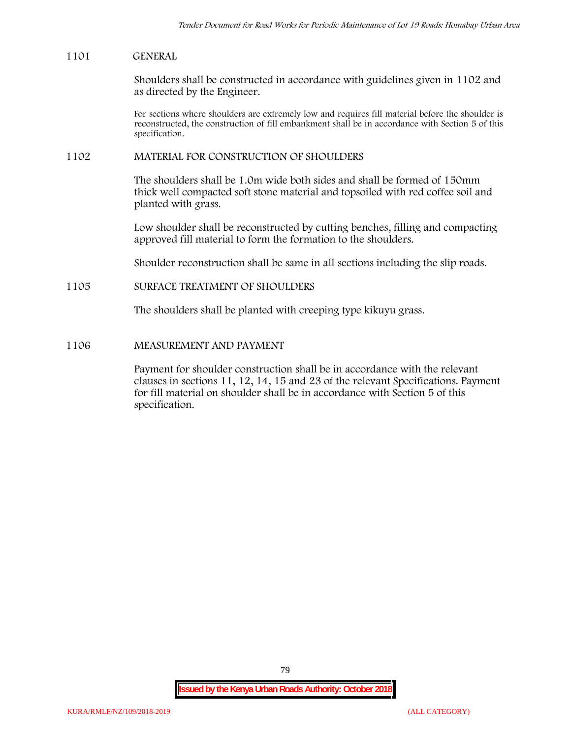#### **1101 GENERAL**

Shoulders shall be constructed in accordance with guidelines given in 1102 and as directed by the Engineer.

For sections where shoulders are extremely low and requires fill material before the shoulder is reconstructed, the construction of fill embankment shall be in accordance with Section 5 of this specification.

#### **1102 MATERIAL FOR CONSTRUCTION OF SHOULDERS**

The shoulders shall be 1.0m wide both sides and shall be formed of 150mm thick well compacted soft stone material and topsoiled with red coffee soil and planted with grass.

Low shoulder shall be reconstructed by cutting benches, filling and compacting approved fill material to form the formation to the shoulders.

Shoulder reconstruction shall be same in all sections including the slip roads.

# **1105 SURFACE TREATMENT OF SHOULDERS**

The shoulders shall be planted with creeping type kikuyu grass.

#### **1106 MEASUREMENT AND PAYMENT**

Payment for shoulder construction shall be in accordance with the relevant clauses in sections 11, 12, 14, 15 and 23 of the relevant Specifications. Payment for fill material on shoulder shall be in accordance with Section 5 of this specification.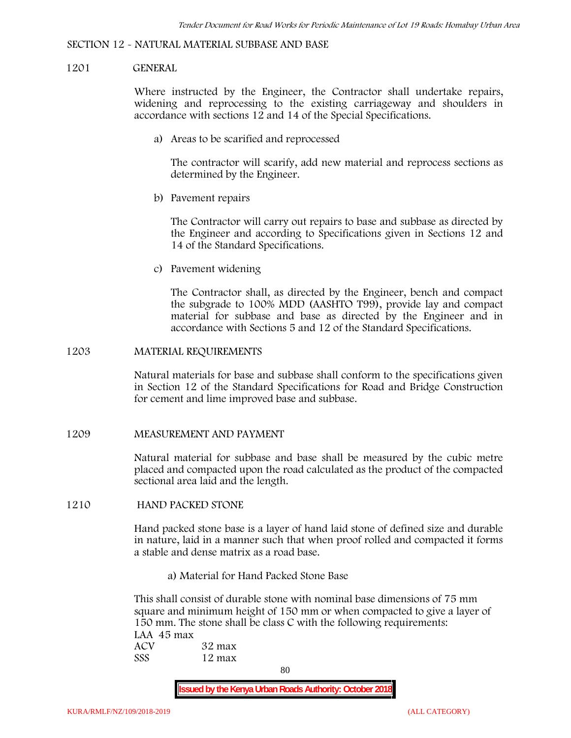#### **SECTION 12 - NATURAL MATERIAL SUBBASE AND BASE**

#### **1201 GENERAL**

Where instructed by the Engineer, the Contractor shall undertake repairs, widening and reprocessing to the existing carriageway and shoulders in accordance with sections 12 and 14 of the Special Specifications.

**a) Areas to be scarified and reprocessed**

The contractor will scarify, add new material and reprocess sections as determined by the Engineer.

**b) Pavement repairs**

The Contractor will carry out repairs to base and subbase as directed by the Engineer and according to Specifications given in Sections 12 and 14 of the Standard Specifications.

**c) Pavement widening**

The Contractor shall, as directed by the Engineer, bench and compact the subgrade to 100% MDD (AASHTO T99), provide lay and compact material for subbase and base as directed by the Engineer and in accordance with Sections 5 and 12 of the Standard Specifications.

#### **1203 MATERIAL REQUIREMENTS**

Natural materials for base and subbase shall conform to the specifications given in Section 12 of the Standard Specifications for Road and Bridge Construction for cement and lime improved base and subbase.

**1209 MEASUREMENT AND PAYMENT**

Natural material for subbase and base shall be measured by the cubic metre placed and compacted upon the road calculated as the product of the compacted sectional area laid and the length.

**1210 HAND PACKED STONE**

Hand packed stone base is a layer of hand laid stone of defined size and durable in nature, laid in a manner such that when proof rolled and compacted it forms a stable and dense matrix as a road base.

**a) Material for Hand Packed Stone Base**

This shall consist of durable stone with nominal base dimensions of 75 mm square and minimum height of 150 mm or when compacted to give a layer of 150 mm. The stone shall be class C with the following requirements: **LAA 45 max ACV 32 max SSS 12 max**

80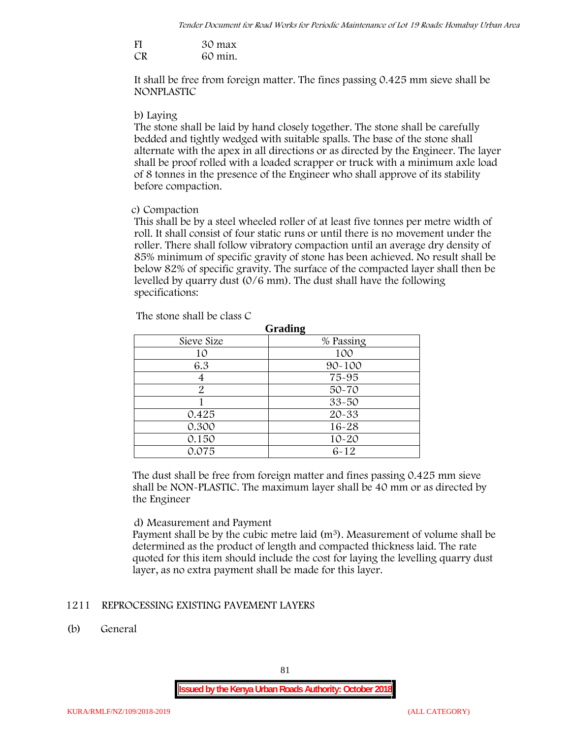| FI | 30 max  |
|----|---------|
| CR | 60 min. |

It shall be free from foreign matter. The fines passing 0.425 mm sieve shall be **NONPLASTIC**

#### **b) Laying**

The stone shall be laid by hand closely together. The stone shall be carefully bedded and tightly wedged with suitable spalls. The base of the stone shall alternate with the apex in all directions or as directed by the Engineer. The layer shall be proof rolled with a loaded scrapper or truck with a minimum axle load of 8 tonnes in the presence of the Engineer who shall approve of its stability before compaction.

# **c) Compaction**

This shall be by a steel wheeled roller of at least five tonnes per metre width of roll. It shall consist of four static runs or until there is no movement under the roller. There shall follow vibratory compaction until an average dry density of 85% minimum of specific gravity of stone has been achieved. No result shall be below 82% of specific gravity. The surface of the compacted layer shall then be levelled by quarry dust (0/6 mm). The dust shall have the following specifications:

| Grading    |            |  |  |  |
|------------|------------|--|--|--|
| Sieve Size | % Passing  |  |  |  |
| 10         | 100        |  |  |  |
| 6.3        | $90 - 100$ |  |  |  |
|            | 75-95      |  |  |  |
| 2          | $50 - 70$  |  |  |  |
|            | $33 - 50$  |  |  |  |
| 0.425      | 20-33      |  |  |  |
| 0.300      | 16-28      |  |  |  |
| 0.150      | $10 - 20$  |  |  |  |
| 0.075      | $6 - 12$   |  |  |  |

The stone shall be class C

The dust shall be free from foreign matter and fines passing 0.425 mm sieve shall be **NON-PLASTIC**. The maximum layer shall be 40 mm or as directed by the Engineer

# **d) Measurement and Payment**

Payment shall be by the cubic metre laid  $(m<sup>3</sup>)$ . Measurement of volume shall be determined as the product of length and compacted thickness laid. The rate quoted for this item should include the cost for laying the levelling quarry dust layer, as no extra payment shall be made for this layer.

# **1211 REPROCESSING EXISTING PAVEMENT LAYERS**

**(b) General**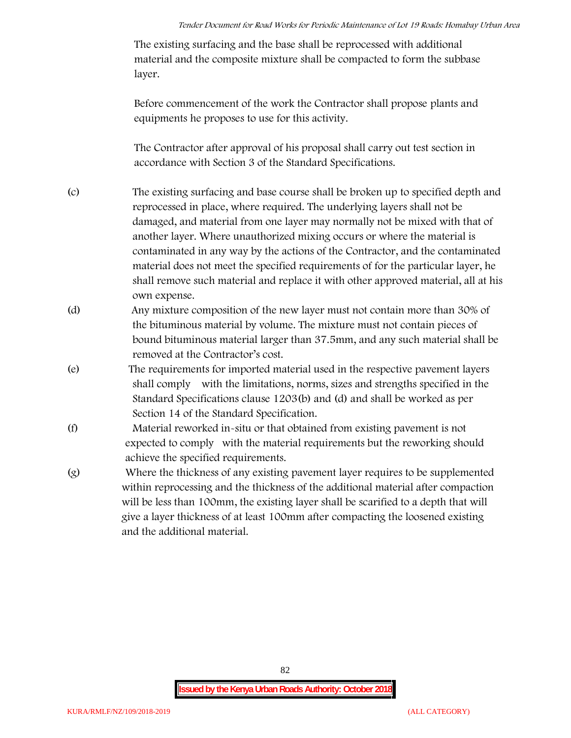The existing surfacing and the base shall be reprocessed with additional material and the composite mixture shall be compacted to form the subbase layer.

Before commencement of the work the Contractor shall propose plants and equipments he proposes to use for this activity.

The Contractor after approval of his proposal shall carry out test section in accordance with Section 3 of the Standard Specifications.

- (c) The existing surfacing and base course shall be broken up to specified depth and reprocessed in place, where required. The underlying layers shall not be damaged, and material from one layer may normally not be mixed with that of another layer. Where unauthorized mixing occurs or where the material is contaminated in any way by the actions of the Contractor, and the contaminated material does not meet the specified requirements of for the particular layer, he shall remove such material and replace it with other approved material, all at his own expense.
- (d) Any mixture composition of the new layer must not contain more than 30% of the bituminous material by volume. The mixture must not contain pieces of bound bituminous material larger than 37.5mm, and any such material shall be removed at the Contractor's cost.
- (e) The requirements for imported material used in the respective pavement layers shall comply with the limitations, norms, sizes and strengths specified in the Standard Specifications clause 1203(b) and (d) and shall be worked as per Section 14 of the Standard Specification.
- (f) Material reworked in-situ or that obtained from existing pavement is not expected to comply with the material requirements but the reworking should achieve the specified requirements.
- (g) Where the thickness of any existing pavement layer requires to be supplemented within reprocessing and the thickness of the additional material after compaction will be less than 100mm, the existing layer shall be scarified to a depth that will give a layer thickness of at least 100mm after compacting the loosened existing and the additional material.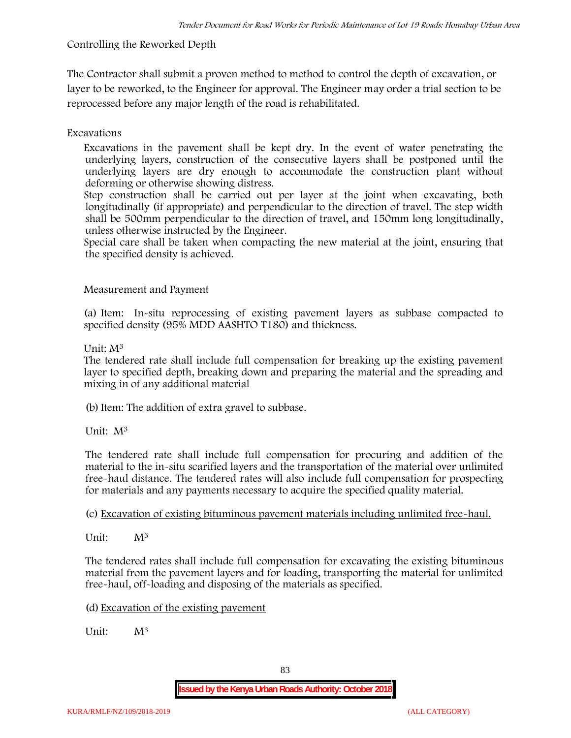# **Controlling the Reworked Depth**

The Contractor shall submit a proven method to method to control the depth of excavation, or layer to be reworked, to the Engineer for approval. The Engineer may order a trial section to be reprocessed before any major length of the road is rehabilitated.

# **Excavations**

Excavations in the pavement shall be kept dry. In the event of water penetrating the underlying layers, construction of the consecutive layers shall be postponed until the underlying layers are dry enough to accommodate the construction plant without deforming or otherwise showing distress.

Step construction shall be carried out per layer at the joint when excavating, both longitudinally (if appropriate) and perpendicular to the direction of travel. The step width shall be 500mm perpendicular to the direction of travel, and 150mm long longitudinally, unless otherwise instructed by the Engineer.

Special care shall be taken when compacting the new material at the joint, ensuring that the specified density is achieved.

# **Measurement and Payment**

(a) Item: In-situ reprocessing of existing pavement layers as subbase compacted to specified density (95% MDD AASHTO T180) and thickness.

# Unit: M<sup>3</sup>

The tendered rate shall include full compensation for breaking up the existing pavement layer to specified depth, breaking down and preparing the material and the spreading and mixing in of any additional material

(b)Item: The addition of extra gravel to subbase.

Unit: M<sup>3</sup>

The tendered rate shall include full compensation for procuring and addition of the material to the in-situ scarified layers and the transportation of the material over unlimited free-haul distance. The tendered rates will also include full compensation for prospecting for materials and any payments necessary to acquire the specified quality material.

(c) Excavation of existing bituminous pavement materials including unlimited free-haul.

Unit: M<sup>3</sup>

The tendered rates shall include full compensation for excavating the existing bituminous material from the pavement layers and for loading, transporting the material for unlimited free-haul, off-loading and disposing of the materials as specified.

(d) Excavation of the existing pavement

Unit:  $M^3$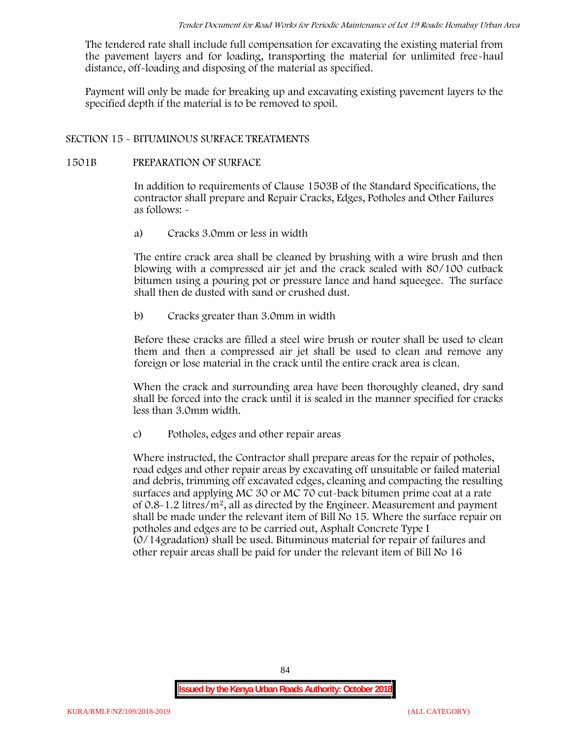The tendered rate shall include full compensation for excavating the existing material from the pavement layers and for loading, transporting the material for unlimited free-haul distance, off-loading and disposing of the material as specified.

Payment will only be made for breaking up and excavating existing pavement layers to the specified depth if the material is to be removed to spoil.

# **SECTION 15 - BITUMINOUS SURFACE TREATMENTS**

#### **1501B PREPARATION OF SURFACE**

In addition to requirements of Clause 1503B of the Standard Specifications, the contractor shall prepare and Repair Cracks, Edges, Potholes and Other Failures as follows: **-**

a) **Cracks 3.0mm or less in width**

The entire crack area shall be cleaned by brushing with a wire brush and then blowing with a compressed air jet and the crack sealed with 80/100 cutback bitumen using a pouring pot or pressure lance and hand squeegee. The surface shall then de dusted with sand or crushed dust.

b) **Cracks greater than 3.0mm in width**

Before these cracks are filled a steel wire brush or router shall be used to clean them and then a compressed air jet shall be used to clean and remove any foreign or lose material in the crack until the entire crack area is clean.

When the crack and surrounding area have been thoroughly cleaned, dry sand shall be forced into the crack until it is sealed in the manner specified for cracks less than 3.0mm width.

c) **Potholes, edges and other repair areas**

Where instructed, the Contractor shall prepare areas for the repair of potholes, road edges and other repair areas by excavating off unsuitable or failed material and debris, trimming off excavated edges, cleaning and compacting the resulting surfaces and applying MC 30 or MC 70 cut-back bitumen prime coat at a rate of  $0.8-1.2$  litres/m<sup>2</sup>, all as directed by the Engineer. Measurement and payment shall be made under the relevant item of Bill No 15. Where the surface repair on potholes and edges are to be carried out, Asphalt Concrete Type I (0/14gradation) shall be used. Bituminous material for repair of failures and other repair areas shall be paid for under the relevant item of Bill No 16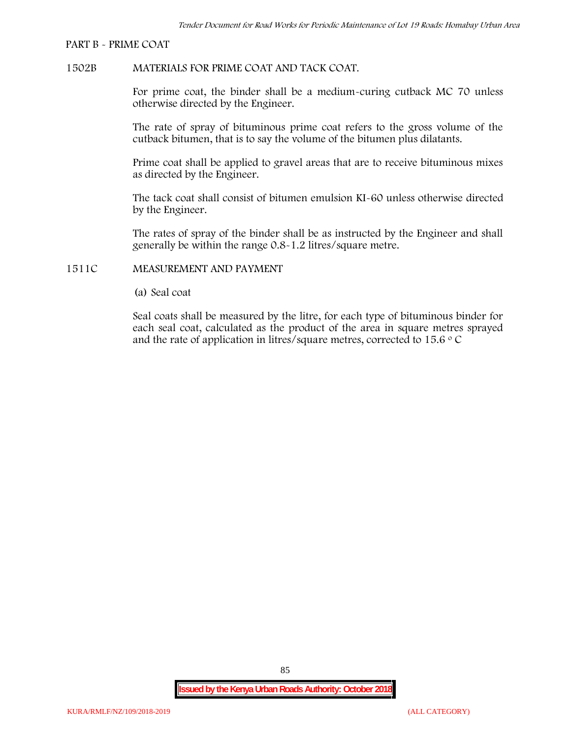#### **PART B - PRIME COAT**

#### **1502B MATERIALS FOR PRIME COAT AND TACK COAT.**

For prime coat, the binder shall be a medium-curing cutback MC 70 unless otherwise directed by the Engineer.

The rate of spray of bituminous prime coat refers to the gross volume of the cutback bitumen, that is to say the volume of the bitumen plus dilatants.

Prime coat shall be applied to gravel areas that are to receive bituminous mixes as directed by the Engineer.

The tack coat shall consist of bitumen emulsion KI-60 unless otherwise directed by the Engineer.

The rates of spray of the binder shall be as instructed by the Engineer and shall generally be within the range 0.8-1.2 litres/square metre.

#### **1511C MEASUREMENT AND PAYMENT**

(a) Seal coat

Seal coats shall be measured by the litre, for each type of bituminous binder for each seal coat, calculated as the product of the area in square metres sprayed and the rate of application in litres/square metres, corrected to 15.6  $\circ$  C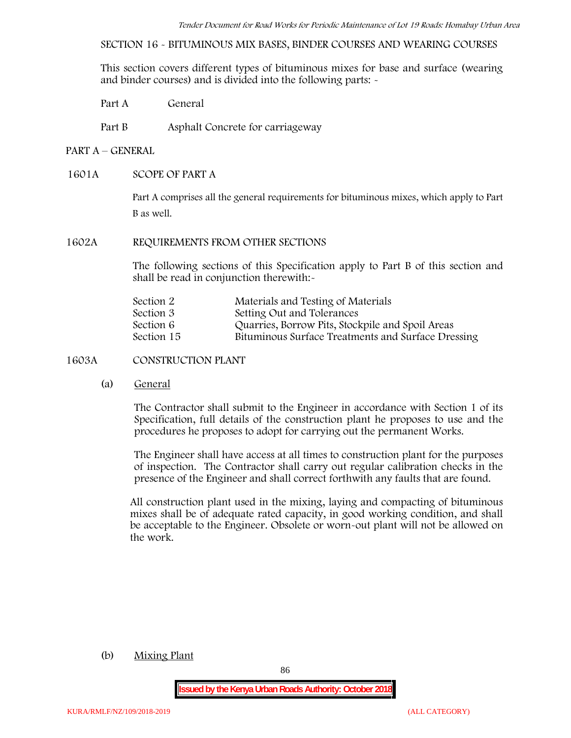**SECTION 16 - BITUMINOUS MIX BASES, BINDER COURSES AND WEARING COURSES**

This section covers different types of bituminous mixes for base and surface (wearing and binder courses) and is divided into the following parts: -

- Part A General
- Part B Asphalt Concrete for carriageway

# **PART A –GENERAL**

# **1601A SCOPE OF PART A**

Part A comprises all the general requirements for bituminous mixes, which apply to Part B as well.

#### **1602A REQUIREMENTS FROM OTHER SECTIONS**

The following sections of this Specification apply to Part B of this section and shall be read in conjunction therewith:-

| Section 2  | Materials and Testing of Materials                 |
|------------|----------------------------------------------------|
| Section 3  | Setting Out and Tolerances                         |
| Section 6  | Quarries, Borrow Pits, Stockpile and Spoil Areas   |
| Section 15 | Bituminous Surface Treatments and Surface Dressing |

# **1603A CONSTRUCTION PLANT**

(a) **General**

The Contractor shall submit to the Engineer in accordance with Section 1 of its Specification, full details of the construction plant he proposes to use and the procedures he proposes to adopt for carrying out the permanent Works.

The Engineer shall have access at all times to construction plant for the purposes of inspection. The Contractor shall carry out regular calibration checks in the presence of the Engineer and shall correct forthwith any faults that are found.

All construction plant used in the mixing, laying and compacting of bituminous mixes shall be of adequate rated capacity, in good working condition, and shall be acceptable to the Engineer. Obsolete or worn-out plant will not be allowed on the work.

#### (b) **Mixing Plant**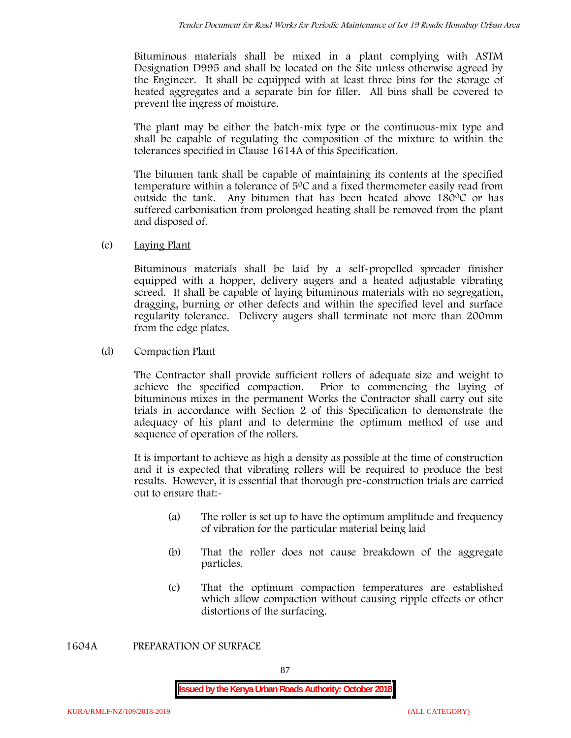Bituminous materials shall be mixed in a plant complying with ASTM Designation D995 and shall be located on the Site unless otherwise agreed by the Engineer. It shall be equipped with at least three bins for the storage of heated aggregates and a separate bin for filler. All bins shall be covered to prevent the ingress of moisture.

The plant may be either the batch-mix type or the continuous-mix type and shall be capable of regulating the composition of the mixture to within the tolerances specified in Clause 1614A of this Specification.

The bitumen tank shall be capable of maintaining its contents at the specified temperature within a tolerance of  $5^{\circ}$ C and a fixed thermometer easily read from outside the tank. Any bitumen that has been heated above  $180^{\circ}$ C or has suffered carbonisation from prolonged heating shall be removed from the plant and disposed of.

# (c) **Laying Plant**

Bituminous materials shall be laid by a self-propelled spreader finisher equipped with a hopper, delivery augers and a heated adjustable vibrating screed. It shall be capable of laying bituminous materials with no segregation, dragging, burning or other defects and within the specified level and surface regularity tolerance. Delivery augers shall terminate not more than 200mm from the edge plates.

# (d) **Compaction Plant**

The Contractor shall provide sufficient rollers of adequate size and weight to achieve the specified compaction. Prior to commencing the laying of bituminous mixes in the permanent Works the Contractor shall carry out site trials in accordance with Section 2 of this Specification to demonstrate the adequacy of his plant and to determine the optimum method of use and sequence of operation of the rollers.

It is important to achieve as high a density as possible at the time of construction and it is expected that vibrating rollers will be required to produce the best results. However, it is essential that thorough pre-construction trials are carried out to ensure that:-

- (a) The roller is set up to have the optimum amplitude and frequency of vibration for the particular material being laid
- (b) That the roller does not cause breakdown of the aggregate particles.
- (c) That the optimum compaction temperatures are established which allow compaction without causing ripple effects or other distortions of the surfacing.

**1604A PREPARATION OF SURFACE**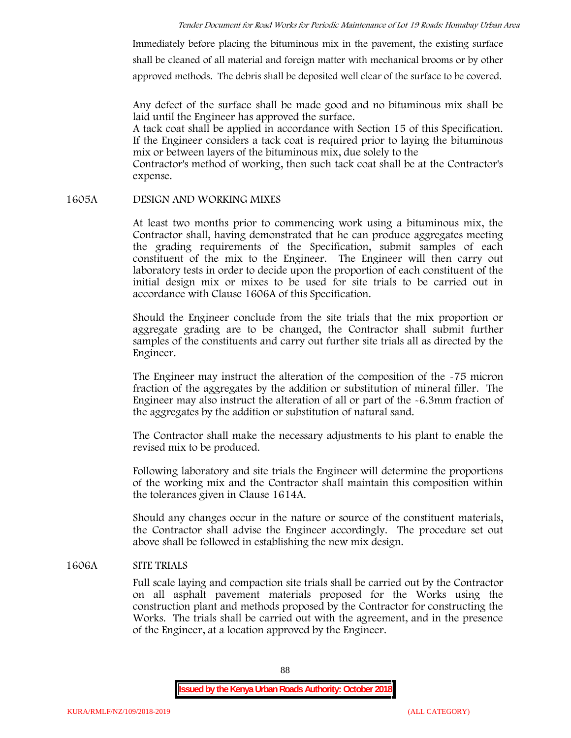Immediately before placing the bituminous mix in the pavement, the existing surface shall be cleaned of all material and foreign matter with mechanical brooms or by other approved methods. The debris shall be deposited well clear of the surface to be covered.

Any defect of the surface shall be made good and no bituminous mix shall be laid until the Engineer has approved the surface.

A tack coat shall be applied in accordance with Section 15 of this Specification. If the Engineer considers a tack coat is required prior to laying the bituminous mix or between layers of the bituminous mix, due solely to the

Contractor's method of working, then such tack coat shall be at the Contractor's expense.

# **1605A DESIGN AND WORKING MIXES**

At least two months prior to commencing work using a bituminous mix, the Contractor shall, having demonstrated that he can produce aggregates meeting the grading requirements of the Specification, submit samples of each constituent of the mix to the Engineer. The Engineer will then carry out laboratory tests in order to decide upon the proportion of each constituent of the initial design mix or mixes to be used for site trials to be carried out in accordance with Clause 1606A of this Specification.

Should the Engineer conclude from the site trials that the mix proportion or aggregate grading are to be changed, the Contractor shall submit further samples of the constituents and carry out further site trials all as directed by the Engineer.

The Engineer may instruct the alteration of the composition of the -75 micron fraction of the aggregates by the addition or substitution of mineral filler. The Engineer may also instruct the alteration of all or part of the -6.3mm fraction of the aggregates by the addition or substitution of natural sand.

The Contractor shall make the necessary adjustments to his plant to enable the revised mix to be produced.

Following laboratory and site trials the Engineer will determine the proportions of the working mix and the Contractor shall maintain this composition within the tolerances given in Clause 1614A.

Should any changes occur in the nature or source of the constituent materials, the Contractor shall advise the Engineer accordingly. The procedure set out above shall be followed in establishing the new mix design.

# **1606A SITE TRIALS**

Full scale laying and compaction site trials shall be carried out by the Contractor on all asphalt pavement materials proposed for the Works using the construction plant and methods proposed by the Contractor for constructing the Works. The trials shall be carried out with the agreement, and in the presence of the Engineer, at a location approved by the Engineer.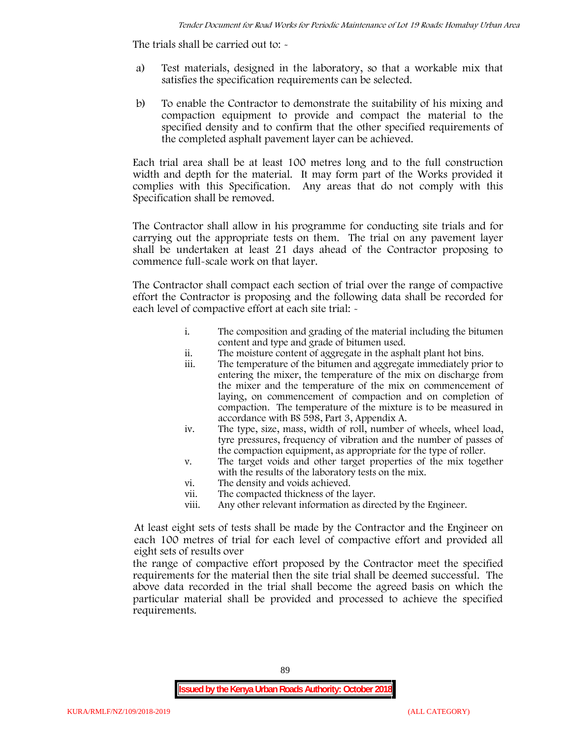The trials shall be carried out to:  $\sim$ 

- a) Test materials, designed in the laboratory, so that a workable mix that satisfies the specification requirements can be selected.
- b) To enable the Contractor to demonstrate the suitability of his mixing and compaction equipment to provide and compact the material to the specified density and to confirm that the other specified requirements of the completed asphalt pavement layer can be achieved.

Each trial area shall be at least 100 metres long and to the full construction width and depth for the material. It may form part of the Works provided it complies with this Specification. Any areas that do not comply with this Specification shall be removed.

The Contractor shall allow in his programme for conducting site trials and for carrying out the appropriate tests on them. The trial on any pavement layer shall be undertaken at least 21 days ahead of the Contractor proposing to commence full-scale work on that layer.

The Contractor shall compact each section of trial over the range of compactive effort the Contractor is proposing and the following data shall be recorded for each level of compactive effort at each site trial:  $\sim$ 

- i. The composition and grading of the material including the bitumen content and type and grade of bitumen used.
- ii. The moisture content of aggregate in the asphalt plant hot bins.
- iii. The temperature of the bitumen and aggregate immediately prior to entering the mixer, the temperature of the mix on discharge from the mixer and the temperature of the mix on commencement of laying, on commencement of compaction and on completion of compaction. The temperature of the mixture is to be measured in accordance with BS 598, Part 3, Appendix A.
- iv. The type, size, mass, width of roll, number of wheels, wheel load, tyre pressures, frequency of vibration and the number of passes of the compaction equipment, as appropriate for the type of roller.
- v. The target voids and other target properties of the mix together with the results of the laboratory tests on the mix.
- vi. The density and voids achieved.
- vii. The compacted thickness of the layer.
- viii. Any other relevant information as directed by the Engineer.

At least eight sets of tests shall be made by the Contractor and the Engineer on each 100 metres of trial for each level of compactive effort and provided all eight sets of results over

the range of compactive effort proposed by the Contractor meet the specified requirements for the material then the site trial shall be deemed successful. The above data recorded in the trial shall become the agreed basis on which the particular material shall be provided and processed to achieve the specified requirements.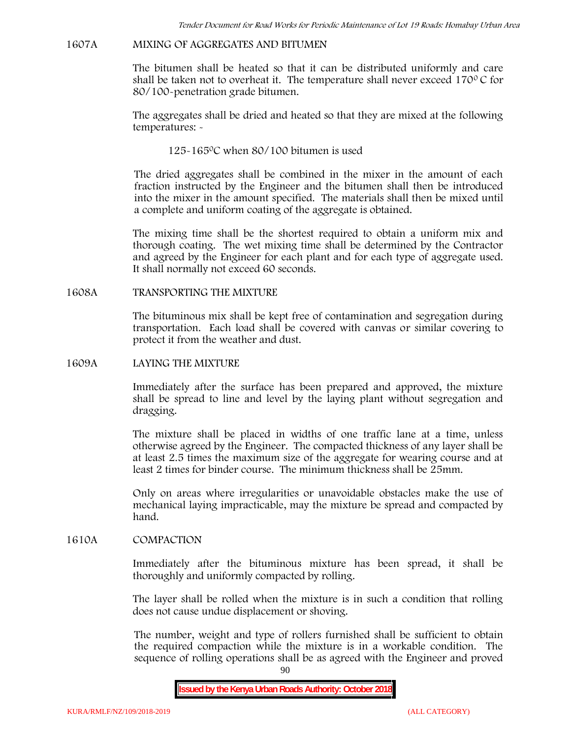#### **1607A MIXING OF AGGREGATES AND BITUMEN**

The bitumen shall be heated so that it can be distributed uniformly and care shall be taken not to overheat it. The temperature shall never exceed  $170^{\circ}$ C for 80/100-penetration grade bitumen.

The aggregates shall be dried and heated so that they are mixed at the following temperatures: -

125-1650C when 80/100 bitumen is used

The dried aggregates shall be combined in the mixer in the amount of each fraction instructed by the Engineer and the bitumen shall then be introduced into the mixer in the amount specified. The materials shall then be mixed until a complete and uniform coating of the aggregate is obtained.

The mixing time shall be the shortest required to obtain a uniform mix and thorough coating. The wet mixing time shall be determined by the Contractor and agreed by the Engineer for each plant and for each type of aggregate used. It shall normally not exceed 60 seconds.

**1608A TRANSPORTING THE MIXTURE**

The bituminous mix shall be kept free of contamination and segregation during transportation. Each load shall be covered with canvas or similar covering to protect it from the weather and dust.

#### **1609A LAYING THE MIXTURE**

Immediately after the surface has been prepared and approved, the mixture shall be spread to line and level by the laying plant without segregation and dragging.

The mixture shall be placed in widths of one traffic lane at a time, unless otherwise agreed by the Engineer. The compacted thickness of any layer shall be at least 2.5 times the maximum size of the aggregate for wearing course and at least 2 times for binder course. The minimum thickness shall be 25mm.

Only on areas where irregularities or unavoidable obstacles make the use of mechanical laying impracticable, may the mixture be spread and compacted by hand.

# **1610A COMPACTION**

Immediately after the bituminous mixture has been spread, it shall be thoroughly and uniformly compacted by rolling.

The layer shall be rolled when the mixture is in such a condition that rolling does not cause undue displacement or shoving.

The number, weight and type of rollers furnished shall be sufficient to obtain the required compaction while the mixture is in a workable condition. The sequence of rolling operations shall be as agreed with the Engineer and proved

90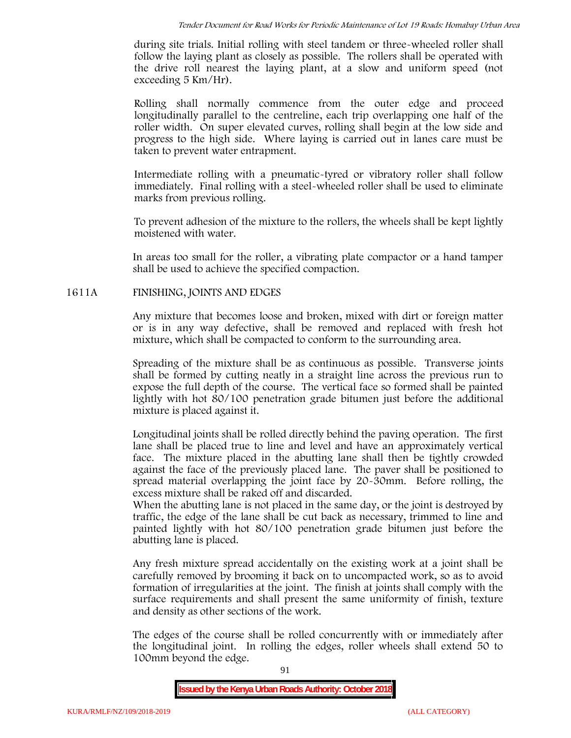during site trials. Initial rolling with steel tandem or three-wheeled roller shall follow the laying plant as closely as possible. The rollers shall be operated with the drive roll nearest the laying plant, at a slow and uniform speed (not exceeding 5 Km/Hr).

Rolling shall normally commence from the outer edge and proceed longitudinally parallel to the centreline, each trip overlapping one half of the roller width. On super elevated curves, rolling shall begin at the low side and progress to the high side. Where laying is carried out in lanes care must be taken to prevent water entrapment.

Intermediate rolling with a pneumatic-tyred or vibratory roller shall follow immediately. Final rolling with a steel-wheeled roller shall be used to eliminate marks from previous rolling.

To prevent adhesion of the mixture to the rollers, the wheels shall be kept lightly moistened with water.

In areas too small for the roller, a vibrating plate compactor or a hand tamper shall be used to achieve the specified compaction.

# **1611A FINISHING, JOINTS AND EDGES**

Any mixture that becomes loose and broken, mixed with dirt or foreign matter or is in any way defective, shall be removed and replaced with fresh hot mixture, which shall be compacted to conform to the surrounding area.

Spreading of the mixture shall be as continuous as possible. Transverse joints shall be formed by cutting neatly in a straight line across the previous run to expose the full depth of the course. The vertical face so formed shall be painted lightly with hot 80/100 penetration grade bitumen just before the additional mixture is placed against it.

Longitudinal joints shall be rolled directly behind the paving operation. The first lane shall be placed true to line and level and have an approximately vertical face. The mixture placed in the abutting lane shall then be tightly crowded against the face of the previously placed lane. The paver shall be positioned to spread material overlapping the joint face by 20-30mm. Before rolling, the excess mixture shall be raked off and discarded.

When the abutting lane is not placed in the same day, or the joint is destroyed by traffic, the edge of the lane shall be cut back as necessary, trimmed to line and painted lightly with hot 80/100 penetration grade bitumen just before the abutting lane is placed.

Any fresh mixture spread accidentally on the existing work at a joint shall be carefully removed by brooming it back on to uncompacted work, so as to avoid formation of irregularities at the joint. The finish at joints shall comply with the surface requirements and shall present the same uniformity of finish, texture and density as other sections of the work.

The edges of the course shall be rolled concurrently with or immediately after the longitudinal joint. In rolling the edges, roller wheels shall extend 50 to 100mm beyond the edge.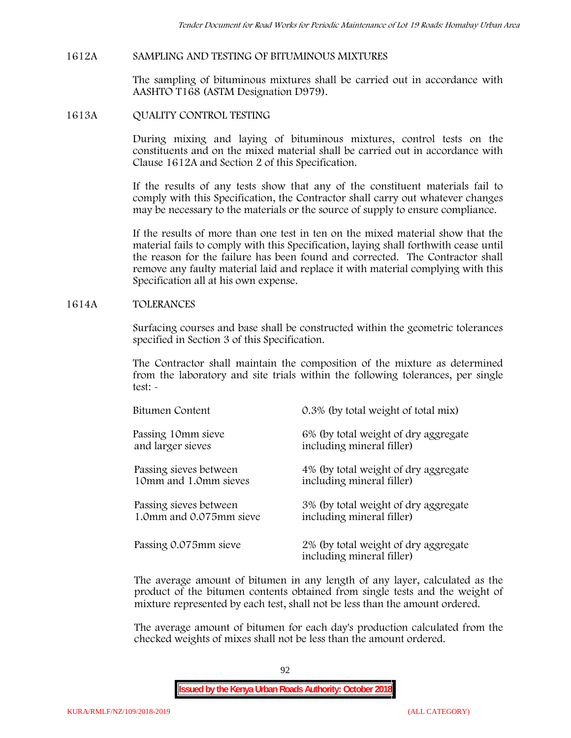#### **1612A SAMPLING AND TESTING OF BITUMINOUS MIXTURES**

The sampling of bituminous mixtures shall be carried out in accordance with AASHTO T168 (ASTM Designation D979).

#### **1613A QUALITY CONTROL TESTING**

During mixing and laying of bituminous mixtures, control tests on the constituents and on the mixed material shall be carried out in accordance with Clause 1612A and Section 2 of this Specification.

If the results of any tests show that any of the constituent materials fail to comply with this Specification, the Contractor shall carry out whatever changes may be necessary to the materials or the source of supply to ensure compliance.

If the results of more than one test in ten on the mixed material show that the material fails to comply with this Specification, laying shall forthwith cease until the reason for the failure has been found and corrected. The Contractor shall remove any faulty material laid and replace it with material complying with this Specification all at his own expense.

#### **1614A TOLERANCES**

Surfacing courses and base shall be constructed within the geometric tolerances specified in Section 3 of this Specification.

The Contractor shall maintain the composition of the mixture as determined from the laboratory and site trials within the following tolerances, per single test: -

| Bitumen Content         | 0.3% (by total weight of total mix)                               |
|-------------------------|-------------------------------------------------------------------|
| Passing 10mm sieve      | 6% (by total weight of dry aggregate                              |
| and larger sieves       | including mineral filler)                                         |
| Passing sieves between  | 4% (by total weight of dry aggregate                              |
| 10mm and 1.0mm sieves   | including mineral filler)                                         |
| Passing sieves between  | 3% (by total weight of dry aggregate                              |
| 1.0mm and 0.075mm sieve | including mineral filler)                                         |
| Passing 0.075mm sieve   | 2% (by total weight of dry aggregate<br>including mineral filler) |

The average amount of bitumen in any length of any layer, calculated as the product of the bitumen contents obtained from single tests and the weight of mixture represented by each test, shall not be less than the amount ordered.

The average amount of bitumen for each day's production calculated from the checked weights of mixes shall not be less than the amount ordered.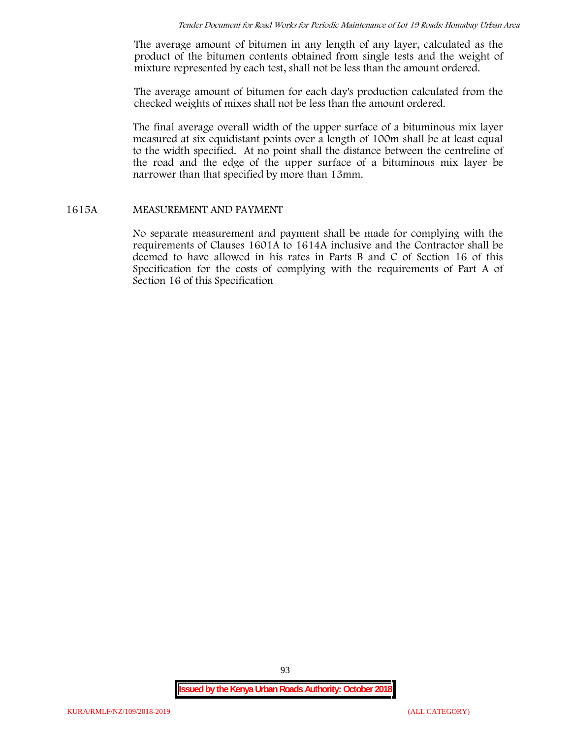The average amount of bitumen in any length of any layer, calculated as the product of the bitumen contents obtained from single tests and the weight of mixture represented by each test, shall not be less than the amount ordered.

The average amount of bitumen for each day's production calculated from the checked weights of mixes shall not be less than the amount ordered.

The final average overall width of the upper surface of a bituminous mix layer measured at six equidistant points over a length of 100m shall be at least equal to the width specified. At no point shall the distance between the centreline of the road and the edge of the upper surface of a bituminous mix layer be narrower than that specified by more than 13mm.

#### **1615A MEASUREMENT AND PAYMENT**

No separate measurement and payment shall be made for complying with the requirements of Clauses 1601A to 1614A inclusive and the Contractor shall be deemed to have allowed in his rates in Parts B and C of Section 16 of this Specification for the costs of complying with the requirements of Part A of Section 16 of this Specification

93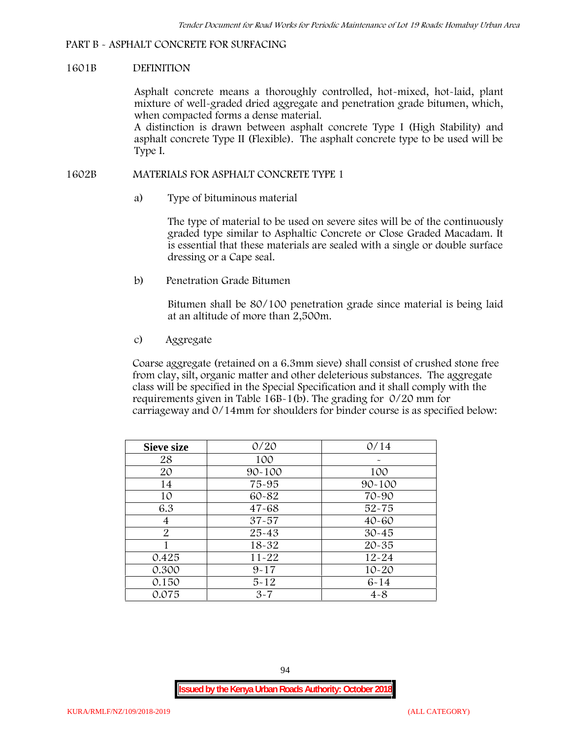# **PART B - ASPHALT CONCRETE FOR SURFACING**

#### **1601B DEFINITION**

Asphalt concrete means a thoroughly controlled, hot-mixed, hot-laid, plant mixture of well-graded dried aggregate and penetration grade bitumen, which, when compacted forms a dense material.

A distinction is drawn between asphalt concrete Type I (High Stability) and asphalt concrete Type II (Flexible). The asphalt concrete type to be used will be Type I.

# **1602B MATERIALS FOR ASPHALT CONCRETE TYPE 1**

a) **Type of bituminous material**

The type of material to be used on severe sites will be of the continuously graded type similar to Asphaltic Concrete or Close Graded Macadam. It is essential that these materials are sealed with a single or double surface dressing or a Cape seal.

b) **Penetration Grade Bitumen**

Bitumen shall be 80/100 penetration grade since material is being laid at an altitude of more than 2,500m.

c) **Aggregate**

Coarse aggregate (retained on a 6.3mm sieve) shall consist of crushed stone free from clay, silt, organic matter and other deleterious substances. The aggregate class will be specified in the Special Specification and it shall comply with the requirements given in Table 16B-1(b). The grading for 0/20 mm for carriageway and 0/14mm for shoulders for binder course is as specified below:

| <b>Sieve size</b> | 0/20       | 0/14       |
|-------------------|------------|------------|
| 28                | 100        |            |
| 20                | $90 - 100$ | 100        |
| 14                | 75-95      | $90 - 100$ |
| 10                | 60-82      | 70-90      |
| 6.3               | $47 - 68$  | $52 - 75$  |
| 4                 | $37 - 57$  | $40 - 60$  |
| $\overline{2}$    | 25-43      | $30 - 45$  |
|                   | 18-32      | $20 - 35$  |
| 0.425             | $11 - 22$  | $12 - 24$  |
| 0.300             | $9 - 17$   | $10 - 20$  |
| 0.150             | $5 - 12$   | $6 - 14$   |
| 0.075             | $3 - 7$    | $4 - 8$    |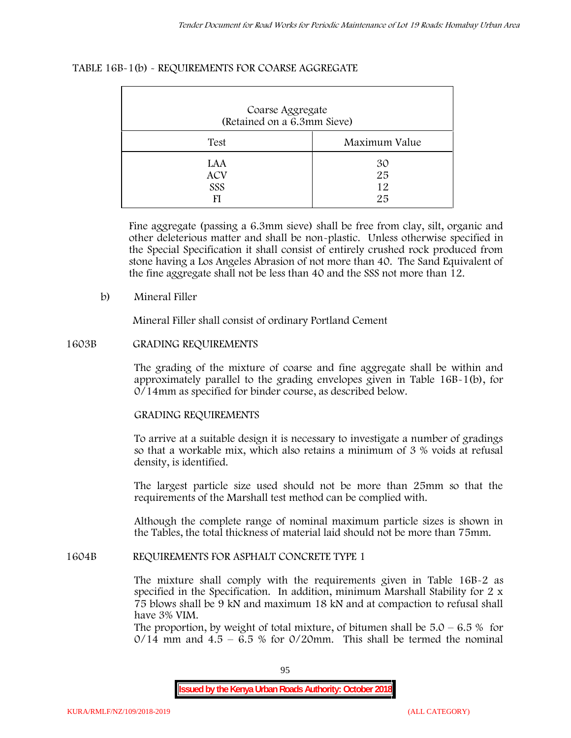#### **TABLE 16B-1(b) - REQUIREMENTS FOR COARSE AGGREGATE**

| Coarse Aggregate<br>(Retained on a 6.3mm Sieve) |                      |  |  |  |
|-------------------------------------------------|----------------------|--|--|--|
| Test                                            | Maximum Value        |  |  |  |
| LAA<br><b>ACV</b><br>SSS<br>FI                  | 30<br>25<br>12<br>25 |  |  |  |

Fine aggregate (passing a 6.3mm sieve) shall be free from clay, silt, organic and other deleterious matter and shall be non-plastic. Unless otherwise specified in the Special Specification it shall consist of entirely crushed rock produced from stone having a Los Angeles Abrasion of not more than 40. The Sand Equivalent of the fine aggregate shall not be less than 40 and the SSS not more than 12.

#### **b) Mineral Filler**

Mineral Filler shall consist of ordinary Portland Cement

#### **1603B GRADING REQUIREMENTS**

The grading of the mixture of coarse and fine aggregate shall be within and approximately parallel to the grading envelopes given in Table 16B-1(b), for 0/14mm as specified for binder course, as described below.

# **GRADING REQUIREMENTS**

To arrive at a suitable design it is necessary to investigate a number of gradings so that a workable mix, which also retains a minimum of 3 % voids at refusal density, is identified.

The largest particle size used should not be more than 25mm so that the requirements of the Marshall test method can be complied with.

Although the complete range of nominal maximum particle sizes is shown in the Tables, the total thickness of material laid should not be more than 75mm.

#### **1604B REQUIREMENTS FOR ASPHALT CONCRETE TYPE 1**

The mixture shall comply with the requirements given in Table 16B-2 as specified in the Specification. In addition, minimum Marshall Stability for 2 x 75 blows shall be 9 kN and maximum 18 kN and at compaction to refusal shall have 3% VIM.

The proportion, by weight of total mixture, of bitumen shall be  $5.0 - 6.5 %$  for  $0/14$  mm and  $4.5 - 6.5$  % for  $0/20$ mm. This shall be termed the nominal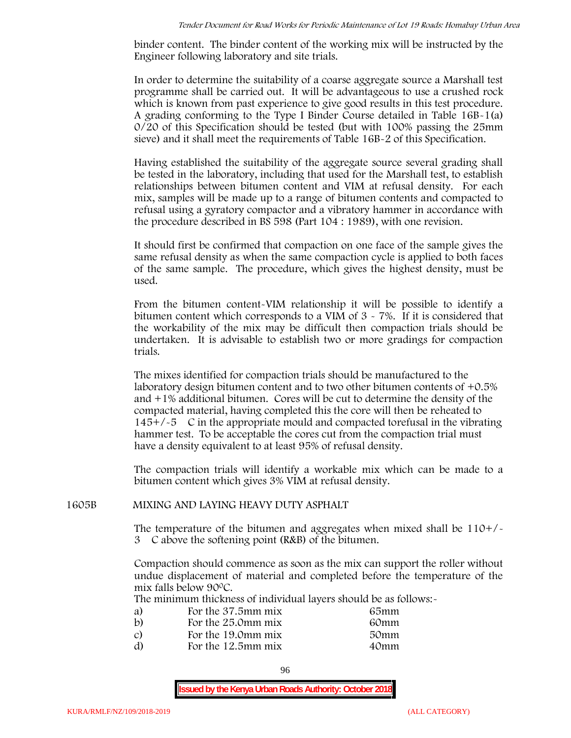binder content. The binder content of the working mix will be instructed by the Engineer following laboratory and site trials.

In order to determine the suitability of a coarse aggregate source a Marshall test programme shall be carried out. It will be advantageous to use a crushed rock which is known from past experience to give good results in this test procedure. A grading conforming to the Type I Binder Course detailed in Table 16B-1(a) 0/20 of this Specification should be tested (but with 100% passing the 25mm sieve) and it shall meet the requirements of Table 16B-2 of this Specification.

Having established the suitability of the aggregate source several grading shall be tested in the laboratory, including that used for the Marshall test, to establish relationships between bitumen content and VIM at refusal density. For each mix, samples will be made up to a range of bitumen contents and compacted to refusal using a gyratory compactor and a vibratory hammer in accordance with the procedure described in BS 598 (Part 104 : 1989), with one revision.

It should first be confirmed that compaction on one face of the sample gives the same refusal density as when the same compaction cycle is applied to both faces of the same sample. The procedure, which gives the highest density, must be used.

From the bitumen content-VIM relationship it will be possible to identify a bitumen content which corresponds to a VIM of 3 - 7%. If it is considered that the workability of the mix may be difficult then compaction trials should be undertaken. It is advisable to establish two or more gradings for compaction trials.

The mixes identified for compaction trials should be manufactured to the laboratory design bitumen content and to two other bitumen contents of +0.5% and +1% additional bitumen. Cores will be cut to determine the density of the compacted material, having completed this the core will then be reheated to  $145+/5$  C in the appropriate mould and compacted torefusal in the vibrating hammer test. To be acceptable the cores cut from the compaction trial must have a density equivalent to at least 95% of refusal density.

The compaction trials will identify a workable mix which can be made to a bitumen content which gives 3% VIM at refusal density.

# **1605B MIXING AND LAYING HEAVY DUTY ASPHALT**

The temperature of the bitumen and aggregates when mixed shall be 110+/- 3C above the softening point (R&B) of the bitumen.

Compaction should commence as soon as the mix can support the roller without undue displacement of material and completed before the temperature of the mix falls below 900C.

The minimum thickness of individual layers should be as follows:-

| a) | For the 37.5mm mix | 65mm |  |
|----|--------------------|------|--|
| b) | For the 25.0mm mix | 60mm |  |
| C) | For the 19.0mm mix | 50mm |  |
| d) | For the 12.5mm mix | 40mm |  |
|    |                    |      |  |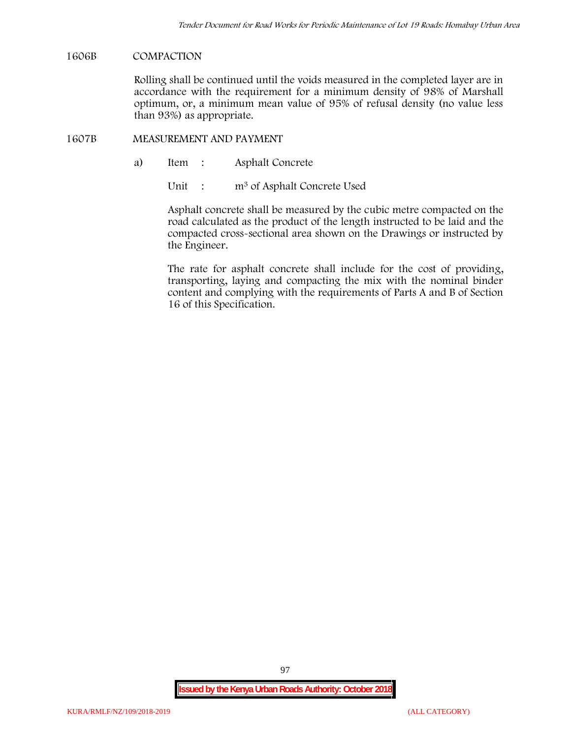# **1606B COMPACTION**

Rolling shall be continued until the voids measured in the completed layer are in accordance with the requirement for a minimum density of 98% of Marshall optimum, or, a minimum mean value of 95% of refusal density (no value less than 93%) as appropriate.

# **1607B MEASUREMENT AND PAYMENT**

a) Item : Asphalt Concrete

Unit : m<sup>3</sup> of Asphalt Concrete Used

Asphalt concrete shall be measured by the cubic metre compacted on the road calculated as the product of the length instructed to be laid and the compacted cross-sectional area shown on the Drawings or instructed by the Engineer.

The rate for asphalt concrete shall include for the cost of providing, transporting, laying and compacting the mix with the nominal binder content and complying with the requirements of Parts A and B of Section 16 of this Specification.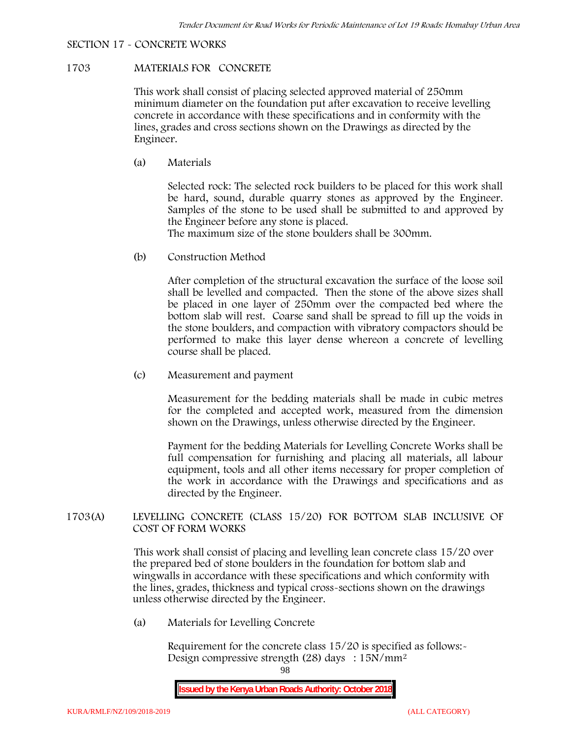# **SECTION 17 - CONCRETE WORKS**

# **1703 MATERIALS FOR CONCRETE**

This work shall consist of placing selected approved material of 250mm minimum diameter on the foundation put after excavation to receive levelling concrete in accordance with these specifications and in conformity with the lines, grades and cross sections shown on the Drawings as directed by the Engineer.

(a) **Materials**

Selected rock: The selected rock builders to be placed for this work shall be hard, sound, durable quarry stones as approved by the Engineer. Samples of the stone to be used shall be submitted to and approved by the Engineer before any stone is placed.

The maximum size of the stone boulders shall be 300mm.

(b) **Construction Method**

After completion of the structural excavation the surface of the loose soil shall be levelled and compacted. Then the stone of the above sizes shall be placed in one layer of 250mm over the compacted bed where the bottom slab will rest. Coarse sand shall be spread to fill up the voids in the stone boulders, and compaction with vibratory compactors should be performed to make this layer dense whereon a concrete of levelling course shall be placed.

(c) **Measurement and payment**

Measurement for the bedding materials shall be made in cubic metres for the completed and accepted work, measured from the dimension shown on the Drawings, unless otherwise directed by the Engineer.

Payment for the bedding Materials for Levelling Concrete Works shall be full compensation for furnishing and placing all materials, all labour equipment, tools and all other items necessary for proper completion of the work in accordance with the Drawings and specifications and as directed by the Engineer.

# **1703(A) LEVELLING CONCRETE (CLASS 15/20) FOR BOTTOM SLAB INCLUSIVE OF COST OF FORM WORKS**

This work shall consist of placing and levelling lean concrete class 15/20 over the prepared bed of stone boulders in the foundation for bottom slab and wingwalls in accordance with these specifications and which conformity with the lines, grades, thickness and typical cross-sections shown on the drawings unless otherwise directed by the Engineer.

(a) **Materials for Levelling Concrete**

Requirement for the concrete class  $15/20$  is specified as follows:-Design compressive strength (28) days : 15N/mm2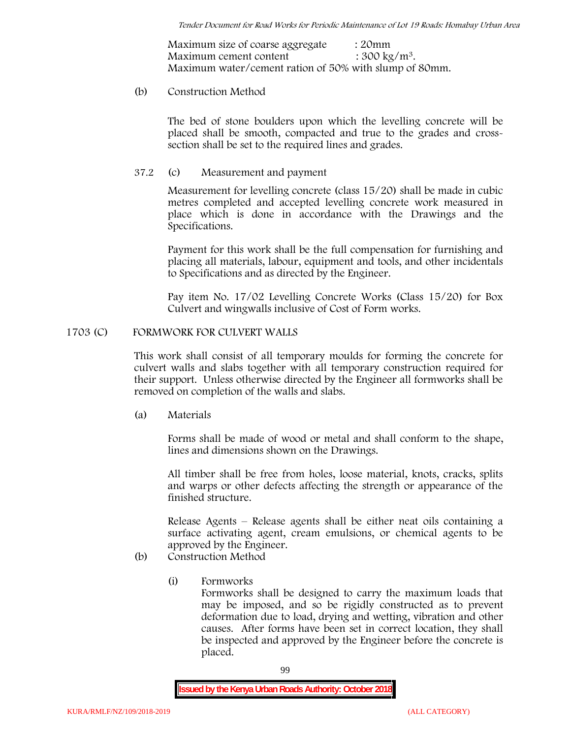Maximum size of coarse aggregate : 20mm Maximum cement content  $: 300 \text{ kg/m}^3$ . Maximum water/cement ration of 50% with slump of 80mm.

# (b) **Construction Method**

The bed of stone boulders upon which the levelling concrete will be placed shall be smooth, compacted and true to the grades and crosssection shall be set to the required lines and grades.

# **37.2** (c) **Measurement and payment**

Measurement for levelling concrete (class 15/20) shall be made in cubic metres completed and accepted levelling concrete work measured in place which is done in accordance with the Drawings and the Specifications.

Payment for this work shall be the full compensation for furnishing and placing all materials, labour, equipment and tools, and other incidentals to Specifications and as directed by the Engineer.

Pay item No. 17/02 Levelling Concrete Works (Class 15/20) for Box Culvert and wingwalls inclusive of Cost of Form works.

# **1703 (C) FORMWORK FOR CULVERT WALLS**

This work shall consist of all temporary moulds for forming the concrete for culvert walls and slabs together with all temporary construction required for their support. Unless otherwise directed by the Engineer all formworks shall be removed on completion of the walls and slabs.

(a) **Materials**

Forms shall be made of wood or metal and shall conform to the shape, lines and dimensions shown on the Drawings.

All timber shall be free from holes, loose material, knots, cracks, splits and warps or other defects affecting the strength or appearance of the finished structure.

Release Agents – Release agents shall be either neat oils containing a surface activating agent, cream emulsions, or chemical agents to be approved by the Engineer.

# (b) **Construction Method**

(i) **Formworks**

Formworks shall be designed to carry the maximum loads that may be imposed, and so be rigidly constructed as to prevent deformation due to load, drying and wetting, vibration and other causes. After forms have been set in correct location, they shall be inspected and approved by the Engineer before the concrete is placed.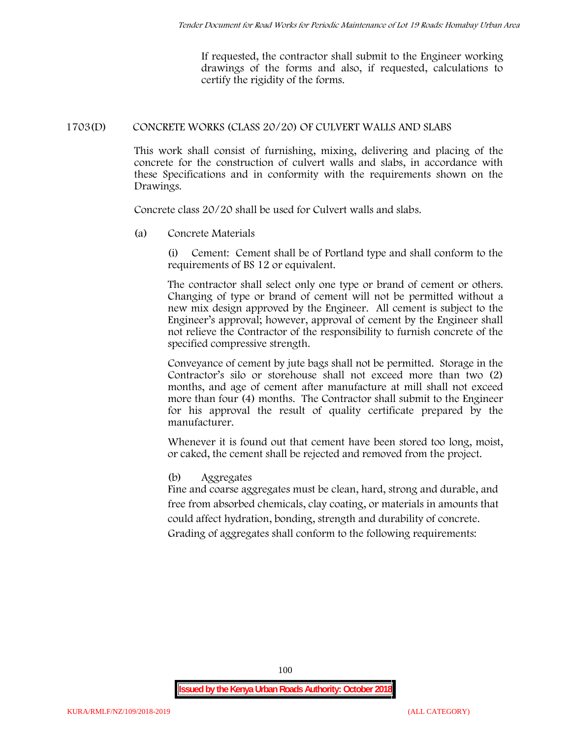If requested, the contractor shall submit to the Engineer working drawings of the forms and also, if requested, calculations to certify the rigidity of the forms.

# **1703(D) CONCRETE WORKS (CLASS 20/20) OF CULVERT WALLS AND SLABS**

This work shall consist of furnishing, mixing, delivering and placing of the concrete for the construction of culvert walls and slabs, in accordance with these Specifications and in conformity with the requirements shown on the Drawings.

Concrete class 20/20 shall be used for Culvert walls and slabs.

**(a) Concrete Materials**

(i) Cement: Cement shall be of Portland type and shall conform to the requirements of BS 12 or equivalent.

The contractor shall select only one type or brand of cement or others. Changing of type or brand of cement will not be permitted without a new mix design approved by the Engineer. All cement is subject to the Engineer's approval; however, approval of cement by the Engineer shall not relieve the Contractor of the responsibility to furnish concrete of the specified compressive strength.

Conveyance of cement by jute bags shall not be permitted. Storage in the Contractor's silo or storehouse shall not exceed more than two (2) months, and age of cement after manufacture at mill shall not exceed more than four (4) months. The Contractor shall submit to the Engineer for his approval the result of quality certificate prepared by the manufacturer.

Whenever it is found out that cement have been stored too long, moist, or caked, the cement shall be rejected and removed from the project.

# **(b) Aggregates**

Fine and coarse aggregates must be clean, hard, strong and durable, and free from absorbed chemicals, clay coating, or materials in amounts that could affect hydration, bonding, strength and durability of concrete. Grading of aggregates shall conform to the following requirements: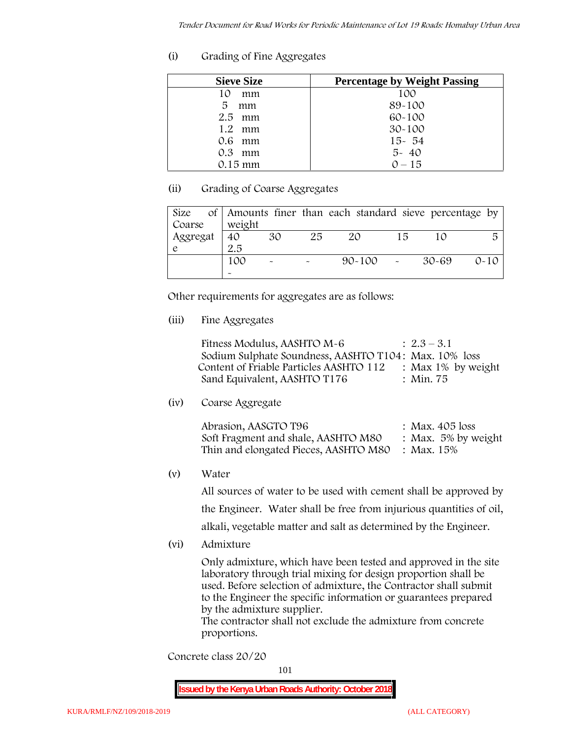# **(i) Grading of Fine Aggregates**

| <b>Sieve Size</b> | <b>Percentage by Weight Passing</b> |
|-------------------|-------------------------------------|
| 10<br>mm          | 100                                 |
| 5.<br>mm          | 89-100                              |
| $2.5$ mm          | $60 - 100$                          |
| $1.2$ mm          | $30 - 100$                          |
| 0.6 mm            | $15 - 54$                           |
| $0.3$ mm          | $5 - 40$                            |
| $0.15 \text{ mm}$ | $0 - 15$                            |

# **(ii) Grading of Coarse Aggregates**

| Size     |                       |                           |    | of Amounts finer than each standard sieve percentage by |    |       |          |
|----------|-----------------------|---------------------------|----|---------------------------------------------------------|----|-------|----------|
| Coarse   | weight                |                           |    |                                                         |    |       |          |
| Aggregat | 40                    | 30                        | 25 | 20                                                      | 15 |       | 局        |
|          | 2.5                   |                           |    |                                                         |    |       |          |
|          | 100                   | $\widetilde{\phantom{m}}$ |    | $90 - 100$ -                                            |    | 30-69 | $0 - 10$ |
|          | $\tilde{\phantom{a}}$ |                           |    |                                                         |    |       |          |

Other requirements for aggregates are as follows:

# **(iii) Fine Aggregates**

| Fitness Modulus, AASHTO M-6                           | $: 2.3 - 3.1$         |
|-------------------------------------------------------|-----------------------|
| Sodium Sulphate Soundness, AASHTO T104: Max. 10% loss |                       |
| Content of Friable Particles AASHTO 112               | : Max $1\%$ by weight |
| Sand Equivalent, AASHTO T176                          | : Min. 75             |

**(iv) Coarse Aggregate**

| Abrasion, AASGTO T96                             | : Max. $405$ loss      |
|--------------------------------------------------|------------------------|
| Soft Fragment and shale, AASHTO M80              | : Max. $5\%$ by weight |
| Thin and elongated Pieces, AASHTO M80 : Max. 15% |                        |

**(v) Water**

All sources of water to be used with cement shall be approved by the Engineer. Water shall be free from injurious quantities of oil, alkali, vegetable matter and salt as determined by the Engineer.

**(vi) Admixture**

Only admixture, which have been tested and approved in the site laboratory through trial mixing for design proportion shall be used. Before selection of admixture, the Contractor shall submit to the Engineer the specific information or guarantees prepared by the admixture supplier.

The contractor shall not exclude the admixture from concrete proportions.

**Concrete class 20/20**

101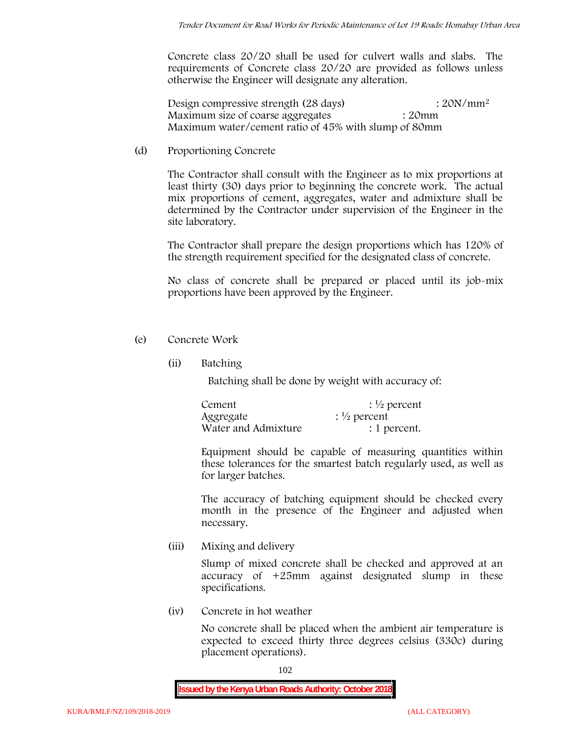Concrete class 20/20 shall be used for culvert walls and slabs. The requirements of Concrete class 20/20 are provided as follows unless otherwise the Engineer will designate any alteration.

Design compressive strength (28 days) : 20N/mm<sup>2</sup> Maximum size of coarse aggregates : 20mm Maximum water/cement ratio of 45% with slump of 80mm

(d) **Proportioning Concrete**

The Contractor shall consult with the Engineer as to mix proportions at least thirty (30) days prior to beginning the concrete work. The actual mix proportions of cement, aggregates, water and admixture shall be determined by the Contractor under supervision of the Engineer in the site laboratory.

The Contractor shall prepare the design proportions which has 120% of the strength requirement specified for the designated class of concrete.

No class of concrete shall be prepared or placed until its job-mix proportions have been approved by the Engineer.

- (e) **Concrete Work**
	- **(ii) Batching**

Batching shall be done by weight with accuracy of:

| Cement              | $\frac{1}{2}$ percent |
|---------------------|-----------------------|
| Aggregate           | $\frac{1}{2}$ percent |
| Water and Admixture | : 1 percent.          |

Equipment should be capable of measuring quantities within these tolerances for the smartest batch regularly used, as well as for larger batches.

The accuracy of batching equipment should be checked every month in the presence of the Engineer and adjusted when necessary.

**(iii) Mixing and delivery**

Slump of mixed concrete shall be checked and approved at an accuracy of +25mm against designated slump in these specifications.

**(iv) Concrete in hot weather**

No concrete shall be placed when the ambient air temperature is expected to exceed thirty three degrees celsius (330c) during placement operations).

102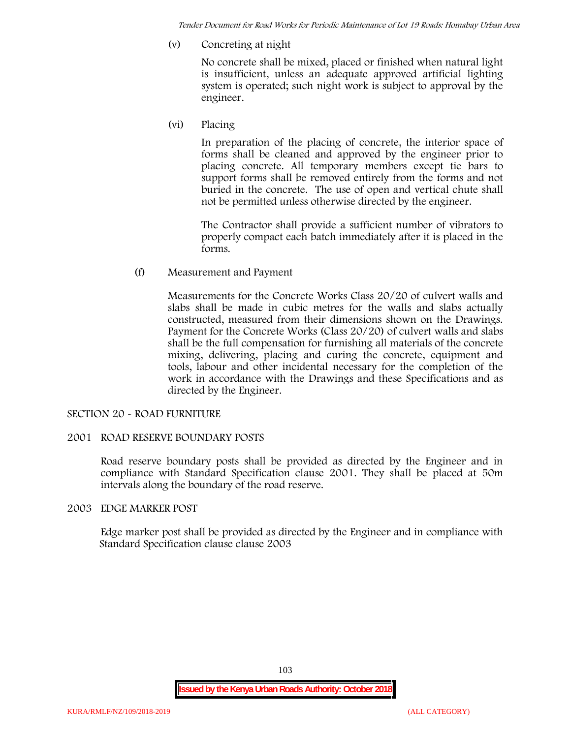*Tender Document for Road Works for Periodic Maintenance of Lot 19 Roads: Homabay Urban Area*

**(v) Concreting at night**

No concrete shall be mixed, placed or finished when natural light is insufficient, unless an adequate approved artificial lighting system is operated; such night work is subject to approval by the engineer.

**(vi) Placing**

In preparation of the placing of concrete, the interior space of forms shall be cleaned and approved by the engineer prior to placing concrete. All temporary members except tie bars to support forms shall be removed entirely from the forms and not buried in the concrete. The use of open and vertical chute shall not be permitted unless otherwise directed by the engineer.

The Contractor shall provide a sufficient number of vibrators to properly compact each batch immediately after it is placed in the forms.

(f) **Measurement and Payment**

Measurements for the Concrete Works Class 20/20 of culvert walls and slabs shall be made in cubic metres for the walls and slabs actually constructed, measured from their dimensions shown on the Drawings. Payment for the Concrete Works (Class 20/20) of culvert walls and slabs shall be the full compensation for furnishing all materials of the concrete mixing, delivering, placing and curing the concrete, equipment and tools, labour and other incidental necessary for the completion of the work in accordance with the Drawings and these Specifications and as directed by the Engineer.

# **SECTION 20 - ROAD FURNITURE**

# **2001 ROAD RESERVE BOUNDARY POSTS**

Road reserve boundary posts shall be provided as directed by the Engineer and in compliance with Standard Specification clause 2001. They shall be placed at 50m intervals along the boundary of the road reserve.

#### **2003 EDGE MARKER POST**

Edge marker post shall be provided as directed by the Engineer and in compliance with Standard Specification clause clause 2003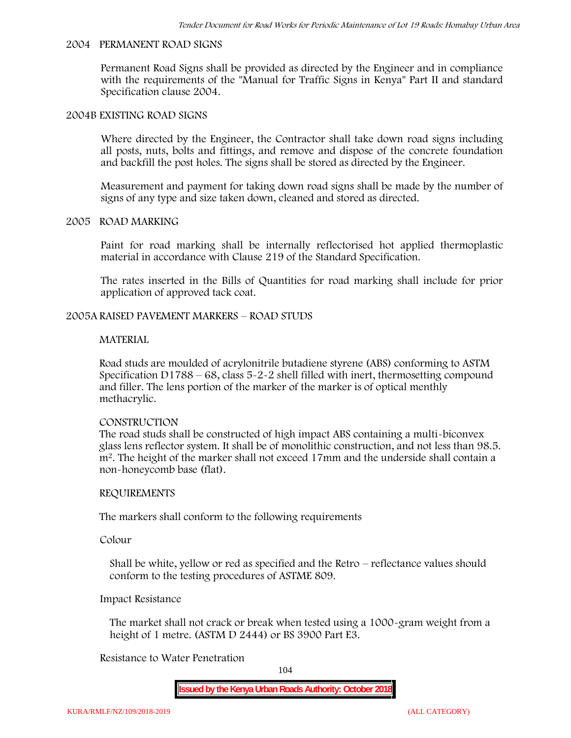#### **2004 PERMANENT ROAD SIGNS**

Permanent Road Signs shall be provided as directed by the Engineer and in compliance with the requirements of the "Manual for Traffic Signs in Kenya" Part II and standard Specification clause 2004.

#### **2004B EXISTING ROAD SIGNS**

Where directed by the Engineer, the Contractor shall take down road signs including all posts, nuts, bolts and fittings, and remove and dispose of the concrete foundation and backfill the post holes. The signs shall be stored as directed by the Engineer.

Measurement and payment for taking down road signs shall be made by the number of signs of any type and size taken down, cleaned and stored as directed.

#### **2005 ROAD MARKING**

Paint for road marking shall be internally reflectorised hot applied thermoplastic material in accordance with Clause 219 of the Standard Specification.

The rates inserted in the Bills of Quantities for road marking shall include for prior application of approved tack coat.

#### **2005A RAISED PAVEMENT MARKERS – ROAD STUDS**

#### **MATERIAL**

Road studs are moulded of acrylonitrile butadiene styrene (ABS) conforming to ASTM Specification D1788 – 68, class  $5 - 2 - 2$  shell filled with inert, thermosetting compound and filler. The lens portion of the marker of the marker is of optical menthly methacrylic.

#### **CONSTRUCTION**

The road studs shall be constructed of high impact ABS containing a multi-biconvex glass lens reflector system. It shall be of monolithic construction, and not less than 98.5. m2. The height of the marker shall not exceed 17mm and the underside shall contain a non-honeycomb base (flat).

#### **REQUIREMENTS**

The markers shall conform to the following requirements

**Colour**

Shall be white, yellow or red as specified and the Retro – reflectance values should conform to the testing procedures of ASTME 809.

#### **Impact Resistance**

The market shall not crack or break when tested using a 1000**-**gram weight from a height of 1 metre. (ASTM D 2444) or BS 3900 Part E3.

### **Resistance to Water Penetration**

104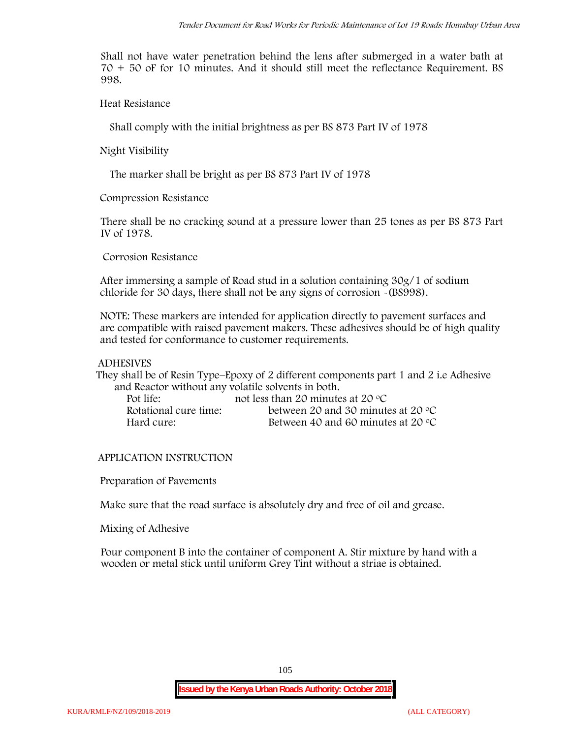Shall not have water penetration behind the lens after submerged in a water bath at 70 + 50 oF for 10 minutes. And it should still meet the reflectance Requirement. BS 998.

**Heat Resistance**

Shall comply with the initial brightness as per BS 873 Part IV of 1978

**Night Visibility**

The marker shall be bright as per BS 873 Part IV of 1978

**Compression Resistance**

There shall be no cracking sound at a pressure lower than 25 tones as per BS 873 Part IV of 1978.

**Corrosion Resistance**

After immersing a sample of Road stud in a solution containing 30g/1 of sodium chloride for 30 days, there shall not be any signs of corrosion **-**(BS998).

**NOTE**: These markers are intended for application directly to pavement surfaces and are compatible with raised pavement makers. These adhesives should be of high quality and tested for conformance to customer requirements.

#### **ADHESIVES**

They shall be of Resin Type–Epoxy of 2 different components part 1 and 2 i.e Adhesive and Reactor without any volatile solvents in both.

| Pot life:             | not less than 20 minutes at 20 $\degree$ C  |
|-----------------------|---------------------------------------------|
| Rotational cure time: | between 20 and 30 minutes at 20 $\degree$ C |
| Hard cure:            | Between 40 and 60 minutes at 20 $\degree$ C |

# **APPLICATION INSTRUCTION**

**Preparation of Pavements**

Make sure that the road surface is absolutely dry and free of oil and grease**.**

**Mixing of Adhesive**

Pour component B into the container of component A. Stir mixture by hand with a wooden or metal stick until uniform Grey Tint without a striae is obtained.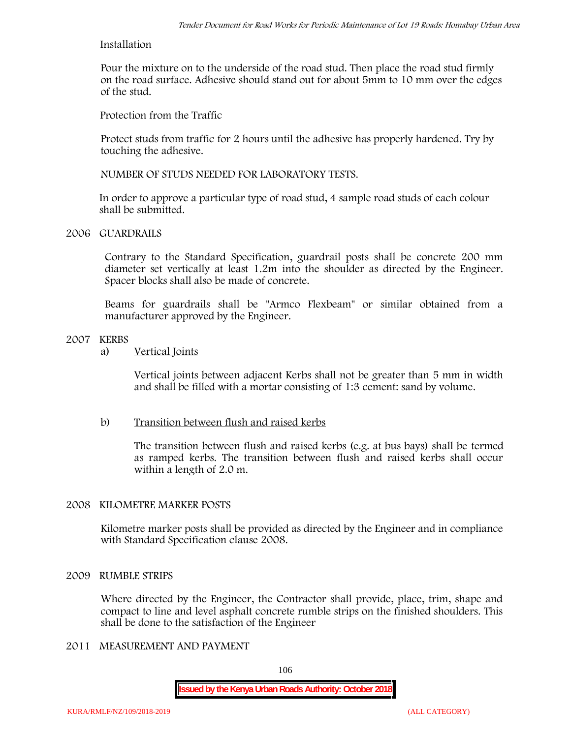# **Installation**

Pour the mixture on to the underside of the road stud. Then place the road stud firmly on the road surface. Adhesive should stand out for about 5mm to 10 mm over the edges of the stud.

**Protection from the Traffic**

Protect studs from traffic for 2 hours until the adhesive has properly hardened. Try by touching the adhesive.

**NUMBER OF STUDS NEEDED FOR LABORATORY TESTS.**

In order to approve a particular type of road stud, 4 sample road studs of each colour shall be submitted.

# **2006 GUARDRAILS**

Contrary to the Standard Specification, guardrail posts shall be concrete 200 mm diameter set vertically at least 1.2m into the shoulder as directed by the Engineer. Spacer blocks shall also be made of concrete.

Beams for guardrails shall be "Armco Flexbeam" or similar obtained from a manufacturer approved by the Engineer.

#### **2007 KERBS**

a) **Vertical Joints**

Vertical joints between adjacent Kerbs shall not be greater than 5 mm in width and shall be filled with a mortar consisting of 1:3 cement: sand by volume.

# b) **Transition between flush and raised kerbs**

The transition between flush and raised kerbs (e.g. at bus bays) shall be termed as ramped kerbs. The transition between flush and raised kerbs shall occur within a length of 2.0 m.

# **2008 KILOMETRE MARKER POSTS**

Kilometre marker posts shall be provided as directed by the Engineer and in compliance with Standard Specification clause 2008.

# **2009 RUMBLE STRIPS**

Where directed by the Engineer, the Contractor shall provide, place, trim, shape and compact to line and level asphalt concrete rumble strips on the finished shoulders. This shall be done to the satisfaction of the Engineer

# **2011 MEASUREMENT AND PAYMENT**

106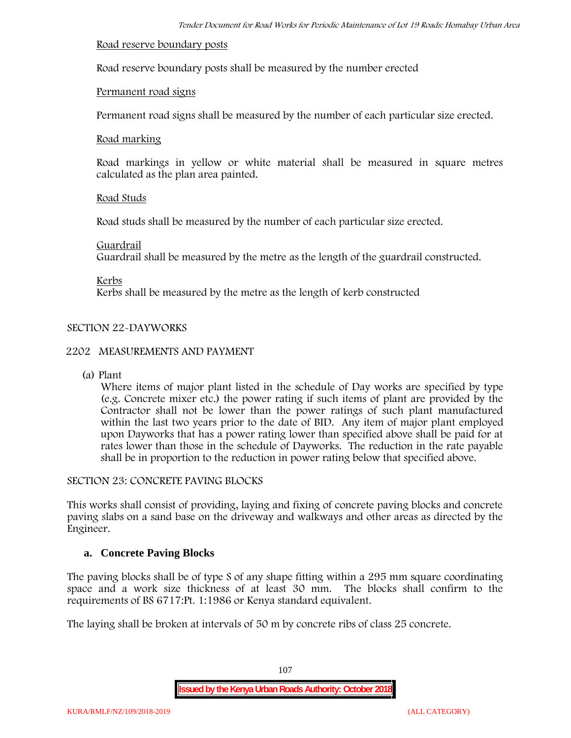### **Road reserve boundary posts**

Road reserve boundary posts shall be measured by the number erected

# **Permanent road signs**

Permanent road signs shall be measured by the number of each particular size erected.

#### **Road marking**

Road markings in yellow or white material shall be measured in square metres calculated as the plan area painted.

# **Road Studs**

Road studs shall be measured by the number of each particular size erected.

#### **Guardrail**

Guardrail shall be measured by the metre as the length of the guardrail constructed.

**Kerbs**

Kerbs shall be measured by the metre as the length of kerb constructed

# **SECTION 22-DAYWORKS**

# **2202 MEASUREMENTS AND PAYMENT**

(a) Plant

Where items of major plant listed in the schedule of Day works are specified by type (e.g. Concrete mixer etc.) the power rating if such items of plant are provided by the Contractor shall not be lower than the power ratings of such plant manufactured within the last two years prior to the date of BID. Any item of major plant employed upon Dayworks that has a power rating lower than specified above shall be paid for at rates lower than those in the schedule of Dayworks. The reduction in the rate payable shall be in proportion to the reduction in power rating below that specified above.

# **SECTION 23: CONCRETE PAVING BLOCKS**

This works shall consist of providing, laying and fixing of concrete paving blocks and concrete paving slabs on a sand base on the driveway and walkways and other areas as directed by the Engineer.

# **a. Concrete Paving Blocks**

The paving blocks shall be of type S of any shape fitting within a 295 mm square coordinating space and a work size thickness of at least 30 mm. The blocks shall confirm to the requirements of BS 6717:Pt. 1:1986 or Kenya standard equivalent.

The laying shall be broken at intervals of 50 m by concrete ribs of class 25 concrete.

107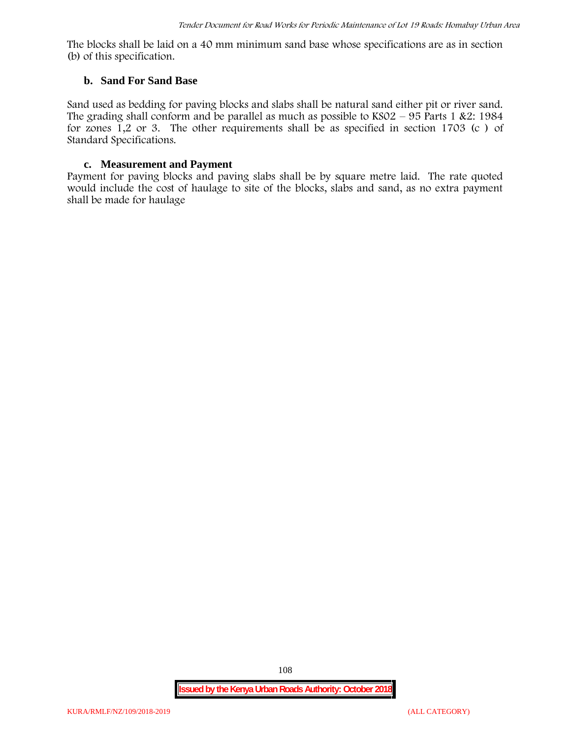The blocks shall be laid on a 40 mm minimum sand base whose specifications are as in section (b) of this specification.

#### **b. Sand For Sand Base**

Sand used as bedding for paving blocks and slabs shall be natural sand either pit or river sand. The grading shall conform and be parallel as much as possible to  $KSO2 - 95$  Parts 1 &2: 1984 for zones 1,2 or 3. The other requirements shall be as specified in section 1703 (c ) of Standard Specifications.

### **c. Measurement and Payment**

Payment for paving blocks and paving slabs shall be by square metre laid. The rate quoted would include the cost of haulage to site of the blocks, slabs and sand, as no extra payment shall be made for haulage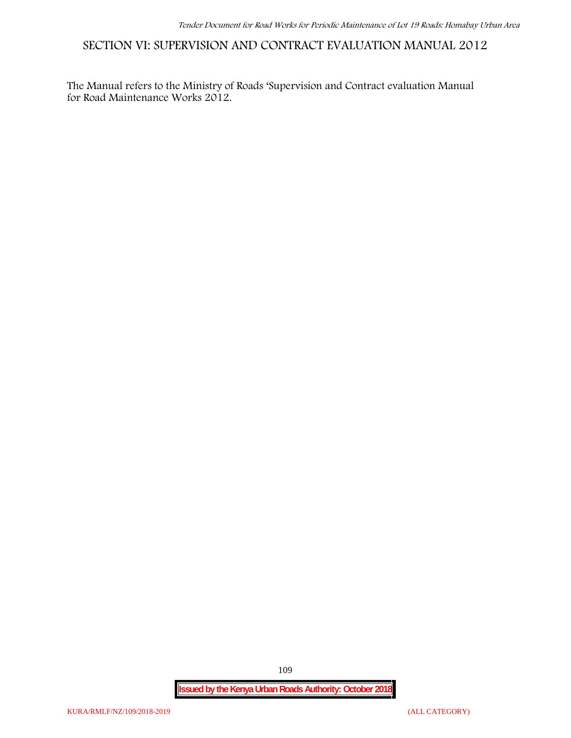**SECTION VI: SUPERVISION AND CONTRACT EVALUATION MANUAL 2012**

The Manual refers to the Ministry of Roads 'Supervision and Contract evaluation Manual for Road Maintenance Works 2012.

**Issued by the Kenya Urban Roads Authority: October 2018**

109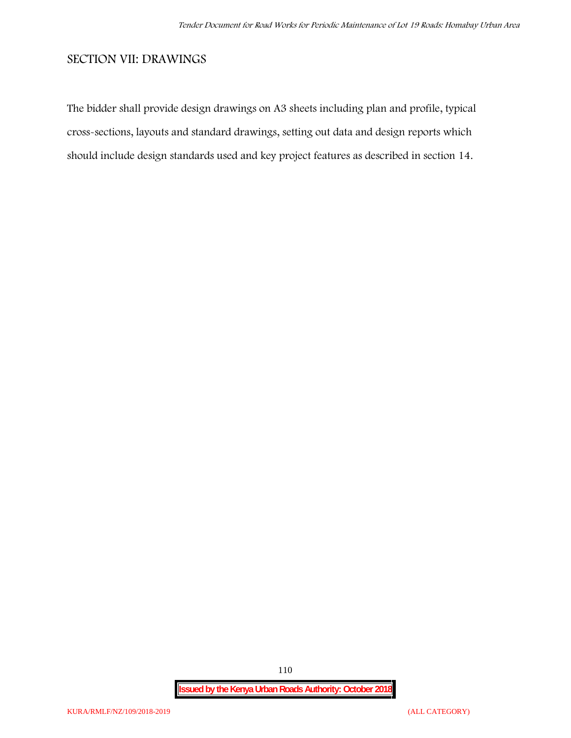# **SECTION VII: DRAWINGS**

The bidder shall provide design drawings on A3 sheets including plan and profile, typical cross-sections, layouts and standard drawings, setting out data and design reports which should include design standards used and key project features as described in section 14.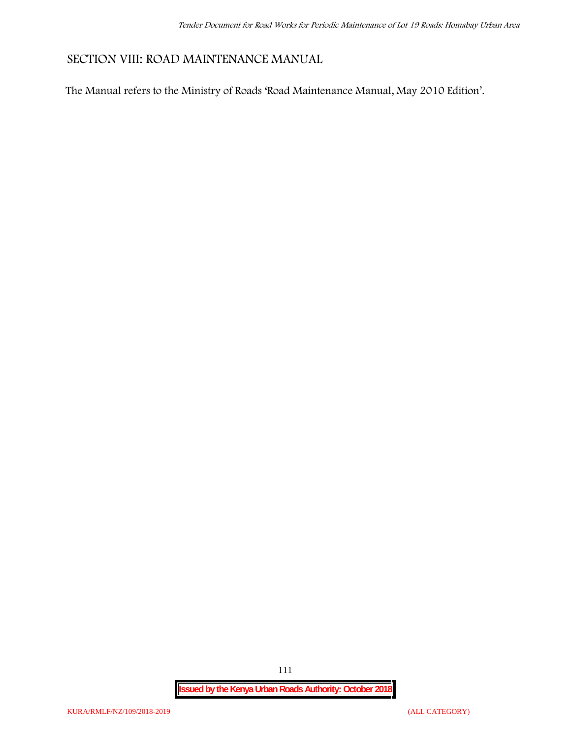# **SECTION VIII: ROAD MAINTENANCE MANUAL**

The Manual refers to the Ministry of Roads 'Road Maintenance Manual, May 2010 Edition'.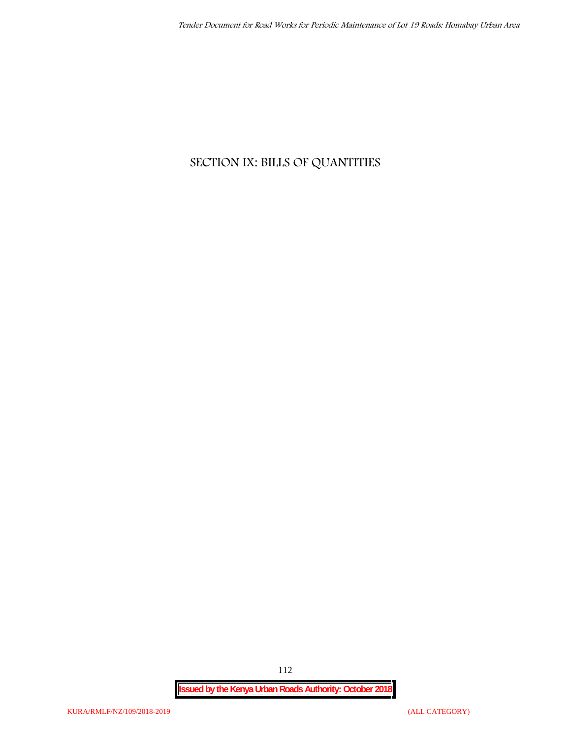# **SECTION IX: BILLS OF QUANTITIES**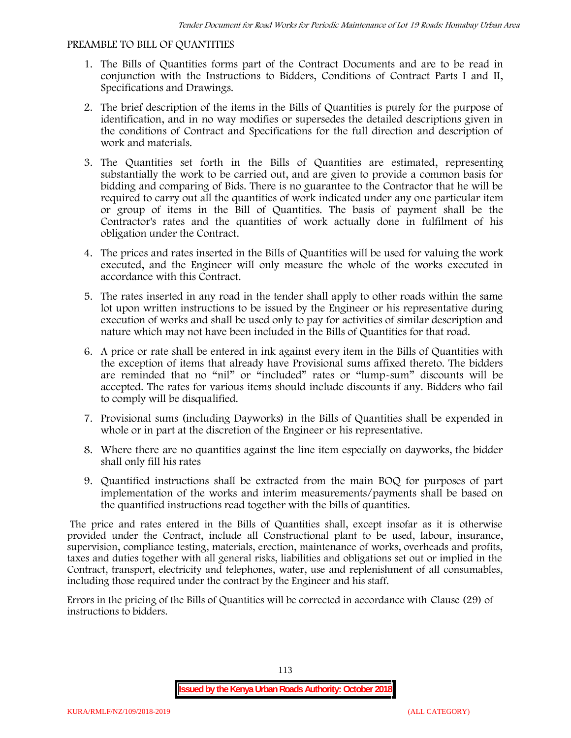#### **PREAMBLE TO BILL OF QUANTITIES**

- 1. The Bills of Quantities forms part of the Contract Documents and are to be read in conjunction with the Instructions to Bidders, Conditions of Contract Parts I and II, Specifications and Drawings.
- 2. The brief description of the items in the Bills of Quantities is purely for the purpose of identification, and in no way modifies or supersedes the detailed descriptions given in the conditions of Contract and Specifications for the full direction and description of work and materials.
- 3. The Quantities set forth in the Bills of Quantities are estimated, representing substantially the work to be carried out, and are given to provide a common basis for bidding and comparing of Bids. There is no guarantee to the Contractor that he will be required to carry out all the quantities of work indicated under any one particular item or group of items in the Bill of Quantities. The basis of payment shall be the Contractor's rates and the quantities of work actually done in fulfilment of his obligation under the Contract.
- 4. The prices and rates inserted in the Bills of Quantities will be used for valuing the work executed, and the Engineer will only measure the whole of the works executed in accordance with this Contract.
- 5. The rates inserted in any road in the tender shall apply to other roads within the same lot upon written instructions to be issued by the Engineer or his representative during execution of works and shall be used only to pay for activities of similar description and nature which may not have been included in the Bills of Quantities for that road.
- 6. A price or rate shall be entered in ink against every item in the Bills of Quantities with the exception of items that already have Provisional sums affixed thereto. The bidders are reminded that no "nil" or "included" rates or "lump-sum" discounts will be accepted. The rates for various items should include discounts if any. Bidders who fail to comply will be disqualified.
- 7. Provisional sums (including Dayworks) in the Bills of Quantities shall be expended in whole or in part at the discretion of the Engineer or his representative.
- 8. Where there are no quantities against the line item especially on dayworks, the bidder shall only fill his rates
- 9. Quantified instructions shall be extracted from the main BOQ for purposes of part implementation of the works and interim measurements/payments shall be based on the quantified instructions read together with the bills of quantities.

The price and rates entered in the Bills of Quantities shall, except insofar as it is otherwise provided under the Contract, include all Constructional plant to be used, labour, insurance, supervision, compliance testing, materials, erection, maintenance of works, overheads and profits, taxes and duties together with all general risks, liabilities and obligations set out or implied in the Contract, transport, electricity and telephones, water, use and replenishment of all consumables, including those required under the contract by the Engineer and his staff.

Errors in the pricing of the Bills of Quantities will be corrected in accordance with Clause (29) of instructions to bidders.

113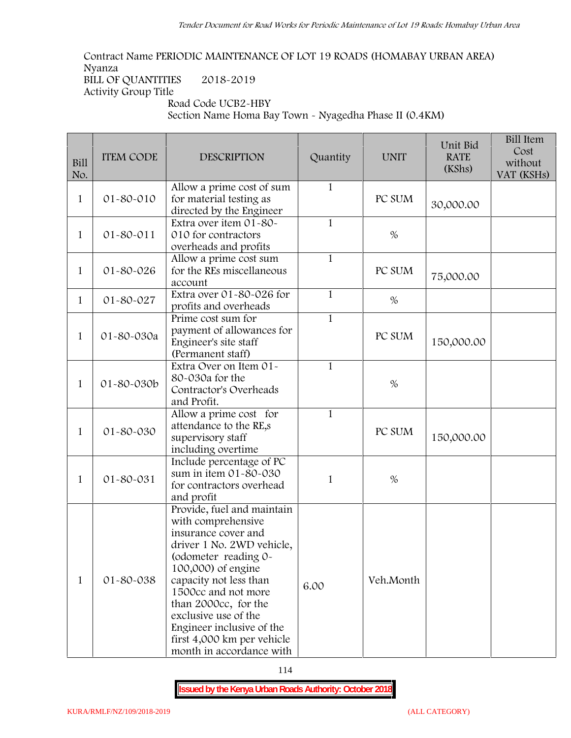**Contract Name PERIODIC MAINTENANCE OF LOT 19 ROADS (HOMABAY URBAN AREA) Nyanza BILL OF QUANTITIES 2018-2019**

**Activity Group Title**

**Road Code UCB2-HBY**

**Section Name Homa Bay Town - Nyagedha Phase II (0.4KM)**

| Bill<br>No.  | <b>ITEM CODE</b> | DESCRIPTION                                                                                                                                                                                                                                                                                                                                | Quantity     | <b>UNIT</b> | Unit Bid<br><b>RATE</b><br>(KShs) | <b>Bill</b> Item<br>Cost<br>without<br>VAT (KSHs) |
|--------------|------------------|--------------------------------------------------------------------------------------------------------------------------------------------------------------------------------------------------------------------------------------------------------------------------------------------------------------------------------------------|--------------|-------------|-----------------------------------|---------------------------------------------------|
| 1            | 01-80-010        | Allow a prime cost of sum<br>for material testing as<br>directed by the Engineer                                                                                                                                                                                                                                                           | $\mathbf{1}$ | PC SUM      | 30,000.00                         |                                                   |
| $\mathbf{1}$ | 01-80-011        | Extra over item 01-80-<br>010 for contractors<br>overheads and profits                                                                                                                                                                                                                                                                     | $\mathbf{1}$ | $\%$        |                                   |                                                   |
| $\mathbf{1}$ | 01-80-026        | Allow a prime cost sum<br>for the REs miscellaneous<br>account                                                                                                                                                                                                                                                                             | $\mathbf{1}$ | PC SUM      | 75,000.00                         |                                                   |
| $\mathbf{1}$ | 01-80-027        | Extra over 01-80-026 for<br>profits and overheads                                                                                                                                                                                                                                                                                          | $\mathbf{1}$ | $\%$        |                                   |                                                   |
| $\mathbf{1}$ | 01-80-030a       | Prime cost sum for<br>payment of allowances for<br>Engineer's site staff<br>(Permanent staff)                                                                                                                                                                                                                                              | $\mathbf{1}$ | PC SUM      | 150,000.00                        |                                                   |
| $\mathbf{1}$ | 01-80-030b       | Extra Over on Item 01-<br>80-030a for the<br>Contractor's Overheads<br>and Profit.                                                                                                                                                                                                                                                         | $\mathbf{1}$ | $\%$        |                                   |                                                   |
| $\mathbf{1}$ | 01-80-030        | Allow a prime cost for<br>attendance to the RE,s<br>supervisory staff<br>including overtime                                                                                                                                                                                                                                                | $\mathbf{1}$ | PC SUM      | 150,000.00                        |                                                   |
| $\mathbf{1}$ | 01-80-031        | Include percentage of PC<br>sum in item 01-80-030<br>for contractors overhead<br>and profit                                                                                                                                                                                                                                                | $\mathbf 1$  | $\%$        |                                   |                                                   |
| $\mathbf{1}$ | 01-80-038        | Provide, fuel and maintain<br>with comprehensive<br>insurance cover and<br>driver 1 No. 2WD vehicle,<br>(odometer reading 0-<br>100,000) of engine<br>capacity not less than<br>1500cc and not more<br>than 2000cc, for the<br>exclusive use of the<br>Engineer inclusive of the<br>first 4,000 km per vehicle<br>month in accordance with | 6.00         | Veh.Month   |                                   |                                                   |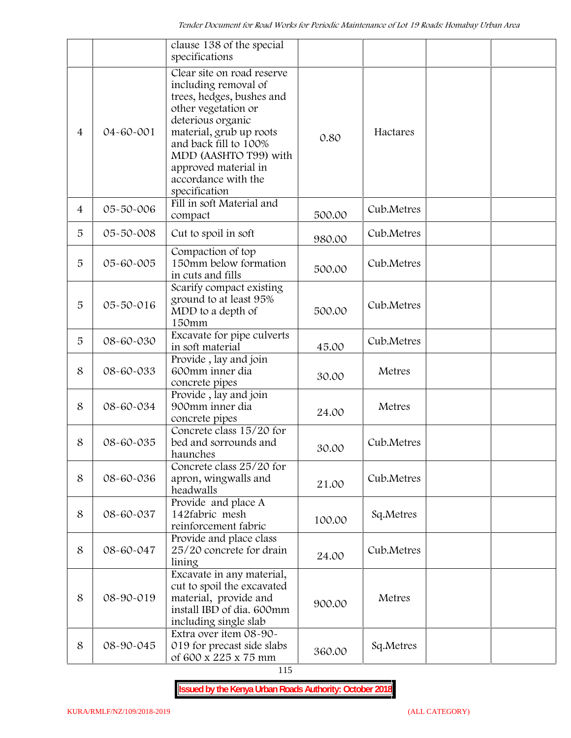|                |           | clause 138 of the special<br>specifications                                                                                                                                                                                                                              |        |            |  |
|----------------|-----------|--------------------------------------------------------------------------------------------------------------------------------------------------------------------------------------------------------------------------------------------------------------------------|--------|------------|--|
| $\overline{4}$ | 04-60-001 | Clear site on road reserve<br>including removal of<br>trees, hedges, bushes and<br>other vegetation or<br>deterious organic<br>material, grub up roots<br>and back fill to 100%<br>MDD (AASHTO T99) with<br>approved material in<br>accordance with the<br>specification | 0.80   | Hactares   |  |
| $\overline{4}$ | 05-50-006 | Fill in soft Material and<br>compact                                                                                                                                                                                                                                     | 500.00 | Cub.Metres |  |
| 5              | 05-50-008 | Cut to spoil in soft                                                                                                                                                                                                                                                     | 980.00 | Cub.Metres |  |
| 5              | 05-60-005 | Compaction of top<br>150mm below formation<br>in cuts and fills                                                                                                                                                                                                          | 500.00 | Cub.Metres |  |
| 5              | 05-50-016 | Scarify compact existing<br>ground to at least 95%<br>MDD to a depth of<br>150mm                                                                                                                                                                                         | 500.00 | Cub.Metres |  |
| 5              | 08-60-030 | Excavate for pipe culverts<br>in soft material                                                                                                                                                                                                                           | 45.00  | Cub.Metres |  |
| 8              | 08-60-033 | Provide, lay and join<br>600mm inner dia<br>concrete pipes                                                                                                                                                                                                               | 30.00  | Metres     |  |
| 8              | 08-60-034 | Provide, lay and join<br>900mm inner dia<br>concrete pipes                                                                                                                                                                                                               | 24.00  | Metres     |  |
| 8              | 08-60-035 | Concrete class 15/20 for<br>bed and sorrounds and<br>haunches                                                                                                                                                                                                            | 30.00  | Cub.Metres |  |
| 8              | 08-60-036 | Concrete class 25/20 for<br>apron, wingwalls and<br>headwalls                                                                                                                                                                                                            | 21.00  | Cub.Metres |  |
| 8              | 08-60-037 | Provide and place A<br>142fabric mesh<br>reinforcement fabric                                                                                                                                                                                                            | 100.00 | Sq.Metres  |  |
| 8              | 08-60-047 | Provide and place class<br>25/20 concrete for drain<br>lining<br>Excavate in any material,                                                                                                                                                                               | 24.00  | Cub.Metres |  |
| 8              | 08-90-019 | cut to spoil the excavated<br>material, provide and<br>install IBD of dia. 600mm<br>including single slab                                                                                                                                                                | 900.00 | Metres     |  |
| 8              | 08-90-045 | Extra over item 08-90-<br>019 for precast side slabs<br>of 600 x 225 x 75 mm                                                                                                                                                                                             | 360.00 | Sq.Metres  |  |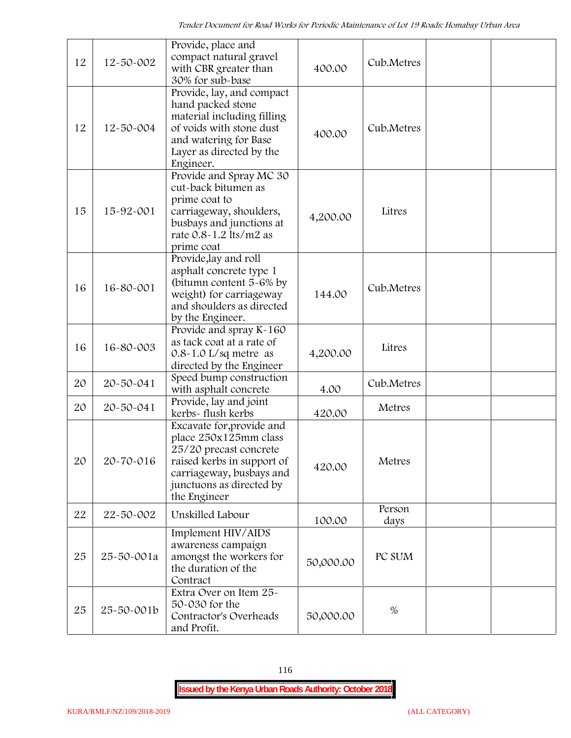| 12 | 12-50-002  | Provide, place and<br>compact natural gravel<br>with CBR greater than<br>30% for sub-base                                                                                          | 400.00    | Cub.Metres     |  |
|----|------------|------------------------------------------------------------------------------------------------------------------------------------------------------------------------------------|-----------|----------------|--|
| 12 | 12-50-004  | Provide, lay, and compact<br>hand packed stone<br>material including filling<br>of voids with stone dust<br>and watering for Base<br>Layer as directed by the<br>Engineer.         | 400.00    | Cub.Metres     |  |
| 15 | 15-92-001  | Provide and Spray MC 30<br>cut-back bitumen as<br>prime coat to<br>carriageway, shoulders,<br>busbays and junctions at<br>rate 0.8-1.2 lts/m2 as<br>prime coat                     | 4,200.00  | Litres         |  |
| 16 | 16-80-001  | Provide, lay and roll<br>asphalt concrete type 1<br>(bitumn content 5-6% by<br>weight) for carriageway<br>and shoulders as directed<br>by the Engineer.                            | 144.00    | Cub.Metres     |  |
| 16 | 16-80-003  | Provide and spray K-160<br>as tack coat at a rate of<br>$0.8 - 1.0$ L/sq metre as<br>directed by the Engineer                                                                      | 4,200.00  | Litres         |  |
| 20 | 20-50-041  | Speed bump construction<br>with asphalt concrete                                                                                                                                   | 4.00      | Cub.Metres     |  |
| 20 | 20-50-041  | Provide, lay and joint<br>kerbs-flush kerbs                                                                                                                                        | 420.00    | Metres         |  |
| 20 | 20-70-016  | Excavate for, provide and<br>place 250x125mm class<br>25/20 precast concrete<br>raised kerbs in support of<br>carriageway, busbays and<br>junctuons as directed by<br>the Engineer | 420.00    | Metres         |  |
| 22 | 22-50-002  | Unskilled Labour                                                                                                                                                                   | 100.00    | Person<br>days |  |
| 25 | 25-50-001a | Implement HIV/AIDS<br>awareness campaign<br>amongst the workers for<br>the duration of the<br>Contract                                                                             | 50,000.00 | PC SUM         |  |
| 25 | 25-50-001b | Extra Over on Item 25~<br>50-030 for the<br>Contractor's Overheads<br>and Profit.                                                                                                  | 50,000.00 | $\%$           |  |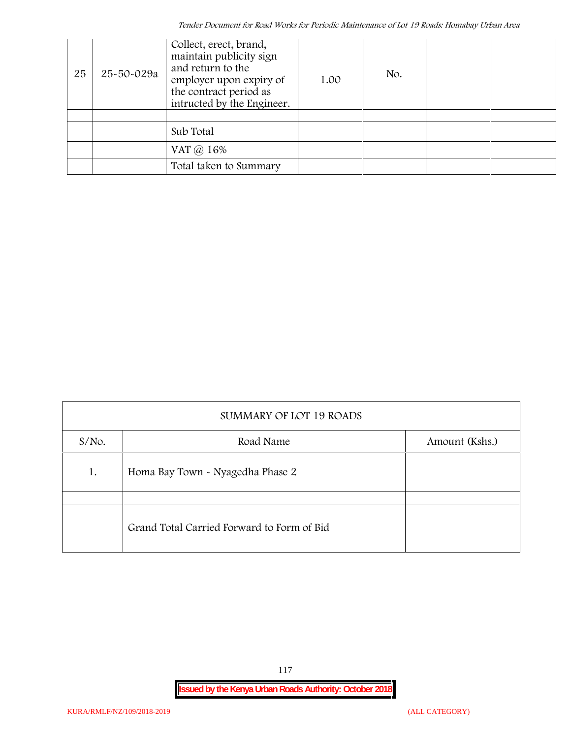#### *Tender Document for Road Works for Periodic Maintenance of Lot 19 Roads: Homabay Urban Area*

| 25 | 25-50-029a | Collect, erect, brand,<br>maintain publicity sign<br>and return to the<br>employer upon expiry of<br>the contract period as<br>intructed by the Engineer. | 1.00 | No. |  |
|----|------------|-----------------------------------------------------------------------------------------------------------------------------------------------------------|------|-----|--|
|    |            |                                                                                                                                                           |      |     |  |
|    |            | Sub Total                                                                                                                                                 |      |     |  |
|    |            | VAT @ 16%                                                                                                                                                 |      |     |  |
|    |            | Total taken to Summary                                                                                                                                    |      |     |  |

| SUMMARY OF LOT 19 ROADS                    |  |  |  |  |
|--------------------------------------------|--|--|--|--|
| $S/NO$ .<br>Road Name<br>Amount (Kshs.)    |  |  |  |  |
| Homa Bay Town - Nyagedha Phase 2<br>1.     |  |  |  |  |
|                                            |  |  |  |  |
| Grand Total Carried Forward to Form of Bid |  |  |  |  |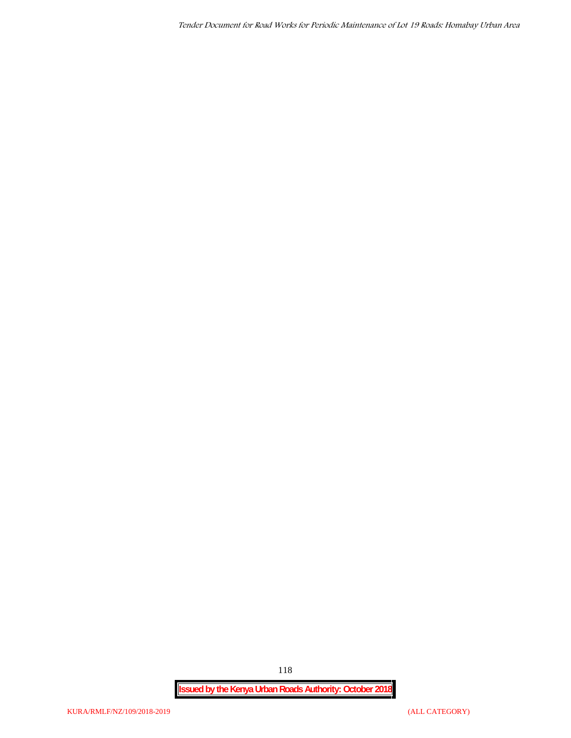*Tender Document for Road Works for Periodic Maintenance of Lot 19 Roads: Homabay Urban Area*

**Issued by the Kenya Urban Roads Authority: October 2018**

118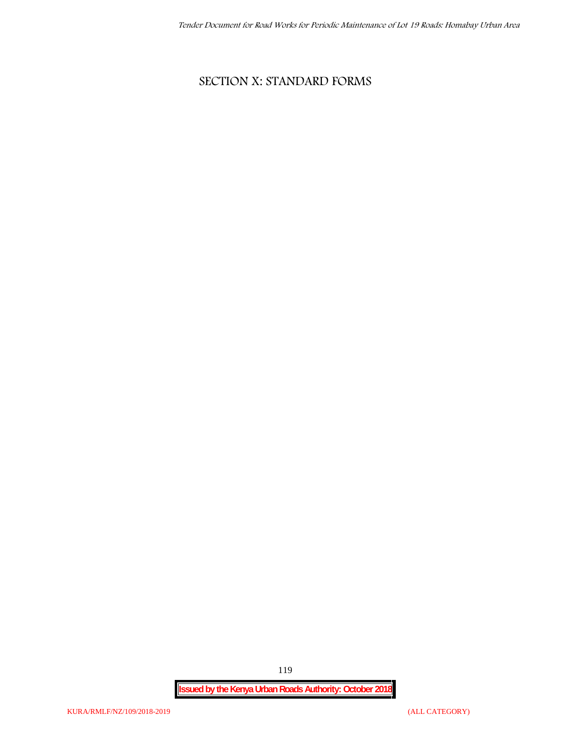# **SECTION X: STANDARD FORMS**

**Issued by the Kenya Urban Roads Authority: October 2018**

119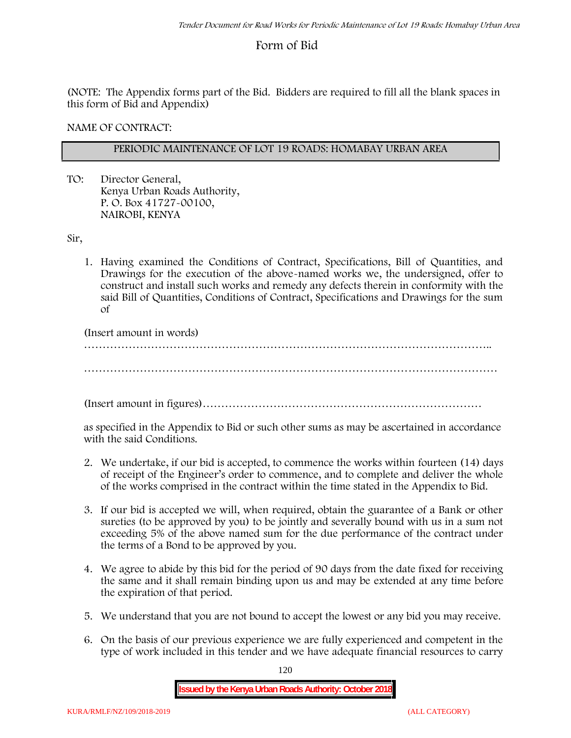# **Form of Bid**

(NOTE: The Appendix forms part of the Bid. Bidders are required to fill all the blank spaces in this form of Bid and Appendix)

**NAME OF CONTRACT:**

# **PERIODIC MAINTENANCE OF LOT 19 ROADS: HOMABAY URBAN AREA**

TO: Director General, Kenya Urban Roads Authority, P. O. Box 41727-00100, **NAIROBI, KENYA**

Sir,

1. Having examined the Conditions of Contract, Specifications, Bill of Quantities, and Drawings for the execution of the above-named works we, the undersigned, offer to construct and install such works and remedy any defects therein in conformity with the said Bill of Quantities, Conditions of Contract, Specifications and Drawings for the sum of

(Insert amount in words)

………………………………………………………………………………………………..

…………………………………………………………………………………………………

(Insert amount in figures)…………………………………………………………………

as specified in the Appendix to Bid or such other sums as may be ascertained in accordance with the said Conditions.

- 2. We undertake, if our bid is accepted, to commence the works within fourteen (14) days of receipt of the Engineer's order to commence, and to complete and deliver the whole of the works comprised in the contract within the time stated in the Appendix to Bid.
- 3. If our bid is accepted we will, when required, obtain the guarantee of a Bank or other sureties (to be approved by you) to be jointly and severally bound with us in a sum not exceeding 5% of the above named sum for the due performance of the contract under the terms of a Bond to be approved by you.
- 4. We agree to abide by this bid for the period of 90 days from the date fixed for receiving the same and it shall remain binding upon us and may be extended at any time before the expiration of that period.
- 5. We understand that you are not bound to accept the lowest or any bid you may receive.
- 6. On the basis of our previous experience we are fully experienced and competent in the type of work included in this tender and we have adequate financial resources to carry

120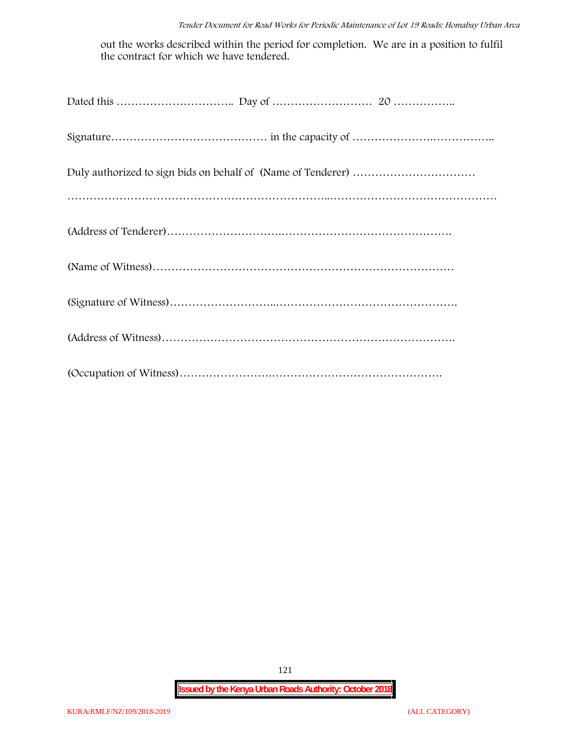out the works described within the period for completion. We are in a position to fulfil the contract for which we have tendered.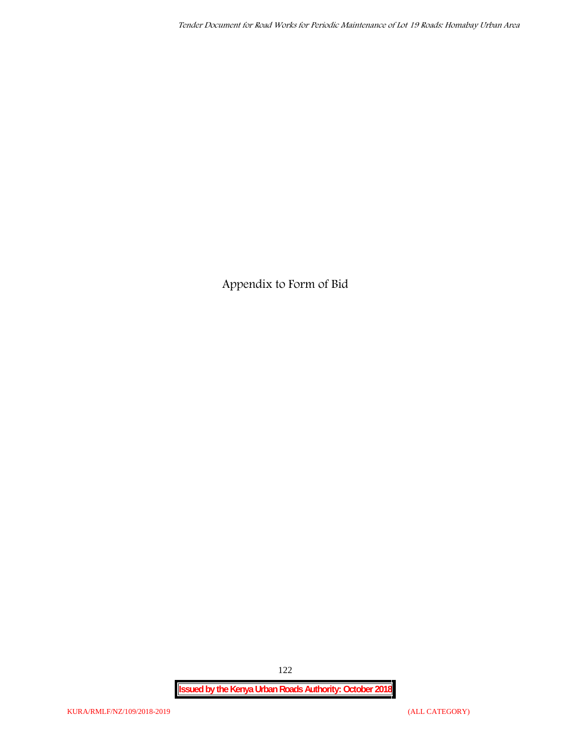**Appendix to Form of Bid**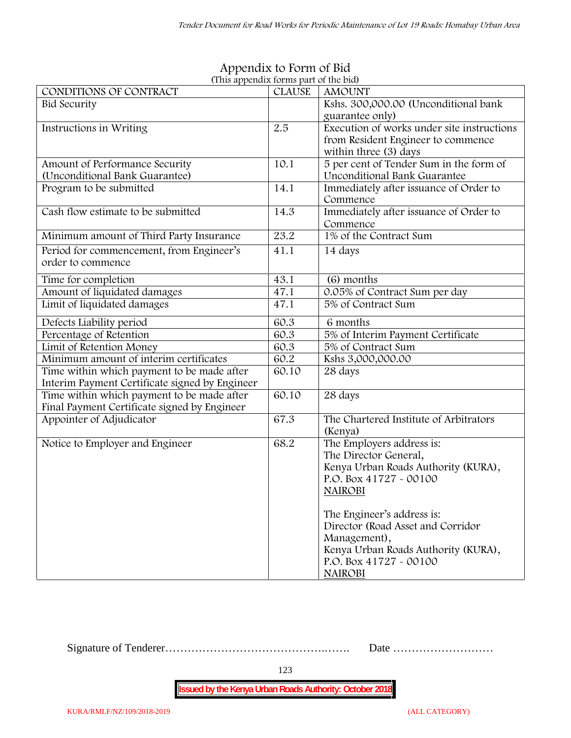| CONDITIONS OF CONTRACT                         | <b>CLAUSE</b> | <b>AMOUNT</b>                                                   |
|------------------------------------------------|---------------|-----------------------------------------------------------------|
| <b>Bid Security</b>                            |               | Kshs. 300,000.00 (Unconditional bank                            |
|                                                |               | guarantee only)                                                 |
| Instructions in Writing                        | 2.5           | Execution of works under site instructions                      |
|                                                |               | from Resident Engineer to commence                              |
|                                                |               | within three (3) days                                           |
| Amount of Performance Security                 | 10.1          | 5 per cent of Tender Sum in the form of                         |
| (Unconditional Bank Guarantee)                 |               | Unconditional Bank Guarantee                                    |
| Program to be submitted                        | 14.1          | Immediately after issuance of Order to<br>Commence              |
| Cash flow estimate to be submitted             | 14.3          | Immediately after issuance of Order to                          |
|                                                |               | Commence                                                        |
| Minimum amount of Third Party Insurance        | 23.2          | 1% of the Contract Sum                                          |
| Period for commencement, from Engineer's       | 41.1          | 14 days                                                         |
| order to commence                              |               |                                                                 |
| Time for completion                            | 43.1          | (6) months                                                      |
| Amount of liquidated damages                   | 47.1          | 0.05% of Contract Sum per day                                   |
| Limit of liquidated damages                    | 47.1          | 5% of Contract Sum                                              |
| Defects Liability period                       | 60.3          | 6 months                                                        |
| Percentage of Retention                        | 60.3          | 5% of Interim Payment Certificate                               |
| Limit of Retention Money                       | 60.3          | 5% of Contract Sum                                              |
| Minimum amount of interim certificates         | 60.2          | Kshs 3,000,000.00                                               |
| Time within which payment to be made after     | 60.10         | 28 days                                                         |
| Interim Payment Certificate signed by Engineer |               |                                                                 |
| Time within which payment to be made after     | 60.10         | 28 days                                                         |
| Final Payment Certificate signed by Engineer   |               |                                                                 |
| Appointer of Adjudicator                       | 67.3          | The Chartered Institute of Arbitrators                          |
|                                                |               | (Kenya)                                                         |
| Notice to Employer and Engineer                | 68.2          | The Employers address is:                                       |
|                                                |               | The Director General,                                           |
|                                                |               | Kenya Urban Roads Authority (KURA),                             |
|                                                |               | P.O. Box 41727 - 00100                                          |
|                                                |               | <b>NAIROBI</b>                                                  |
|                                                |               |                                                                 |
|                                                |               | The Engineer's address is:<br>Director (Road Asset and Corridor |
|                                                |               |                                                                 |
|                                                |               | Management),                                                    |
|                                                |               | Kenya Urban Roads Authority (KURA),<br>P.O. Box 41727 - 00100   |
|                                                |               | <b>NAIROBI</b>                                                  |
|                                                |               |                                                                 |

# **Appendix to Form of Bid (This appendix forms part of the bid)**

Signature of Tenderer…………………………………….……. Date ………………………

123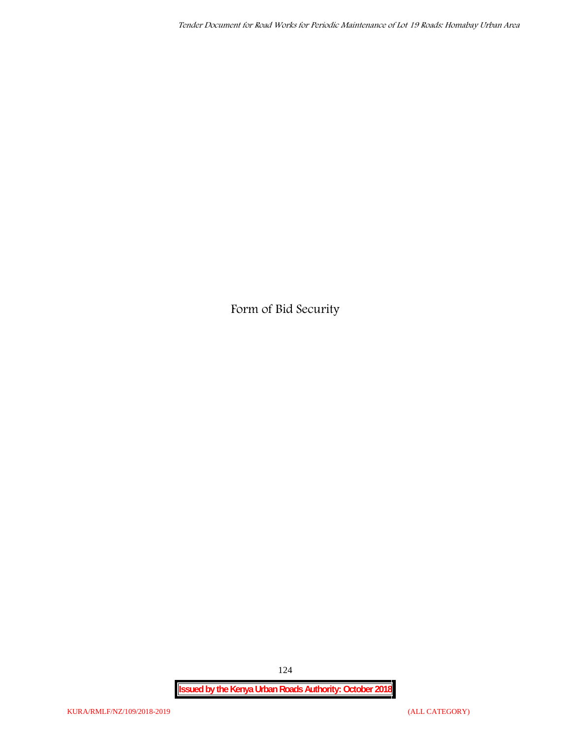**Form of Bid Security**

124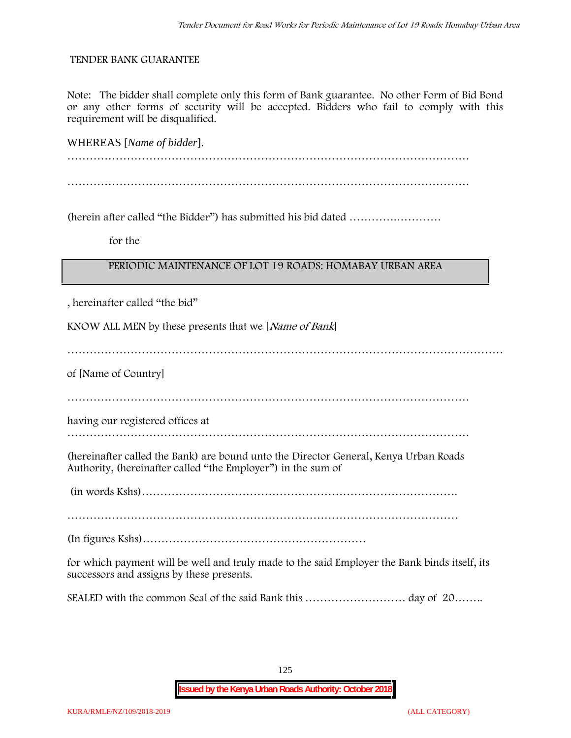### **TENDER BANK GUARANTEE**

Note: The bidder shall complete only this form of Bank guarantee. No other Form of Bid Bond or any other forms of security will be accepted. Bidders who fail to comply with this requirement will be disqualified.

WHEREAS [*Name of bidder*]. ………………………………………………………………………………………………

(herein after called "the Bidder") has submitted his bid dated ………….…………

**for the**

## **PERIODIC MAINTENANCE OF LOT 19 ROADS: HOMABAY URBAN AREA**

, hereinafter called "the bid"

KNOW ALL MEN by these presents that we [*Name of Bank*]

………………………………………………………………………………………………………

of [Name of Country]

………………………………………………………………………………………………

having our registered offices at

………………………………………………………………………………………………

(hereinafter called the Bank) are bound unto the Director General, Kenya Urban Roads Authority, (hereinafter called "the Employer") in the sum of

(in words Kshs)………………………………………………………………………….

……………………………………………………………………………………………

(In figures Kshs)……………………………………………………

for which payment will be well and truly made to the said Employer the Bank binds itself, its successors and assigns by these presents.

SEALED with the common Seal of the said Bank this ……………………… day of 20……..

125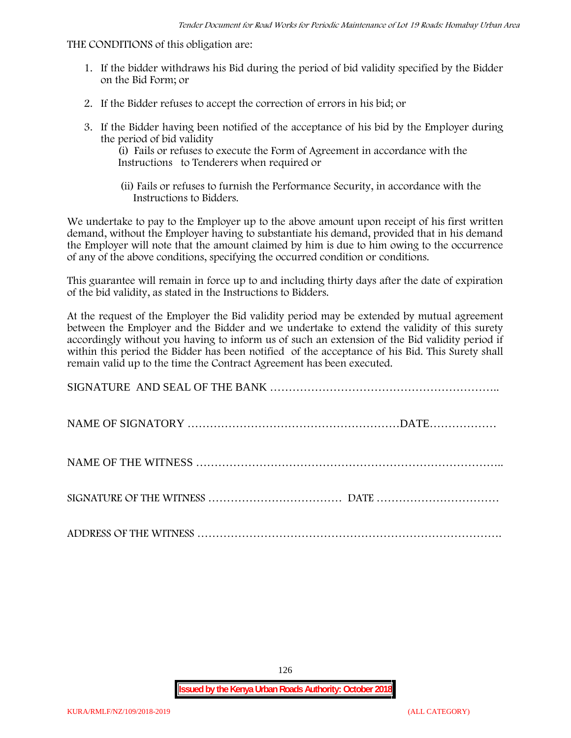#### THE CONDITIONS of this obligation are:

- 1. If the bidder withdraws his Bid during the period of bid validity specified by the Bidder on the Bid Form; or
- 2. If the Bidder refuses to accept the correction of errors in his bid; or
- 3. If the Bidder having been notified of the acceptance of his bid by the Employer during the period of bid validity

(i) Fails or refuses to execute the Form of Agreement in accordance with the Instructions to Tenderers when required or

(ii) Fails or refuses to furnish the Performance Security, in accordance with the Instructions to Bidders.

We undertake to pay to the Employer up to the above amount upon receipt of his first written demand, without the Employer having to substantiate his demand, provided that in his demand the Employer will note that the amount claimed by him is due to him owing to the occurrence of any of the above conditions, specifying the occurred condition or conditions.

This guarantee will remain in force up to and including thirty days after the date of expiration of the bid validity, as stated in the Instructions to Bidders.

At the request of the Employer the Bid validity period may be extended by mutual agreement between the Employer and the Bidder and we undertake to extend the validity of this surety accordingly without you having to inform us of such an extension of the Bid validity period if within this period the Bidder has been notified of the acceptance of his Bid. This Surety shall remain valid up to the time the Contract Agreement has been executed.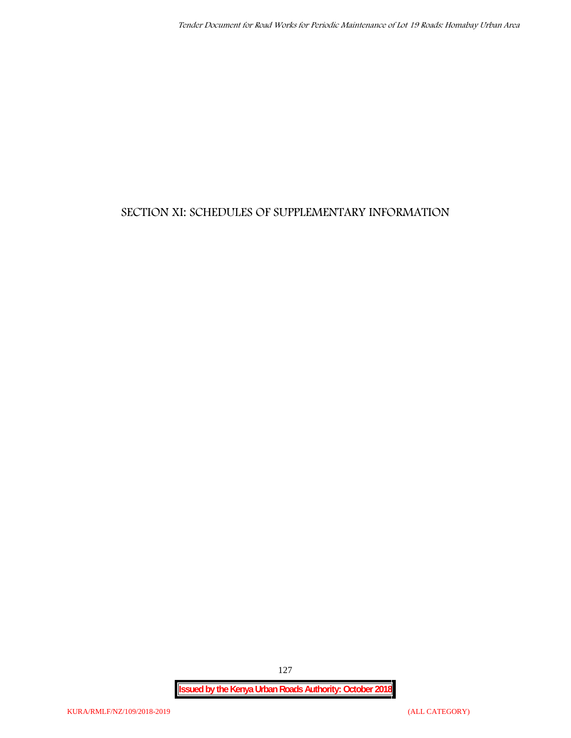# **SECTION XI: SCHEDULES OF SUPPLEMENTARY INFORMATION**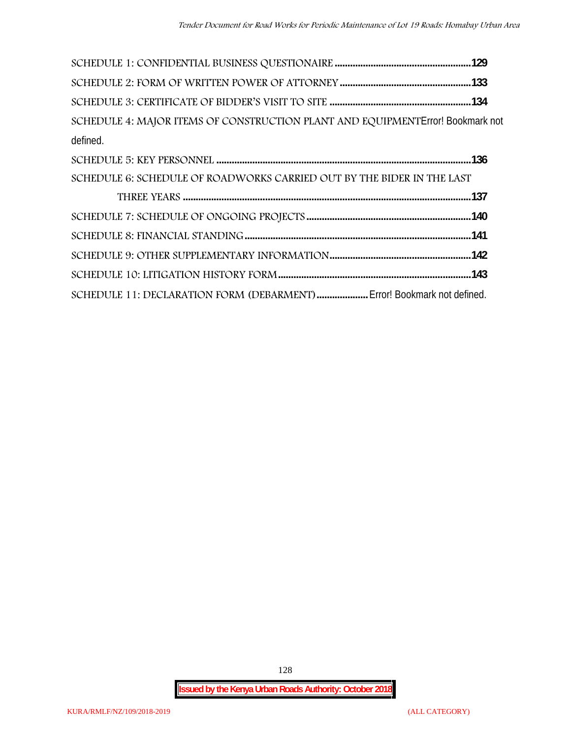| SCHEDULE 4: MAJOR ITEMS OF CONSTRUCTION PLANT AND EQUIPMENT Error! Bookmark not |  |
|---------------------------------------------------------------------------------|--|
| defined.                                                                        |  |
|                                                                                 |  |
| SCHEDULE 6: SCHEDULE OF ROADWORKS CARRIED OUT BY THE BIDER IN THE LAST          |  |
|                                                                                 |  |
|                                                                                 |  |
|                                                                                 |  |
|                                                                                 |  |
|                                                                                 |  |
| SCHEDULE 11: DECLARATION FORM (DEBARMENT)  Error! Bookmark not defined.         |  |

128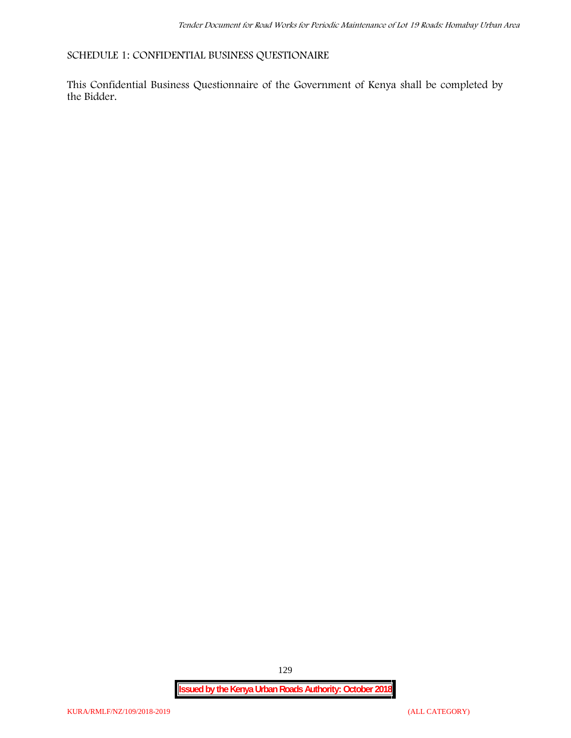**SCHEDULE 1: CONFIDENTIAL BUSINESS QUESTIONAIRE**

This Confidential Business Questionnaire of the Government of Kenya shall be completed by the Bidder.

**Issued by the Kenya Urban Roads Authority: October 2018**

129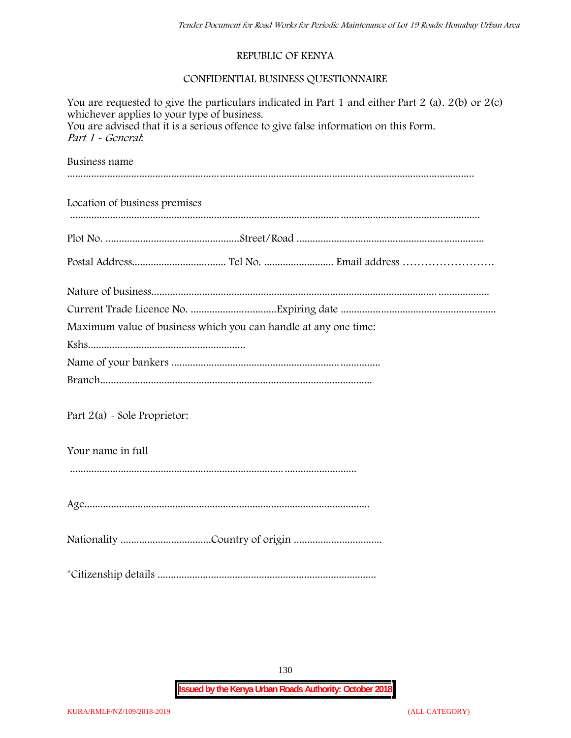## **REPUBLIC OF KENYA**

# **CONFIDENTIAL BUSINESS QUESTIONNAIRE**

| You are requested to give the particulars indicated in Part 1 and either Part 2 (a). $2(b)$ or $2(c)$<br>whichever applies to your type of business.<br>You are advised that it is a serious offence to give false information on this Form. |  |  |  |  |
|----------------------------------------------------------------------------------------------------------------------------------------------------------------------------------------------------------------------------------------------|--|--|--|--|
| Part 1 - General.                                                                                                                                                                                                                            |  |  |  |  |
| Business name                                                                                                                                                                                                                                |  |  |  |  |
|                                                                                                                                                                                                                                              |  |  |  |  |
| Location of business premises                                                                                                                                                                                                                |  |  |  |  |
|                                                                                                                                                                                                                                              |  |  |  |  |
|                                                                                                                                                                                                                                              |  |  |  |  |
|                                                                                                                                                                                                                                              |  |  |  |  |
|                                                                                                                                                                                                                                              |  |  |  |  |
| Maximum value of business which you can handle at any one time:                                                                                                                                                                              |  |  |  |  |
|                                                                                                                                                                                                                                              |  |  |  |  |
|                                                                                                                                                                                                                                              |  |  |  |  |
|                                                                                                                                                                                                                                              |  |  |  |  |
| Part 2(a) - Sole Proprietor:                                                                                                                                                                                                                 |  |  |  |  |
| Your name in full                                                                                                                                                                                                                            |  |  |  |  |
|                                                                                                                                                                                                                                              |  |  |  |  |
|                                                                                                                                                                                                                                              |  |  |  |  |
|                                                                                                                                                                                                                                              |  |  |  |  |
|                                                                                                                                                                                                                                              |  |  |  |  |

130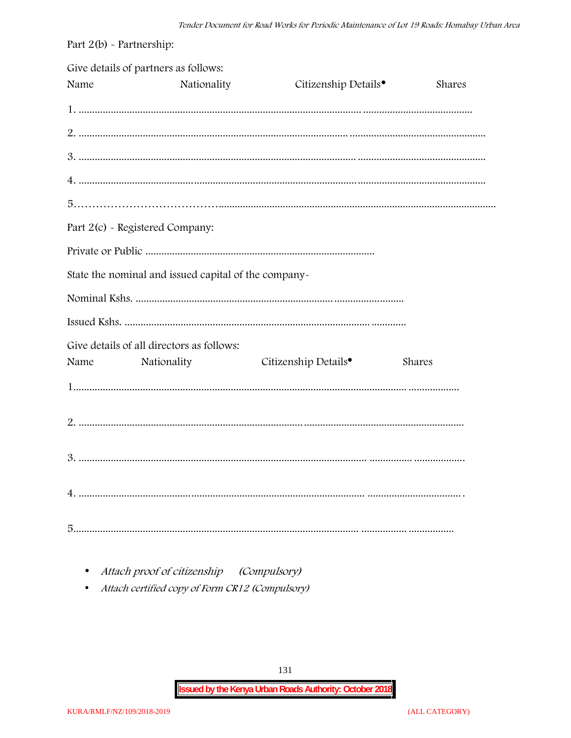| Part $2(b)$ - Partnership: |                                                      |                                  |        |
|----------------------------|------------------------------------------------------|----------------------------------|--------|
| Name                       | Give details of partners as follows:<br>Nationality  | Citizenship Details <sup>•</sup> | Shares |
|                            |                                                      |                                  |        |
|                            |                                                      |                                  |        |
|                            |                                                      |                                  |        |
|                            |                                                      |                                  |        |
|                            |                                                      |                                  |        |
|                            | Part 2(c) - Registered Company:                      |                                  |        |
|                            |                                                      |                                  |        |
|                            | State the nominal and issued capital of the company- |                                  |        |
|                            |                                                      |                                  |        |
|                            |                                                      |                                  |        |
|                            | Give details of all directors as follows:            |                                  |        |
| Name                       | Nationality                                          | Citizenship Details <sup>•</sup> | Shares |
|                            |                                                      |                                  |        |
|                            |                                                      |                                  |        |
|                            |                                                      |                                  |        |
|                            |                                                      |                                  |        |
|                            |                                                      |                                  |        |

- Attach proof of citizenship (Compulsory)
- Attach certified copy of Form CR12 (Compulsory)  $\bullet$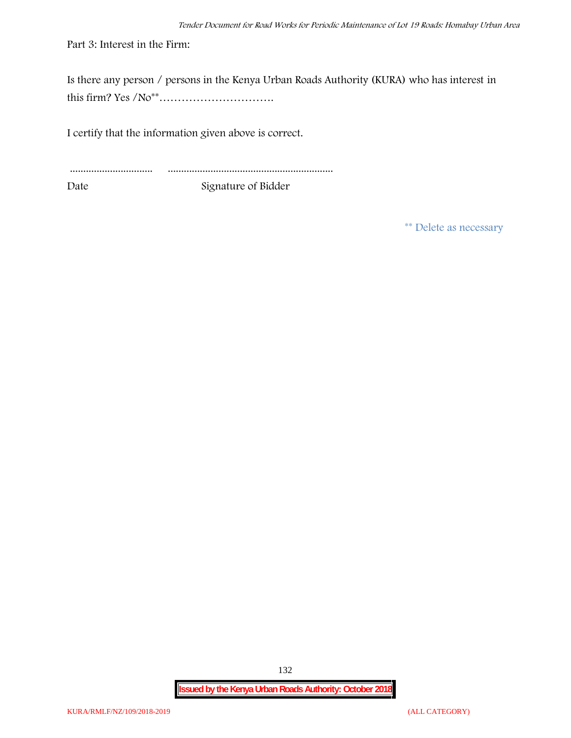Part 3: Interest in the Firm:

Is there any person / persons in the Kenya Urban Roads Authority (KURA) who has interest in this firm? Yes /No\*\*………………………….

I certify that the information given above is correct.

............................... .............................................................. Date Signature of Bidder

**\*\* Delete as necessary**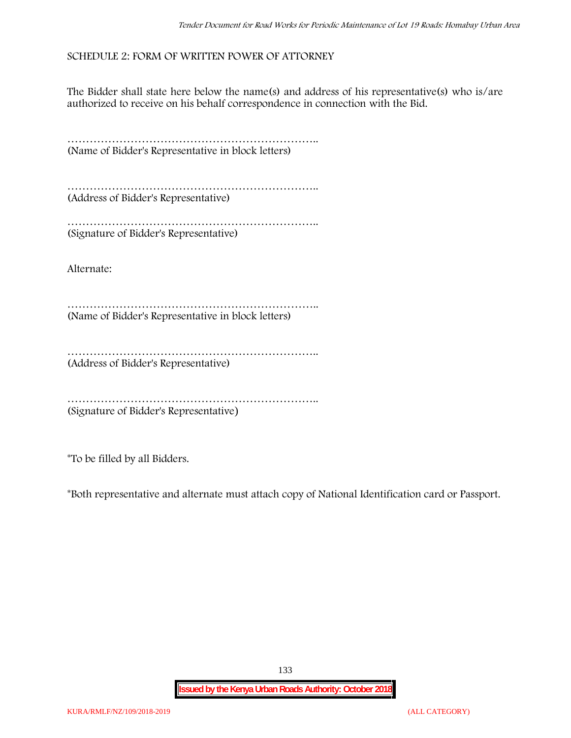## **SCHEDULE 2: FORM OF WRITTEN POWER OF ATTORNEY**

The Bidder shall state here below the name(s) and address of his representative(s) who is/are authorized to receive on his behalf correspondence in connection with the Bid.

………………………………………………………….. (Name of Bidder's Representative in block letters)

………………………………………………………….. (Address of Bidder's Representative)

………………………………………………………….. (Signature of Bidder's Representative)

Alternate:

………………………………………………………….. (Name of Bidder's Representative in block letters)

………………………………………………………………………… (Address of Bidder's Representative)

………………………………………………………….. (Signature of Bidder's Representative)

\*To be filled by all Bidders.

\*Both representative and alternate **must** attach copy of National Identification card or Passport.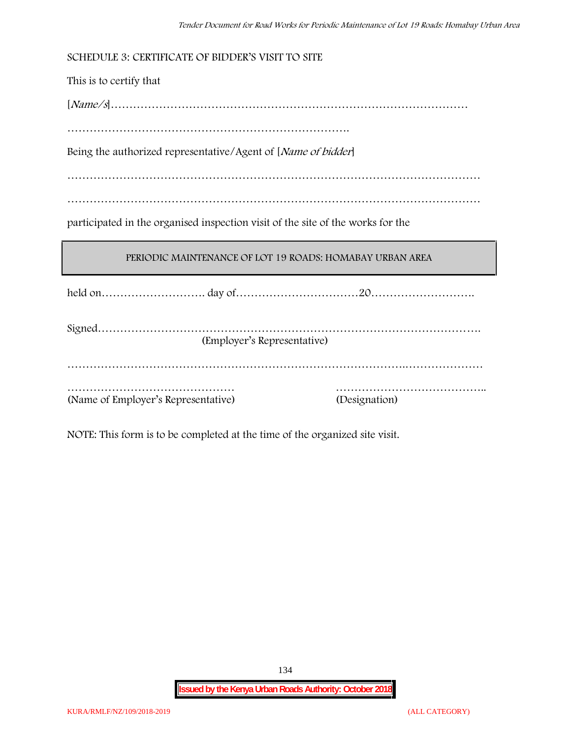**SCHEDULE 3: CERTIFICATE OF BIDDER'S VISIT TO SITE**

This is to certify that

[*Name/s*]……………………………………………………………………………………

………………………………………………………………….

Being the authorized representative/Agent of [*Name of bidder*]

…………………………………………………………………………………………………

…………………………………………………………………………………………………

participated in the organised inspection visit of the site of the works for the

## **PERIODIC MAINTENANCE OF LOT 19 ROADS: HOMABAY URBAN AREA**

held on………………………. day of……………………………20……………………….

| (Employer's Representative)         |               |
|-------------------------------------|---------------|
|                                     |               |
|                                     |               |
| (Name of Employer's Representative) | (Designation) |

NOTE: This form is to be completed at the time of the organized site visit.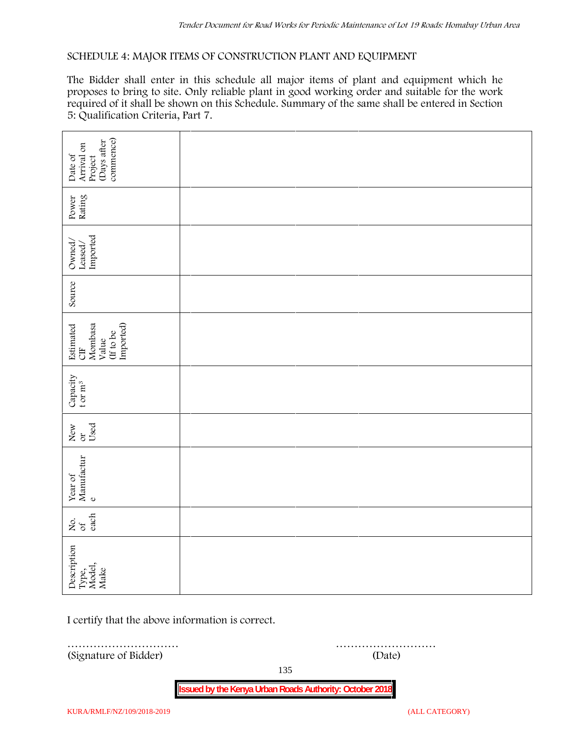### **SCHEDULE 4: MAJOR ITEMS OF CONSTRUCTION PLANT AND EQUIPMENT**

The Bidder shall enter in this schedule all major items of plant and equipment which he proposes to bring to site. Only reliable plant in good working order and suitable for the work required of it shall be shown on this Schedule. Summary of the same shall be entered in Section 5: Qualification Criteria, Part 7.

| commence)<br>(Days after<br>Arrival on<br>Date of<br>Project   |        |
|----------------------------------------------------------------|--------|
| Power<br>Rating                                                |        |
| Leased/<br>Imported<br>Owned/                                  |        |
| Source                                                         |        |
| Imported)<br>Estimated<br>CIF<br>Mombasa<br>(If to be<br>Value |        |
| Capacity t or $\mathbf{m}^3$                                   |        |
| Used<br>New or                                                 |        |
| Year of Manufactur $_{\rm e}$                                  |        |
| each<br>Σά                                                     |        |
| Description<br>Type,<br>Model,<br>Make                         |        |
| I certify that the above information is correct.               |        |
| (Signature of Bidder)                                          | (Date) |

135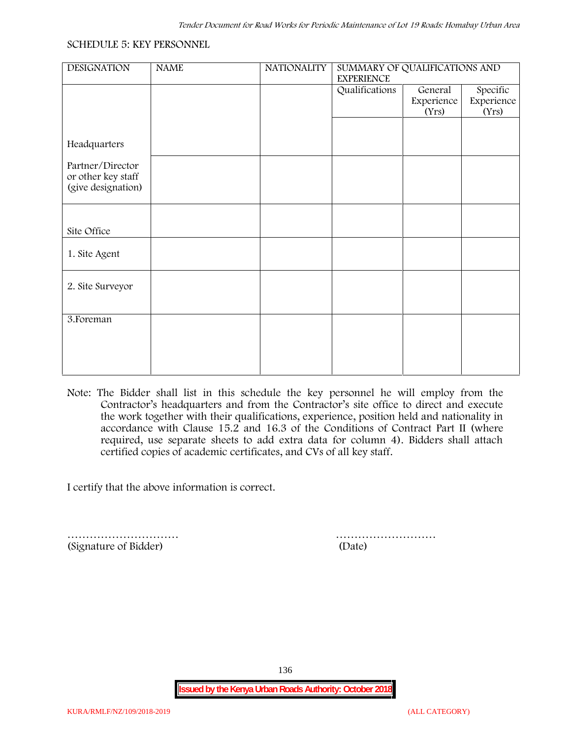#### **SCHEDULE 5: KEY PERSONNEL**

| <b>DESIGNATION</b>                                           | <b>NAME</b> | <b>NATIONALITY</b> | SUMMARY OF QUALIFICATIONS AND<br><b>EXPERIENCE</b> |                                |                                 |  |
|--------------------------------------------------------------|-------------|--------------------|----------------------------------------------------|--------------------------------|---------------------------------|--|
|                                                              |             |                    | Qualifications                                     | General<br>Experience<br>(Yrs) | Specific<br>Experience<br>(Yrs) |  |
| Headquarters                                                 |             |                    |                                                    |                                |                                 |  |
|                                                              |             |                    |                                                    |                                |                                 |  |
| Partner/Director<br>or other key staff<br>(give designation) |             |                    |                                                    |                                |                                 |  |
|                                                              |             |                    |                                                    |                                |                                 |  |
| Site Office                                                  |             |                    |                                                    |                                |                                 |  |
| 1. Site Agent                                                |             |                    |                                                    |                                |                                 |  |
| 2. Site Surveyor                                             |             |                    |                                                    |                                |                                 |  |
| 3. Foreman                                                   |             |                    |                                                    |                                |                                 |  |
|                                                              |             |                    |                                                    |                                |                                 |  |
|                                                              |             |                    |                                                    |                                |                                 |  |
|                                                              |             |                    |                                                    |                                |                                 |  |

**Note:** The Bidder shall list in this schedule the key personnel he will employ from the Contractor's headquarters and from the Contractor's site office to direct and execute the work together with their qualifications, experience, position held and nationality in accordance with Clause 15.2 and 16.3 of the Conditions of Contract Part II (where required, use separate sheets to add extra data for column 4). Bidders shall attach certified copies of academic certificates, and CVs of all key staff.

I certify that the above information is correct.

(Signature of Bidder) (Date)

………………………… ………………………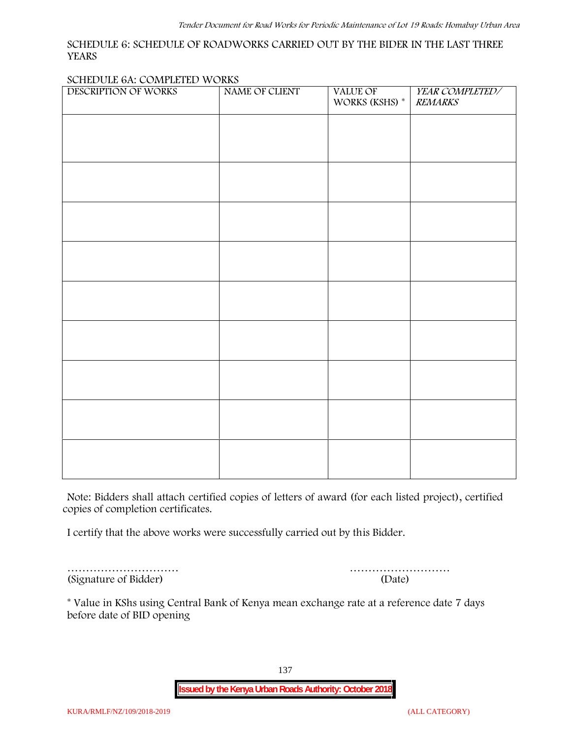#### **SCHEDULE 6: SCHEDULE OF ROADWORKS CARRIED OUT BY THE BIDER IN THE LAST THREE YEARS**

#### **SCHEDULE 6A: COMPLETED WORKS**

| DESCRIPTION OF WORKS | NAME OF CLIENT | VALUE OF<br>WORKS (KSHS) $^\ast$ | YEAR COMPLETED/<br><b>REMARKS</b> |
|----------------------|----------------|----------------------------------|-----------------------------------|
|                      |                |                                  |                                   |
|                      |                |                                  |                                   |
|                      |                |                                  |                                   |
|                      |                |                                  |                                   |
|                      |                |                                  |                                   |
|                      |                |                                  |                                   |
|                      |                |                                  |                                   |
|                      |                |                                  |                                   |
|                      |                |                                  |                                   |
|                      |                |                                  |                                   |
|                      |                |                                  |                                   |
|                      |                |                                  |                                   |
|                      |                |                                  |                                   |
|                      |                |                                  |                                   |

**Note:** Bidders shall attach certified copies of letters of award (for each listed project), certified copies of completion certificates.

I certify that the above works were successfully carried out by this Bidder.

(Signature of Bidder) (Date)

………………………… ………………………

\* **Value in KShs using Central Bank of Kenya mean exchange rate at a reference date 7 days before date of BID opening**

137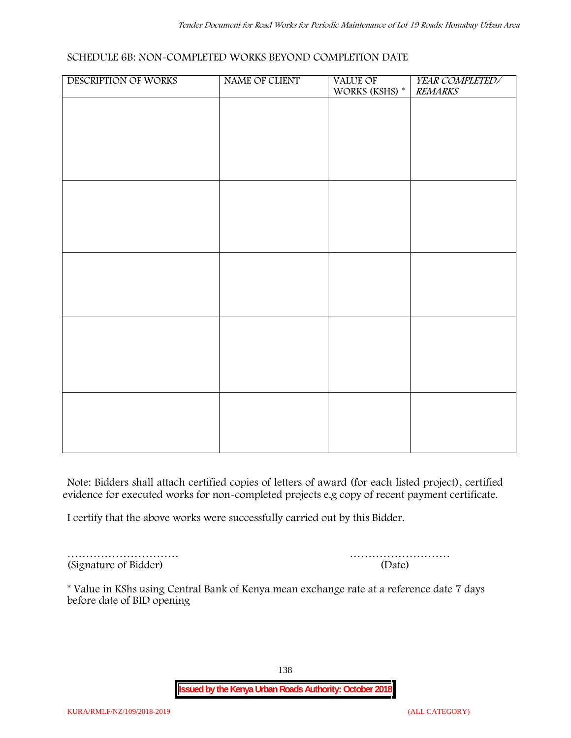### **SCHEDULE 6B: NON-COMPLETED WORKS BEYOND COMPLETION DATE**

| DESCRIPTION OF WORKS | NAME OF CLIENT | VALUE OF<br>WORKS (KSHS) * | YEAR COMPLETED/<br><b>REMARKS</b> |
|----------------------|----------------|----------------------------|-----------------------------------|
|                      |                |                            |                                   |
|                      |                |                            |                                   |
|                      |                |                            |                                   |
|                      |                |                            |                                   |
|                      |                |                            |                                   |
|                      |                |                            |                                   |
|                      |                |                            |                                   |
|                      |                |                            |                                   |
|                      |                |                            |                                   |
|                      |                |                            |                                   |
|                      |                |                            |                                   |
|                      |                |                            |                                   |
|                      |                |                            |                                   |
|                      |                |                            |                                   |
|                      |                |                            |                                   |
|                      |                |                            |                                   |
|                      |                |                            |                                   |

**Note:** Bidders shall attach certified copies of letters of award (for each listed project), certified evidence for executed works for non-completed projects e.g copy of recent payment certificate.

I certify that the above works were successfully carried out by this Bidder.

(Signature of Bidder) (Date)

………………………… ………………………

\* **Value in KShs using Central Bank of Kenya mean exchange rate at a reference date 7 days before date of BID opening**

138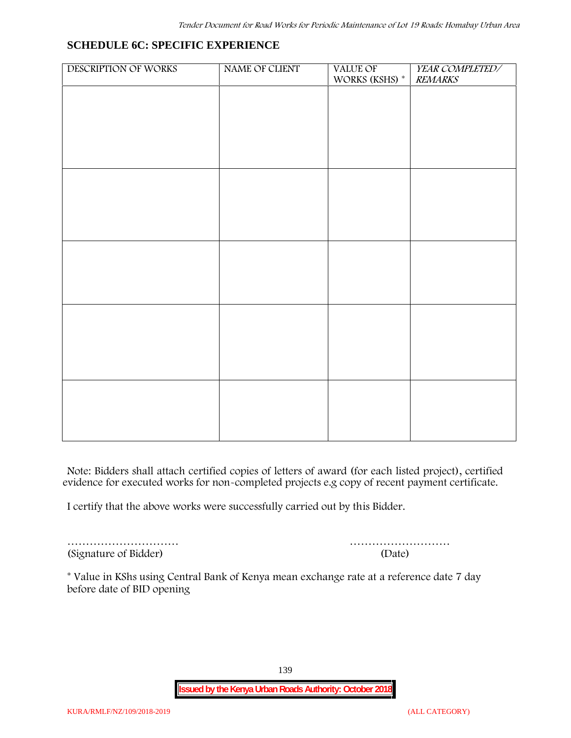## **SCHEDULE 6C: SPECIFIC EXPERIENCE**

| DESCRIPTION OF WORKS | NAME OF CLIENT | VALUE OF<br>WORKS (KSHS) * | YEAR COMPLETED/<br><b>REMARKS</b> |
|----------------------|----------------|----------------------------|-----------------------------------|
|                      |                |                            |                                   |
|                      |                |                            |                                   |
|                      |                |                            |                                   |
|                      |                |                            |                                   |
|                      |                |                            |                                   |
|                      |                |                            |                                   |
|                      |                |                            |                                   |
|                      |                |                            |                                   |
|                      |                |                            |                                   |
|                      |                |                            |                                   |
|                      |                |                            |                                   |
|                      |                |                            |                                   |
|                      |                |                            |                                   |
|                      |                |                            |                                   |
|                      |                |                            |                                   |
|                      |                |                            |                                   |
|                      |                |                            |                                   |

**Note:** Bidders shall attach certified copies of letters of award (for each listed project), certified evidence for executed works for non-completed projects e.g copy of recent payment certificate.

I certify that the above works were successfully carried out by this Bidder.

(Signature of Bidder) (Date)

………………………… ………………………

\* **Value in KShs using Central Bank of Kenya mean exchange rate at a reference date 7 day before date of BID opening**

139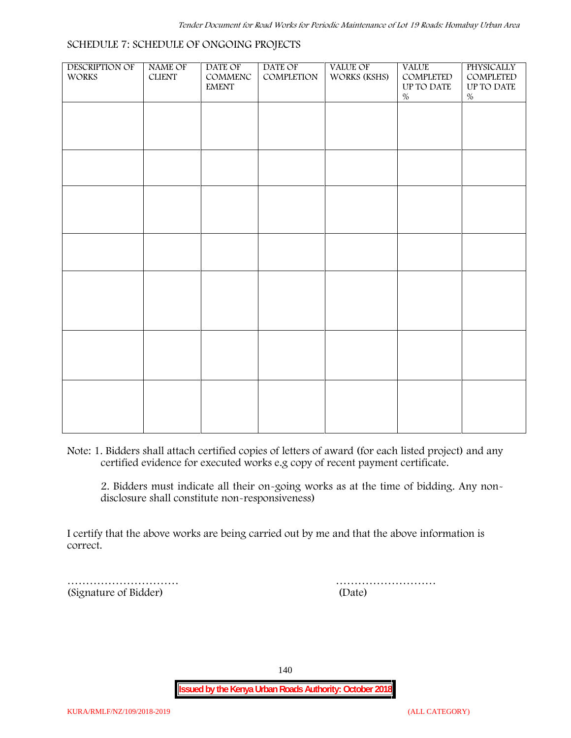#### **SCHEDULE 7: SCHEDULE OF ONGOING PROJECTS**

| DESCRIPTION OF<br><b>WORKS</b> | NAME OF<br>${\tt CLIENT}$ | DATE OF<br>$\mathsf{COMMENC}$<br><b>EMENT</b> | DATE OF<br>COMPLETION | VALUE OF<br>WORKS (KSHS) | <b>VALUE</b><br>COMPLETED<br>UP TO DATE<br>$\%$ | PHYSICALLY<br>COMPLETED<br>$\,$ UP TO DATE<br>$\%$ |  |
|--------------------------------|---------------------------|-----------------------------------------------|-----------------------|--------------------------|-------------------------------------------------|----------------------------------------------------|--|
|                                |                           |                                               |                       |                          |                                                 |                                                    |  |
|                                |                           |                                               |                       |                          |                                                 |                                                    |  |
|                                |                           |                                               |                       |                          |                                                 |                                                    |  |
|                                |                           |                                               |                       |                          |                                                 |                                                    |  |
|                                |                           |                                               |                       |                          |                                                 |                                                    |  |
|                                |                           |                                               |                       |                          |                                                 |                                                    |  |
|                                |                           |                                               |                       |                          |                                                 |                                                    |  |
|                                |                           |                                               |                       |                          |                                                 |                                                    |  |
|                                |                           |                                               |                       |                          |                                                 |                                                    |  |

**Note:** 1. Bidders shall attach certified copies of letters of award (for each listed project) and any certified evidence for executed works e.g copy of recent payment certificate.

2. Bidders must indicate all their on-going works as at the time of bidding. Any non disclosure shall constitute non-responsiveness)

I certify that the above works are being carried out by me and that the above information is correct.

(Signature of Bidder) (Date)

………………………… ………………………

140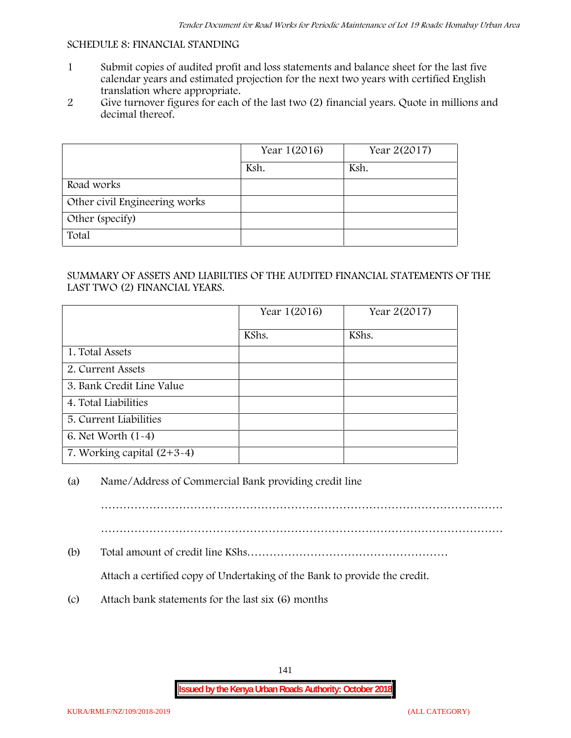#### **SCHEDULE 8: FINANCIAL STANDING**

- 1 Submit copies of audited profit and loss statements and balance sheet for the last five calendar years and estimated projection for the next two years with certified English translation where appropriate.
- 2 Give turnover figures for each of the last two (2) financial years. Quote in millions and decimal thereof.

|                               | Year 1(2016) | Year 2(2017) |
|-------------------------------|--------------|--------------|
|                               | Ksh.         | Ksh.         |
| Road works                    |              |              |
| Other civil Engineering works |              |              |
| Other (specify)               |              |              |
| Total                         |              |              |

### SUMMARY OF ASSETS AND LIABILTIES OF THE AUDITED FINANCIAL STATEMENTS OF THE LAST TWO (2) FINANCIAL YEARS.

|                              | Year 1(2016) | Year 2(2017) |
|------------------------------|--------------|--------------|
|                              | KShs.        | KShs.        |
| 1. Total Assets              |              |              |
| 2. Current Assets            |              |              |
| 3. Bank Credit Line Value    |              |              |
| 4. Total Liabilities         |              |              |
| 5. Current Liabilities       |              |              |
| 6. Net Worth (1-4)           |              |              |
| 7. Working capital $(2+3-4)$ |              |              |

## (a) Name/Address of Commercial Bank providing credit line

………………………………………………………………………………………………

………………………………………………………………………………………………

(b) Total amount of credit line KShs………………………………………………

Attach a certified copy of Undertaking of the Bank to provide the credit.

(c) Attach bank statements for the last six (6) months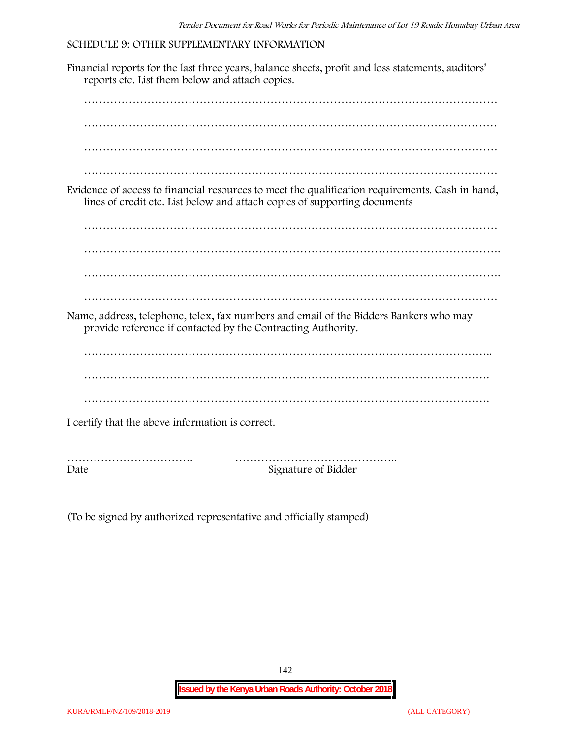### **SCHEDULE 9: OTHER SUPPLEMENTARY INFORMATION**

Financial reports for the last three years, balance sheets, profit and loss statements, auditors' reports etc. List them below and attach copies. ………………………………………………………………………………………………… ………………………………………………………………………………………………… ………………………………………………………………………………………………… ………………………………………………………………………………………………… Evidence of access to financial resources to meet the qualification requirements. Cash in hand, lines of credit etc. List below and attach copies of supporting documents ………………………………………………………………………………………………… …………………………………………………………………………………………………. ………………………………………………………………………………………………… Name, address, telephone, telex, fax numbers and email of the Bidders Bankers who may provide reference if contacted by the Contracting Authority. ……………………………………………………………………………………………….. ………………………………………………………………………………………………. ………………………………………………………………………………………………. I certify that the above information is correct. ……………………………. …………………………………….. Date Signature of Bidder

(To be signed by authorized representative and officially stamped)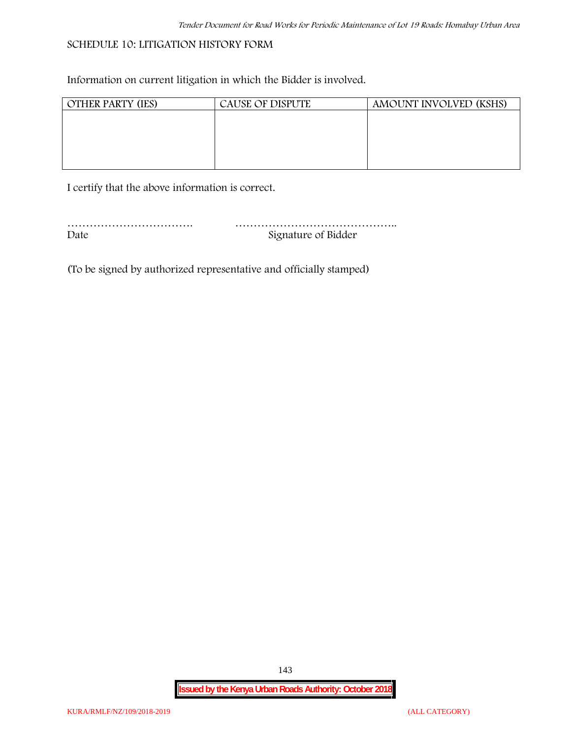# **SCHEDULE 10: LITIGATION HISTORY FORM**

Information on current litigation in which the Bidder is involved.

| <b>OTHER PARTY (IES)</b> | CAUSE OF DISPUTE | AMOUNT INVOLVED (KSHS) |
|--------------------------|------------------|------------------------|
|                          |                  |                        |
|                          |                  |                        |
|                          |                  |                        |
|                          |                  |                        |
|                          |                  |                        |

I certify that the above information is correct.

| Date | Signature of Bidder |
|------|---------------------|

(To be signed by authorized representative and officially stamped)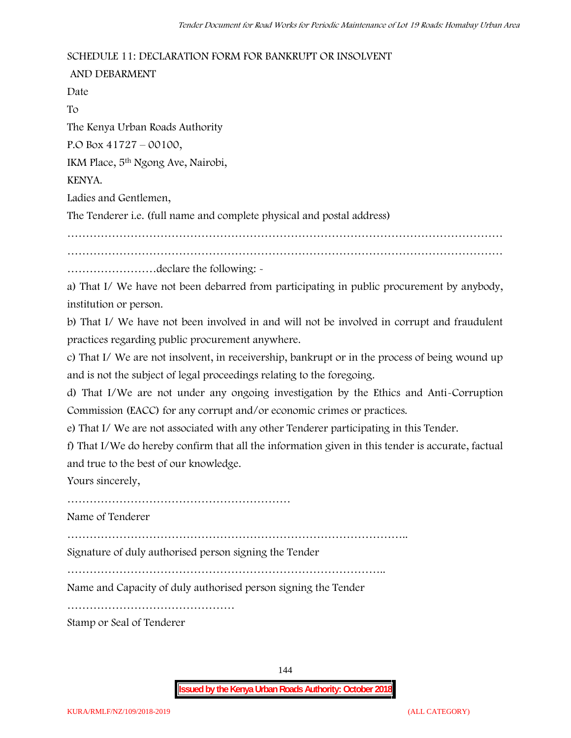### **SCHEDULE 11: DECLARATION FORM FOR BANKRUPT OR INSOLVENT**

**AND DEBARMENT** Date To The Kenya Urban Roads Authority P.O Box 41727 – 00100, IKM Place, 5th Ngong Ave, Nairobi, KENYA. Ladies and Gentlemen, The Tenderer i.e. (full name and complete physical and postal address) ……………………………………………………………………………………………………… ……………………declare the following: a) That I/ We have not been debarred from participating in public procurement by anybody, institution or person.

b) That I/ We have not been involved in and will not be involved in corrupt and fraudulent practices regarding public procurement anywhere.

c) That I/ We are not insolvent, in receivership, bankrupt or in the process of being wound up and is not the subject of legal proceedings relating to the foregoing.

d) That I/We are not under any ongoing investigation by the Ethics and Anti-Corruption Commission (EACC) for any corrupt and/or economic crimes or practices.

e) That I/ We are not associated with any other Tenderer participating in this Tender.

f) That I/We do hereby confirm that all the information given in this tender is accurate, factual and true to the best of our knowledge.

Yours sincerely,

……………………………………………………

Name of Tenderer

………………………………………………………………………………..

Signature of duly authorised person signing the Tender

…………………………………………………………………………..

Name and Capacity of duly authorised person signing the Tender

………………………………………

Stamp or Seal of Tenderer

144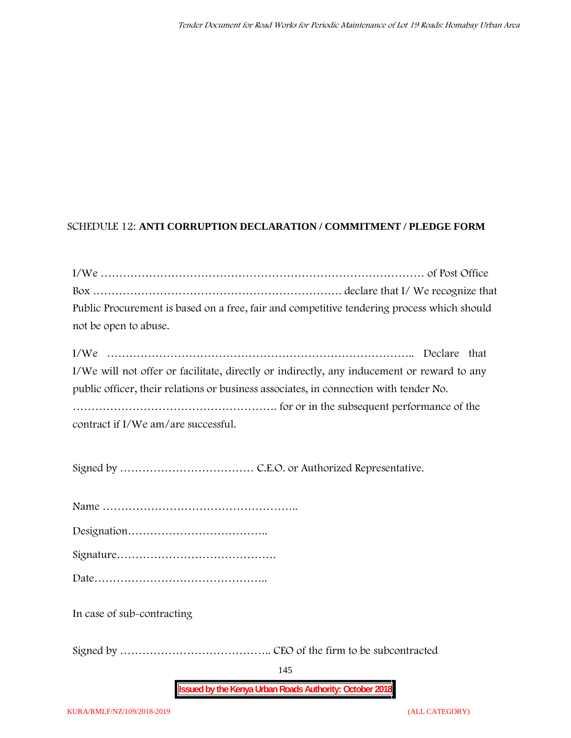### **SCHEDULE 12: ANTI CORRUPTION DECLARATION / COMMITMENT / PLEDGE FORM**

| Public Procurement is based on a free, fair and competitive tendering process which should                                                                                                                                                                                                                                                                        |  |
|-------------------------------------------------------------------------------------------------------------------------------------------------------------------------------------------------------------------------------------------------------------------------------------------------------------------------------------------------------------------|--|
| not be open to abuse.                                                                                                                                                                                                                                                                                                                                             |  |
|                                                                                                                                                                                                                                                                                                                                                                   |  |
| $\mathbf{I} \cap \mathbf{M}$ and $\mathbf{I} \cap \mathbf{M}$ and $\mathbf{I} \cap \mathbf{I}$ and $\mathbf{I} \cap \mathbf{I}$ and $\mathbf{I} \cap \mathbf{I}$ and $\mathbf{I} \cap \mathbf{I}$ and $\mathbf{I} \cap \mathbf{I}$ and $\mathbf{I} \cap \mathbf{I}$ and $\mathbf{I} \cap \mathbf{I}$ and $\mathbf{I} \cap \mathbf{I}$ and $\mathbf{I} \cap \math$ |  |

| I/We will not offer or facilitate, directly or indirectly, any inducement or reward to any |
|--------------------------------------------------------------------------------------------|
| public officer, their relations or business associates, in connection with tender No.      |
|                                                                                            |
| contract if I/We am/are successful.                                                        |

Signed by ……………………………… C.E.O. or Authorized Representative.

**In case of sub-contracting**

Signed by ………………………………….. CEO of the firm to be subcontracted

145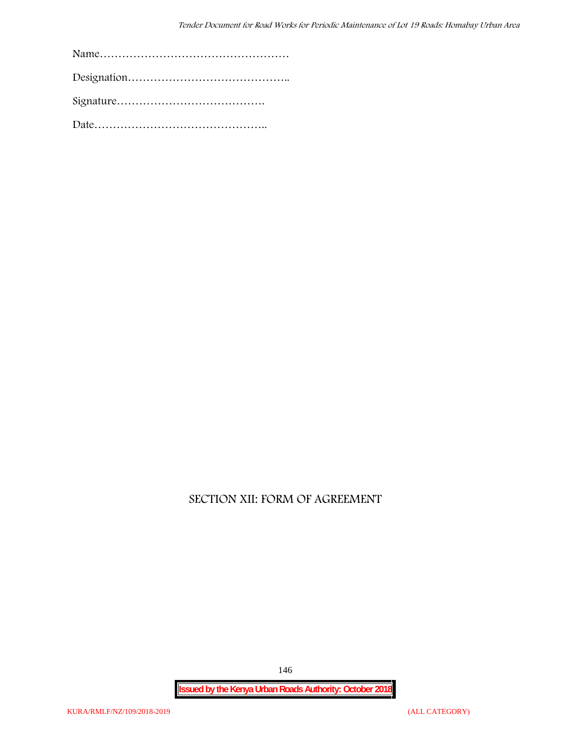Name…………………………………………… Designation…………………………………….. Signature…………………………………. Date………………………………………..

# **SECTION XII: FORM OF AGREEMENT**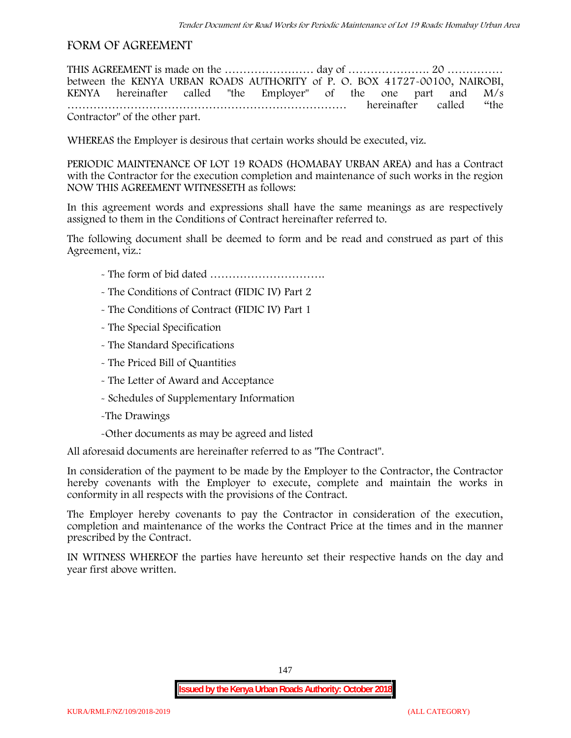## **FORM OF AGREEMENT**

THIS AGREEMENT is made on the …………………… day of …………………. 20 …………… between the **KENYA URBAN ROADS AUTHORITY** of **P. O. BOX 41727-00100, NAIROBI, KENYA** hereinafter called "the Employer" of the one part and **M/s ………………………………………………………………** hereinafter called Contractor" of the other part.

WHEREAS the Employer is desirous that certain works should be executed, viz.

**PERIODIC MAINTENANCE OF LOT 19 ROADS (HOMABAY URBAN AREA)** and has a Contract with the Contractor for the execution completion and maintenance of such works in the region NOW THIS AGREEMENT WITNESSETH as follows:

In this agreement words and expressions shall have the same meanings as are respectively assigned to them in the Conditions of Contract hereinafter referred to.

The following document shall be deemed to form and be read and construed as part of this Agreement, viz.:

- The form of bid dated **………………………….**
- The Conditions of Contract (FIDIC IV) Part 2
- The Conditions of Contract (FIDIC IV) Part 1
- The Special Specification
- The Standard Specifications
- The Priced Bill of Quantities
- The Letter of Award and Acceptance
- Schedules of Supplementary Information
- -The Drawings
- -Other documents as may be agreed and listed

All aforesaid documents are hereinafter referred to as "The Contract".

In consideration of the payment to be made by the Employer to the Contractor, the Contractor hereby covenants with the Employer to execute, complete and maintain the works in conformity in all respects with the provisions of the Contract.

The Employer hereby covenants to pay the Contractor in consideration of the execution, completion and maintenance of the works the Contract Price at the times and in the manner prescribed by the Contract.

IN WITNESS WHEREOF the parties have hereunto set their respective hands on the day and year first above written.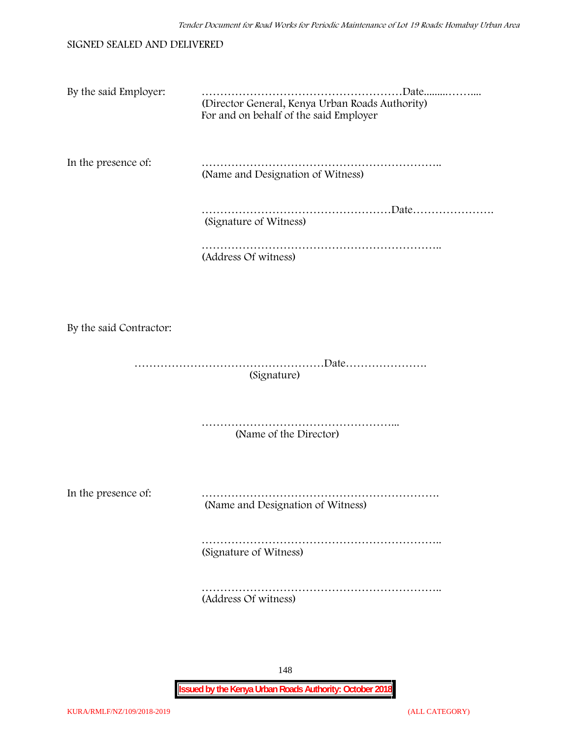| SIGNED SEALED AND DELIVERED |  |
|-----------------------------|--|
|-----------------------------|--|

| By the said Employer:   | (Director General, Kenya Urban Roads Authority)<br>For and on behalf of the said Employer |
|-------------------------|-------------------------------------------------------------------------------------------|
| In the presence of:     | (Name and Designation of Witness)                                                         |
|                         | (Signature of Witness)                                                                    |
|                         | (Address Of witness)                                                                      |
|                         |                                                                                           |
| By the said Contractor: |                                                                                           |
|                         | (Signature)                                                                               |
|                         | (Name of the Director)                                                                    |
| In the presence of:     | (Name and Designation of Witness)                                                         |
|                         | (Signature of Witness)                                                                    |
|                         | (Address Of witness)                                                                      |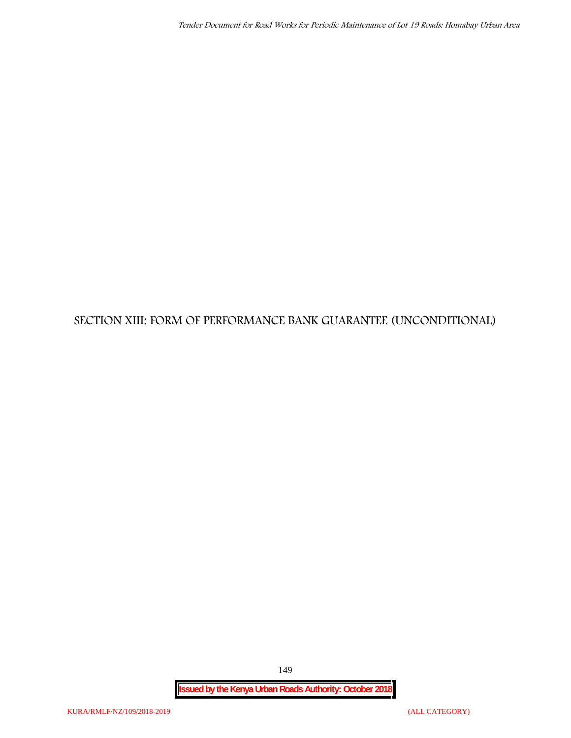# **SECTION XIII: FORM OF PERFORMANCE BANK GUARANTEE (UNCONDITIONAL)**

**Issued by the Kenya Urban Roads Authority: October 2018**

149